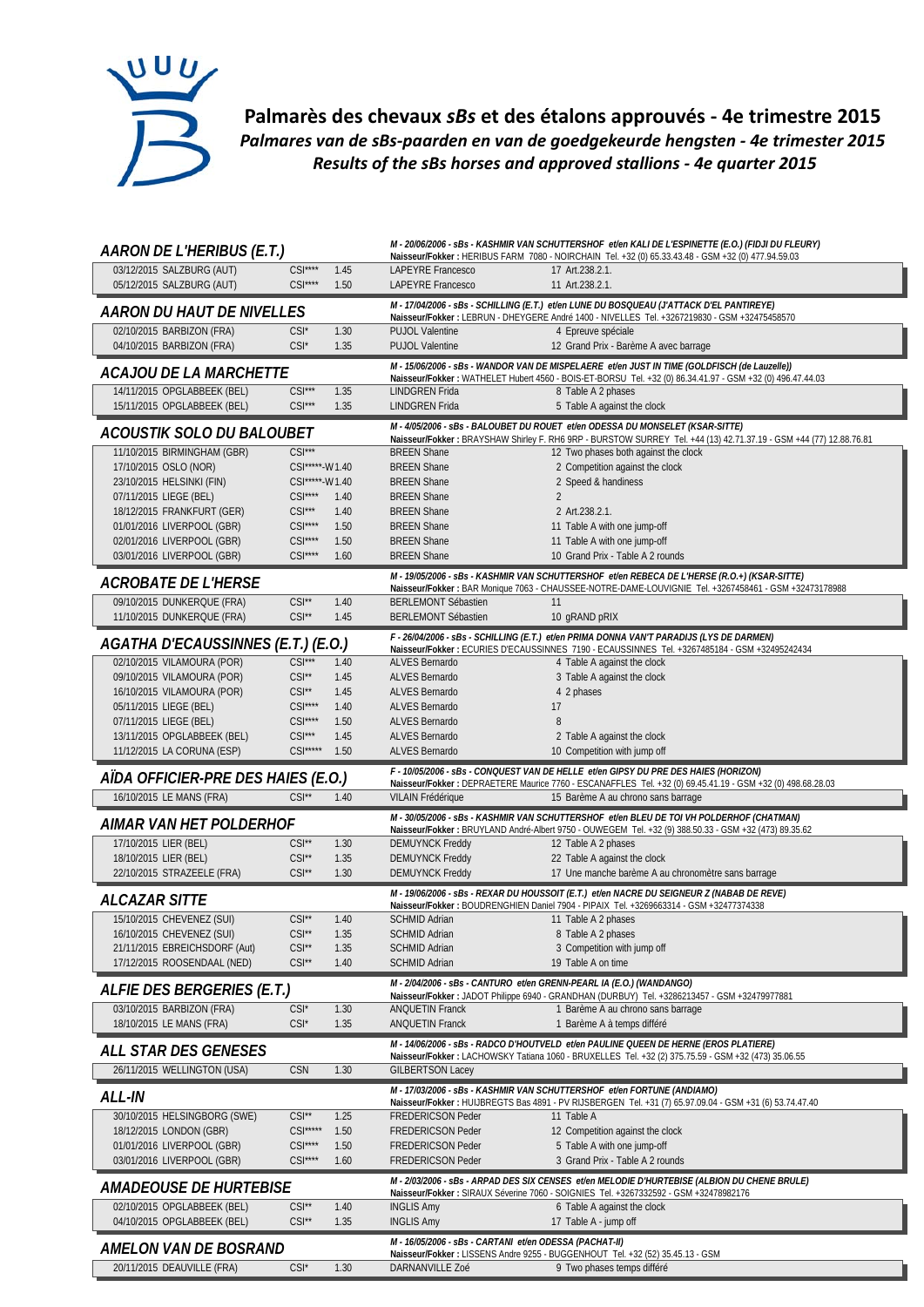

**Palmarès des chevaux** *sBs* **et des étalons approuvés ‐ 4e trimestre 2015** *Palmares van de sBs‐paarden en van de goedgekeurde hengsten ‐ 4e trimester 2015 Results of the sBs horses and approved stallions ‐ 4e quarter 2015*

| AARON DE L'HERIBUS (E.T.)                                |                                          |              |                                                          | M - 20/06/2006 - sBs - KASHMIR VAN SCHUTTERSHOF et/en KALI DE L'ESPINETTE (E.O.) (FIDJI DU FLEURY)<br>Naisseur/Fokker: HERIBUS FARM 7080 - NOIRCHAIN Tel. +32 (0) 65.33.43.48 - GSM +32 (0) 477.94.59.03 |
|----------------------------------------------------------|------------------------------------------|--------------|----------------------------------------------------------|----------------------------------------------------------------------------------------------------------------------------------------------------------------------------------------------------------|
| 03/12/2015 SALZBURG (AUT)                                | $CSI***$                                 | 1.45         | LAPEYRE Francesco                                        | 17 Art.238.2.1.                                                                                                                                                                                          |
| 05/12/2015 SALZBURG (AUT)                                | $CSI***$                                 | 1.50         | LAPEYRE Francesco                                        | 11 Art.238.2.1.                                                                                                                                                                                          |
| <i>AARON DU HAUT DE NIVELLES</i>                         |                                          |              |                                                          | M - 17/04/2006 - sBs - SCHILLING (E.T.) et/en LUNE DU BOSQUEAU (J'ATTACK D'EL PANTIREYE)<br>Naisseur/Fokker: LEBRUN - DHEYGERE André 1400 - NIVELLES Tel. +3267219830 - GSM +32475458570                 |
| 02/10/2015 BARBIZON (FRA)<br>04/10/2015 BARBIZON (FRA)   | $CSI^*$<br>$CSI^*$                       | 1.30<br>1.35 | <b>PUJOL Valentine</b><br><b>PUJOL Valentine</b>         | 4 Epreuve spéciale<br>12 Grand Prix - Barème A avec barrage                                                                                                                                              |
| ACAJOU DE LA MARCHETTE                                   |                                          |              |                                                          | M - 15/06/2006 - sBs - WANDOR VAN DE MISPELAERE et/en JUST IN TIME (GOLDFISCH (de Lauzelle))                                                                                                             |
| 14/11/2015 OPGLABBEEK (BEL)                              | $CSI***$                                 | 1.35         | LINDGREN Frida                                           | Naisseur/Fokker: WATHELET Hubert 4560 - BOIS-ET-BORSU Tel. +32 (0) 86.34.41.97 - GSM +32 (0) 496.47.44.03<br>8 Table A 2 phases                                                                          |
| 15/11/2015 OPGLABBEEK (BEL)                              | $CSI***$                                 | 1.35         | <b>LINDGREN Frida</b>                                    | 5 Table A against the clock                                                                                                                                                                              |
| ACOUSTIK SOLO DU BALOUBET                                |                                          |              |                                                          | M - 4/05/2006 - sBs - BALOUBET DU ROUET et/en ODESSA DU MONSELET (KSAR-SITTE)                                                                                                                            |
| 11/10/2015 BIRMINGHAM (GBR)                              | $CSI***$                                 |              | <b>BREEN Shane</b>                                       | Naisseur/Fokker: BRAYSHAW Shirley F. RH6 9RP - BURSTOW SURREY Tel. +44 (13) 42.71.37.19 - GSM +44 (77) 12.88.76.81<br>12 Two phases both against the clock                                               |
| 17/10/2015 OSLO (NOR)                                    | CSI*****-W1.40                           |              | <b>BREEN Shane</b>                                       | 2 Competition against the clock                                                                                                                                                                          |
| 23/10/2015 HELSINKI (FIN)                                | CSI*****-W1.40                           |              | <b>BREEN Shane</b>                                       | 2 Speed & handiness                                                                                                                                                                                      |
| 07/11/2015 LIEGE (BEL)                                   | $CSI***$                                 | 1.40         | <b>BREEN Shane</b>                                       | $\overline{2}$                                                                                                                                                                                           |
| 18/12/2015 FRANKFURT (GER)<br>01/01/2016 LIVERPOOL (GBR) | $CSI***$<br>$CSI***$                     | 1.40<br>1.50 | <b>BREEN Shane</b><br><b>BREEN Shane</b>                 | 2 Art.238.2.1.                                                                                                                                                                                           |
| 02/01/2016 LIVERPOOL (GBR)                               | $CSI***$                                 | 1.50         | <b>BREEN Shane</b>                                       | 11 Table A with one jump-off<br>11 Table A with one jump-off                                                                                                                                             |
| 03/01/2016 LIVERPOOL (GBR)                               | $CSI***$                                 | 1.60         | <b>BREEN Shane</b>                                       | 10 Grand Prix - Table A 2 rounds                                                                                                                                                                         |
| <b>ACROBATE DE L'HERSE</b>                               |                                          |              |                                                          | M - 19/05/2006 - sBs - KASHMIR VAN SCHUTTERSHOF et/en REBECA DE L'HERSE (R.O.+) (KSAR-SITTE)                                                                                                             |
|                                                          |                                          |              |                                                          | Naisseur/Fokker: BAR Monique 7063 - CHAUSSEE-NOTRE-DAME-LOUVIGNIE Tel. +3267458461 - GSM +32473178988                                                                                                    |
| 09/10/2015 DUNKERQUE (FRA)<br>11/10/2015 DUNKERQUE (FRA) | $CSI^{\star\star}$<br>$CSI^{\star\star}$ | 1.40<br>1.45 | <b>BERLEMONT Sébastien</b><br><b>BERLEMONT Sébastien</b> | 11<br>10 gRAND pRIX                                                                                                                                                                                      |
|                                                          |                                          |              |                                                          | F - 26/04/2006 - sBs - SCHILLING (E.T.) et/en PRIMA DONNA VAN'T PARADIJS (LYS DE DARMEN)                                                                                                                 |
| AGATHA D'ECAUSSINNES (E.T.) (E.O.)                       |                                          |              |                                                          | Naisseur/Fokker : ECURIES D'ECAUSSINNES 7190 - ECAUSSINNES Tel. +3267485184 - GSM +32495242434                                                                                                           |
| 02/10/2015 VILAMOURA (POR)                               | $CSI***$                                 | 1.40         | ALVES Bernardo                                           | 4 Table A against the clock                                                                                                                                                                              |
| 09/10/2015 VILAMOURA (POR)                               | $CSI**$                                  | 1.45         | ALVES Bernardo                                           | 3 Table A against the clock                                                                                                                                                                              |
| 16/10/2015 VILAMOURA (POR)                               | $CSI^{\star\star}$                       | 1.45         | <b>ALVES Bernardo</b>                                    | 4 2 phases                                                                                                                                                                                               |
| 05/11/2015 LIEGE (BEL)                                   | $CSI***$                                 | 1.40         | ALVES Bernardo                                           | 17                                                                                                                                                                                                       |
| 07/11/2015 LIEGE (BEL)<br>13/11/2015 OPGLABBEEK (BEL)    | $CSI***$<br>$CSI***$                     | 1.50<br>1.45 | ALVES Bernardo<br>ALVES Bernardo                         | 8<br>2 Table A against the clock                                                                                                                                                                         |
| 11/12/2015 LA CORUNA (ESP)                               | $CSI***$                                 | 1.50         | ALVES Bernardo                                           | 10 Competition with jump off                                                                                                                                                                             |
|                                                          |                                          |              |                                                          |                                                                                                                                                                                                          |
|                                                          |                                          |              |                                                          |                                                                                                                                                                                                          |
| AÏDA OFFICIER-PRE DES HAIES (E.O.)                       |                                          |              |                                                          | F - 10/05/2006 - sBs - CONQUEST VAN DE HELLE et/en GIPSY DU PRE DES HAIES (HORIZON)<br>Naisseur/Fokker: DEPRAETERE Maurice 7760 - ESCANAFFLES Tel. +32 (0) 69.45.41.19 - GSM +32 (0) 498.68.28.03        |
| 16/10/2015 LE MANS (FRA)                                 | $CSI**$                                  | 1.40         | VILAIN Frédérique                                        | 15 Barème A au chrono sans barrage                                                                                                                                                                       |
| AIMAR VAN HET POLDERHOF                                  |                                          |              |                                                          | M - 30/05/2006 - sBs - KASHMIR VAN SCHUTTERSHOF et/en BLEU DE TOI VH POLDERHOF (CHATMAN)                                                                                                                 |
|                                                          | $CSI^*$                                  | 1.30         |                                                          | Naisseur/Fokker: BRUYLAND André-Albert 9750 - OUWEGEM Tel. +32 (9) 388.50.33 - GSM +32 (473) 89.35.62                                                                                                    |
| 17/10/2015 LIER (BEL)<br>18/10/2015 LIER (BEL)           | $CSI^{\star\star}$                       | 1.35         | <b>DEMUYNCK Freddy</b><br><b>DEMUYNCK Freddy</b>         | 12 Table A 2 phases<br>22 Table A against the clock                                                                                                                                                      |
| 22/10/2015 STRAZEELE (FRA)                               | $CSI^{\star\star}$                       | 1.30         | <b>DEMUYNCK Freddy</b>                                   | 17 Une manche barème A au chronomètre sans barrage                                                                                                                                                       |
| <b>ALCAZAR SITTE</b>                                     |                                          |              |                                                          | M - 19/06/2006 - sBs - REXAR DU HOUSSOIT (E.T.) et/en NACRE DU SEIGNEUR Z (NABAB DE REVE)                                                                                                                |
| 15/10/2015 CHEVENEZ (SUI)                                | $CSI**$                                  | 1.40         | <b>SCHMID Adrian</b>                                     | Naisseur/Fokker: BOUDRENGHIEN Daniel 7904 - PIPAIX Tel. +3269663314 - GSM +32477374338<br>11 Table A 2 phases                                                                                            |
| 16/10/2015 CHEVENEZ (SUI)                                | $CSI^{\ast\ast}$                         | 1.35         | <b>SCHMID Adrian</b>                                     | 8 Table A 2 phases                                                                                                                                                                                       |
| 21/11/2015 EBREICHSDORF (Aut)                            | $CSI^*$                                  | 1.35         | <b>SCHMID Adrian</b>                                     | 3 Competition with jump off                                                                                                                                                                              |
| 17/12/2015 ROOSENDAAL (NED)                              | $CSI^{\star\star}$                       | 1.40         | <b>SCHMID Adrian</b>                                     | 19 Table A on time                                                                                                                                                                                       |
| ALFIE DES BERGERIES (E.T.)                               |                                          |              |                                                          | M - 2/04/2006 - sBs - CANTURO et/en GRENN-PEARL IA (E.O.) (WANDANGO)                                                                                                                                     |
| 03/10/2015 BARBIZON (FRA)                                | $CSI^*$                                  | 1.30         | <b>ANQUETIN Franck</b>                                   | Naisseur/Fokker: JADOT Philippe 6940 - GRANDHAN (DURBUY) Tel. +3286213457 - GSM +32479977881<br>1 Barème A au chrono sans barrage                                                                        |
| 18/10/2015 LE MANS (FRA)                                 | $CSI^*$                                  | 1.35         | <b>ANQUETIN Franck</b>                                   | 1 Barème A à temps différé                                                                                                                                                                               |
|                                                          |                                          |              |                                                          | M - 14/06/2006 - sBs - RADCO D'HOUTVELD et/en PAULINE QUEEN DE HERNE (EROS PLATIERE)                                                                                                                     |
| ALL STAR DES GENESES                                     |                                          |              |                                                          | Naisseur/Fokker: LACHOWSKY Tatiana 1060 - BRUXELLES Tel. +32 (2) 375.75.59 - GSM +32 (473) 35.06.55                                                                                                      |
| 26/11/2015 WELLINGTON (USA)                              | <b>CSN</b>                               | 1.30         | <b>GILBERTSON Lacey</b>                                  |                                                                                                                                                                                                          |
| ALL-IN                                                   |                                          |              |                                                          | M - 17/03/2006 - sBs - KASHMIR VAN SCHUTTERSHOF et/en FORTUNE (ANDIAMO)<br>Naisseur/Fokker: HUIJBREGTS Bas 4891 - PV RIJSBERGEN Tel. +31 (7) 65.97.09.04 - GSM +31 (6) 53.74.47.40                       |
| 30/10/2015 HELSINGBORG (SWE)                             | $CSI**$                                  | 1.25         | <b>FREDERICSON Peder</b>                                 | 11 Table A                                                                                                                                                                                               |
| 18/12/2015 LONDON (GBR)                                  | $CSI***$                                 | 1.50         | FREDERICSON Peder                                        | 12 Competition against the clock                                                                                                                                                                         |
| 01/01/2016 LIVERPOOL (GBR)                               | $CSI***$                                 | 1.50         | <b>FREDERICSON Peder</b>                                 | 5 Table A with one jump-off                                                                                                                                                                              |
| 03/01/2016 LIVERPOOL (GBR)                               | $CSI***$                                 | 1.60         | <b>FREDERICSON Peder</b>                                 | 3 Grand Prix - Table A 2 rounds                                                                                                                                                                          |
| AMADEOUSE DE HURTEBISE                                   |                                          |              |                                                          | M - 2/03/2006 - sBs - ARPAD DES SIX CENSES et/en MELODIE D'HURTEBISE (ALBION DU CHENE BRULE)<br>Naisseur/Fokker: SIRAUX Séverine 7060 - SOIGNIES Tel. +3267332592 - GSM +32478982176                     |
| 02/10/2015 OPGLABBEEK (BEL)                              | $CSI^*$                                  | 1.40         | <b>INGLIS Amy</b>                                        | 6 Table A against the clock                                                                                                                                                                              |
| 04/10/2015 OPGLABBEEK (BEL)                              | $CSI^*$                                  | 1.35         | <b>INGLIS Amy</b>                                        | 17 Table A - jump off                                                                                                                                                                                    |
|                                                          |                                          |              | M - 16/05/2006 - sBs - CARTANI et/en ODESSA (PACHAT-II)  |                                                                                                                                                                                                          |
| AMELON VAN DE BOSRAND<br>20/11/2015 DEAUVILLE (FRA)      | $CSI^*$                                  | 1.30         | DARNANVILLE Zoé                                          | Naisseur/Fokker: LISSENS Andre 9255 - BUGGENHOUT Tel. +32 (52) 35.45.13 - GSM<br>9 Two phases temps différé                                                                                              |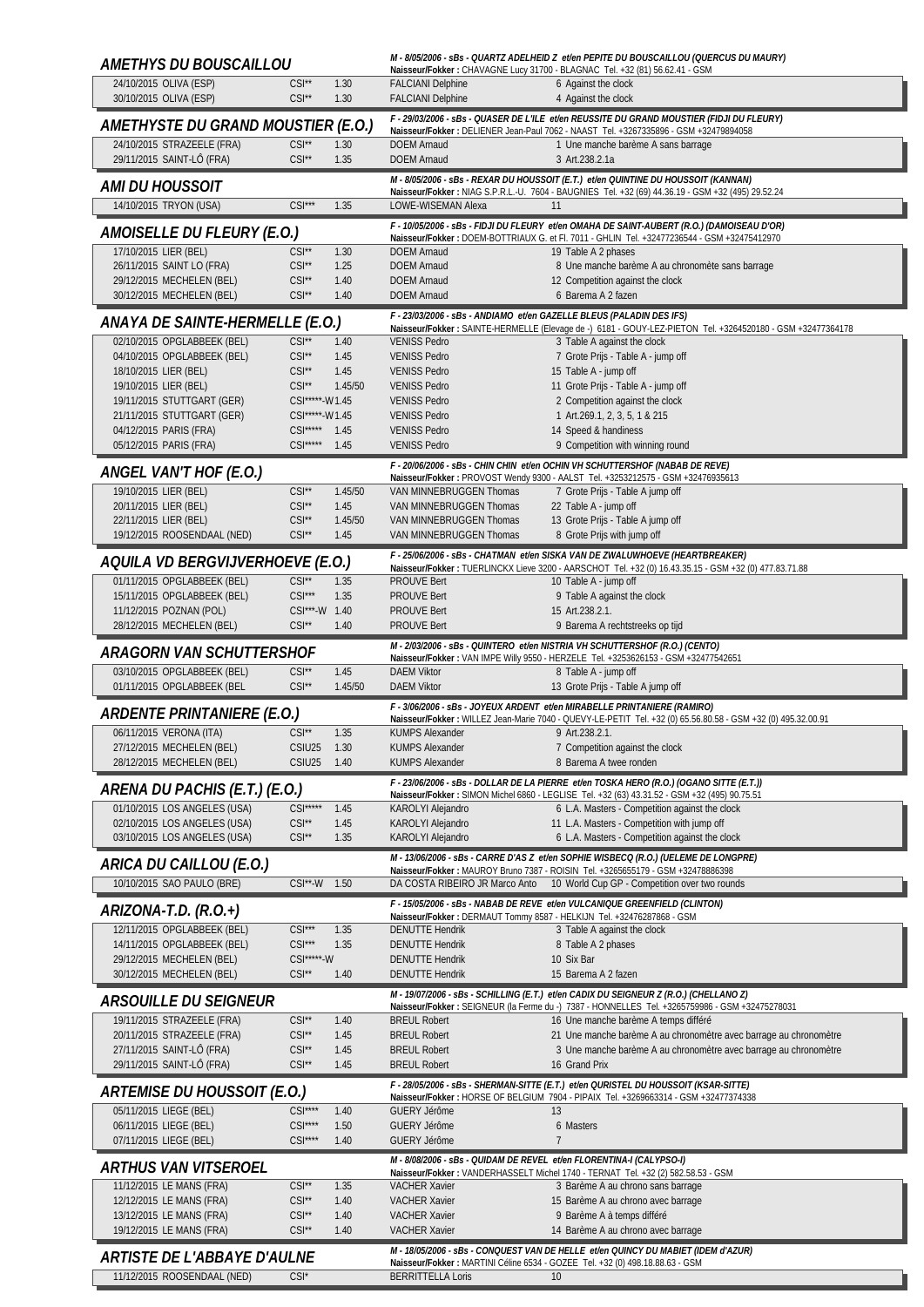| AMETHYS DU BOUSCAILLOU                                       |                                          |                 |                                                                      | M - 8/05/2006 - sBs - QUARTZ ADELHEID Z et/en PEPITE DU BOUSCAILLOU (QUERCUS DU MAURY)<br>Naisseur/Fokker: CHAVAGNE Lucy 31700 - BLAGNAC Tel. +32 (81) 56.62.41 - GSM                    |
|--------------------------------------------------------------|------------------------------------------|-----------------|----------------------------------------------------------------------|------------------------------------------------------------------------------------------------------------------------------------------------------------------------------------------|
| 24/10/2015 OLIVA (ESP)<br>30/10/2015 OLIVA (ESP)             | $CSI^{\star\star}$<br>$CSI^{\star\star}$ | 1.30<br>1.30    | <b>FALCIANI Delphine</b><br><b>FALCIANI Delphine</b>                 | 6 Against the clock<br>4 Against the clock                                                                                                                                               |
| AMETHYSTE DU GRAND MOUSTIER (E.O.)                           |                                          |                 |                                                                      | F - 29/03/2006 - sBs - QUASER DE L'ILE et/en REUSSITE DU GRAND MOUSTIER (FIDJI DU FLEURY)<br>Naisseur/Fokker: DELIENER Jean-Paul 7062 - NAAST Tel. +3267335896 - GSM +32479894058        |
| 24/10/2015 STRAZEELE (FRA)<br>29/11/2015 SAINT-LÔ (FRA)      | $CSI^{\star\star}$<br>$CSI^{\star\star}$ | 1.30<br>1.35    | <b>DOEM Arnaud</b><br><b>DOEM Arnaud</b>                             | 1 Une manche barème A sans barrage<br>3 Art.238.2.1a                                                                                                                                     |
|                                                              |                                          |                 |                                                                      | M - 8/05/2006 - sBs - REXAR DU HOUSSOIT (E.T.) et/en QUINTINE DU HOUSSOIT (KANNAN)                                                                                                       |
| AMI DU HOUSSOIT<br>14/10/2015 TRYON (USA)                    | $CSI***$                                 | 1.35            | LOWE-WISEMAN Alexa                                                   | Naisseur/Fokker: NIAG S.P.R.L.-U. 7604 - BAUGNIES Tel. +32 (69) 44.36.19 - GSM +32 (495) 29.52.24<br>11                                                                                  |
| AMOISELLE DU FLEURY (E.O.)                                   |                                          |                 |                                                                      | F - 10/05/2006 - sBs - FIDJI DU FLEURY et/en OMAHA DE SAINT-AUBERT (R.O.) (DAMOISEAU D'OR)                                                                                               |
| 17/10/2015 LIER (BEL)                                        | $CSI^*$                                  | 1.30            | <b>DOEM Arnaud</b>                                                   | Naisseur/Fokker: DOEM-BOTTRIAUX G. et Fl. 7011 - GHLIN Tel. +32477236544 - GSM +32475412970<br>19 Table A 2 phases                                                                       |
| 26/11/2015 SAINT LO (FRA)<br>29/12/2015 MECHELEN (BEL)       | $CSI^{\star\star}$<br>$CSI**$            | 1.25<br>1.40    | <b>DOEM Arnaud</b><br><b>DOEM Arnaud</b>                             | 8 Une manche barème A au chronomète sans barrage<br>12 Competition against the clock                                                                                                     |
| 30/12/2015 MECHELEN (BEL)                                    | $CSI**$                                  | 1.40            | <b>DOEM Arnaud</b>                                                   | 6 Barema A 2 fazen                                                                                                                                                                       |
| ANAYA DE SAINTE-HERMELLE (E.O.)                              |                                          |                 |                                                                      | F - 23/03/2006 - sBs - ANDIAMO et/en GAZELLE BLEUS (PALADIN DES IFS)<br>Naisseur/Fokker: SAINTE-HERMELLE (Elevage de -) 6181 - GOUY-LEZ-PIETON Tel. +3264520180 - GSM +32477364178       |
| 02/10/2015 OPGLABBEEK (BEL)<br>04/10/2015 OPGLABBEEK (BEL)   | $CSI**$<br>$CSI^{\star\star}$            | 1.40<br>1.45    | <b>VENISS Pedro</b><br><b>VENISS Pedro</b>                           | 3 Table A against the clock                                                                                                                                                              |
| 18/10/2015 LIER (BEL)                                        | $CSI^{\star\star}$                       | 1.45            | <b>VENISS Pedro</b>                                                  | 7 Grote Prijs - Table A - jump off<br>15 Table A - jump off                                                                                                                              |
| 19/10/2015 LIER (BEL)                                        | $CSI^{\star\star}$                       | 1.45/50         | <b>VENISS Pedro</b>                                                  | 11 Grote Prijs - Table A - jump off                                                                                                                                                      |
| 19/11/2015 STUTTGART (GER)<br>21/11/2015 STUTTGART (GER)     | CSI*****-W1.45<br>CSI*****-W1.45         |                 | <b>VENISS Pedro</b><br><b>VENISS Pedro</b>                           | 2 Competition against the clock<br>1 Art.269.1, 2, 3, 5, 1 & 215                                                                                                                         |
| 04/12/2015 PARIS (FRA)                                       | CSI***** 1.45                            |                 | <b>VENISS Pedro</b>                                                  | 14 Speed & handiness                                                                                                                                                                     |
| 05/12/2015 PARIS (FRA)                                       | $CSI***$                                 | 1.45            | <b>VENISS Pedro</b>                                                  | 9 Competition with winning round                                                                                                                                                         |
| ANGEL VAN'T HOF (E.O.)                                       |                                          |                 |                                                                      | F - 20/06/2006 - sBs - CHIN CHIN et/en OCHIN VH SCHUTTERSHOF (NABAB DE REVE)<br>Naisseur/Fokker: PROVOST Wendy 9300 - AALST Tel. +3253212575 - GSM +32476935613                          |
| 19/10/2015 LIER (BEL)                                        | $CSI**$                                  | 1.45/50         | VAN MINNEBRUGGEN Thomas                                              | 7 Grote Prijs - Table A jump off                                                                                                                                                         |
| 20/11/2015 LIER (BEL)<br>22/11/2015 LIER (BEL)               | $CSI^{\star\star}$<br>$CSI**$            | 1.45<br>1.45/50 | VAN MINNEBRUGGEN Thomas<br>VAN MINNEBRUGGEN Thomas                   | 22 Table A - jump off<br>13 Grote Prijs - Table A jump off                                                                                                                               |
| 19/12/2015 ROOSENDAAL (NED)                                  | $CSI**$                                  | 1.45            | VAN MINNEBRUGGEN Thomas                                              | 8 Grote Prijs with jump off                                                                                                                                                              |
| AQUILA VD BERGVIJVERHOEVE (E.O.)                             |                                          |                 |                                                                      | F - 25/06/2006 - sBs - CHATMAN et/en SISKA VAN DE ZWALUWHOEVE (HEARTBREAKER)<br>Naisseur/Fokker: TUERLINCKX Lieve 3200 - AARSCHOT Tel. +32 (0) 16.43.35.15 - GSM +32 (0) 477.83.71.88    |
| 01/11/2015 OPGLABBEEK (BEL)                                  | $CSI^{\star\star}$                       | 1.35            | <b>PROUVE Bert</b>                                                   | 10 Table A - jump off                                                                                                                                                                    |
| 15/11/2015 OPGLABBEEK (BEL)                                  | $CSI***$                                 | 1.35            | <b>PROUVE Bert</b>                                                   | 9 Table A against the clock                                                                                                                                                              |
| 11/12/2015 POZNAN (POL)<br>28/12/2015 MECHELEN (BEL)         | CSI***-W 1.40<br>$CSI^{\star\star}$      | 1.40            | <b>PROUVE Bert</b><br><b>PROUVE Bert</b>                             | 15 Art.238.2.1.<br>9 Barema A rechtstreeks op tijd                                                                                                                                       |
|                                                              |                                          |                 |                                                                      | M - 2/03/2006 - sBs - QUINTERO et/en NISTRIA VH SCHUTTERSHOF (R.O.) (CENTO)                                                                                                              |
| ARAGORN VAN SCHUTTERSHOF<br>03/10/2015 OPGLABBEEK (BEL)      | $CSI^{\star\star}$                       | 1.45            | <b>DAEM Viktor</b>                                                   | Naisseur/Fokker: VAN IMPE Willy 9550 - HERZELE Tel. +3253626153 - GSM +32477542651<br>8 Table A - jump off                                                                               |
| 01/11/2015 OPGLABBEEK (BEL                                   | $CSI**$                                  | 1.45/50         | <b>DAEM Viktor</b>                                                   | 13 Grote Prijs - Table A jump off                                                                                                                                                        |
| <b>ARDENTE PRINTANIERE (E.O.)</b>                            |                                          |                 |                                                                      | F - 3/06/2006 - sBs - JOYEUX ARDENT et/en MIRABELLE PRINTANIERE (RAMIRO)<br>Naisseur/Fokker: WILLEZ Jean-Marie 7040 - QUEVY-LE-PETIT Tel. +32 (0) 65.56.80.58 - GSM +32 (0) 495.32.00.91 |
| 06/11/2015 VERONA (ITA)                                      | $CSI^{\star\star}$                       | 1.35            | <b>KUMPS Alexander</b>                                               | 9 Art.238.2.1.                                                                                                                                                                           |
| 27/12/2015 MECHELEN (BEL)<br>28/12/2015 MECHELEN (BEL)       | CSIU <sub>25</sub><br>CSIU25             | 1.30<br>1.40    | <b>KUMPS Alexander</b><br><b>KUMPS Alexander</b>                     | 7 Competition against the clock<br>8 Barema A twee ronden                                                                                                                                |
| ARENA DU PACHIS (E.T.) (E.O.)                                |                                          |                 |                                                                      | F - 23/06/2006 - sBs - DOLLAR DE LA PIERRE et/en TOSKA HERO (R.O.) (OGANO SITTE (E.T.))<br>Naisseur/Fokker: SIMON Michel 6860 - LEGLISE Tel. +32 (63) 43.31.52 - GSM +32 (495) 90.75.51  |
| 01/10/2015 LOS ANGELES (USA)<br>02/10/2015 LOS ANGELES (USA) | $CSI***$<br>$CSI**$                      | 1.45            | KAROLYI Alejandro                                                    | 6 L.A. Masters - Competition against the clock                                                                                                                                           |
| 03/10/2015 LOS ANGELES (USA)                                 | $CSI**$                                  | 1.45<br>1.35    | KAROLYI Alejandro<br>KAROLYI Alejandro                               | 11 L.A. Masters - Competition with jump off<br>6 L.A. Masters - Competition against the clock                                                                                            |
| ARICA DU CAILLOU (E.O.)                                      |                                          |                 |                                                                      | M - 13/06/2006 - sBs - CARRE D'AS Z et/en SOPHIE WISBECQ (R.O.) (UELEME DE LONGPRE)<br>Naisseur/Fokker: MAUROY Bruno 7387 - ROISIN Tel. +3265655179 - GSM +32478886398                   |
| 10/10/2015 SAO PAULO (BRE)                                   | $CSI^{\star\star}\text{-}W$              | 1.50            | DA COSTA RIBEIRO JR Marco Anto                                       | 10 World Cup GP - Competition over two rounds                                                                                                                                            |
| ARIZONA-T.D. (R.O.+)                                         |                                          |                 |                                                                      | F - 15/05/2006 - sBs - NABAB DE REVE et/en VULCANIQUE GREENFIELD (CLINTON)                                                                                                               |
| 12/11/2015 OPGLABBEEK (BEL)                                  | $CSI***$                                 | 1.35            | <b>DENUTTE Hendrik</b>                                               | Naisseur/Fokker: DERMAUT Tommy 8587 - HELKIJN Tel. +32476287868 - GSM<br>3 Table A against the clock                                                                                     |
| 14/11/2015 OPGLABBEEK (BEL)                                  | $CSI***$                                 | 1.35            | <b>DENUTTE Hendrik</b>                                               | 8 Table A 2 phases                                                                                                                                                                       |
| 29/12/2015 MECHELEN (BEL)<br>30/12/2015 MECHELEN (BEL)       | $CSI***W$<br>$CSI**$                     | 1.40            | <b>DENUTTE Hendrik</b><br><b>DENUTTE Hendrik</b>                     | 10 Six Bar<br>15 Barema A 2 fazen                                                                                                                                                        |
| <i>ARSOUILLE DU SEIGNEUR</i>                                 |                                          |                 |                                                                      | M - 19/07/2006 - sBs - SCHILLING (E.T.) et/en CADIX DU SEIGNEUR Z (R.O.) (CHELLANO Z)                                                                                                    |
| 19/11/2015 STRAZEELE (FRA)                                   | $CSI**$                                  | 1.40            | <b>BREUL Robert</b>                                                  | Naisseur/Fokker: SEIGNEUR (la Ferme du -) 7387 - HONNELLES Tel. +3265759986 - GSM +32475278031<br>16 Une manche barème A temps différé                                                   |
| 20/11/2015 STRAZEELE (FRA)                                   | $CSI**$                                  | 1.45            | <b>BREUL Robert</b>                                                  | 21 Une manche barème A au chronomètre avec barrage au chronomètre                                                                                                                        |
| 27/11/2015 SAINT-LÔ (FRA)<br>29/11/2015 SAINT-LÔ (FRA)       | $CSI**$<br>$CSI^{\star\star}$            | 1.45<br>1.45    | <b>BREUL Robert</b><br><b>BREUL Robert</b>                           | 3 Une manche barème A au chronomètre avec barrage au chronomètre<br>16 Grand Prix                                                                                                        |
|                                                              |                                          |                 |                                                                      | F - 28/05/2006 - sBs - SHERMAN-SITTE (E.T.) et/en QURISTEL DU HOUSSOIT (KSAR-SITTE)                                                                                                      |
| ARTEMISE DU HOUSSOIT (E.O.)<br>05/11/2015 LIEGE (BEL)        | $CSI***$                                 | 1.40            | <b>GUERY Jérôme</b>                                                  | Naisseur/Fokker: HORSE OF BELGIUM 7904 - PIPAIX Tel. +3269663314 - GSM +32477374338<br>13                                                                                                |
| 06/11/2015 LIEGE (BEL)<br>07/11/2015 LIEGE (BEL)             | $CSI***$<br>$CSI***$                     | 1.50<br>1.40    | <b>GUERY Jérôme</b><br><b>GUERY Jérôme</b>                           | 6 Masters<br>$\overline{7}$                                                                                                                                                              |
| ARTHUS VAN VITSEROEL                                         |                                          |                 | M - 8/08/2006 - sBs - QUIDAM DE REVEL et/en FLORENTINA-I (CALYPSO-I) |                                                                                                                                                                                          |
| 11/12/2015 LE MANS (FRA)                                     | $CSI^{\star\star}$                       | 1.35            | <b>VACHER Xavier</b>                                                 | Naisseur/Fokker: VANDERHASSELT Michel 1740 - TERNAT Tel. +32 (2) 582.58.53 - GSM<br>3 Barème A au chrono sans barrage                                                                    |
| 12/12/2015 LE MANS (FRA)                                     | $CSI^{\star\star}$                       | 1.40            | <b>VACHER Xavier</b>                                                 | 15 Barème A au chrono avec barrage                                                                                                                                                       |
| 13/12/2015 LE MANS (FRA)<br>19/12/2015 LE MANS (FRA)         | $CSI^{\star\star}$<br>$CSI**$            | 1.40<br>1.40    | <b>VACHER Xavier</b><br><b>VACHER Xavier</b>                         | 9 Barème A à temps différé<br>14 Barème A au chrono avec barrage                                                                                                                         |
|                                                              |                                          |                 |                                                                      | M - 18/05/2006 - sBs - CONQUEST VAN DE HELLE et/en QUINCY DU MABIET (IDEM d'AZUR)                                                                                                        |
| <i>ARTISTE DE L'ABBAYE D'AULNE</i>                           |                                          |                 | <b>BERRITTELLA Loris</b>                                             | Naisseur/Fokker: MARTINI Céline 6534 - GOZEE Tel. +32 (0) 498.18.88.63 - GSM                                                                                                             |
| 11/12/2015 ROOSENDAAL (NED)                                  | $CSI^*$                                  |                 |                                                                      | 10                                                                                                                                                                                       |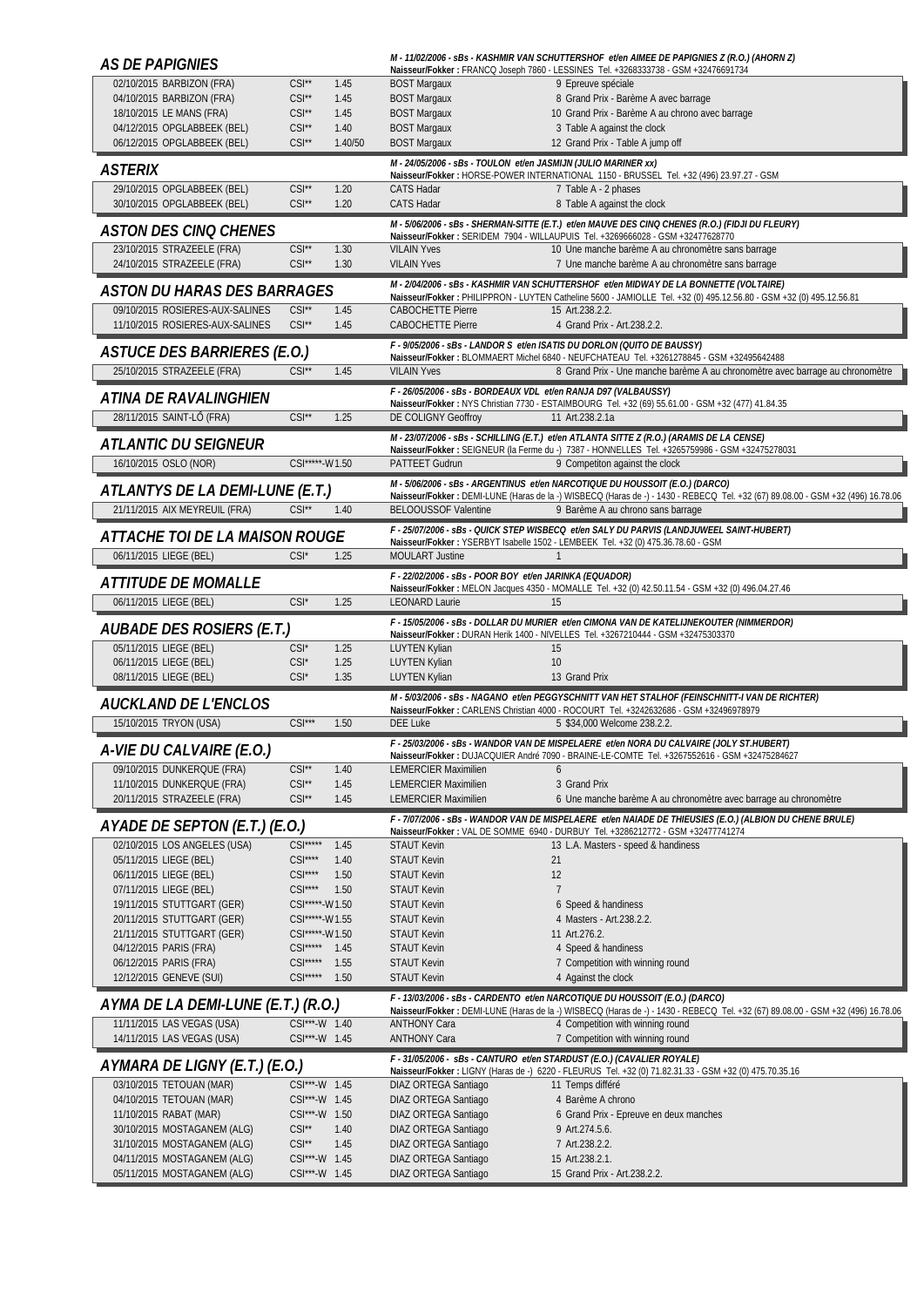| 02/10/2015 BARBIZON (FRA)<br>$CSI**$<br>1.45<br><b>BOST Margaux</b><br>9 Epreuve spéciale<br>$CSI^{\star\star}$<br>04/10/2015 BARBIZON (FRA)<br>1.45<br><b>BOST Margaux</b><br>8 Grand Prix - Barème A avec barrage<br>18/10/2015 LE MANS (FRA)<br>$CSI^{\star\star}$<br><b>BOST Margaux</b><br>1.45<br>10 Grand Prix - Barème A au chrono avec barrage<br>04/12/2015 OPGLABBEEK (BEL)<br>$CSI^{\star\star}$<br><b>BOST Margaux</b><br>1.40<br>3 Table A against the clock<br>06/12/2015 OPGLABBEEK (BEL)<br>$CSI^{\star\star}$<br>1.40/50<br><b>BOST Margaux</b><br>12 Grand Prix - Table A jump off |  |
|-------------------------------------------------------------------------------------------------------------------------------------------------------------------------------------------------------------------------------------------------------------------------------------------------------------------------------------------------------------------------------------------------------------------------------------------------------------------------------------------------------------------------------------------------------------------------------------------------------|--|
|                                                                                                                                                                                                                                                                                                                                                                                                                                                                                                                                                                                                       |  |
|                                                                                                                                                                                                                                                                                                                                                                                                                                                                                                                                                                                                       |  |
|                                                                                                                                                                                                                                                                                                                                                                                                                                                                                                                                                                                                       |  |
|                                                                                                                                                                                                                                                                                                                                                                                                                                                                                                                                                                                                       |  |
| M - 24/05/2006 - sBs - TOULON et/en JASMIJN (JULIO MARINER xx)                                                                                                                                                                                                                                                                                                                                                                                                                                                                                                                                        |  |
| <b>ASTERIX</b><br>Naisseur/Fokker: HORSE-POWER INTERNATIONAL 1150 - BRUSSEL Tel. +32 (496) 23.97.27 - GSM                                                                                                                                                                                                                                                                                                                                                                                                                                                                                             |  |
| 29/10/2015 OPGLABBEEK (BEL)<br>$CSI^{\star\star}$<br>1.20<br><b>CATS Hadar</b><br>7 Table A - 2 phases<br>30/10/2015 OPGLABBEEK (BEL)<br>$CSI^{\star\star}$<br>1.20<br><b>CATS Hadar</b><br>8 Table A against the clock                                                                                                                                                                                                                                                                                                                                                                               |  |
| M - 5/06/2006 - sBs - SHERMAN-SITTE (E.T.) et/en MAUVE DES CINQ CHENES (R.O.) (FIDJI DU FLEURY)                                                                                                                                                                                                                                                                                                                                                                                                                                                                                                       |  |
| <b>ASTON DES CINQ CHENES</b><br>Naisseur/Fokker: SERIDEM 7904 - WILLAUPUIS Tel. +3269666028 - GSM +32477628770                                                                                                                                                                                                                                                                                                                                                                                                                                                                                        |  |
| 23/10/2015 STRAZEELE (FRA)<br>10 Une manche barème A au chronomètre sans barrage<br>$CSI^{\star\star}$<br>1.30<br><b>VILAIN Yves</b><br>24/10/2015 STRAZEELE (FRA)<br>$CSI^{\star\star}$<br><b>VILAIN Yves</b><br>7 Une manche barème A au chronomètre sans barrage<br>1.30                                                                                                                                                                                                                                                                                                                           |  |
| M - 2/04/2006 - sBs - KASHMIR VAN SCHUTTERSHOF et/en MIDWAY DE LA BONNETTE (VOLTAIRE)<br>ASTON DU HARAS DES BARRAGES                                                                                                                                                                                                                                                                                                                                                                                                                                                                                  |  |
| Naisseur/Fokker: PHILIPPRON - LUYTEN Catheline 5600 - JAMIOLLE Tel. +32 (0) 495.12.56.80 - GSM +32 (0) 495.12.56.81<br>$CSI**$                                                                                                                                                                                                                                                                                                                                                                                                                                                                        |  |
| 09/10/2015 ROSIERES-AUX-SALINES<br>1.45<br><b>CABOCHETTE Pierre</b><br>15 Art.238.2.2.<br>11/10/2015 ROSIERES-AUX-SALINES<br>$CSI^{\star\star}$<br><b>CABOCHETTE Pierre</b><br>4 Grand Prix - Art.238.2.2.<br>1.45                                                                                                                                                                                                                                                                                                                                                                                    |  |
| F - 9/05/2006 - sBs - LANDOR S et/en ISATIS DU DORLON (QUITO DE BAUSSY)                                                                                                                                                                                                                                                                                                                                                                                                                                                                                                                               |  |
| <b>ASTUCE DES BARRIERES (E.O.)</b><br>Naisseur/Fokker: BLOMMAERT Michel 6840 - NEUFCHATEAU Tel. +3261278845 - GSM +32495642488<br>25/10/2015 STRAZEELE (FRA)<br><b>VILAIN Yves</b><br>8 Grand Prix - Une manche barème A au chronomètre avec barrage au chronomètre<br>$CSI^*$<br>1.45                                                                                                                                                                                                                                                                                                                |  |
| F - 26/05/2006 - sBs - BORDEAUX VDL et/en RANJA D97 (VALBAUSSY)                                                                                                                                                                                                                                                                                                                                                                                                                                                                                                                                       |  |
| ATINA DE RAVALINGHIEN<br>Naisseur/Fokker: NYS Christian 7730 - ESTAIMBOURG Tel. +32 (69) 55.61.00 - GSM +32 (477) 41.84.35                                                                                                                                                                                                                                                                                                                                                                                                                                                                            |  |
| 28/11/2015 SAINT-LÔ (FRA)<br>$CSI^{\star\star}$<br>1.25<br>DE COLIGNY Geoffroy<br>11 Art.238.2.1a                                                                                                                                                                                                                                                                                                                                                                                                                                                                                                     |  |
| M - 23/07/2006 - sBs - SCHILLING (E.T.) et/en ATLANTA SITTE Z (R.O.) (ARAMIS DE LA CENSE)<br><i>ATLANTIC DU SEIGNEUR</i>                                                                                                                                                                                                                                                                                                                                                                                                                                                                              |  |
| Naisseur/Fokker: SEIGNEUR (la Ferme du -) 7387 - HONNELLES Tel. +3265759986 - GSM +32475278031<br>16/10/2015 OSLO (NOR)<br>CSI*****-W1.50<br>PATTEET Gudrun<br>9 Competiton against the clock                                                                                                                                                                                                                                                                                                                                                                                                         |  |
| M - 5/06/2006 - sBs - ARGENTINUS et/en NARCOTIQUE DU HOUSSOIT (E.O.) (DARCO)                                                                                                                                                                                                                                                                                                                                                                                                                                                                                                                          |  |
| ATLANTYS DE LA DEMI-LUNE (E.T.)<br>Naisseur/Fokker: DEMI-LUNE (Haras de la -) WISBECQ (Haras de -) - 1430 - REBECQ Tel. +32 (67) 89.08.00 - GSM +32 (496) 16.78.06                                                                                                                                                                                                                                                                                                                                                                                                                                    |  |
| $CSI**$<br>21/11/2015 AIX MEYREUIL (FRA)<br>1.40<br><b>BELOOUSSOF Valentine</b><br>9 Barème A au chrono sans barrage                                                                                                                                                                                                                                                                                                                                                                                                                                                                                  |  |
| F - 25/07/2006 - sBs - QUICK STEP WISBECO et/en SALY DU PARVIS (LANDJUWEEL SAINT-HUBERT)<br>ATTACHE TOI DE LA MAISON ROUGE<br>Naisseur/Fokker: YSERBYT Isabelle 1502 - LEMBEEK Tel. +32 (0) 475.36.78.60 - GSM                                                                                                                                                                                                                                                                                                                                                                                        |  |
| 06/11/2015 LIEGE (BEL)<br>$CSI^*$<br>1.25<br><b>MOULART Justine</b><br>$\mathbf{1}$                                                                                                                                                                                                                                                                                                                                                                                                                                                                                                                   |  |
| F - 22/02/2006 - sBs - POOR BOY et/en JARINKA (EQUADOR)<br><i>ATTITUDE DE MOMALLE</i>                                                                                                                                                                                                                                                                                                                                                                                                                                                                                                                 |  |
| Naisseur/Fokker: MELON Jacques 4350 - MOMALLE Tel. +32 (0) 42.50.11.54 - GSM +32 (0) 496.04.27.46<br>06/11/2015 LIEGE (BEL)<br>$CSI^*$<br>1.25<br><b>LEONARD Laurie</b><br>15                                                                                                                                                                                                                                                                                                                                                                                                                         |  |
| F - 15/05/2006 - sBs - DOLLAR DU MURIER et/en CIMONA VAN DE KATELIJNEKOUTER (NIMMERDOR)                                                                                                                                                                                                                                                                                                                                                                                                                                                                                                               |  |
| AUBADE DES ROSIERS (E.T.)<br>Naisseur/Fokker: DURAN Herik 1400 - NIVELLES Tel. +3267210444 - GSM +32475303370                                                                                                                                                                                                                                                                                                                                                                                                                                                                                         |  |
| 05/11/2015 LIEGE (BEL)<br>$CSI^*$<br>1.25<br><b>LUYTEN Kylian</b><br>15                                                                                                                                                                                                                                                                                                                                                                                                                                                                                                                               |  |
| 06/11/2015 LIEGE (BEL)<br>$CSI^*$<br>1.25<br><b>LUYTEN Kylian</b><br>10                                                                                                                                                                                                                                                                                                                                                                                                                                                                                                                               |  |
|                                                                                                                                                                                                                                                                                                                                                                                                                                                                                                                                                                                                       |  |
| 08/11/2015 LIEGE (BEL)<br>$CSI^*$<br>1.35<br><b>LUYTEN Kylian</b><br>13 Grand Prix                                                                                                                                                                                                                                                                                                                                                                                                                                                                                                                    |  |
| M - 5/03/2006 - sBs - NAGANO et/en PEGGYSCHNITT VAN HET STALHOF (FEINSCHNITT-I VAN DE RICHTER)<br><b>AUCKLAND DE L'ENCLOS</b><br>Naisseur/Fokker: CARLENS Christian 4000 - ROCOURT Tel. +3242632686 - GSM +32496978979                                                                                                                                                                                                                                                                                                                                                                                |  |
| $CSI***$<br>15/10/2015 TRYON (USA)<br>1.50<br><b>DEE Luke</b><br>5 \$34,000 Welcome 238.2.2.                                                                                                                                                                                                                                                                                                                                                                                                                                                                                                          |  |
| F - 25/03/2006 - sBs - WANDOR VAN DE MISPELAERE et/en NORA DU CALVAIRE (JOLY ST.HUBERT)<br>A-VIE DU CALVAIRE (E.O.)                                                                                                                                                                                                                                                                                                                                                                                                                                                                                   |  |
| Naisseur/Fokker: DUJACQUIER André 7090 - BRAINE-LE-COMTE Tel. +3267552616 - GSM +32475284627<br>09/10/2015 DUNKERQUE (FRA)<br>$CSI^*$<br>1.40<br><b>LEMERCIER Maximilien</b><br>6                                                                                                                                                                                                                                                                                                                                                                                                                     |  |
| 11/10/2015 DUNKERQUE (FRA)<br>$CSI^{\star\star}$<br>1.45<br><b>LEMERCIER Maximilien</b><br>3 Grand Prix                                                                                                                                                                                                                                                                                                                                                                                                                                                                                               |  |
| 20/11/2015 STRAZEELE (FRA)<br>$CSI**$<br>1.45<br><b>LEMERCIER Maximilien</b><br>6 Une manche barème A au chronomètre avec barrage au chronomètre                                                                                                                                                                                                                                                                                                                                                                                                                                                      |  |
| F - 7/07/2006 - sBs - WANDOR VAN DE MISPELAERE et/en NAIADE DE THIEUSIES (E.O.) (ALBION DU CHENE BRULE)<br>AYADE DE SEPTON (E.T.) (E.O.)                                                                                                                                                                                                                                                                                                                                                                                                                                                              |  |
| Naisseur/Fokker: VAL DE SOMME 6940 - DURBUY Tel. +3286212772 - GSM +32477741274<br>02/10/2015 LOS ANGELES (USA)<br>$CSI***$<br>1.45<br><b>STAUT Kevin</b><br>13 L.A. Masters - speed & handiness                                                                                                                                                                                                                                                                                                                                                                                                      |  |
| $CSI***$<br>05/11/2015 LIEGE (BEL)<br>1.40<br><b>STAUT Kevin</b><br>21                                                                                                                                                                                                                                                                                                                                                                                                                                                                                                                                |  |
| $CSI***$<br>12<br>06/11/2015 LIEGE (BEL)<br>1.50<br><b>STAUT Kevin</b>                                                                                                                                                                                                                                                                                                                                                                                                                                                                                                                                |  |
| 07/11/2015 LIEGE (BEL)<br>$CSI***$<br>1.50<br>$\overline{7}$<br><b>STAUT Kevin</b><br>CSI*****-W1.50<br><b>STAUT Kevin</b><br>6 Speed & handiness                                                                                                                                                                                                                                                                                                                                                                                                                                                     |  |
| 19/11/2015 STUTTGART (GER)<br>20/11/2015 STUTTGART (GER)<br>CSI*****-W1.55<br><b>STAUT Kevin</b><br>4 Masters - Art.238.2.2.                                                                                                                                                                                                                                                                                                                                                                                                                                                                          |  |
| 21/11/2015 STUTTGART (GER)<br>CSI*****-W1.50<br><b>STAUT Kevin</b><br>11 Art.276.2.                                                                                                                                                                                                                                                                                                                                                                                                                                                                                                                   |  |
| 04/12/2015 PARIS (FRA)<br>$CSI***$<br><b>STAUT Kevin</b><br>4 Speed & handiness<br>1.45                                                                                                                                                                                                                                                                                                                                                                                                                                                                                                               |  |
| 06/12/2015 PARIS (FRA)<br>$CSI***$<br>7 Competition with winning round<br>1.55<br><b>STAUT Kevin</b><br>$CSI***$<br><b>STAUT Kevin</b><br>1.50                                                                                                                                                                                                                                                                                                                                                                                                                                                        |  |
| 12/12/2015 GENEVE (SUI)<br>4 Against the clock<br>F - 13/03/2006 - sBs - CARDENTO et/en NARCOTIQUE DU HOUSSOIT (E.O.) (DARCO)                                                                                                                                                                                                                                                                                                                                                                                                                                                                         |  |
| AYMA DE LA DEMI-LUNE (E.T.) (R.O.)<br>Naisseur/Fokker: DEMI-LUNE (Haras de la -) WISBECQ (Haras de -) - 1430 - REBECQ Tel. +32 (67) 89.08.00 - GSM +32 (496) 16.78.06                                                                                                                                                                                                                                                                                                                                                                                                                                 |  |
| 11/11/2015 LAS VEGAS (USA)<br>CSI***-W 1.40<br><b>ANTHONY Cara</b><br>4 Competition with winning round<br>CSI***-W 1.45<br><b>ANTHONY Cara</b><br>7 Competition with winning round<br>14/11/2015 LAS VEGAS (USA)                                                                                                                                                                                                                                                                                                                                                                                      |  |
| F - 31/05/2006 - sBs - CANTURO et/en STARDUST (E.O.) (CAVALIER ROYALE)                                                                                                                                                                                                                                                                                                                                                                                                                                                                                                                                |  |
| AYMARA DE LIGNY (E.T.) (E.O.)<br>Naisseur/Fokker: LIGNY (Haras de -) 6220 - FLEURUS Tel. +32 (0) 71.82.31.33 - GSM +32 (0) 475.70.35.16                                                                                                                                                                                                                                                                                                                                                                                                                                                               |  |
| 03/10/2015 TETOUAN (MAR)<br>CSI***-W 1.45<br>DIAZ ORTEGA Santiago<br>11 Temps différé<br>04/10/2015 TETOUAN (MAR)<br>CSI***-W 1.45<br>4 Barème A chrono                                                                                                                                                                                                                                                                                                                                                                                                                                               |  |
| DIAZ ORTEGA Santiago<br>11/10/2015 RABAT (MAR)<br>CSI***-W 1.50<br>DIAZ ORTEGA Santiago<br>6 Grand Prix - Epreuve en deux manches                                                                                                                                                                                                                                                                                                                                                                                                                                                                     |  |
| $CSI^{\star\star}$<br>30/10/2015 MOSTAGANEM (ALG)<br>1.40<br>DIAZ ORTEGA Santiago<br>9 Art.274.5.6.                                                                                                                                                                                                                                                                                                                                                                                                                                                                                                   |  |
| 31/10/2015 MOSTAGANEM (ALG)<br>$CSI^*$<br>1.45<br>DIAZ ORTEGA Santiago<br>7 Art.238.2.2.<br>CSI***-W 1.45<br>04/11/2015 MOSTAGANEM (ALG)<br>DIAZ ORTEGA Santiago<br>15 Art.238.2.1.                                                                                                                                                                                                                                                                                                                                                                                                                   |  |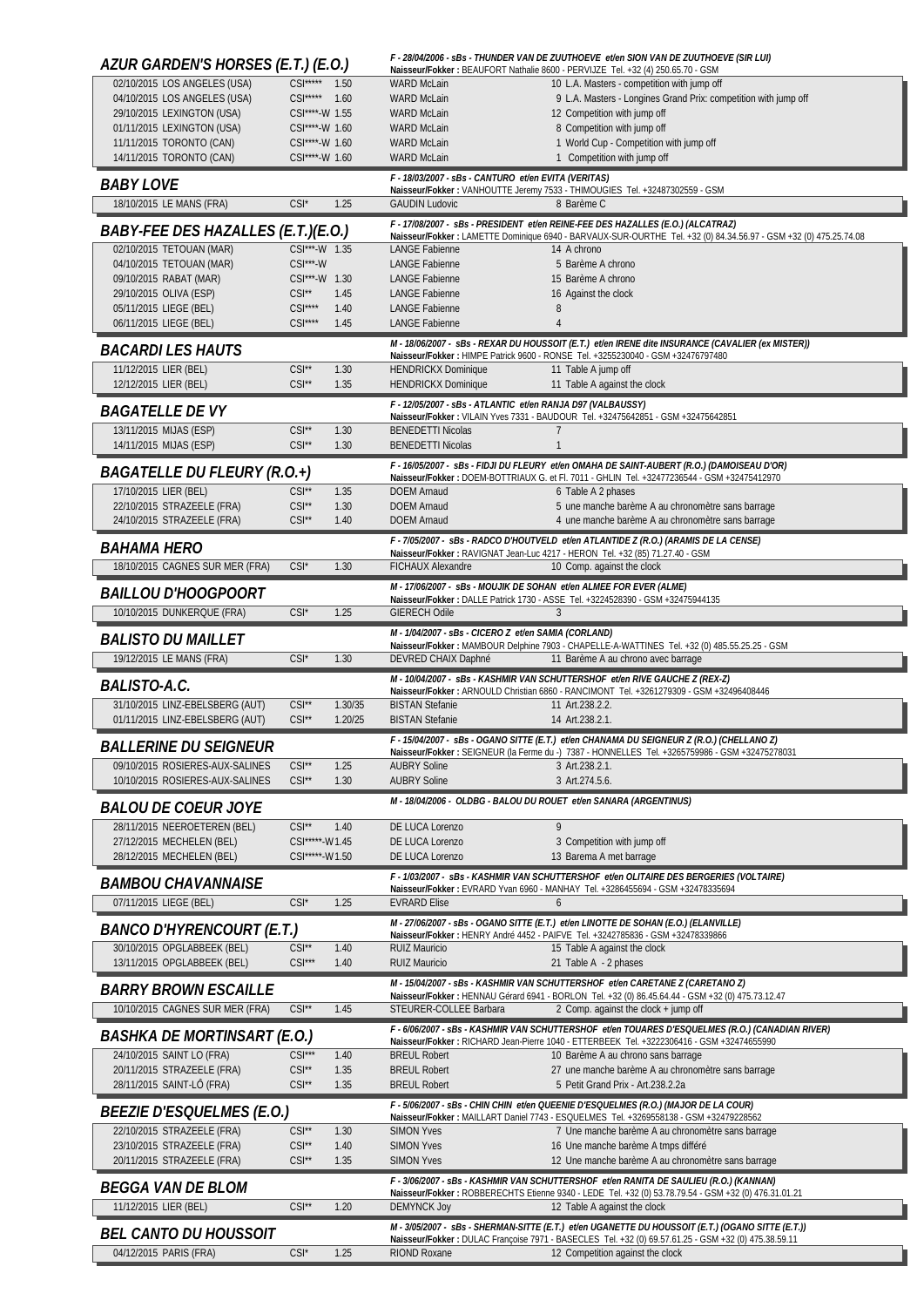| AZUR GARDEN'S HORSES (E.T.) (E.O.)                             |                                     |              |                                                                    | F - 28/04/2006 - sBs - THUNDER VAN DE ZUUTHOEVE et/en SION VAN DE ZUUTHOEVE (SIR LUI)<br>Naisseur/Fokker: BEAUFORT Nathalie 8600 - PERVIJZE Tel. +32 (4) 250.65.70 - GSM                            |
|----------------------------------------------------------------|-------------------------------------|--------------|--------------------------------------------------------------------|-----------------------------------------------------------------------------------------------------------------------------------------------------------------------------------------------------|
| 02/10/2015 LOS ANGELES (USA)                                   | CSI***** 1.50                       |              | <b>WARD McLain</b>                                                 | 10 L.A. Masters - competition with jump off                                                                                                                                                         |
| 04/10/2015 LOS ANGELES (USA)<br>29/10/2015 LEXINGTON (USA)     | $CSI***$<br>CSI****-W 1.55          | 1.60         | <b>WARD McLain</b><br><b>WARD McLain</b>                           | 9 L.A. Masters - Longines Grand Prix: competition with jump off<br>12 Competition with jump off                                                                                                     |
| 01/11/2015 LEXINGTON (USA)                                     | CSI****-W 1.60                      |              | <b>WARD McLain</b>                                                 | 8 Competition with jump off                                                                                                                                                                         |
| 11/11/2015 TORONTO (CAN)                                       | CSI****-W 1.60                      |              | <b>WARD McLain</b>                                                 | 1 World Cup - Competition with jump off                                                                                                                                                             |
| 14/11/2015 TORONTO (CAN)                                       | CSI****-W 1.60                      |              | <b>WARD McLain</b>                                                 | 1 Competition with jump off                                                                                                                                                                         |
| <b>BABY LOVE</b>                                               |                                     |              | F - 18/03/2007 - sBs - CANTURO et/en EVITA (VERITAS)               | Naisseur/Fokker: VANHOUTTE Jeremy 7533 - THIMOUGIES Tel. +32487302559 - GSM                                                                                                                         |
| 18/10/2015 LE MANS (FRA)                                       | CSI*                                | 1.25         | <b>GAUDIN Ludovic</b>                                              | 8 Barème C                                                                                                                                                                                          |
| BABY-FEE DES HAZALLES (E.T.)(E.O.)                             |                                     |              |                                                                    | F - 17/08/2007 - sBs - PRESIDENT et/en REINE-FEE DES HAZALLES (E.O.) (ALCATRAZ)<br>Naisseur/Fokker: LAMETTE Dominique 6940 - BARVAUX-SUR-OURTHE Tel. +32 (0) 84.34.56.97 - GSM +32 (0) 475.25.74.08 |
| 02/10/2015 TETOUAN (MAR)                                       | CSI***-W 1.35                       |              | <b>LANGE Fabienne</b>                                              | 14 A chrono                                                                                                                                                                                         |
| 04/10/2015 TETOUAN (MAR)                                       | $CSI***$ -W                         |              | LANGE Fabienne                                                     | 5 Barème A chrono                                                                                                                                                                                   |
| 09/10/2015 RABAT (MAR)<br>29/10/2015 OLIVA (ESP)               | CSI***-W 1.30<br>$CSI^{\star\star}$ | 1.45         | <b>LANGE Fabienne</b><br><b>LANGE Fabienne</b>                     | 15 Barème A chrono<br>16 Against the clock                                                                                                                                                          |
| 05/11/2015 LIEGE (BEL)                                         | $CSI***$                            | 1.40         | <b>LANGE Fabienne</b>                                              | 8                                                                                                                                                                                                   |
| 06/11/2015 LIEGE (BEL)                                         | $CSI***$                            | 1.45         | <b>LANGE Fabienne</b>                                              | $\overline{4}$                                                                                                                                                                                      |
| <b>BACARDILES HAUTS</b>                                        |                                     |              |                                                                    | M - 18/06/2007 - sBs - REXAR DU HOUSSOIT (E.T.) et/en IRENE dite INSURANCE (CAVALIER (ex MISTER))<br>Naisseur/Fokker: HIMPE Patrick 9600 - RONSE Tel. +3255230040 - GSM +32476797480                |
| 11/12/2015 LIER (BEL)                                          | $CSI**$                             | 1.30         | <b>HENDRICKX Dominique</b>                                         | 11 Table A jump off                                                                                                                                                                                 |
| 12/12/2015 LIER (BEL)                                          | $CSI**$                             | 1.35         | <b>HENDRICKX Dominique</b>                                         | 11 Table A against the clock                                                                                                                                                                        |
| <b>BAGATELLE DE VY</b>                                         |                                     |              | F - 12/05/2007 - sBs - ATLANTIC et/en RANJA D97 (VALBAUSSY)        | Naisseur/Fokker: VILAIN Yves 7331 - BAUDOUR Tel. +32475642851 - GSM +32475642851                                                                                                                    |
| 13/11/2015 MIJAS (ESP)                                         | $CSI**$                             | 1.30         | <b>BENEDETTI Nicolas</b>                                           |                                                                                                                                                                                                     |
| 14/11/2015 MIJAS (ESP)                                         | $CSI**$                             | 1.30         | <b>BENEDETTI Nicolas</b>                                           |                                                                                                                                                                                                     |
| BAGATELLE DU FLEURY (R.O.+)                                    |                                     |              |                                                                    | F - 16/05/2007 - sBs - FIDJI DU FLEURY et/en OMAHA DE SAINT-AUBERT (R.O.) (DAMOISEAU D'OR)<br>Naisseur/Fokker: DOEM-BOTTRIAUX G. et Fl. 7011 - GHLIN Tel. +32477236544 - GSM +32475412970           |
| 17/10/2015 LIER (BEL)                                          | $CSI**$                             | 1.35         | <b>DOEM Arnaud</b>                                                 | 6 Table A 2 phases                                                                                                                                                                                  |
| 22/10/2015 STRAZEELE (FRA)<br>24/10/2015 STRAZEELE (FRA)       | $CSI**$<br>$CSI^{\star\star}$       | 1.30<br>1.40 | <b>DOEM Arnaud</b><br><b>DOEM Arnaud</b>                           | 5 une manche barème A au chronomètre sans barrage<br>4 une manche barème A au chronomètre sans barrage                                                                                              |
|                                                                |                                     |              |                                                                    | F - 7/05/2007 - sBs - RADCO D'HOUTVELD et/en ATLANTIDE Z (R.O.) (ARAMIS DE LA CENSE)                                                                                                                |
| <i>BAHAMA HERO</i>                                             |                                     |              |                                                                    | Naisseur/Fokker: RAVIGNAT Jean-Luc 4217 - HERON Tel. +32 (85) 71.27.40 - GSM                                                                                                                        |
| 18/10/2015 CAGNES SUR MER (FRA)                                | $CSI^*$                             | 1.30         | FICHAUX Alexandre                                                  | 10 Comp. against the clock                                                                                                                                                                          |
| <i>BAILLOU D'HOOGPOORT</i>                                     |                                     |              | M - 17/06/2007 - SBS - MOUJIK DE SOHAN et/en ALMEE FOR EVER (ALME) | Naisseur/Fokker: DALLE Patrick 1730 - ASSE Tel. +3224528390 - GSM +32475944135                                                                                                                      |
| 10/10/2015 DUNKERQUE (FRA)                                     | $CSI^*$                             | 1.25         | <b>GIERECH Odile</b>                                               | $\mathcal{R}$                                                                                                                                                                                       |
| <i><b>BALISTO DU MAILLET</b></i>                               |                                     |              | M - 1/04/2007 - sBs - CICERO Z et/en SAMIA (CORLAND)               | Naisseur/Fokker: MAMBOUR Delphine 7903 - CHAPELLE-A-WATTINES Tel. +32 (0) 485.55.25.25 - GSM                                                                                                        |
| 19/12/2015 LE MANS (FRA)                                       | $CSI^*$                             | 1.30         | DEVRED CHAIX Daphné                                                | 11 Barème A au chrono avec barrage                                                                                                                                                                  |
|                                                                |                                     |              |                                                                    |                                                                                                                                                                                                     |
| BALISTO-A.C.                                                   |                                     |              |                                                                    | M - 10/04/2007 - sBs - KASHMIR VAN SCHUTTERSHOF et/en RIVE GAUCHE Z (REX-Z)                                                                                                                         |
| 31/10/2015 LINZ-EBELSBERG (AUT)                                | $CSI**$                             | 1.30/35      | <b>BISTAN Stefanie</b>                                             | Naisseur/Fokker: ARNOULD Christian 6860 - RANCIMONT Tel. +3261279309 - GSM +32496408446<br>11 Art.238.2.2.                                                                                          |
| 01/11/2015 LINZ-EBELSBERG (AUT)                                | $CSI**$                             | 1.20/25      | <b>BISTAN Stefanie</b>                                             | 14 Art.238.2.1.                                                                                                                                                                                     |
| <b>BALLERINE DU SEIGNEUR</b>                                   |                                     |              |                                                                    | F - 15/04/2007 - sBs - OGANO SITTE (E.T.) et/en CHANAMA DU SEIGNEUR Z (R.O.) (CHELLANO Z)<br>Naisseur/Fokker: SEIGNEUR (la Ferme du -) 7387 - HONNELLES Tel. +3265759986 - GSM +32475278031         |
| 09/10/2015 ROSIERES-AUX-SALINES                                | $CSI**$                             | 1.25         | <b>AUBRY Soline</b>                                                | 3 Art.238.2.1.                                                                                                                                                                                      |
| 10/10/2015 ROSIERES-AUX-SALINES                                | $CSI^*$                             | 1.30         | <b>AUBRY Soline</b>                                                | 3 Art.274.5.6.                                                                                                                                                                                      |
| <b>BALOU DE COEUR JOYE</b>                                     |                                     |              | M - 18/04/2006 - OLDBG - BALOU DU ROUET et/en SANARA (ARGENTINUS)  |                                                                                                                                                                                                     |
| 28/11/2015 NEEROETEREN (BEL)                                   | $CSI**$                             | 1.40         | DE LUCA Lorenzo                                                    | 9                                                                                                                                                                                                   |
| 27/12/2015 MECHELEN (BEL)<br>28/12/2015 MECHELEN (BEL)         | CSI*****-W1.45<br>CSI*****-W1.50    |              | DE LUCA Lorenzo<br>DE LUCA Lorenzo                                 | 3 Competition with jump off<br>13 Barema A met barrage                                                                                                                                              |
|                                                                |                                     |              |                                                                    | F - 1/03/2007 - SBS - KASHMIR VAN SCHUTTERSHOF et/en OLITAIRE DES BERGERIES (VOLTAIRE)                                                                                                              |
| <i><b>BAMBOU CHAVANNAISE</b></i>                               |                                     |              |                                                                    | Naisseur/Fokker: EVRARD Yvan 6960 - MANHAY Tel. +3286455694 - GSM +32478335694<br>$\mathfrak b$                                                                                                     |
| 07/11/2015 LIEGE (BEL)                                         | $CSI^*$                             | 1.25         | <b>EVRARD Elise</b>                                                |                                                                                                                                                                                                     |
| <i>BANCO D'HYRENCOURT (E.T.)</i>                               |                                     |              |                                                                    | M - 27/06/2007 - sBs - OGANO SITTE (E.T.) et/en LINOTTE DE SOHAN (E.O.) (ELANVILLE)<br>Naisseur/Fokker: HENRY André 4452 - PAIFVE Tel. +3242785836 - GSM +32478339866                               |
| 30/10/2015 OPGLABBEEK (BEL)<br>13/11/2015 OPGLABBEEK (BEL)     | $CSI**$<br>$CSI***$                 | 1.40<br>1.40 | <b>RUIZ Mauricio</b><br><b>RUIZ Mauricio</b>                       | 15 Table A against the clock<br>21 Table A - 2 phases                                                                                                                                               |
|                                                                |                                     |              |                                                                    | M - 15/04/2007 - sBs - KASHMIR VAN SCHUTTERSHOF et/en CARETANE Z (CARETANO Z)                                                                                                                       |
| <b>BARRY BROWN ESCAILLE</b>                                    |                                     |              |                                                                    | Naisseur/Fokker: HENNAU Gérard 6941 - BORLON Tel. +32 (0) 86.45.64.44 - GSM +32 (0) 475.73.12.47                                                                                                    |
| 10/10/2015 CAGNES SUR MER (FRA)                                | $CSI**$                             | 1.45         | STEURER-COLLEE Barbara                                             | 2 Comp. against the clock + jump off                                                                                                                                                                |
| <i>BASHKA DE MORTINSART (E.O.)</i>                             |                                     |              |                                                                    | F - 6/06/2007 - sBs - KASHMIR VAN SCHUTTERSHOF et/en TOUARES D'ESQUELMES (R.O.) (CANADIAN RIVER)<br>Naisseur/Fokker: RICHARD Jean-Pierre 1040 - ETTERBEEK Tel. +3222306416 - GSM +32474655990       |
| 24/10/2015 SAINT LO (FRA)                                      | $CSI***$                            | 1.40         | <b>BREUL Robert</b>                                                | 10 Barème A au chrono sans barrage                                                                                                                                                                  |
| 20/11/2015 STRAZEELE (FRA)<br>28/11/2015 SAINT-LÕ (FRA)        | $CSI^{\star\star}$<br>$CSI**$       | 1.35<br>1.35 | <b>BREUL Robert</b><br><b>BREUL Robert</b>                         | 27 une manche barème A au chronomètre sans barrage<br>5 Petit Grand Prix - Art.238.2.2a                                                                                                             |
|                                                                |                                     |              |                                                                    | F - 5/06/2007 - sBs - CHIN CHIN et/en QUEENIE D'ESQUELMES (R.O.) (MAJOR DE LA COUR)                                                                                                                 |
| <i>BEEZIE D'ESQUELMES (E.O.)</i><br>22/10/2015 STRAZEELE (FRA) | $CSI**$                             | 1.30         | <b>SIMON Yves</b>                                                  | Naisseur/Fokker: MAILLART Daniel 7743 - ESQUELMES Tel. +3269558138 - GSM +32479228562<br>7 Une manche barème A au chronomètre sans barrage                                                          |
| 23/10/2015 STRAZEELE (FRA)                                     | $CSI**$                             | 1.40         | <b>SIMON Yves</b>                                                  | 16 Une manche barème A tmps différé                                                                                                                                                                 |
| 20/11/2015 STRAZEELE (FRA)                                     | $CSI**$                             | 1.35         | <b>SIMON Yves</b>                                                  | 12 Une manche barème A au chronomètre sans barrage                                                                                                                                                  |
| <i>BEGGA VAN DE BLOM</i>                                       |                                     |              |                                                                    | F - 3/06/2007 - sBs - KASHMIR VAN SCHUTTERSHOF et/en RANITA DE SAULIEU (R.O.) (KANNAN)                                                                                                              |
| 11/12/2015 LIER (BEL)                                          | $CSI**$                             | 1.20         | <b>DEMYNCK Joy</b>                                                 | Naisseur/Fokker: ROBBERECHTS Etienne 9340 - LEDE Tel. +32 (0) 53.78.79.54 - GSM +32 (0) 476.31.01.21<br>12 Table A against the clock                                                                |
|                                                                |                                     |              |                                                                    | M - 3/05/2007 - sBs - SHERMAN-SITTE (E.T.) et/en UGANETTE DU HOUSSOIT (E.T.) (OGANO SITTE (E.T.))                                                                                                   |
| <b>BEL CANTO DU HOUSSOIT</b><br>04/12/2015 PARIS (FRA)         | $CSI^*$                             | 1.25         | <b>RIOND Roxane</b>                                                | Naisseur/Fokker: DULAC Françoise 7971 - BASECLES Tel. +32 (0) 69.57.61.25 - GSM +32 (0) 475.38.59.11<br>12 Competition against the clock                                                            |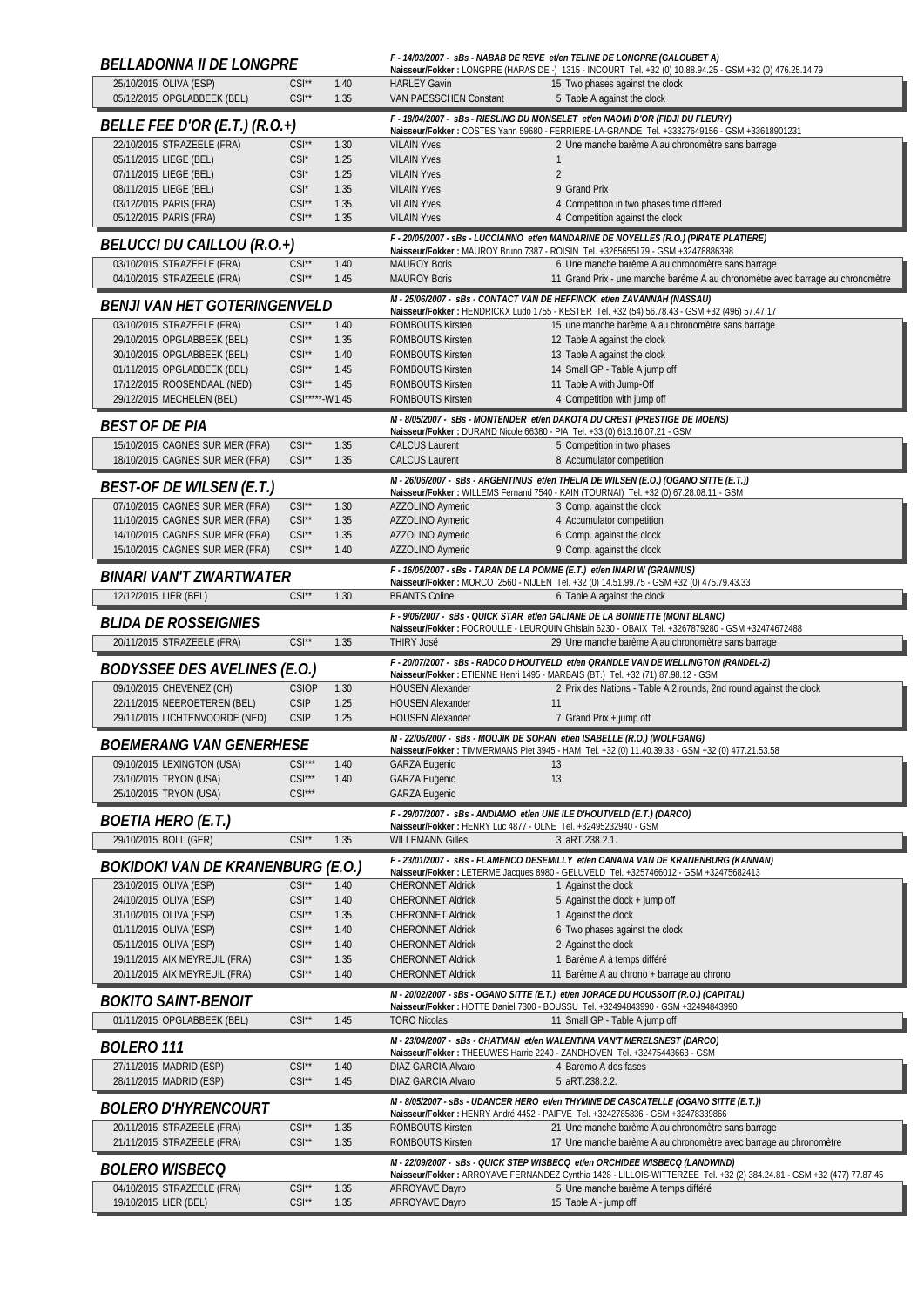| <b>BELLADONNA II DE LONGPRE</b>                                    |                                          |              |                                                                | F - 14/03/2007 - sBs - NABAB DE REVE et/en TELINE DE LONGPRE (GALOUBET A)<br>Naisseur/Fokker: LONGPRE (HARAS DE -) 1315 - INCOURT Tel. +32 (0) 10.88.94.25 - GSM +32 (0) 476.25.14.79               |
|--------------------------------------------------------------------|------------------------------------------|--------------|----------------------------------------------------------------|-----------------------------------------------------------------------------------------------------------------------------------------------------------------------------------------------------|
| 25/10/2015 OLIVA (ESP)<br>05/12/2015 OPGLABBEEK (BEL)              | $CSI**$<br>$CSI^{\star\star}$            | 1.40<br>1.35 | <b>HARLEY Gavin</b><br><b>VAN PAESSCHEN Constant</b>           | 15 Two phases against the clock<br>5 Table A against the clock                                                                                                                                      |
| <b>BELLE FEE D'OR (E.T.) (R.O.+)</b>                               |                                          |              |                                                                | F - 18/04/2007 - sBs - RIESLING DU MONSELET et/en NAOMI D'OR (FIDJI DU FLEURY)                                                                                                                      |
| 22/10/2015 STRAZEELE (FRA)                                         | $CSI^{\star\star}$                       | 1.30         | <b>VILAIN Yves</b>                                             | Naisseur/Fokker: COSTES Yann 59680 - FERRIERE-LA-GRANDE Tel. +33327649156 - GSM +33618901231<br>2 Une manche barème A au chronomètre sans barrage                                                   |
| 05/11/2015 LIEGE (BEL)                                             | $CSI^*$                                  | 1.25         | <b>VILAIN Yves</b>                                             | $\mathbf{1}$                                                                                                                                                                                        |
| 07/11/2015 LIEGE (BEL)                                             | $CSI^*$                                  | 1.25         | <b>VILAIN Yves</b>                                             | $\overline{2}$                                                                                                                                                                                      |
| 08/11/2015 LIEGE (BEL)                                             | $CSI^*$                                  | 1.35         | <b>VILAIN Yves</b>                                             | 9 Grand Prix                                                                                                                                                                                        |
| 03/12/2015 PARIS (FRA)<br>05/12/2015 PARIS (FRA)                   | $CSI^{\star\star}$<br>$CSI^{\star\star}$ | 1.35<br>1.35 | <b>VILAIN Yves</b><br><b>VILAIN Yves</b>                       | 4 Competition in two phases time differed<br>4 Competition against the clock                                                                                                                        |
|                                                                    |                                          |              |                                                                | F - 20/05/2007 - sBs - LUCCIANNO et/en MANDARINE DE NOYELLES (R.O.) (PIRATE PLATIERE)                                                                                                               |
| BELUCCI DU CAILLOU (R.O.+)                                         |                                          |              |                                                                | Naisseur/Fokker: MAUROY Bruno 7387 - ROISIN Tel. +3265655179 - GSM +32478886398                                                                                                                     |
| 03/10/2015 STRAZEELE (FRA)<br>04/10/2015 STRAZEELE (FRA)           | $CSI^*$<br>$CSI^{\star\star}$            | 1.40<br>1.45 | <b>MAUROY Boris</b><br><b>MAUROY Boris</b>                     | 6 Une manche barème A au chronomètre sans barrage<br>11 Grand Prix - une manche barème A au chronomètre avec barrage au chronomètre                                                                 |
| <i>BENJI VAN HET GOTERINGENVELD</i>                                |                                          |              |                                                                | M-25/06/2007 - sBs - CONTACT VAN DE HEFFINCK et/en ZAVANNAH (NASSAU)<br>Naisseur/Fokker: HENDRICKX Ludo 1755 - KESTER Tel. +32 (54) 56.78.43 - GSM +32 (496) 57.47.17                               |
| 03/10/2015 STRAZEELE (FRA)                                         | $CSI^{\star\star}$                       | 1.40         | <b>ROMBOUTS Kirsten</b>                                        | 15 une manche barème A au chronomètre sans barrage                                                                                                                                                  |
| 29/10/2015 OPGLABBEEK (BEL)                                        | $CSI**$                                  | 1.35         | ROMBOUTS Kirsten                                               | 12 Table A against the clock                                                                                                                                                                        |
| 30/10/2015 OPGLABBEEK (BEL)                                        | $CSI^*$                                  | 1.40         | <b>ROMBOUTS Kirsten</b>                                        | 13 Table A against the clock                                                                                                                                                                        |
| 01/11/2015 OPGLABBEEK (BEL)<br>17/12/2015 ROOSENDAAL (NED)         | $CSI**$<br>$CSI^{\star\star}$            | 1.45<br>1.45 | <b>ROMBOUTS Kirsten</b><br><b>ROMBOUTS Kirsten</b>             | 14 Small GP - Table A jump off<br>11 Table A with Jump-Off                                                                                                                                          |
| 29/12/2015 MECHELEN (BEL)                                          | CSI*****-W1.45                           |              | <b>ROMBOUTS Kirsten</b>                                        | 4 Competition with jump off                                                                                                                                                                         |
| <b>BEST OF DE PIA</b>                                              |                                          |              |                                                                | M - 8/05/2007 - sBs - MONTENDER et/en DAKOTA DU CREST (PRESTIGE DE MOENS)                                                                                                                           |
| 15/10/2015 CAGNES SUR MER (FRA)                                    | $CSI**$                                  | 1.35         | <b>CALCUS Laurent</b>                                          | Naisseur/Fokker: DURAND Nicole 66380 - PIA Tel. +33 (0) 613.16.07.21 - GSM<br>5 Competition in two phases                                                                                           |
| 18/10/2015 CAGNES SUR MER (FRA)                                    | $CSI**$                                  | 1.35         | <b>CALCUS Laurent</b>                                          | 8 Accumulator competition                                                                                                                                                                           |
|                                                                    |                                          |              |                                                                | M - 26/06/2007 - sBs - ARGENTINUS et/en THELIA DE WILSEN (E.O.) (OGANO SITTE (E.T.))                                                                                                                |
| <i>BEST-OF DE WILSEN (E.T.)</i>                                    |                                          |              |                                                                | Naisseur/Fokker: WILLEMS Fernand 7540 - KAIN (TOURNAI) Tel. +32 (0) 67.28.08.11 - GSM                                                                                                               |
| 07/10/2015 CAGNES SUR MER (FRA)<br>11/10/2015 CAGNES SUR MER (FRA) | $CSI^{\star\star}$<br>$CSI^{\star\star}$ | 1.30<br>1.35 | AZZOLINO Aymeric<br>AZZOLINO Aymeric                           | 3 Comp. against the clock<br>4 Accumulator competition                                                                                                                                              |
| 14/10/2015 CAGNES SUR MER (FRA)                                    | $CSI^{\star\star}$                       | 1.35         | AZZOLINO Aymeric                                               | 6 Comp. against the clock                                                                                                                                                                           |
| 15/10/2015 CAGNES SUR MER (FRA)                                    | $CSI^{\star\star}$                       | 1.40         | AZZOLINO Aymeric                                               | 9 Comp. against the clock                                                                                                                                                                           |
| BINARI VAN'T ZWARTWATER                                            |                                          |              |                                                                | F - 16/05/2007 - sBs - TARAN DE LA POMME (E.T.) et/en INARI W (GRANNUS)                                                                                                                             |
| 12/12/2015 LIER (BEL)                                              | $CSI**$                                  | 1.30         | <b>BRANTS Coline</b>                                           | Naisseur/Fokker: MORCO 2560 - NIJLEN Tel. +32 (0) 14.51.99.75 - GSM +32 (0) 475.79.43.33<br>6 Table A against the clock                                                                             |
|                                                                    |                                          |              |                                                                | F - 9/06/2007 - sBs - QUICK STAR et/en GALIANE DE LA BONNETTE (MONT BLANC)                                                                                                                          |
| <b>BLIDA DE ROSSEIGNIES</b>                                        | $CSI**$                                  |              |                                                                | Naisseur/Fokker: FOCROULLE - LEURQUIN Ghislain 6230 - OBAIX Tel. +3267879280 - GSM +32474672488                                                                                                     |
| 20/11/2015 STRAZEELE (FRA)                                         |                                          | 1.35         | <b>THIRY José</b>                                              | 29 Une manche barème A au chronomètre sans barrage<br>F - 20/07/2007 - sBs - RADCO D'HOUTVELD et/en QRANDLE VAN DE WELLINGTON (RANDEL-Z)                                                            |
| <b>BODYSSEE DES AVELINES (E.O.)</b>                                |                                          |              |                                                                | Naisseur/Fokker: ETIENNE Henri 1495 - MARBAIS (BT.) Tel. +32 (71) 87.98.12 - GSM                                                                                                                    |
| 09/10/2015 CHEVENEZ (CH)                                           | <b>CSIOP</b>                             | 1.30         | <b>HOUSEN Alexander</b>                                        | 2 Prix des Nations - Table A 2 rounds, 2nd round against the clock                                                                                                                                  |
| 22/11/2015 NEEROETEREN (BEL)<br>29/11/2015 LICHTENVOORDE (NED)     | <b>CSIP</b><br><b>CSIP</b>               | 1.25<br>1.25 | <b>HOUSEN Alexander</b><br><b>HOUSEN Alexander</b>             | 11<br>7 Grand Prix + jump off                                                                                                                                                                       |
| <b>BOEMERANG VAN GENERHESE</b>                                     |                                          |              |                                                                | M - 22/05/2007 - sBs - MOUJIK DE SOHAN et/en ISABELLE (R.O.) (WOLFGANG)                                                                                                                             |
| 09/10/2015 LEXINGTON (USA)                                         | $CSI***$                                 | 1.40         | <b>GARZA Eugenio</b>                                           | Naisseur/Fokker: TIMMERMANS Piet 3945 - HAM Tel. +32 (0) 11.40.39.33 - GSM +32 (0) 477.21.53.58<br>13                                                                                               |
| 23/10/2015 TRYON (USA)                                             | $CSI***$                                 | 1.40         | <b>GARZA Eugenio</b>                                           | 13                                                                                                                                                                                                  |
| 25/10/2015 TRYON (USA)                                             | $CSI***$                                 |              | <b>GARZA Eugenio</b>                                           |                                                                                                                                                                                                     |
| <b>BOETIA HERO (E.T.)</b>                                          |                                          |              | Naisseur/Fokker: HENRY Luc 4877 - OLNE Tel. +32495232940 - GSM | F - 29/07/2007 - sBs - ANDIAMO et/en UNE ILE D'HOUTVELD (E.T.) (DARCO)                                                                                                                              |
| 29/10/2015 BOLL (GER)                                              | $CSI**$                                  | 1.35         | <b>WILLEMANN Gilles</b>                                        | 3 aRT.238.2.1.                                                                                                                                                                                      |
| BOKIDOKI VAN DE KRANENBURG (E.O.)                                  |                                          |              |                                                                | F-23/01/2007 - sBs - FLAMENCO DESEMILLY et/en CANANA VAN DE KRANENBURG (KANNAN)                                                                                                                     |
| 23/10/2015 OLIVA (ESP)                                             | $CSI**$                                  | 1.40         | <b>CHERONNET Aldrick</b>                                       | Naisseur/Fokker: LETERME Jacques 8980 - GELUVELD Tel. +3257466012 - GSM +32475682413<br>1 Against the clock                                                                                         |
| 24/10/2015 OLIVA (ESP)                                             | $CSI**$                                  | 1.40         | <b>CHERONNET Aldrick</b>                                       | 5 Against the clock + jump off                                                                                                                                                                      |
| 31/10/2015 OLIVA (ESP)                                             | $CSI^{\star\star}$                       | 1.35         | <b>CHERONNET Aldrick</b>                                       | 1 Against the clock                                                                                                                                                                                 |
| 01/11/2015 OLIVA (ESP)                                             | $CSI^{\star\star}$                       | 1.40         | <b>CHERONNET Aldrick</b>                                       | 6 Two phases against the clock                                                                                                                                                                      |
| 05/11/2015 OLIVA (ESP)                                             | $CSI^{\star\star}$                       | 1.40         | <b>CHERONNET Aldrick</b>                                       | 2 Against the clock                                                                                                                                                                                 |
| 19/11/2015 AIX MEYREUIL (FRA)<br>20/11/2015 AIX MEYREUIL (FRA)     | $CSI^*$<br>$CSI**$                       | 1.35<br>1.40 | <b>CHERONNET Aldrick</b><br><b>CHERONNET Aldrick</b>           | 1 Barème A à temps différé<br>11 Barème A au chrono + barrage au chrono                                                                                                                             |
|                                                                    |                                          |              |                                                                | M - 20/02/2007 - sBs - OGANO SITTE (E.T.) et/en JORACE DU HOUSSOIT (R.O.) (CAPITAL)                                                                                                                 |
| <i>BOKITO SAINT-BENOIT</i>                                         |                                          |              |                                                                | Naisseur/Fokker: HOTTE Daniel 7300 - BOUSSU Tel. +32494843990 - GSM +32494843990                                                                                                                    |
| 01/11/2015 OPGLABBEEK (BEL)                                        | $CSI**$                                  | 1.45         | <b>TORO Nicolas</b>                                            | 11 Small GP - Table A jump off                                                                                                                                                                      |
| <b>BOLERO 111</b>                                                  |                                          |              |                                                                | M-23/04/2007 - sBs - CHATMAN et/en WALENTINA VAN'T MERELSNEST (DARCO)<br>Naisseur/Fokker: THEEUWES Harrie 2240 - ZANDHOVEN Tel. +32475443663 - GSM                                                  |
| 27/11/2015 MADRID (ESP)                                            | $CSI**$                                  | 1.40         | DIAZ GARCIA Alvaro                                             | 4 Baremo A dos fases                                                                                                                                                                                |
| 28/11/2015 MADRID (ESP)                                            | $CSI**$                                  | 1.45         | <b>DIAZ GARCIA Alvaro</b>                                      | 5 aRT.238.2.2.                                                                                                                                                                                      |
| <i>BOLERO D'HYRENCOURT</i>                                         |                                          |              |                                                                | M - 8/05/2007 - sBs - UDANCER HERO et/en THYMINE DE CASCATELLE (OGANO SITTE (E.T.))<br>Naisseur/Fokker: HENRY André 4452 - PAIFVE Tel. +3242785836 - GSM +32478339866                               |
| 20/11/2015 STRAZEELE (FRA)                                         | $CSI**$                                  | 1.35         | <b>ROMBOUTS Kirsten</b>                                        | 21 Une manche barème A au chronomètre sans barrage                                                                                                                                                  |
| 21/11/2015 STRAZEELE (FRA)                                         | $CSI**$                                  | 1.35         | <b>ROMBOUTS Kirsten</b>                                        | 17 Une manche barème A au chronomètre avec barrage au chronomètre                                                                                                                                   |
| <b>BOLERO WISBECO</b>                                              |                                          |              |                                                                | M - 22/09/2007 - sBs - QUICK STEP WISBECQ et/en ORCHIDEE WISBECQ (LANDWIND)<br>Naisseur/Fokker: ARROYAVE FERNANDEZ Cynthia 1428 - LILLOIS-WITTERZEE Tel. +32 (2) 384.24.81 - GSM +32 (477) 77.87.45 |
| 04/10/2015 STRAZEELE (FRA)                                         | $CSI**$                                  | 1.35         | <b>ARROYAVE Dayro</b>                                          | 5 Une manche barème A temps différé                                                                                                                                                                 |
| 19/10/2015 LIER (BEL)                                              | $CSI**$                                  | 1.35         | <b>ARROYAVE Dayro</b>                                          | 15 Table A - jump off                                                                                                                                                                               |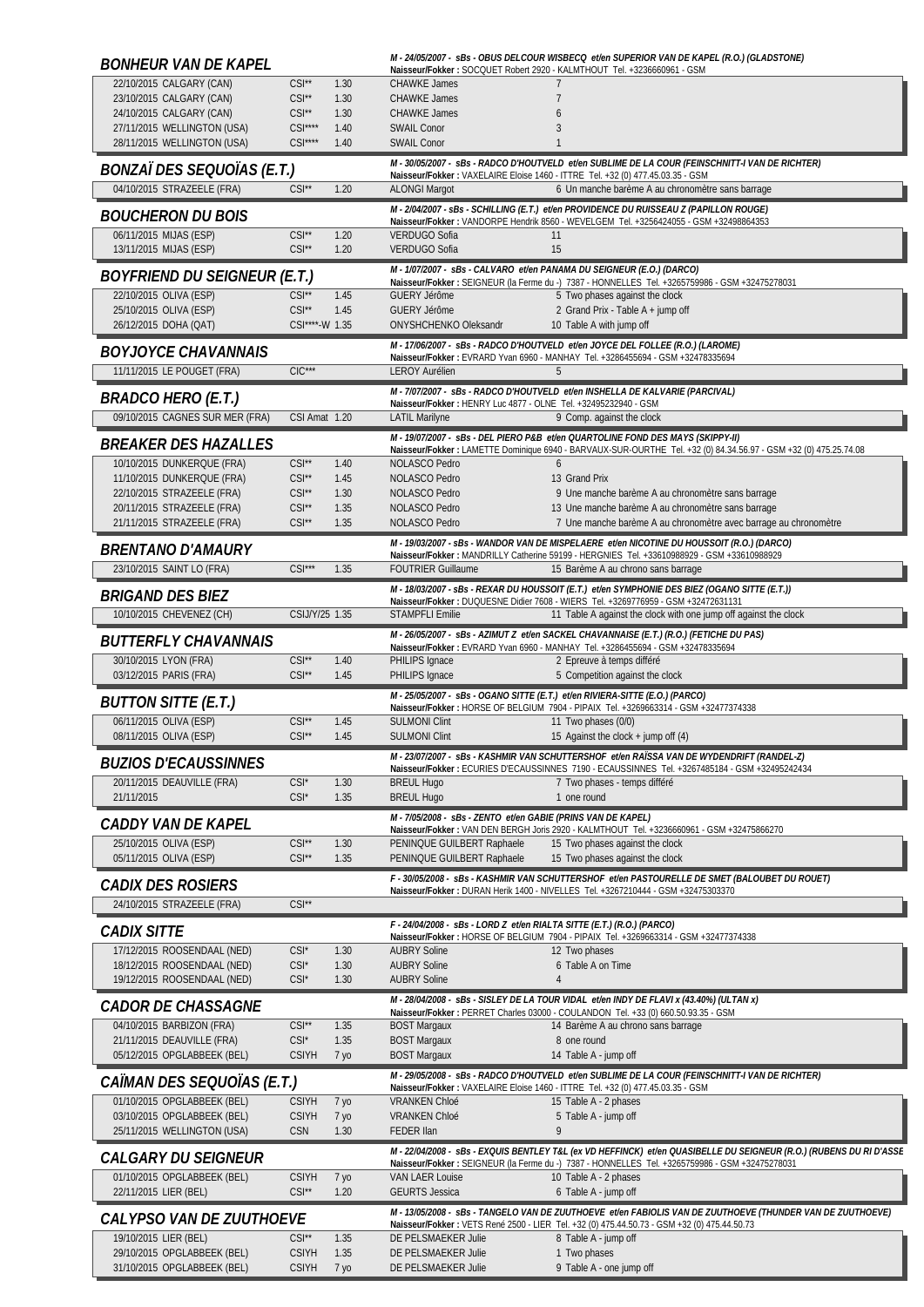| <b>BONHEUR VAN DE KAPEL</b>                                |                                          |                         |                                                                                   | M-24/05/2007 - sBs - OBUS DELCOUR WISBECQ et/en SUPERIOR VAN DE KAPEL (R.O.) (GLADSTONE)<br>Naisseur/Fokker: SOCQUET Robert 2920 - KALMTHOUT Tel. +3236660961 - GSM                      |
|------------------------------------------------------------|------------------------------------------|-------------------------|-----------------------------------------------------------------------------------|------------------------------------------------------------------------------------------------------------------------------------------------------------------------------------------|
| 22/10/2015 CALGARY (CAN)                                   | $CSI**$                                  | 1.30                    | <b>CHAWKE James</b>                                                               | 7                                                                                                                                                                                        |
| 23/10/2015 CALGARY (CAN)<br>24/10/2015 CALGARY (CAN)       | $CSI**$<br>$CSI**$                       | 1.30<br>1.30            | <b>CHAWKE James</b><br><b>CHAWKE James</b>                                        | 7<br>$\overline{6}$                                                                                                                                                                      |
| 27/11/2015 WELLINGTON (USA)                                | $CSI***$                                 | 1.40                    | <b>SWAIL Conor</b>                                                                | 3                                                                                                                                                                                        |
| 28/11/2015 WELLINGTON (USA)                                | $CSI***$                                 | 1.40                    | <b>SWAIL Conor</b>                                                                | $\mathbf{1}$                                                                                                                                                                             |
| <i>BONZAÏ DES SEQUOÏAS (E.T.)</i>                          |                                          |                         |                                                                                   | M - 30/05/2007 - SBs - RADCO D'HOUTVELD et/en SUBLIME DE LA COUR (FEINSCHNITT-I VAN DE RICHTER)<br>Naisseur/Fokker: VAXELAIRE Eloise 1460 - ITTRE Tel. +32 (0) 477.45.03.35 - GSM        |
| 04/10/2015 STRAZEELE (FRA)                                 | $CSI^{\star\star}$                       | 1.20                    | <b>ALONGI Margot</b>                                                              | 6 Un manche barème A au chronomètre sans barrage                                                                                                                                         |
| <b>BOUCHERON DU BOIS</b>                                   |                                          |                         |                                                                                   | M - 2/04/2007 - sBs - SCHILLING (E.T.) et/en PROVIDENCE DU RUISSEAU Z (PAPILLON ROUGE)                                                                                                   |
| 06/11/2015 MIJAS (ESP)                                     | $CSI^{\star\star}$                       | 1.20                    | VERDUGO Sofia                                                                     | Naisseur/Fokker: VANDORPE Hendrik 8560 - WEVELGEM Tel. +3256424055 - GSM +32498864353<br>11                                                                                              |
| 13/11/2015 MIJAS (ESP)                                     | $CSI^{\star\star}$                       | 1.20                    | <b>VERDUGO Sofia</b>                                                              | 15                                                                                                                                                                                       |
| <b>BOYFRIEND DU SEIGNEUR (E.T.)</b>                        |                                          |                         |                                                                                   | M - 1/07/2007 - sBs - CALVARO et/en PANAMA DU SEIGNEUR (E.O.) (DARCO)<br>Naisseur/Fokker: SEIGNEUR (la Ferme du -) 7387 - HONNELLES Tel. +3265759986 - GSM +32475278031                  |
| 22/10/2015 OLIVA (ESP)                                     | $CSI^{\star\star}$                       | 1.45                    | <b>GUERY Jérôme</b>                                                               | 5 Two phases against the clock                                                                                                                                                           |
| 25/10/2015 OLIVA (ESP)                                     | $CSI^{\star\star}$                       | 1.45                    | <b>GUERY Jérôme</b>                                                               | 2 Grand Prix - Table A + jump off                                                                                                                                                        |
| 26/12/2015 DOHA (QAT)                                      | CSI****-W 1.35                           |                         | ONYSHCHENKO Oleksandr                                                             | 10 Table A with jump off                                                                                                                                                                 |
| <b>BOYJOYCE CHAVANNAIS</b>                                 |                                          |                         |                                                                                   | M - 17/06/2007 - sBs - RADCO D'HOUTVELD et/en JOYCE DEL FOLLEE (R.O.) (LAROME)<br>Naisseur/Fokker: EVRARD Yvan 6960 - MANHAY Tel. +3286455694 - GSM +32478335694                         |
| 11/11/2015 LE POUGET (FRA)                                 | $ClC***$                                 |                         | <b>LEROY Aurélien</b>                                                             | 5                                                                                                                                                                                        |
| <b>BRADCO HERO (E.T.)</b>                                  |                                          |                         | Naisseur/Fokker: HENRY Luc 4877 - OLNE Tel. +32495232940 - GSM                    | M - 7/07/2007 - SBS - RADCO D'HOUTVELD et/en INSHELLA DE KALVARIE (PARCIVAL)                                                                                                             |
| 09/10/2015 CAGNES SUR MER (FRA)                            | CSI Amat 1.20                            |                         | <b>LATIL Marilyne</b>                                                             | 9 Comp. against the clock                                                                                                                                                                |
| <i>BREAKER DES HAZALLES</i>                                |                                          |                         |                                                                                   | M - 19/07/2007 - sBs - DEL PIERO P&B et/en QUARTOLINE FOND DES MAYS (SKIPPY-II)                                                                                                          |
| 10/10/2015 DUNKERQUE (FRA)                                 | $CSI^{\star\star}$                       | 1.40                    | NOLASCO Pedro                                                                     | Naisseur/Fokker: LAMETTE Dominique 6940 - BARVAUX-SUR-OURTHE Tel. +32 (0) 84.34.56.97 - GSM +32 (0) 475.25.74.08<br>$\mathfrak b$                                                        |
| 11/10/2015 DUNKERQUE (FRA)                                 | $CSI**$                                  | 1.45                    | NOLASCO Pedro                                                                     | 13 Grand Prix                                                                                                                                                                            |
| 22/10/2015 STRAZEELE (FRA)                                 | $CSI^{\star\star}$                       | 1.30                    | <b>NOLASCO Pedro</b>                                                              | 9 Une manche barème A au chronomètre sans barrage                                                                                                                                        |
| 20/11/2015 STRAZEELE (FRA)<br>21/11/2015 STRAZEELE (FRA)   | $CSI**$<br>$CSI^{\star\star}$            | 1.35<br>1.35            | NOLASCO Pedro<br><b>NOLASCO Pedro</b>                                             | 13 Une manche barème A au chronomètre sans barrage<br>7 Une manche barème A au chronomètre avec barrage au chronomètre                                                                   |
|                                                            |                                          |                         |                                                                                   | M - 19/03/2007 - sBs - WANDOR VAN DE MISPELAERE et/en NICOTINE DU HOUSSOIT (R.O.) (DARCO)                                                                                                |
| <b>BRENTANO D'AMAURY</b><br>23/10/2015 SAINT LO (FRA)      | $CSI***$                                 | 1.35                    | <b>FOUTRIER Guillaume</b>                                                         | Naisseur/Fokker: MANDRILLY Catherine 59199 - HERGNIES Tel. +33610988929 - GSM +33610988929<br>15 Barème A au chrono sans barrage                                                         |
|                                                            |                                          |                         |                                                                                   | M - 18/03/2007 - sBs - REXAR DU HOUSSOIT (E.T.) et/en SYMPHONIE DES BIEZ (OGANO SITTE (E.T.))                                                                                            |
| <b>BRIGAND DES BIEZ</b>                                    |                                          |                         |                                                                                   | Naisseur/Fokker: DUQUESNE Didier 7608 - WIERS Tel. +3269776959 - GSM +32472631131                                                                                                        |
| 10/10/2015 CHEVENEZ (CH)                                   | CSIJ/Y/25 1.35                           |                         | <b>STAMPFLI Emilie</b>                                                            | 11 Table A against the clock with one jump off against the clock                                                                                                                         |
| <b>BUTTERFLY CHAVANNAIS</b>                                |                                          |                         |                                                                                   | M - 26/05/2007 - sBs - AZIMUT Z et/en SACKEL CHAVANNAISE (E.T.) (R.O.) (FETICHE DU PAS)<br>Naisseur/Fokker: EVRARD Yvan 6960 - MANHAY Tel. +3286455694 - GSM +32478335694                |
| 30/10/2015 LYON (FRA)                                      | $CSI**$                                  | 1.40                    | PHILIPS Ignace                                                                    | 2 Epreuve à temps différé                                                                                                                                                                |
|                                                            |                                          |                         |                                                                                   |                                                                                                                                                                                          |
| 03/12/2015 PARIS (FRA)                                     | $CSI^{\star\star}$                       | 1.45                    | PHILIPS Ignace                                                                    | 5 Competition against the clock                                                                                                                                                          |
| <b>BUTTON SITTE (E.T.)</b>                                 |                                          |                         |                                                                                   | M - 25/05/2007 - sBs - OGANO SITTE (E.T.) et/en RIVIERA-SITTE (E.O.) (PARCO)<br>Naisseur/Fokker: HORSE OF BELGIUM 7904 - PIPAIX Tel. +3269663314 - GSM +32477374338                      |
| 06/11/2015 OLIVA (ESP)                                     | $CSI^{\star\star}$                       | 1.45                    | <b>SULMONI Clint</b>                                                              | 11 Two phases (0/0)                                                                                                                                                                      |
| 08/11/2015 OLIVA (ESP)                                     | $CSI**$                                  | 1.45                    | <b>SULMONI Clint</b>                                                              | 15 Against the clock + jump off (4)                                                                                                                                                      |
| <b>BUZIOS D'ECAUSSINNES</b>                                |                                          |                         |                                                                                   | M-23/07/2007 - sBs - KASHMIR VAN SCHUTTERSHOF et/en RAÏSSA VAN DE WYDENDRIFT (RANDEL-Z)<br>Naisseur/Fokker: ECURIES D'ECAUSSINNES 7190 - ECAUSSINNES Tel. +3267485184 - GSM +32495242434 |
| 20/11/2015 DEAUVILLE (FRA)                                 | $CSI^*$                                  | 1.30                    | <b>BREUL Hugo</b>                                                                 | 7 Two phases - temps différé                                                                                                                                                             |
| 21/11/2015                                                 | $CSI^*$                                  | 1.35                    | <b>BREUL Hugo</b><br>M - 7/05/2008 - sBs - ZENTO et/en GABIE (PRINS VAN DE KAPEL) | 1 one round                                                                                                                                                                              |
| CADDY VAN DE KAPEL                                         |                                          |                         |                                                                                   | Naisseur/Fokker: VAN DEN BERGH Joris 2920 - KALMTHOUT Tel. +3236660961 - GSM +32475866270                                                                                                |
| 25/10/2015 OLIVA (ESP)<br>05/11/2015 OLIVA (ESP)           | $CSI^{\star\star}$<br>$CSI^{\star\star}$ | 1.30<br>1.35            | PENINQUE GUILBERT Raphaele<br>PENINQUE GUILBERT Raphaele                          | 15 Two phases against the clock<br>15 Two phases against the clock                                                                                                                       |
|                                                            |                                          |                         |                                                                                   | F - 30/05/2008 - sBs - KASHMIR VAN SCHUTTERSHOF et/en PASTOURELLE DE SMET (BALOUBET DU ROUET)                                                                                            |
| <i>CADIX DES ROSIERS</i>                                   | $CSI**$                                  |                         |                                                                                   | Naisseur/Fokker: DURAN Herik 1400 - NIVELLES Tel. +3267210444 - GSM +32475303370                                                                                                         |
| 24/10/2015 STRAZEELE (FRA)                                 |                                          |                         | F-24/04/2008 - sBs - LORD Z et/en RIALTA SITTE (E.T.) (R.O.) (PARCO)              |                                                                                                                                                                                          |
| <b>CADIX SITTE</b>                                         |                                          |                         |                                                                                   | Naisseur/Fokker: HORSE OF BELGIUM 7904 - PIPAIX Tel. +3269663314 - GSM +32477374338                                                                                                      |
| 17/12/2015 ROOSENDAAL (NED)<br>18/12/2015 ROOSENDAAL (NED) | $CSI^*$<br>$CSI^*$                       | 1.30<br>1.30            | <b>AUBRY Soline</b><br><b>AUBRY Soline</b>                                        | 12 Two phases<br>6 Table A on Time                                                                                                                                                       |
| 19/12/2015 ROOSENDAAL (NED)                                | CSI*                                     | 1.30                    | <b>AUBRY Soline</b>                                                               | $\overline{4}$                                                                                                                                                                           |
| <i>CADOR DE CHASSAGNE</i>                                  |                                          |                         |                                                                                   | M - 28/04/2008 - sBs - SISLEY DE LA TOUR VIDAL et/en INDY DE FLAVI x (43.40%) (ULTAN x)                                                                                                  |
| 04/10/2015 BARBIZON (FRA)                                  | $CSI**$                                  | 1.35                    | <b>BOST Margaux</b>                                                               | Naisseur/Fokker: PERRET Charles 03000 - COULANDON Tel. +33 (0) 660.50.93.35 - GSM<br>14 Barème A au chrono sans barrage                                                                  |
| 21/11/2015 DEAUVILLE (FRA)                                 | $CSI^*$                                  | 1.35                    | <b>BOST Margaux</b>                                                               | 8 one round                                                                                                                                                                              |
| 05/12/2015 OPGLABBEEK (BEL)                                | <b>CSIYH</b>                             | 7 yo                    | <b>BOST Margaux</b>                                                               | 14 Table A - jump off                                                                                                                                                                    |
| CAÏMAN DES SEQUOÏAS (E.T.)                                 |                                          |                         |                                                                                   | M - 29/05/2008 - SBS - RADCO D'HOUTVELD et/en SUBLIME DE LA COUR (FEINSCHNITT-I VAN DE RICHTER)<br>Naisseur/Fokker: VAXELAIRE Eloise 1460 - ITTRE Tel. +32 (0) 477.45.03.35 - GSM        |
| 01/10/2015 OPGLABBEEK (BEL)                                | <b>CSIYH</b>                             | 7 уо                    | <b>VRANKEN Chloé</b>                                                              | 15 Table A - 2 phases                                                                                                                                                                    |
| 03/10/2015 OPGLABBEEK (BEL)<br>25/11/2015 WELLINGTON (USA) | <b>CSIYH</b><br><b>CSN</b>               | 7 уо<br>1.30            | <b>VRANKEN Chloé</b><br><b>FEDER Ilan</b>                                         | 5 Table A - jump off<br>9                                                                                                                                                                |
|                                                            |                                          |                         |                                                                                   |                                                                                                                                                                                          |
| <i>CALGARY DU SEIGNEUR</i><br>01/10/2015 OPGLABBEEK (BEL)  | <b>CSIYH</b>                             | 7 уо                    | <b>VAN LAER Louise</b>                                                            | Naisseur/Fokker: SEIGNEUR (la Ferme du -) 7387 - HONNELLES Tel. +3265759986 - GSM +32475278031<br>10 Table A - 2 phases                                                                  |
| 22/11/2015 LIER (BEL)                                      | $CSI^{\star\star}$                       | 1.20                    | <b>GEURTS Jessica</b>                                                             | 6 Table A - jump off                                                                                                                                                                     |
| <i>CALYPSO VAN DE ZUUTHOEVE</i>                            |                                          |                         |                                                                                   | M-13/05/2008 - sBs - TANGELO VAN DE ZUUTHOEVE et/en FABIOLIS VAN DE ZUUTHOEVE (THUNDER VAN DE ZUUTHOEVE)                                                                                 |
| 19/10/2015 LIER (BEL)                                      | $CSI^{\star\star}$                       | 1.35                    | DE PELSMAEKER Julie                                                               | Naisseur/Fokker: VETS René 2500 - LIER Tel. +32 (0) 475.44.50.73 - GSM +32 (0) 475.44.50.73<br>8 Table A - jump off                                                                      |
| 29/10/2015 OPGLABBEEK (BEL)<br>31/10/2015 OPGLABBEEK (BEL) | <b>CSIYH</b><br><b>CSIYH</b>             | 1.35<br>7 <sub>yo</sub> | DE PELSMAEKER Julie<br>DE PELSMAEKER Julie                                        | M - 22/04/2008 - SBs - EXQUIS BENTLEY T&L (ex VD HEFFINCK) et/en QUASIBELLE DU SEIGNEUR (R.O.) (RUBENS DU RI D'ASSE<br>1 Two phases<br>9 Table A - one jump off                          |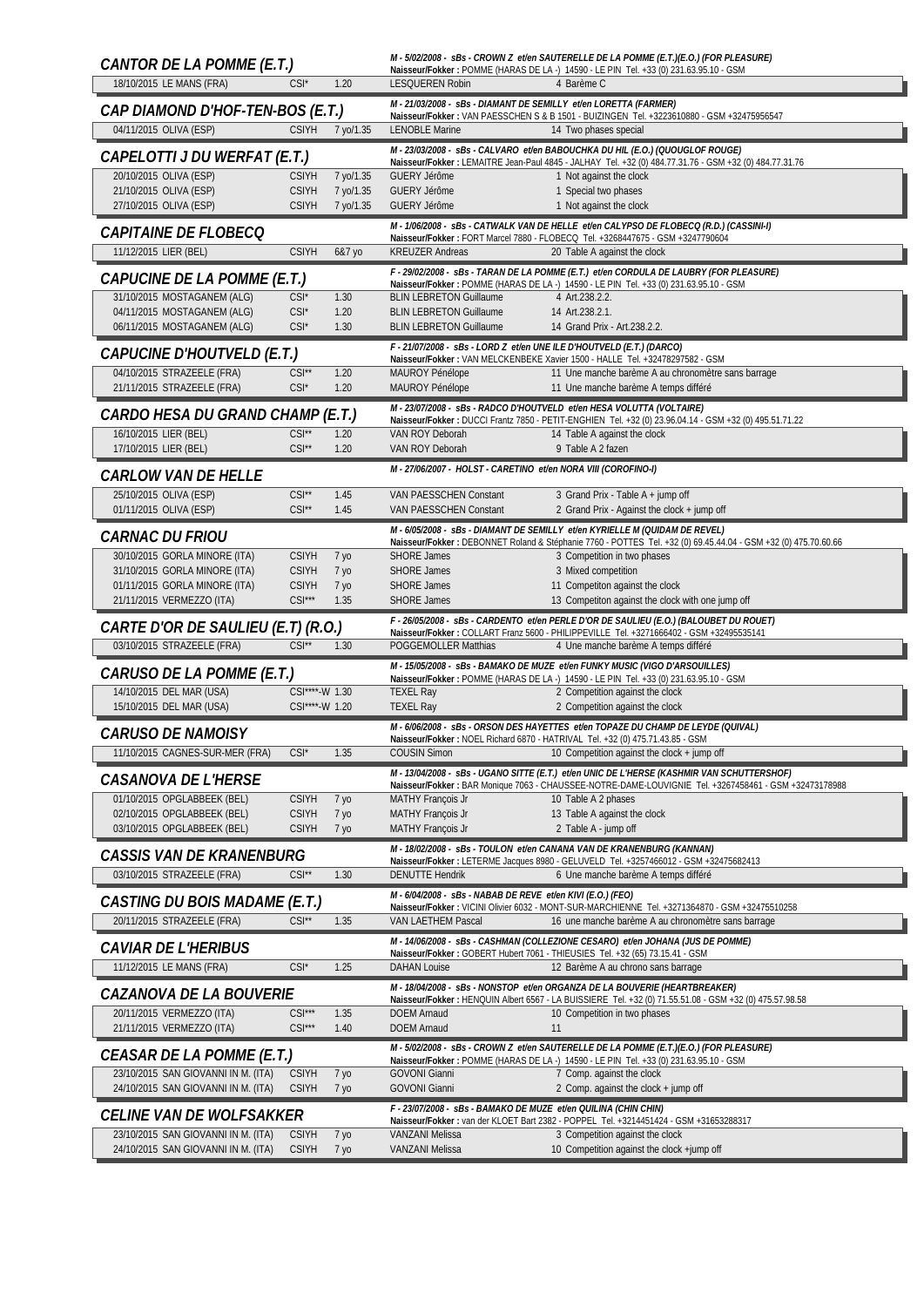| CANTOR DE LA POMME (E.T.)                                              |                               |                         |                                                                                           | M - 5/02/2008 - sBs - CROWN Z et/en SAUTERELLE DE LA POMME (E.T.)(E.O.) (FOR PLEASURE)<br>Naisseur/Fokker: POMME (HARAS DE LA -) 14590 - LE PIN Tel. +33 (0) 231.63.95.10 - GSM                     |
|------------------------------------------------------------------------|-------------------------------|-------------------------|-------------------------------------------------------------------------------------------|-----------------------------------------------------------------------------------------------------------------------------------------------------------------------------------------------------|
| 18/10/2015 LE MANS (FRA)                                               | $CSI^*$                       | 1.20                    | <b>LESQUEREN Robin</b>                                                                    | 4 Barème C                                                                                                                                                                                          |
| CAP DIAMOND D'HOF-TEN-BOS (E.T.)                                       |                               |                         | M - 21/03/2008 - SBS - DIAMANT DE SEMILLY et/en LORETTA (FARMER)                          | Naisseur/Fokker: VAN PAESSCHEN S & B 1501 - BUIZINGEN Tel. +3223610880 - GSM +32475956547                                                                                                           |
| 04/11/2015 OLIVA (ESP)                                                 | <b>CSIYH</b>                  | 7 yo/1.35               | <b>LENOBLE Marine</b>                                                                     | 14 Two phases special                                                                                                                                                                               |
| CAPELOTTI J DU WERFAT (E.T.)                                           |                               |                         |                                                                                           | M-23/03/2008 - sBs - CALVARO et/en BABOUCHKA DU HIL (E.O.) (QUOUGLOF ROUGE)<br>Naisseur/Fokker: LEMAITRE Jean-Paul 4845 - JALHAY Tel. +32 (0) 484.77.31.76 - GSM +32 (0) 484.77.31.76               |
| 20/10/2015 OLIVA (ESP)                                                 | <b>CSIYH</b>                  | 7 yo/1.35               | <b>GUERY Jérôme</b>                                                                       | 1 Not against the clock                                                                                                                                                                             |
| 21/10/2015 OLIVA (ESP)<br>27/10/2015 OLIVA (ESP)                       | <b>CSIYH</b><br><b>CSIYH</b>  | 7 yo/1.35<br>7 yo/1.35  | <b>GUERY Jérôme</b><br><b>GUERY Jérôme</b>                                                | 1 Special two phases<br>1 Not against the clock                                                                                                                                                     |
| <b>CAPITAINE DE FLOBECO</b>                                            |                               |                         |                                                                                           | M-1/06/2008 - sBs - CATWALK VAN DE HELLE et/en CALYPSO DE FLOBECQ (R.D.) (CASSINI-I)                                                                                                                |
| 11/12/2015 LIER (BEL)                                                  | <b>CSIYH</b>                  | 6&7 yo                  | <b>KREUZER Andreas</b>                                                                    | Naisseur/Fokker: FORT Marcel 7880 - FLOBECQ Tel. +3268447675 - GSM +3247790604<br>20 Table A against the clock                                                                                      |
|                                                                        |                               |                         |                                                                                           | F - 29/02/2008 - sBs - TARAN DE LA POMME (E.T.) et/en CORDULA DE LAUBRY (FOR PLEASURE)                                                                                                              |
| CAPUCINE DE LA POMME (E.T.)<br>31/10/2015 MOSTAGANEM (ALG)             | $CSI^*$                       | 1.30                    | <b>BLIN LEBRETON Guillaume</b>                                                            | Naisseur/Fokker: POMME (HARAS DE LA -) 14590 - LE PIN Tel. +33 (0) 231.63.95.10 - GSM<br>4 Art.238.2.2.                                                                                             |
| 04/11/2015 MOSTAGANEM (ALG)                                            | $CSI^*$                       | 1.20                    | <b>BLIN LEBRETON Guillaume</b>                                                            | 14 Art.238.2.1.                                                                                                                                                                                     |
| 06/11/2015 MOSTAGANEM (ALG)                                            | $CSI^*$                       | 1.30                    | <b>BLIN LEBRETON Guillaume</b>                                                            | 14 Grand Prix - Art.238.2.2.                                                                                                                                                                        |
| CAPUCINE D'HOUTVELD (E.T.)                                             |                               |                         | F - 21/07/2008 - sBs - LORD Z et/en UNE ILE D'HOUTVELD (E.T.) (DARCO)                     | Naisseur/Fokker: VAN MELCKENBEKE Xavier 1500 - HALLE Tel. +32478297582 - GSM                                                                                                                        |
| 04/10/2015 STRAZEELE (FRA)<br>21/11/2015 STRAZEELE (FRA)               | $CSI^{\star\star}$<br>$CSI^*$ | 1.20<br>1.20            | MAUROY Pénélope<br>MAUROY Pénélope                                                        | 11 Une manche barème A au chronomètre sans barrage<br>11 Une manche barème A temps différé                                                                                                          |
|                                                                        |                               |                         |                                                                                           | M - 23/07/2008 - sBs - RADCO D'HOUTVELD et/en HESA VOLUTTA (VOLTAIRE)                                                                                                                               |
| CARDO HESA DU GRAND CHAMP (E.T.)<br>16/10/2015 LIER (BEL)              | $CSI**$                       | 1.20                    | VAN ROY Deborah                                                                           | Naisseur/Fokker: DUCCI Frantz 7850 - PETIT-ENGHIEN Tel. +32 (0) 23.96.04.14 - GSM +32 (0) 495.51.71.22<br>14 Table A against the clock                                                              |
| 17/10/2015 LIER (BEL)                                                  | $CSI^{\star\star}$            | 1.20                    | VAN ROY Deborah                                                                           | 9 Table A 2 fazen                                                                                                                                                                                   |
| <i>CARLOW VAN DE HELLE</i>                                             |                               |                         | M - 27/06/2007 - HOLST - CARETINO et/en NORA VIII (COROFINO-I)                            |                                                                                                                                                                                                     |
| 25/10/2015 OLIVA (ESP)                                                 | $CSI^{\star\star}$            | 1.45                    | VAN PAESSCHEN Constant                                                                    | 3 Grand Prix - Table A + jump off                                                                                                                                                                   |
| 01/11/2015 OLIVA (ESP)                                                 | $CSI^{\star\star}$            | 1.45                    | VAN PAESSCHEN Constant                                                                    | 2 Grand Prix - Against the clock + jump off                                                                                                                                                         |
| <b>CARNAC DU FRIOU</b>                                                 |                               |                         |                                                                                           | M - 6/05/2008 - sBs - DIAMANT DE SEMILLY et/en KYRIELLE M (QUIDAM DE REVEL)<br>Naisseur/Fokker: DEBONNET Roland & Stéphanie 7760 - POTTES Tel. +32 (0) 69.45.44.04 - GSM +32 (0) 475.70.60.66       |
| 30/10/2015 GORLA MINORE (ITA)<br>31/10/2015 GORLA MINORE (ITA)         | <b>CSIYH</b><br><b>CSIYH</b>  | 7 <sub>yo</sub>         | <b>SHORE James</b><br><b>SHORE James</b>                                                  | 3 Competition in two phases<br>3 Mixed competition                                                                                                                                                  |
| 01/11/2015 GORLA MINORE (ITA)                                          | <b>CSIYH</b>                  | 7 уо<br>7 уо            | <b>SHORE James</b>                                                                        | 11 Competiton against the clock                                                                                                                                                                     |
| 21/11/2015 VERMEZZO (ITA)                                              | $CSI***$                      | 1.35                    | <b>SHORE James</b>                                                                        | 13 Competiton against the clock with one jump off                                                                                                                                                   |
|                                                                        |                               |                         |                                                                                           |                                                                                                                                                                                                     |
| CARTE D'OR DE SAULIEU (E.T) (R.O.)                                     |                               |                         |                                                                                           | F - 26/05/2008 - sBs - CARDENTO et/en PERLE D'OR DE SAULIEU (E.O.) (BALOUBET DU ROUET)                                                                                                              |
| 03/10/2015 STRAZEELE (FRA)                                             | $CSI^{\star\star}$            | 1.30                    | POGGEMOLLER Matthias                                                                      | Naisseur/Fokker: COLLART Franz 5600 - PHILIPPEVILLE Tel. +3271666402 - GSM +32495535141<br>4 Une manche barème A temps différé                                                                      |
| CARUSO DE LA POMME (E.T.)                                              |                               |                         |                                                                                           | M - 15/05/2008 - sBs - BAMAKO DE MUZE et/en FUNKY MUSIC (VIGO D'ARSOUILLES)                                                                                                                         |
| 14/10/2015 DEL MAR (USA)                                               | CSI****-W 1.30                |                         | <b>TEXEL Ray</b>                                                                          | Naisseur/Fokker: POMME (HARAS DE LA -) 14590 - LE PIN Tel. +33 (0) 231.63.95.10 - GSM<br>2 Competition against the clock                                                                            |
| 15/10/2015 DEL MAR (USA)                                               | CSI****-W 1.20                |                         | <b>TEXEL Ray</b>                                                                          | 2 Competition against the clock                                                                                                                                                                     |
| <b>CARUSO DE NAMOISY</b>                                               |                               |                         |                                                                                           | M - 6/06/2008 - sBs - ORSON DES HAYETTES et/en TOPAZE DU CHAMP DE LEYDE (QUIVAL)<br>Naisseur/Fokker: NOEL Richard 6870 - HATRIVAL Tel. +32 (0) 475.71.43.85 - GSM                                   |
| 11/10/2015 CAGNES-SUR-MER (FRA)                                        | $CSI^*$                       | 1.35                    | <b>COUSIN Simon</b>                                                                       | 10 Competition against the clock + jump off                                                                                                                                                         |
| <b>CASANOVA DE L'HERSE</b>                                             |                               |                         |                                                                                           | M - 13/04/2008 - sBs - UGANO SITTE (E.T.) et/en UNIC DE L'HERSE (KASHMIR VAN SCHUTTERSHOF)<br>Naisseur/Fokker: BAR Monique 7063 - CHAUSSEE-NOTRE-DAME-LOUVIGNIE Tel. +3267458461 - GSM +32473178988 |
| 01/10/2015 OPGLABBEEK (BEL)                                            | <b>CSIYH</b>                  | 7 уо                    | <b>MATHY Francois Jr</b>                                                                  | 10 Table A 2 phases                                                                                                                                                                                 |
| 02/10/2015 OPGLABBEEK (BEL)<br>03/10/2015 OPGLABBEEK (BEL)             | <b>CSIYH</b><br><b>CSIYH</b>  | 7 уо<br>7 <sub>yo</sub> | <b>MATHY François Jr</b><br><b>MATHY François Jr</b>                                      | 13 Table A against the clock<br>2 Table A - jump off                                                                                                                                                |
| <b>CASSIS VAN DE KRANENBURG</b>                                        |                               |                         |                                                                                           | M - 18/02/2008 - sBs - TOULON et/en CANANA VAN DE KRANENBURG (KANNAN)                                                                                                                               |
| 03/10/2015 STRAZEELE (FRA)                                             | $CSI**$                       | 1.30                    | <b>DENUTTE Hendrik</b>                                                                    | Naisseur/Fokker: LETERME Jacques 8980 - GELUVELD Tel. +3257466012 - GSM +32475682413<br>6 Une manche barème A temps différé                                                                         |
|                                                                        |                               |                         | M - 6/04/2008 - sBs - NABAB DE REVE et/en KIVI (E.O.) (FEO)                               |                                                                                                                                                                                                     |
| <b>CASTING DU BOIS MADAME (E.T.)</b><br>20/11/2015 STRAZEELE (FRA)     | $CSI^{\star\star}$            | 1.35                    | VAN LAETHEM Pascal                                                                        | Naisseur/Fokker: VICINI Olivier 6032 - MONT-SUR-MARCHIENNE Tel. +3271364870 - GSM +32475510258<br>16 une manche barème A au chronomètre sans barrage                                                |
|                                                                        |                               |                         |                                                                                           | M - 14/06/2008 - sBs - CASHMAN (COLLEZIONE CESARO) et/en JOHANA (JUS DE POMME)                                                                                                                      |
| <i><b>CAVIAR DE L'HERIBUS</b></i><br>11/12/2015 LE MANS (FRA)          | $CSI^*$                       | 1.25                    | <b>DAHAN Louise</b>                                                                       | Naisseur/Fokker: GOBERT Hubert 7061 - THIEUSIES Tel. +32 (65) 73.15.41 - GSM<br>12 Barème A au chrono sans barrage                                                                                  |
|                                                                        |                               |                         |                                                                                           | M - 18/04/2008 - sBs - NONSTOP et/en ORGANZA DE LA BOUVERIE (HEARTBREAKER)                                                                                                                          |
| <i>CAZANOVA DE LA BOUVERIE</i><br>20/11/2015 VERMEZZO (ITA)            | $CSI***$                      | 1.35                    | <b>DOEM Arnaud</b>                                                                        | Naisseur/Fokker: HENQUIN Albert 6567 - LA BUISSIERE Tel. +32 (0) 71.55.51.08 - GSM +32 (0) 475.57.98.58<br>10 Competition in two phases                                                             |
| 21/11/2015 VERMEZZO (ITA)                                              | $CSI***$                      | 1.40                    | <b>DOEM Arnaud</b>                                                                        | 11                                                                                                                                                                                                  |
| CEASAR DE LA POMME (E.T.)                                              |                               |                         |                                                                                           | M - 5/02/2008 - sBs - CROWN Z et/en SAUTERELLE DE LA POMME (E.T.)(E.O.) (FOR PLEASURE)<br>Naisseur/Fokker: POMME (HARAS DE LA -) 14590 - LE PIN Tel. +33 (0) 231.63.95.10 - GSM                     |
| 23/10/2015 SAN GIOVANNI IN M. (ITA)                                    | <b>CSIYH</b>                  | 7 уо                    | <b>GOVONI Gianni</b>                                                                      | 7 Comp. against the clock                                                                                                                                                                           |
| 24/10/2015 SAN GIOVANNI IN M. (ITA)                                    | <b>CSIYH</b>                  | 7 уо                    | <b>GOVONI Gianni</b>                                                                      | 2 Comp. against the clock + jump off                                                                                                                                                                |
| <b>CELINE VAN DE WOLFSAKKER</b><br>23/10/2015 SAN GIOVANNI IN M. (ITA) | <b>CSIYH</b>                  | 7 уо                    | F - 23/07/2008 - sBs - BAMAKO DE MUZE et/en QUILINA (CHIN CHIN)<br><b>VANZANI Melissa</b> | Naisseur/Fokker: van der KLOET Bart 2382 - POPPEL Tel. +3214451424 - GSM +31653288317<br>3 Competition against the clock                                                                            |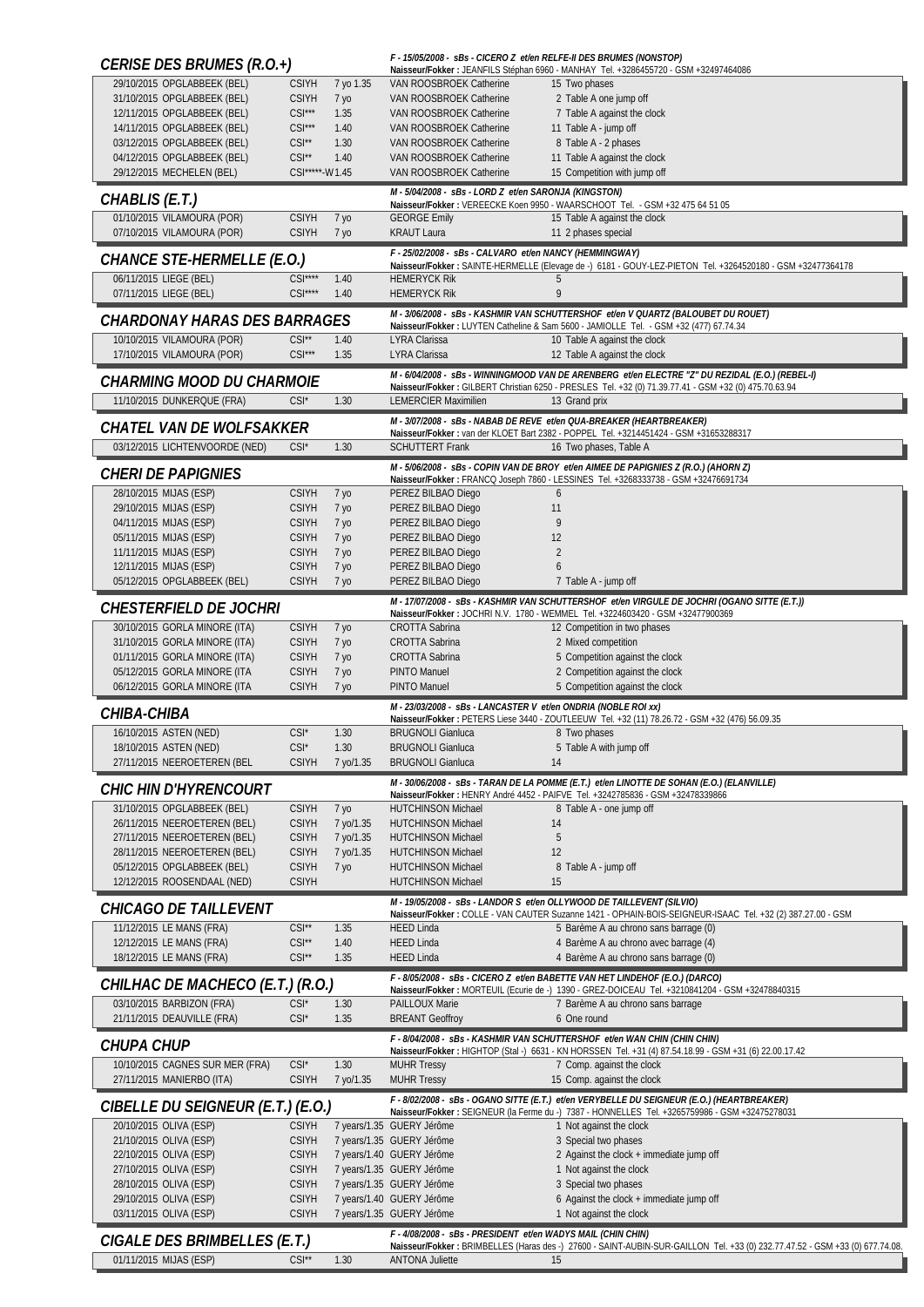| <b>CERISE DES BRUMES (R.O.+)</b>                               |                                |                         |                                                                | F - 15/05/2008 - sBs - CICERO Z et/en RELFE-II DES BRUMES (NONSTOP)<br>Naisseur/Fokker: JEANFILS Stéphan 6960 - MANHAY Tel. +3286455720 - GSM +32497464086                                   |
|----------------------------------------------------------------|--------------------------------|-------------------------|----------------------------------------------------------------|----------------------------------------------------------------------------------------------------------------------------------------------------------------------------------------------|
| 29/10/2015 OPGLABBEEK (BEL)                                    | <b>CSIYH</b>                   | 7 yo 1.35               | VAN ROOSBROEK Catherine                                        | 15 Two phases                                                                                                                                                                                |
| 31/10/2015 OPGLABBEEK (BEL)                                    | <b>CSIYH</b><br>$CSI***$       | 7 yo                    | VAN ROOSBROEK Catherine                                        | 2 Table A one jump off                                                                                                                                                                       |
| 12/11/2015 OPGLABBEEK (BEL)<br>14/11/2015 OPGLABBEEK (BEL)     | $CSI***$                       | 1.35<br>1.40            | VAN ROOSBROEK Catherine<br>VAN ROOSBROEK Catherine             | 7 Table A against the clock<br>11 Table A - jump off                                                                                                                                         |
| 03/12/2015 OPGLABBEEK (BEL)                                    | $CSI**$                        | 1.30                    | VAN ROOSBROEK Catherine                                        | 8 Table A - 2 phases                                                                                                                                                                         |
| 04/12/2015 OPGLABBEEK (BEL)                                    | $CSI**$                        | 1.40                    | VAN ROOSBROEK Catherine                                        | 11 Table A against the clock                                                                                                                                                                 |
| 29/12/2015 MECHELEN (BEL)                                      | CSI*****-W1.45                 |                         | VAN ROOSBROEK Catherine                                        | 15 Competition with jump off                                                                                                                                                                 |
| CHABLIS (E.T.)                                                 |                                |                         | M - 5/04/2008 - sBs - LORD Z et/en SARONJA (KINGSTON)          | Naisseur/Fokker: VEREECKE Koen 9950 - WAARSCHOOT Tel. - GSM +32 475 64 51 05                                                                                                                 |
| 01/10/2015 VILAMOURA (POR)                                     | <b>CSIYH</b>                   | 7 уо                    | <b>GEORGE Emily</b>                                            | 15 Table A against the clock                                                                                                                                                                 |
| 07/10/2015 VILAMOURA (POR)                                     | <b>CSIYH</b>                   | 7 уо                    | <b>KRAUT Laura</b>                                             | 11 2 phases special                                                                                                                                                                          |
| CHANCE STE-HERMELLE (E.O.)                                     |                                |                         | F - 25/02/2008 - sBs - CALVARO et/en NANCY (HEMMINGWAY)        | Naisseur/Fokker: SAINTE-HERMELLE (Elevage de -) 6181 - GOUY-LEZ-PIETON Tel. +3264520180 - GSM +32477364178                                                                                   |
| 06/11/2015 LIEGE (BEL)<br>07/11/2015 LIEGE (BEL)               | $CSI***$<br>$CSI***$           | 1.40<br>1.40            | <b>HEMERYCK Rik</b><br><b>HEMERYCK Rik</b>                     | 5<br>9                                                                                                                                                                                       |
|                                                                |                                |                         |                                                                | M - 3/06/2008 - sBs - KASHMIR VAN SCHUTTERSHOF et/en V QUARTZ (BALOUBET DU ROUET)                                                                                                            |
| CHARDONAY HARAS DES BARRAGES                                   |                                |                         |                                                                | Naisseur/Fokker : LUYTEN Catheline & Sam 5600 - JAMIOLLE Tel. - GSM +32 (477) 67.74.34                                                                                                       |
| 10/10/2015 VILAMOURA (POR)<br>17/10/2015 VILAMOURA (POR)       | $CSI^{\star\star}$<br>$CSI***$ | 1.40<br>1.35            | LYRA Clarissa<br>LYRA Clarissa                                 | 10 Table A against the clock<br>12 Table A against the clock                                                                                                                                 |
| CHARMING MOOD DU CHARMOIE                                      |                                |                         |                                                                | M - 6/04/2008 - sBs - WINNINGMOOD VAN DE ARENBERG et/en ELECTRE "Z" DU REZIDAL (E.O.) (REBEL-I)                                                                                              |
| 11/10/2015 DUNKERQUE (FRA)                                     | $CSI^*$                        | 1.30                    | <b>LEMERCIER Maximilien</b>                                    | Naisseur/Fokker: GILBERT Christian 6250 - PRESLES Tel. +32 (0) 71.39.77.41 - GSM +32 (0) 475.70.63.94<br>13 Grand prix                                                                       |
|                                                                |                                |                         |                                                                | M - 3/07/2008 - SBS - NABAB DE REVE et/en QUA-BREAKER (HEARTBREAKER)                                                                                                                         |
| CHATEL VAN DE WOLFSAKKER                                       |                                |                         |                                                                | Naisseur/Fokker: van der KLOET Bart 2382 - POPPEL Tel. +3214451424 - GSM +31653288317                                                                                                        |
| 03/12/2015 LICHTENVOORDE (NED)                                 | $CSI^*$                        | 1.30                    | <b>SCHUTTERT Frank</b>                                         | 16 Two phases, Table A                                                                                                                                                                       |
| <b>CHERI DE PAPIGNIES</b>                                      |                                |                         |                                                                | M - 5/06/2008 - sBs - COPIN VAN DE BROY et/en AIMEE DE PAPIGNIES Z (R.O.) (AHORN Z)<br>Naisseur/Fokker: FRANCQ Joseph 7860 - LESSINES Tel. +3268333738 - GSM +32476691734                    |
| 28/10/2015 MIJAS (ESP)                                         | <b>CSIYH</b>                   | 7 уо                    | PEREZ BILBAO Diego                                             | 6                                                                                                                                                                                            |
| 29/10/2015 MIJAS (ESP)                                         | <b>CSIYH</b>                   | 7 уо                    | PEREZ BILBAO Diego                                             | 11                                                                                                                                                                                           |
| 04/11/2015 MIJAS (ESP)                                         | <b>CSIYH</b>                   | 7 уо                    | PEREZ BILBAO Diego                                             | 9                                                                                                                                                                                            |
| 05/11/2015 MIJAS (ESP)                                         | <b>CSIYH</b>                   | 7 <sub>Y0</sub>         | PEREZ BILBAO Diego                                             | 12                                                                                                                                                                                           |
| 11/11/2015 MIJAS (ESP)<br>12/11/2015 MIJAS (ESP)               | <b>CSIYH</b><br><b>CSIYH</b>   | 7 уо<br>7 <sub>Y0</sub> | PEREZ BILBAO Diego<br>PEREZ BILBAO Diego                       | $\overline{2}$<br>6                                                                                                                                                                          |
| 05/12/2015 OPGLABBEEK (BEL)                                    | <b>CSIYH</b>                   | 7 yo                    | PEREZ BILBAO Diego                                             | 7 Table A - jump off                                                                                                                                                                         |
|                                                                |                                |                         |                                                                | M - 17/07/2008 - sBs - KASHMIR VAN SCHUTTERSHOF et/en VIRGULE DE JOCHRI (OGANO SITTE (E.T.))                                                                                                 |
| CHESTERFIELD DE JOCHRI                                         |                                |                         |                                                                | Naisseur/Fokker: JOCHRI N.V. 1780 - WEMMEL Tel. +3224603420 - GSM +32477900369                                                                                                               |
| 30/10/2015 GORLA MINORE (ITA)                                  | <b>CSIYH</b>                   | 7 уо                    | CROTTA Sabrina                                                 | 12 Competition in two phases                                                                                                                                                                 |
| 31/10/2015 GORLA MINORE (ITA)<br>01/11/2015 GORLA MINORE (ITA) | <b>CSIYH</b><br><b>CSIYH</b>   | 7 уо                    | <b>CROTTA Sabrina</b><br><b>CROTTA Sabrina</b>                 | 2 Mixed competition<br>5 Competition against the clock                                                                                                                                       |
| 05/12/2015 GORLA MINORE (ITA                                   | <b>CSIYH</b>                   | 7 yo<br>7 yo            | PINTO Manuel                                                   | 2 Competition against the clock                                                                                                                                                              |
| 06/12/2015 GORLA MINORE (ITA                                   | <b>CSIYH</b>                   | 7 <sub>Y0</sub>         | PINTO Manuel                                                   | 5 Competition against the clock                                                                                                                                                              |
| CHIBA-CHIBA                                                    |                                |                         | M - 23/03/2008 - sBs - LANCASTER V et/en ONDRIA (NOBLE ROI xx) |                                                                                                                                                                                              |
| 16/10/2015 ASTEN (NED)                                         | $CSI^*$                        | 1.30                    | <b>BRUGNOLI Gianluca</b>                                       | Naisseur/Fokker: PETERS Liese 3440 - ZOUTLEEUW Tel. +32 (11) 78.26.72 - GSM +32 (476) 56.09.35<br>8 Two phases                                                                               |
| 18/10/2015 ASTEN (NED)                                         | CSI <sup>'</sup>               | 1.30                    | <b>BRUGNOLI Gianluca</b>                                       | 5 Table A with jump off                                                                                                                                                                      |
| 27/11/2015 NEEROETEREN (BEL                                    | <b>CSIYH</b>                   | 7 yo/1.35               | <b>BRUGNOLI Gianluca</b>                                       | 14                                                                                                                                                                                           |
| <i>CHIC HIN D'HYRENCOURT</i>                                   |                                |                         |                                                                | M - 30/06/2008 - sBs - TARAN DE LA POMME (E.T.) et/en LINOTTE DE SOHAN (E.O.) (ELANVILLE)                                                                                                    |
| 31/10/2015 OPGLABBEEK (BEL)                                    | <b>CSIYH</b>                   | 7 уо                    | <b>HUTCHINSON Michael</b>                                      | Naisseur/Fokker: HENRY André 4452 - PAIFVE Tel. +3242785836 - GSM +32478339866<br>8 Table A - one jump off                                                                                   |
| 26/11/2015 NEEROETEREN (BEL)                                   | <b>CSIYH</b>                   | 7 yo/1.35               | <b>HUTCHINSON Michael</b>                                      | 14                                                                                                                                                                                           |
| 27/11/2015 NEEROETEREN (BEL)                                   | <b>CSIYH</b>                   | 7 yo/1.35               | <b>HUTCHINSON Michael</b>                                      | 5                                                                                                                                                                                            |
| 28/11/2015 NEEROETEREN (BEL)                                   | <b>CSIYH</b>                   | 7 yo/1.35               | <b>HUTCHINSON Michael</b>                                      | 12                                                                                                                                                                                           |
| 05/12/2015 OPGLABBEEK (BEL)<br>12/12/2015 ROOSENDAAL (NED)     | <b>CSIYH</b><br><b>CSIYH</b>   | 7 <sub>yo</sub>         | <b>HUTCHINSON Michael</b><br><b>HUTCHINSON Michael</b>         | 8 Table A - jump off<br>15                                                                                                                                                                   |
|                                                                |                                |                         |                                                                | M - 19/05/2008 - sBs - LANDOR S et/en OLLYWOOD DE TAILLEVENT (SILVIO)                                                                                                                        |
| CHICAGO DE TAILLEVENT                                          |                                |                         |                                                                | Naisseur/Fokker: COLLE - VAN CAUTER Suzanne 1421 - OPHAIN-BOIS-SEIGNEUR-ISAAC Tel. +32 (2) 387.27.00 - GSM                                                                                   |
| 11/12/2015 LE MANS (FRA)                                       | $CSI**$                        | 1.35                    | <b>HEED Linda</b>                                              | 5 Barème A au chrono sans barrage (0)                                                                                                                                                        |
| 12/12/2015 LE MANS (FRA)<br>18/12/2015 LE MANS (FRA)           | $CSI**$<br>$CSI^{\star\star}$  | 1.40<br>1.35            | <b>HEED Linda</b><br><b>HEED Linda</b>                         | 4 Barème A au chrono avec barrage (4)<br>4 Barème A au chrono sans barrage (0)                                                                                                               |
|                                                                |                                |                         |                                                                | F - 8/05/2008 - sBs - CICERO Z et/en BABETTE VAN HET LINDEHOF (E.O.) (DARCO)                                                                                                                 |
| CHILHAC DE MACHECO (E.T.) (R.O.)<br>03/10/2015 BARBIZON (FRA)  | $CSI^*$                        | 1.30                    | <b>PAILLOUX Marie</b>                                          | Naisseur/Fokker: MORTEUIL (Ecurie de -) 1390 - GREZ-DOICEAU Tel. +3210841204 - GSM +32478840315<br>7 Barème A au chrono sans barrage                                                         |
| 21/11/2015 DEAUVILLE (FRA)                                     | $CSI^*$                        | 1.35                    | <b>BREANT Geoffroy</b>                                         | 6 One round                                                                                                                                                                                  |
| CHUPA CHUP                                                     |                                |                         |                                                                | F - 8/04/2008 - SBS - KASHMIR VAN SCHUTTERSHOF et/en WAN CHIN (CHIN CHIN)<br>Naisseur/Fokker: HIGHTOP (Stal -) 6631 - KN HORSSEN Tel. +31 (4) 87.54.18.99 - GSM +31 (6) 22.00.17.42          |
| 10/10/2015 CAGNES SUR MER (FRA)                                | $CSI^*$                        | 1.30                    | <b>MUHR Tressy</b>                                             | 7 Comp. against the clock                                                                                                                                                                    |
| 27/11/2015 MANIERBO (ITA)                                      | <b>CSIYH</b>                   | 7 yo/1.35               | <b>MUHR Tressy</b>                                             | 15 Comp. against the clock                                                                                                                                                                   |
| CIBELLE DU SEIGNEUR (E.T.) (E.O.)                              |                                |                         |                                                                | F - 8/02/2008 - SBS - OGANO SITTE (E.T.) et/en VERYBELLE DU SEIGNEUR (E.O.) (HEARTBREAKER)<br>Naisseur/Fokker: SEIGNEUR (la Ferme du -) 7387 - HONNELLES Tel. +3265759986 - GSM +32475278031 |
| 20/10/2015 OLIVA (ESP)                                         | <b>CSIYH</b>                   |                         | 7 years/1.35 GUERY Jérôme                                      | 1 Not against the clock                                                                                                                                                                      |
| 21/10/2015 OLIVA (ESP)                                         | <b>CSIYH</b>                   |                         | 7 years/1.35 GUERY Jérôme                                      | 3 Special two phases                                                                                                                                                                         |
| 22/10/2015 OLIVA (ESP)                                         | <b>CSIYH</b>                   |                         | 7 years/1.40 GUERY Jérôme                                      | 2 Against the clock + immediate jump off                                                                                                                                                     |
| 27/10/2015 OLIVA (ESP)<br>28/10/2015 OLIVA (ESP)               | <b>CSIYH</b><br><b>CSIYH</b>   |                         | 7 years/1.35 GUERY Jérôme<br>7 years/1.35 GUERY Jérôme         | 1 Not against the clock<br>3 Special two phases                                                                                                                                              |
| 29/10/2015 OLIVA (ESP)                                         | <b>CSIYH</b>                   |                         | 7 years/1.40 GUERY Jérôme                                      | 6 Against the clock + immediate jump off                                                                                                                                                     |
| 03/11/2015 OLIVA (ESP)                                         | <b>CSIYH</b>                   |                         | 7 years/1.35 GUERY Jérôme                                      | 1 Not against the clock                                                                                                                                                                      |
| CIGALE DES BRIMBELLES (E.T.)                                   |                                |                         | F - 4/08/2008 - sBs - PRESIDENT et/en WADYS MAIL (CHIN CHIN)   |                                                                                                                                                                                              |
| 01/11/2015 MIJAS (ESP)                                         | $CSI^{\star\star}$             | 1.30                    | <b>ANTONA Juliette</b>                                         | Naisseur/Fokker: BRIMBELLES (Haras des -) 27600 - SAINT-AUBIN-SUR-GAILLON Tel. +33 (0) 232.77.47.52 - GSM +33 (0) 677.74.08.<br>15                                                           |
|                                                                |                                |                         |                                                                |                                                                                                                                                                                              |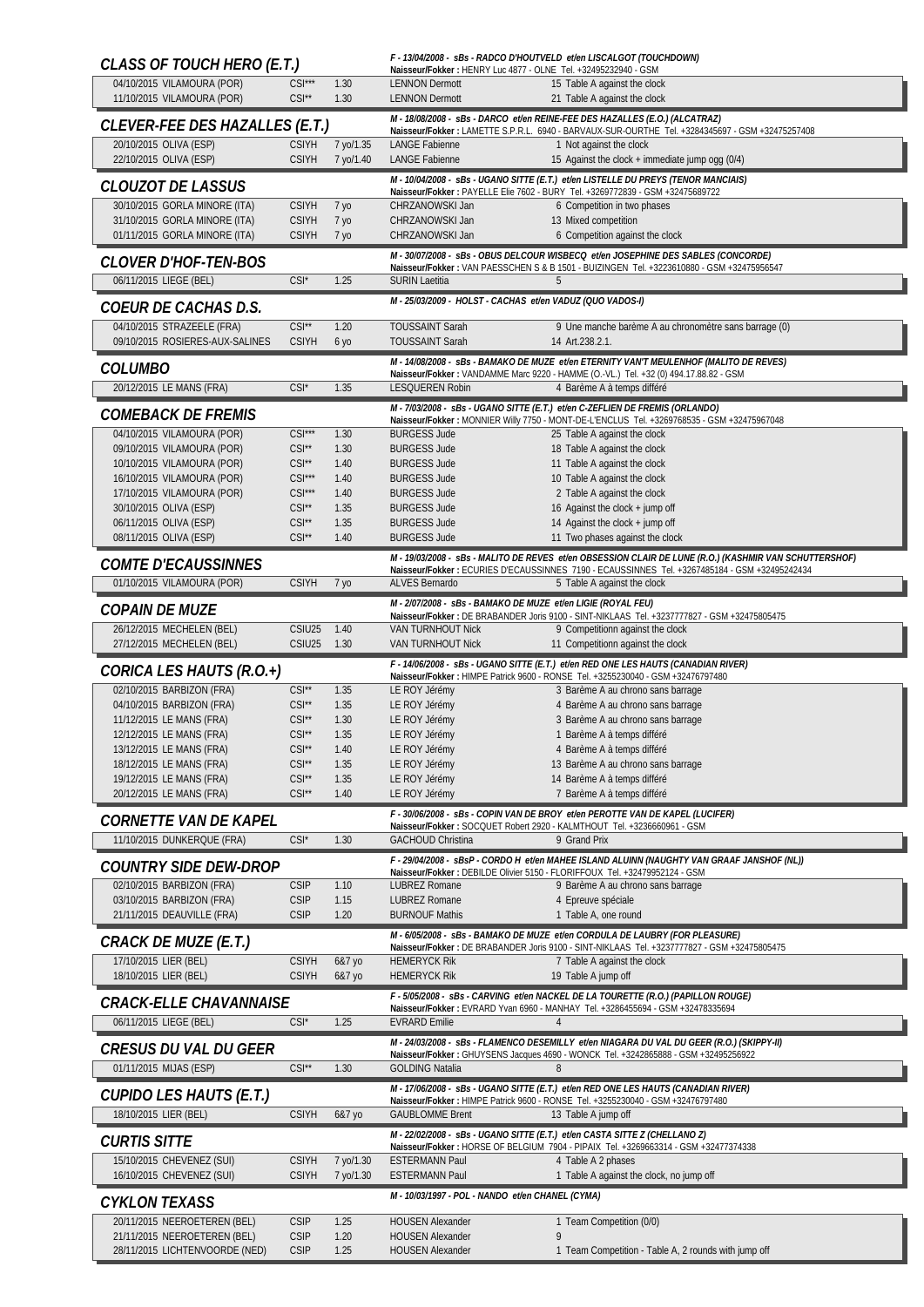| CLASS OF TOUCH HERO (E.T.)                                     |                                          |                        | Naisseur/Fokker: HENRY Luc 4877 - OLNE Tel. +32495232940 - GSM | F - 13/04/2008 - SBS - RADCO D'HOUTVELD et/en LISCALGOT (TOUCHDOWN)                                                                                                            |
|----------------------------------------------------------------|------------------------------------------|------------------------|----------------------------------------------------------------|--------------------------------------------------------------------------------------------------------------------------------------------------------------------------------|
| 04/10/2015 VILAMOURA (POR)                                     | $CSI***$                                 | 1.30                   | <b>LENNON Dermott</b>                                          | 15 Table A against the clock                                                                                                                                                   |
| 11/10/2015 VILAMOURA (POR)                                     | $CSI^*$                                  | 1.30                   | <b>LENNON Dermott</b>                                          | 21 Table A against the clock<br>M - 18/08/2008 - sBs - DARCO et/en REINE-FEE DES HAZALLES (E.O.) (ALCATRAZ)                                                                    |
| CLEVER-FEE DES HAZALLES (E.T.)                                 |                                          |                        |                                                                | Naisseur/Fokker: LAMETTE S.P.R.L. 6940 - BARVAUX-SUR-OURTHE Tel. +3284345697 - GSM +32475257408                                                                                |
| 20/10/2015 OLIVA (ESP)<br>22/10/2015 OLIVA (ESP)               | <b>CSIYH</b><br><b>CSIYH</b>             | 7 yo/1.35<br>7 yo/1.40 | <b>LANGE Fabienne</b><br><b>LANGE Fabienne</b>                 | 1 Not against the clock<br>15 Against the clock + immediate jump ogg (0/4)                                                                                                     |
| <b>CLOUZOT DE LASSUS</b>                                       |                                          |                        |                                                                | M - 10/04/2008 - sBs - UGANO SITTE (E.T.) et/en LISTELLE DU PREYS (TENOR MANCIAIS)                                                                                             |
| 30/10/2015 GORLA MINORE (ITA)                                  | <b>CSIYH</b>                             | 7 уо                   | CHRZANOWSKI Jan                                                | Naisseur/Fokker: PAYELLE Elie 7602 - BURY Tel. +3269772839 - GSM +32475689722<br>6 Competition in two phases                                                                   |
| 31/10/2015 GORLA MINORE (ITA)                                  | <b>CSIYH</b>                             | 7 уо                   | CHRZANOWSKI Jan                                                | 13 Mixed competition                                                                                                                                                           |
| 01/11/2015 GORLA MINORE (ITA)                                  | <b>CSIYH</b>                             | 7 yo                   | CHRZANOWSKI Jan                                                | 6 Competition against the clock                                                                                                                                                |
| <b>CLOVER D'HOF-TEN-BOS</b>                                    |                                          |                        |                                                                | M - 30/07/2008 - SBs - OBUS DELCOUR WISBECQ et/en JOSEPHINE DES SABLES (CONCORDE)<br>Naisseur/Fokker: VAN PAESSCHEN S & B 1501 - BUIZINGEN Tel. +3223610880 - GSM +32475956547 |
| 06/11/2015 LIEGE (BEL)                                         | $CSI^*$                                  | 1.25                   | <b>SURIN Laetitia</b>                                          |                                                                                                                                                                                |
| COEUR DE CACHAS D.S.                                           |                                          |                        | M - 25/03/2009 - HOLST - CACHAS et/en VADUZ (QUO VADOS-I)      |                                                                                                                                                                                |
| 04/10/2015 STRAZEELE (FRA)<br>09/10/2015 ROSIERES-AUX-SALINES  | $CSI**$<br><b>CSIYH</b>                  | 1.20<br>6 yo           | <b>TOUSSAINT Sarah</b><br><b>TOUSSAINT Sarah</b>               | 9 Une manche barème A au chronomètre sans barrage (0)<br>14 Art.238.2.1.                                                                                                       |
| <b>COLUMBO</b>                                                 |                                          |                        |                                                                | M - 14/08/2008 - sBs - BAMAKO DE MUZE et/en ETERNITY VAN'T MEULENHOF (MALITO DE REVES)<br>Naisseur/Fokker: VANDAMME Marc 9220 - HAMME (O.-VL.) Tel. +32 (0) 494.17.88.82 - GSM |
| 20/12/2015 LE MANS (FRA)                                       | $CSI^*$                                  | 1.35                   | <b>LESQUEREN Robin</b>                                         | 4 Barème A à temps différé                                                                                                                                                     |
| <i>COMEBACK DE FREMIS</i>                                      |                                          |                        |                                                                | M - 7/03/2008 - sBs - UGANO SITTE (E.T.) et/en C-ZEFLIEN DE FREMIS (ORLANDO)                                                                                                   |
| 04/10/2015 VILAMOURA (POR)                                     | $CSI***$                                 | 1.30                   | <b>BURGESS Jude</b>                                            | Naisseur/Fokker: MONNIER Willy 7750 - MONT-DE-L'ENCLUS Tel. +3269768535 - GSM +32475967048<br>25 Table A against the clock                                                     |
| 09/10/2015 VILAMOURA (POR)                                     | $CSI**$                                  | 1.30                   | <b>BURGESS Jude</b>                                            | 18 Table A against the clock                                                                                                                                                   |
| 10/10/2015 VILAMOURA (POR)                                     | $CSI^{\star\star}$<br>$CSI***$           | 1.40                   | <b>BURGESS Jude</b><br><b>BURGESS Jude</b>                     | 11 Table A against the clock                                                                                                                                                   |
| 16/10/2015 VILAMOURA (POR)<br>17/10/2015 VILAMOURA (POR)       | $CSI***$                                 | 1.40<br>1.40           | <b>BURGESS Jude</b>                                            | 10 Table A against the clock<br>2 Table A against the clock                                                                                                                    |
| 30/10/2015 OLIVA (ESP)                                         | $CSI^*$                                  | 1.35                   | <b>BURGESS Jude</b>                                            | 16 Against the clock + jump off                                                                                                                                                |
| 06/11/2015 OLIVA (ESP)<br>08/11/2015 OLIVA (ESP)               | $CSI^{\star\star}$<br>$CSI^{\star\star}$ | 1.35<br>1.40           | <b>BURGESS Jude</b><br><b>BURGESS Jude</b>                     | 14 Against the clock + jump off<br>11 Two phases against the clock                                                                                                             |
|                                                                |                                          |                        |                                                                | M - 19/03/2008 - SBS - MALITO DE REVES et/en OBSESSION CLAIR DE LUNE (R.O.) (KASHMIR VAN SCHUTTERSHOF)                                                                         |
| <i>COMTE D'ECAUSSINNES</i><br>01/10/2015 VILAMOURA (POR)       | <b>CSIYH</b>                             |                        | ALVES Bernardo                                                 | Naisseur/Fokker : ECURIES D'ECAUSSINNES 7190 - ECAUSSINNES Tel. +3267485184 - GSM +32495242434                                                                                 |
|                                                                |                                          | 7 yo                   | M - 2/07/2008 - sBs - BAMAKO DE MUZE et/en LIGIE (ROYAL FEU)   | 5 Table A against the clock                                                                                                                                                    |
| <i><b>COPAIN DE MUZE</b></i>                                   |                                          |                        |                                                                | Naisseur/Fokker: DE BRABANDER Joris 9100 - SINT-NIKLAAS Tel. +3237777827 - GSM +32475805475                                                                                    |
| 26/12/2015 MECHELEN (BEL)<br>27/12/2015 MECHELEN (BEL)         | CSIU25<br>CSIU25                         | 1.40<br>1.30           | VAN TURNHOUT Nick<br>VAN TURNHOUT Nick                         | 9 Competitionn against the clock<br>11 Competitionn against the clock                                                                                                          |
|                                                                |                                          |                        |                                                                |                                                                                                                                                                                |
| CORICA LES HAUTS (R.O.+)                                       |                                          |                        |                                                                | F - 14/06/2008 - sBs - UGANO SITTE (E.T.) et/en RED ONE LES HAUTS (CANADIAN RIVER)<br>Naisseur/Fokker: HIMPE Patrick 9600 - RONSE Tel. +3255230040 - GSM +32476797480          |
| 02/10/2015 BARBIZON (FRA)                                      | $CSI**$                                  | 1.35                   | LE ROY Jérémy                                                  | 3 Barème A au chrono sans barrage                                                                                                                                              |
| 04/10/2015 BARBIZON (FRA)                                      | $CSI^{\star\star}$                       | 1.35                   | LE ROY Jérémy                                                  | 4 Barème A au chrono sans barrage                                                                                                                                              |
| 11/12/2015 LE MANS (FRA)<br>12/12/2015 LE MANS (FRA)           | $CSI^{\star\star}$<br>$CSI^{\star\star}$ | 1.30<br>1.35           | LE ROY Jérémy<br>LE ROY Jérémy                                 | 3 Barème A au chrono sans barrage<br>1 Barème A à temps différé                                                                                                                |
| 13/12/2015 LE MANS (FRA)                                       | CSI'                                     | 1.40                   | LE ROY Jérémy                                                  | 4 Barème A à temps différé                                                                                                                                                     |
| 18/12/2015 LE MANS (FRA)                                       | $CSI^{\star\star}$                       | 1.35                   | LE ROY Jérémy                                                  | 13 Barème A au chrono sans barrage                                                                                                                                             |
| 19/12/2015 LE MANS (FRA)<br>20/12/2015 LE MANS (FRA)           | $CSI**$<br>$CSI^{\star\star}$            | 1.35<br>1.40           | LE ROY Jérémy<br>LE ROY Jérémy                                 | 14 Barème A à temps différé<br>7 Barème A à temps différé                                                                                                                      |
|                                                                |                                          |                        |                                                                | F - 30/06/2008 - SBS - COPIN VAN DE BROY et/en PEROTTE VAN DE KAPEL (LUCIFER)                                                                                                  |
| CORNETTE VAN DE KAPEL<br>11/10/2015 DUNKERQUE (FRA)            | $CSI^*$                                  | 1.30                   | <b>GACHOUD Christina</b>                                       | Naisseur/Fokker: SOCQUET Robert 2920 - KALMTHOUT Tel. +3236660961 - GSM<br>9 Grand Prix                                                                                        |
|                                                                |                                          |                        |                                                                | F-29/04/2008 - sBsP - CORDO H et/en MAHEE ISLAND ALUINN (NAUGHTY VAN GRAAF JANSHOF (NL))                                                                                       |
| <b>COUNTRY SIDE DEW-DROP</b><br>02/10/2015 BARBIZON (FRA)      | <b>CSIP</b>                              | 1.10                   | <b>LUBREZ Romane</b>                                           | Naisseur/Fokker: DEBILDE Olivier 5150 - FLORIFFOUX Tel. +32479952124 - GSM<br>9 Barème A au chrono sans barrage                                                                |
| 03/10/2015 BARBIZON (FRA)                                      | <b>CSIP</b>                              | 1.15                   | <b>LUBREZ Romane</b>                                           | 4 Epreuve spéciale                                                                                                                                                             |
| 21/11/2015 DEAUVILLE (FRA)                                     | <b>CSIP</b>                              | 1.20                   | <b>BURNOUF Mathis</b>                                          | 1 Table A, one round                                                                                                                                                           |
| CRACK DE MUZE (E.T.)                                           |                                          |                        |                                                                | M - 6/05/2008 - SBS - BAMAKO DE MUZE et/en CORDULA DE LAUBRY (FOR PLEASURE)<br>Naisseur/Fokker: DE BRABANDER Joris 9100 - SINT-NIKLAAS Tel. +3237777827 - GSM +32475805475     |
| 17/10/2015 LIER (BEL)<br>18/10/2015 LIER (BEL)                 | <b>CSIYH</b><br><b>CSIYH</b>             | 6&7 yo<br>6&7 yo       | <b>HEMERYCK Rik</b><br><b>HEMERYCK Rik</b>                     | 7 Table A against the clock<br>19 Table A jump off                                                                                                                             |
|                                                                |                                          |                        |                                                                | F - 5/05/2008 - SBS - CARVING et/en NACKEL DE LA TOURETTE (R.O.) (PAPILLON ROUGE)                                                                                              |
| CRACK-ELLE CHAVANNAISE<br>06/11/2015 LIEGE (BEL)               | $CSI^*$                                  | 1.25                   | <b>EVRARD Emilie</b>                                           | Naisseur/Fokker: EVRARD Yvan 6960 - MANHAY Tel. +3286455694 - GSM +32478335694<br>4                                                                                            |
|                                                                |                                          |                        |                                                                | M - 24/03/2008 - sBs - FLAMENCO DESEMILLY et/en NIAGARA DU VAL DU GEER (R.O.) (SKIPPY-II)                                                                                      |
| CRESUS DU VAL DU GEER<br>01/11/2015 MIJAS (ESP)                | $CSI^{\star\star}$                       | 1.30                   | <b>GOLDING Natalia</b>                                         | Naisseur/Fokker: GHUYSENS Jacques 4690 - WONCK Tel. +3242865888 - GSM +32495256922<br>8                                                                                        |
|                                                                |                                          |                        |                                                                | M - 17/06/2008 - sBs - UGANO SITTE (E.T.) et/en RED ONE LES HAUTS (CANADIAN RIVER)                                                                                             |
| CUPIDO LES HAUTS (E.T.)<br>18/10/2015 LIER (BEL)               | <b>CSIYH</b>                             |                        | <b>GAUBLOMME Brent</b>                                         | Naisseur/Fokker: HIMPE Patrick 9600 - RONSE Tel. +3255230040 - GSM +32476797480                                                                                                |
|                                                                |                                          | 6&7 yo                 |                                                                | 13 Table A jump off<br>M - 22/02/2008 - sBs - UGANO SITTE (E.T.) et/en CASTA SITTE Z (CHELLANO Z)                                                                              |
| <b>CURTIS SITTE</b>                                            |                                          |                        |                                                                | Naisseur/Fokker: HORSE OF BELGIUM 7904 - PIPAIX Tel. +3269663314 - GSM +32477374338                                                                                            |
| 15/10/2015 CHEVENEZ (SUI)<br>16/10/2015 CHEVENEZ (SUI)         | <b>CSIYH</b><br><b>CSIYH</b>             | 7 yo/1.30<br>7 yo/1.30 | <b>ESTERMANN Paul</b><br><b>ESTERMANN Paul</b>                 | 4 Table A 2 phases<br>1 Table A against the clock, no jump off                                                                                                                 |
|                                                                |                                          |                        | M - 10/03/1997 - POL - NANDO et/en CHANEL (CYMA)               |                                                                                                                                                                                |
| <b>CYKLON TEXASS</b><br>20/11/2015 NEEROETEREN (BEL)           | <b>CSIP</b>                              | 1.25                   | <b>HOUSEN Alexander</b>                                        | 1 Team Competition (0/0)                                                                                                                                                       |
| 21/11/2015 NEEROETEREN (BEL)<br>28/11/2015 LICHTENVOORDE (NED) | <b>CSIP</b><br><b>CSIP</b>               | 1.20<br>1.25           | <b>HOUSEN Alexander</b><br><b>HOUSEN Alexander</b>             | 9<br>1 Team Competition - Table A, 2 rounds with jump off                                                                                                                      |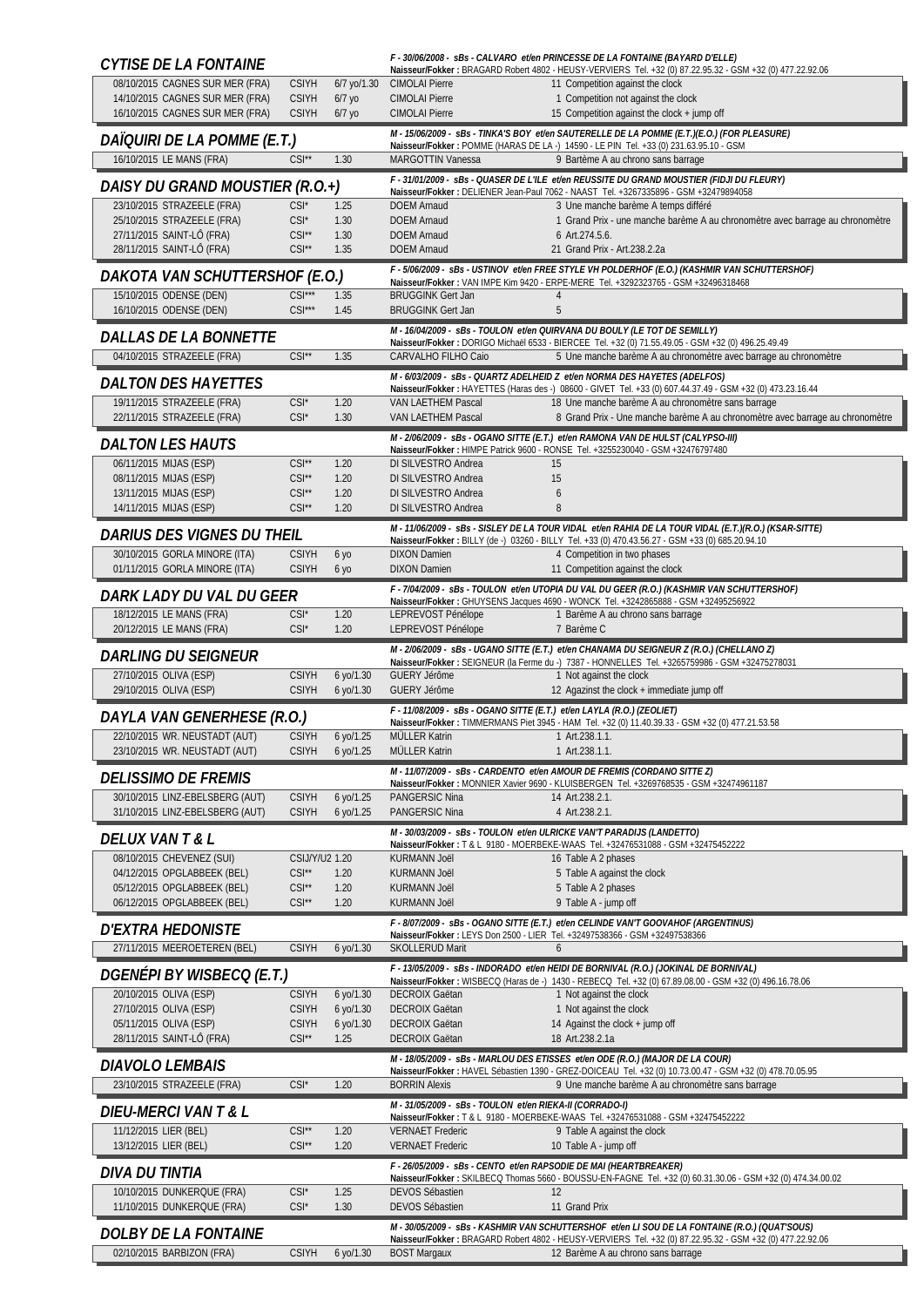| <b>CYTISE DE LA FONTAINE</b>                                       |                                          |                          |                                                                                              | F - 30/06/2008 - SBS - CALVARO et/en PRINCESSE DE LA FONTAINE (BAYARD D'ELLE)<br>Naisseur/Fokker: BRAGARD Robert 4802 - HEUSY-VERVIERS Tel. +32 (0) 87.22.95.32 - GSM +32 (0) 477.22.92.06      |
|--------------------------------------------------------------------|------------------------------------------|--------------------------|----------------------------------------------------------------------------------------------|-------------------------------------------------------------------------------------------------------------------------------------------------------------------------------------------------|
| 08/10/2015 CAGNES SUR MER (FRA)<br>14/10/2015 CAGNES SUR MER (FRA) | <b>CSIYH</b><br><b>CSIYH</b>             | 6/7 yo/1.30<br>$6/7$ yo  | <b>CIMOLAI Pierre</b><br><b>CIMOLAI Pierre</b>                                               | 11 Competition against the clock<br>1 Competition not against the clock                                                                                                                         |
| 16/10/2015 CAGNES SUR MER (FRA)                                    | <b>CSIYH</b>                             | $6/7$ yo                 | <b>CIMOLAI Pierre</b>                                                                        | 15 Competition against the clock + jump off                                                                                                                                                     |
| DAÏQUIRI DE LA POMME (E.T.)                                        |                                          |                          |                                                                                              | M - 15/06/2009 - sBs - TINKA'S BOY et/en SAUTERELLE DE LA POMME (E.T.)(E.O.) (FOR PLEASURE)<br>Naisseur/Fokker: POMME (HARAS DE LA -) 14590 - LE PIN Tel. +33 (0) 231.63.95.10 - GSM            |
| 16/10/2015 LE MANS (FRA)                                           | $CSI^{\star\star}$                       | 1.30                     | MARGOTTIN Vanessa                                                                            | 9 Bartème A au chrono sans barrage                                                                                                                                                              |
| DAISY DU GRAND MOUSTIER (R.O.+)                                    |                                          |                          |                                                                                              | F - 31/01/2009 - sBs - QUASER DE L'ILE et/en REUSSITE DU GRAND MOUSTIER (FIDJI DU FLEURY)<br>Naisseur/Fokker : DELIENER Jean-Paul 7062 - NAAST Tel. +3267335896 - GSM +32479894058              |
| 23/10/2015 STRAZEELE (FRA)                                         | $CSI^*$                                  | 1.25                     | <b>DOEM Arnaud</b>                                                                           | 3 Une manche barème A temps différé                                                                                                                                                             |
| 25/10/2015 STRAZEELE (FRA)<br>27/11/2015 SAINT-LÔ (FRA)            | $CSI^*$<br>$CSI^{\star\star}$            | 1.30<br>1.30             | <b>DOEM Arnaud</b><br><b>DOEM Arnaud</b>                                                     | 1 Grand Prix - une manche barème A au chronomètre avec barrage au chronomètre<br>6 Art.274.5.6.                                                                                                 |
| 28/11/2015 SAINT-LÔ (FRA)                                          | $CSI**$                                  | 1.35                     | <b>DOEM Arnaud</b>                                                                           | 21 Grand Prix - Art.238.2.2a                                                                                                                                                                    |
| DAKOTA VAN SCHUTTERSHOF (E.O.)                                     |                                          |                          |                                                                                              | F - 5/06/2009 - SBs - USTINOV et/en FREE STYLE VH POLDERHOF (E.O.) (KASHMIR VAN SCHUTTERSHOF)<br>Naisseur/Fokker: VAN IMPE Kim 9420 - ERPE-MERE Tel. +3292323765 - GSM +32496318468             |
| 15/10/2015 ODENSE (DEN)                                            | $CSI***$                                 | 1.35                     | <b>BRUGGINK Gert Jan</b>                                                                     | 4                                                                                                                                                                                               |
| 16/10/2015 ODENSE (DEN)                                            | $CSI***$                                 | 1.45                     | <b>BRUGGINK Gert Jan</b>                                                                     | 5<br>M - 16/04/2009 - sBs - TOULON et/en QUIRVANA DU BOULY (LE TOT DE SEMILLY)                                                                                                                  |
| <b>DALLAS DE LA BONNETTE</b>                                       |                                          |                          | CARVALHO FILHO Caio                                                                          | Naisseur/Fokker: DORIGO Michaël 6533 - BIERCEE Tel. +32 (0) 71.55.49.05 - GSM +32 (0) 496.25.49.49                                                                                              |
| 04/10/2015 STRAZEELE (FRA)                                         | $CSI^{\star\star}$                       | 1.35                     |                                                                                              | 5 Une manche barème A au chronomètre avec barrage au chronomètre<br>M - 6/03/2009 - SBS - QUARTZ ADELHEID Z et/en NORMA DES HAYETES (ADELFOS)                                                   |
| <b>DALTON DES HAYETTES</b>                                         |                                          |                          |                                                                                              | Naisseur/Fokker: HAYETTES (Haras des -) 08600 - GIVET Tel. +33 (0) 607.44.37.49 - GSM +32 (0) 473.23.16.44                                                                                      |
| 19/11/2015 STRAZEELE (FRA)<br>22/11/2015 STRAZEELE (FRA)           | $CSI^*$<br>$CSI^*$                       | 1.20<br>1.30             | VAN LAETHEM Pascal<br>VAN LAETHEM Pascal                                                     | 18 Une manche barème A au chronomètre sans barrage<br>8 Grand Prix - Une manche barème A au chronomètre avec barrage au chronomètre                                                             |
| <b>DALTON LES HAUTS</b>                                            |                                          |                          |                                                                                              | M-2/06/2009 - sBs - OGANO SITTE (E.T.) et/en RAMONA VAN DE HULST (CALYPSO-III)                                                                                                                  |
| 06/11/2015 MIJAS (ESP)                                             | $CSI^{\star\star}$                       | 1.20                     | DI SILVESTRO Andrea                                                                          | Naisseur/Fokker: HIMPE Patrick 9600 - RONSE Tel. +3255230040 - GSM +32476797480<br>15                                                                                                           |
| 08/11/2015 MIJAS (ESP)                                             | $CSI**$                                  | 1.20                     | DI SILVESTRO Andrea                                                                          | 15                                                                                                                                                                                              |
| 13/11/2015 MIJAS (ESP)<br>14/11/2015 MIJAS (ESP)                   | $CSI**$<br>$CSI^{\star\star}$            | 1.20<br>1.20             | DI SILVESTRO Andrea<br>DI SILVESTRO Andrea                                                   | 6<br>8                                                                                                                                                                                          |
| <b>DARIUS DES VIGNES DU THEIL</b>                                  |                                          |                          |                                                                                              | M - 11/06/2009 - sBs - SISLEY DE LA TOUR VIDAL et/en RAHIA DE LA TOUR VIDAL (E.T.)(R.O.) (KSAR-SITTE)                                                                                           |
| 30/10/2015 GORLA MINORE (ITA)                                      | <b>CSIYH</b>                             | 6 уо                     | <b>DIXON Damien</b>                                                                          | Naisseur/Fokker: BILLY (de -) 03260 - BILLY Tel. +33 (0) 470.43.56.27 - GSM +33 (0) 685.20.94.10<br>4 Competition in two phases                                                                 |
| 01/11/2015 GORLA MINORE (ITA)                                      | <b>CSIYH</b>                             | 6 yo                     | <b>DIXON Damien</b>                                                                          | 11 Competition against the clock                                                                                                                                                                |
| DARK LADY DU VAL DU GEER                                           |                                          |                          |                                                                                              | F - 7/04/2009 - sBs - TOULON et/en UTOPIA DU VAL DU GEER (R.O.) (KASHMIR VAN SCHUTTERSHOF)<br>Naisseur/Fokker: GHUYSENS Jacques 4690 - WONCK Tel. +3242865888 - GSM +32495256922                |
| 18/12/2015 LE MANS (FRA)<br>20/12/2015 LE MANS (FRA)               | $CSI^*$<br>$CSI^*$                       | 1.20<br>1.20             | LEPREVOST Pénélope<br>LEPREVOST Pénélope                                                     | 1 Barème A au chrono sans barrage<br>7 Barème C                                                                                                                                                 |
| <b>DARLING DU SEIGNEUR</b>                                         |                                          |                          |                                                                                              | M - 2/06/2009 - sBs - UGANO SITTE (E.T.) et/en CHANAMA DU SEIGNEUR Z (R.O.) (CHELLANO Z)                                                                                                        |
| 27/10/2015 OLIVA (ESP)                                             | <b>CSIYH</b>                             | 6 yo/1.30                | <b>GUERY Jérôme</b>                                                                          | Naisseur/Fokker: SEIGNEUR (la Ferme du -) 7387 - HONNELLES Tel. +3265759986 - GSM +32475278031<br>1 Not against the clock                                                                       |
| 29/10/2015 OLIVA (ESP)                                             | <b>CSIYH</b>                             | $6$ yo/1.30              | <b>GUERY Jérôme</b>                                                                          | 12 Agazinst the clock + immediate jump off                                                                                                                                                      |
| DAYLA VAN GENERHESE (R.O.)                                         |                                          |                          | F - 11/08/2009 - sBs - OGANO SITTE (E.T.) et/en LAYLA (R.O.) (ZEOLIET)                       | Naisseur/Fokker: TIMMERMANS Piet 3945 - HAM Tel. +32 (0) 11.40.39.33 - GSM +32 (0) 477.21.53.58                                                                                                 |
| 22/10/2015 WR. NEUSTADT (AUT)                                      | <b>CSIYH</b>                             | $6$ yo/1.25              | MÜLLER Katrin                                                                                | 1 Art.238.1.1.<br>1 Art.238.1.1.                                                                                                                                                                |
| 23/10/2015 WR. NEUSTADT (AUT)                                      | <b>CSIYH</b>                             | 6 yo/1.25                | MÜLLER Katrin                                                                                | M - 11/07/2009 - sBs - CARDENTO et/en AMOUR DE FREMIS (CORDANO SITTE Z)                                                                                                                         |
| <b>DELISSIMO DE FREMIS</b><br>30/10/2015 LINZ-EBELSBERG (AUT)      | <b>CSIYH</b>                             | 6 yo/1.25                | PANGERSIC Nina                                                                               | Naisseur/Fokker: MONNIER Xavier 9690 - KLUISBERGEN Tel. +3269768535 - GSM +32474961187<br>14 Art.238.2.1.                                                                                       |
| 31/10/2015 LINZ-EBELSBERG (AUT)                                    | <b>CSIYH</b>                             | $6$ yo/1.25              | PANGERSIC Nina                                                                               | 4 Art.238.2.1.                                                                                                                                                                                  |
| <i>DELUX VAN T &amp; L</i>                                         |                                          |                          |                                                                                              | M - 30/03/2009 - SBS - TOULON et/en ULRICKE VAN'T PARADIJS (LANDETTO)                                                                                                                           |
| 08/10/2015 CHEVENEZ (SUI)                                          | CSIJ/Y/U2 1.20                           |                          | KURMANN Joël                                                                                 | Naisseur/Fokker: T & L 9180 - MOERBEKE-WAAS Tel. +32476531088 - GSM +32475452222<br>16 Table A 2 phases                                                                                         |
| 04/12/2015 OPGLABBEEK (BEL)<br>05/12/2015 OPGLABBEEK (BEL)         | $CSI^{\star\star}$<br>$CSI^{\star\star}$ | 1.20<br>1.20             | <b>KURMANN Joël</b><br><b>KURMANN Joël</b>                                                   | 5 Table A against the clock<br>5 Table A 2 phases                                                                                                                                               |
| 06/12/2015 OPGLABBEEK (BEL)                                        | $CSI^{\star\star}$                       | 1.20                     | <b>KURMANN Joël</b>                                                                          | 9 Table A - jump off                                                                                                                                                                            |
| D'EXTRA HEDONISTE                                                  |                                          |                          |                                                                                              | F - 8/07/2009 - sBs - OGANO SITTE (E.T.) et/en CELINDE VAN'T GOOVAHOF (ARGENTINUS)<br>Naisseur/Fokker: LEYS Don 2500 - LIER_Tel. +32497538366 - GSM +32497538366                                |
| 27/11/2015 MEEROETEREN (BEL)                                       | <b>CSIYH</b>                             | 6 yo/1.30                | <b>SKOLLERUD Marit</b>                                                                       | 6                                                                                                                                                                                               |
| <i>DGENÉPI BY WISBECQ (E.T.)</i>                                   |                                          |                          |                                                                                              | F - 13/05/2009 - SBs - INDORADO et/en HEIDI DE BORNIVAL (R.O.) (JOKINAL DE BORNIVAL)<br>Naisseur/Fokker: WISBECQ (Haras de -) 1430 - REBECQ Tel. +32 (0) 67.89.08.00 - GSM +32 (0) 496.16.78.06 |
| 20/10/2015 OLIVA (ESP)                                             | <b>CSIYH</b>                             | 6 yo/1.30                | <b>DECROIX Gaëtan</b>                                                                        | 1 Not against the clock                                                                                                                                                                         |
| 27/10/2015 OLIVA (ESP)<br>05/11/2015 OLIVA (ESP)                   | <b>CSIYH</b><br><b>CSIYH</b>             | $6$ yo/1.30<br>6 yo/1.30 | <b>DECROIX Gaëtan</b><br><b>DECROIX Gaëtan</b>                                               | 1 Not against the clock<br>14 Against the clock + jump off                                                                                                                                      |
| 28/11/2015 SAINT-LÔ (FRA)                                          | $CSI**$                                  | 1.25                     | <b>DECROIX Gaëtan</b>                                                                        | 18 Art.238.2.1a                                                                                                                                                                                 |
| <b>DIAVOLO LEMBAIS</b>                                             |                                          |                          |                                                                                              | M - 18/05/2009 - sBs - MARLOU DES ETISSES et/en ODE (R.O.) (MAJOR DE LA COUR)<br>Naisseur/Fokker: HAVEL Sébastien 1390 - GREZ-DOICEAU Tel. +32 (0) 10.73.00.47 - GSM +32 (0) 478.70.05.95       |
| 23/10/2015 STRAZEELE (FRA)                                         | $CSI^*$                                  | 1.20                     | <b>BORRIN Alexis</b>                                                                         | 9 Une manche barème A au chronomètre sans barrage                                                                                                                                               |
| <i>DIEU-MERCI VAN T &amp; L</i>                                    |                                          |                          | M - 31/05/2009 - sBs - TOULON et/en RIEKA-II (CORRADO-I)                                     | Naisseur/Fokker: T & L 9180 - MOERBEKE-WAAS Tel. +32476531088 - GSM +32475452222                                                                                                                |
| 11/12/2015 LIER (BEL)                                              | $CSI**$                                  | 1.20                     | <b>VERNAET Frederic</b>                                                                      | 9 Table A against the clock                                                                                                                                                                     |
| 13/12/2015 LIER (BEL)                                              | $CSI^{\star\star}$                       | 1.20                     | <b>VERNAET Frederic</b><br>F - 26/05/2009 - sBs - CENTO et/en RAPSODIE DE MAI (HEARTBREAKER) | 10 Table A - jump off                                                                                                                                                                           |
| <b>DIVA DU TINTIA</b>                                              |                                          |                          |                                                                                              | Naisseur/Fokker: SKILBECQ Thomas 5660 - BOUSSU-EN-FAGNE Tel. +32 (0) 60.31.30.06 - GSM +32 (0) 474.34.00.02                                                                                     |
| 10/10/2015 DUNKERQUE (FRA)<br>11/10/2015 DUNKERQUE (FRA)           | $CSI^*$<br>$CSI^*$                       | 1.25<br>1.30             | <b>DEVOS Sébastien</b><br><b>DEVOS Sébastien</b>                                             | 12<br>11 Grand Prix                                                                                                                                                                             |
| <i>DOLBY DE LA FONTAINE</i>                                        |                                          |                          |                                                                                              | M - 30/05/2009 - sBs - KASHMIR VAN SCHUTTERSHOF et/en LI SOU DE LA FONTAINE (R.O.) (QUAT'SOUS)                                                                                                  |
| 02/10/2015 BARBIZON (FRA)                                          | <b>CSIYH</b>                             | 6 yo/1.30                | <b>BOST Margaux</b>                                                                          | Naisseur/Fokker: BRAGARD Robert 4802 - HEUSY-VERVIERS Tel. +32 (0) 87.22.95.32 - GSM +32 (0) 477.22.92.06<br>12 Barème A au chrono sans barrage                                                 |
|                                                                    |                                          |                          |                                                                                              |                                                                                                                                                                                                 |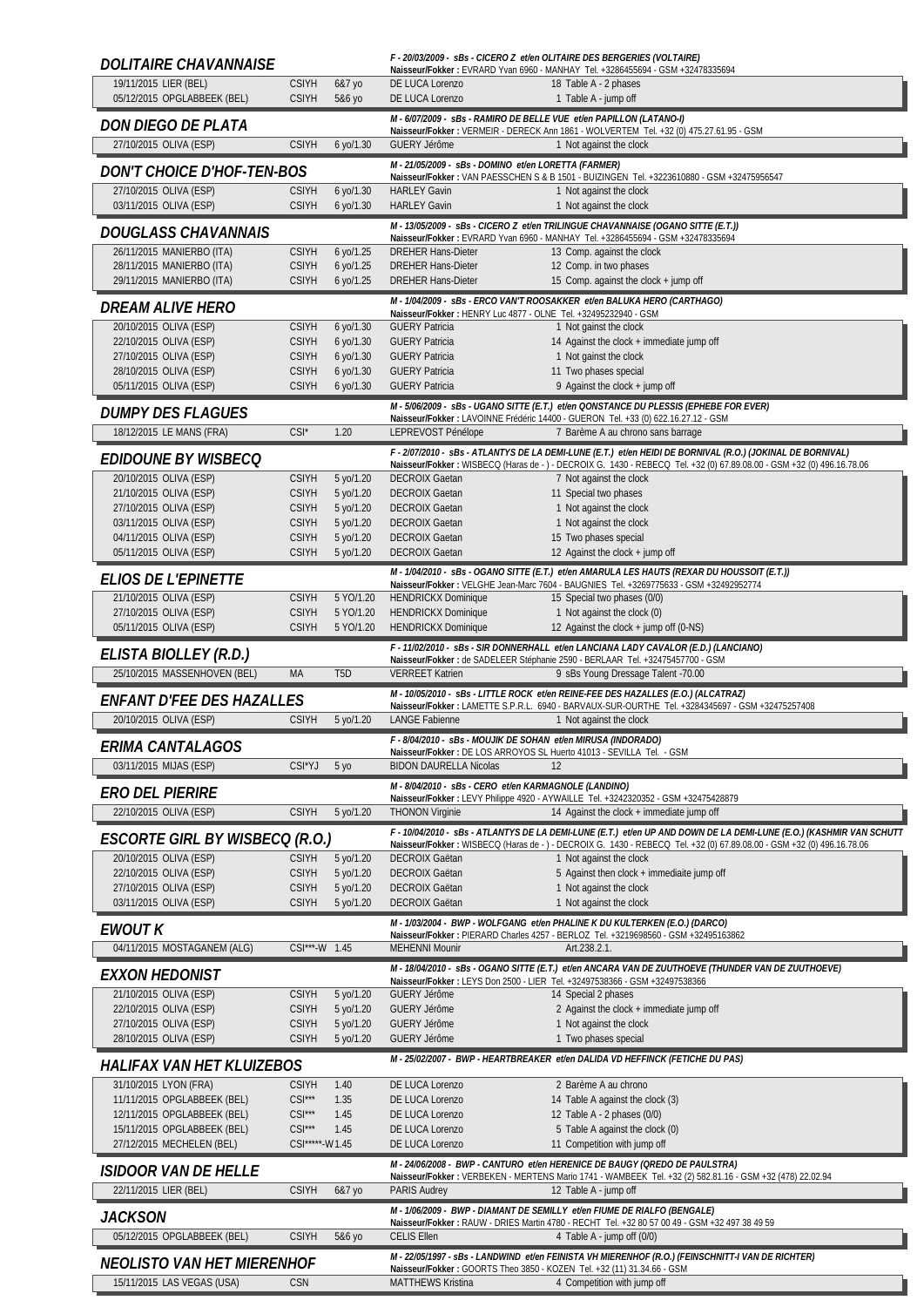| <i>DOLITAIRE CHAVANNAISE</i>                               |                              |                        |                                                                                        | F - 20/03/2009 - sBs - CICERO Z et/en OLITAIRE DES BERGERIES (VOLTAIRE)<br>Naisseur/Fokker: EVRARD Yvan 6960 - MANHAY Tel. +3286455694 - GSM +32478335694                                            |
|------------------------------------------------------------|------------------------------|------------------------|----------------------------------------------------------------------------------------|------------------------------------------------------------------------------------------------------------------------------------------------------------------------------------------------------|
| 19/11/2015 LIER (BEL)                                      | <b>CSIYH</b>                 | 6&7 yo                 | DE LUCA Lorenzo                                                                        | 18 Table A - 2 phases                                                                                                                                                                                |
| 05/12/2015 OPGLABBEEK (BEL)                                | <b>CSIYH</b>                 | 5&6 yo                 | DE LUCA Lorenzo                                                                        | 1 Table A - jump off                                                                                                                                                                                 |
| DON DIEGO DE PLATA                                         |                              |                        | M - 6/07/2009 - sBs - RAMIRO DE BELLE VUE et/en PAPILLON (LATANO-I)                    | Naisseur/Fokker: VERMEIR - DERECK Ann 1861 - WOLVERTEM Tel. +32 (0) 475.27.61.95 - GSM                                                                                                               |
| 27/10/2015 OLIVA (ESP)                                     | <b>CSIYH</b>                 | 6 yo/1.30              | <b>GUERY Jérôme</b>                                                                    | 1 Not against the clock                                                                                                                                                                              |
| <b>DON'T CHOICE D'HOF-TEN-BOS</b>                          |                              |                        | M - 21/05/2009 - sBs - DOMINO et/en LORETTA (FARMER)                                   |                                                                                                                                                                                                      |
| 27/10/2015 OLIVA (ESP)                                     | <b>CSIYH</b>                 | 6 yo/1.30              | <b>HARLEY Gavin</b>                                                                    | Naisseur/Fokker: VAN PAESSCHEN S & B 1501 - BUIZINGEN Tel. +3223610880 - GSM +32475956547<br>1 Not against the clock                                                                                 |
| 03/11/2015 OLIVA (ESP)                                     | <b>CSIYH</b>                 | 6 yo/1.30              | <b>HARLEY Gavin</b>                                                                    | 1 Not against the clock                                                                                                                                                                              |
| DOUGLASS CHAVANNAIS                                        |                              |                        |                                                                                        | M - 13/05/2009 - sBs - CICERO Z et/en TRILINGUE CHAVANNAISE (OGANO SITTE (E.T.))<br>Naisseur/Fokker: EVRARD Yvan 6960 - MANHAY Tel. +3286455694 - GSM +32478335694                                   |
| 26/11/2015 MANIERBO (ITA)                                  | <b>CSIYH</b>                 | 6 yo/1.25              | <b>DREHER Hans-Dieter</b>                                                              | 13 Comp. against the clock                                                                                                                                                                           |
| 28/11/2015 MANIERBO (ITA)<br>29/11/2015 MANIERBO (ITA)     | <b>CSIYH</b><br><b>CSIYH</b> | 6 yo/1.25<br>6 yo/1.25 | <b>DREHER Hans-Dieter</b><br><b>DREHER Hans-Dieter</b>                                 | 12 Comp. in two phases<br>15 Comp. against the clock + jump off                                                                                                                                      |
|                                                            |                              |                        |                                                                                        | M - 1/04/2009 - sBs - ERCO VAN'T ROOSAKKER et/en BALUKA HERO (CARTHAGO)                                                                                                                              |
| <i>DREAM ALIVE HERO</i>                                    |                              |                        | Naisseur/Fokker: HENRY Luc 4877 - OLNE Tel. +32495232940 - GSM                         |                                                                                                                                                                                                      |
| 20/10/2015 OLIVA (ESP)<br>22/10/2015 OLIVA (ESP)           | <b>CSIYH</b><br><b>CSIYH</b> | 6 yo/1.30<br>6 yo/1.30 | <b>GUERY Patricia</b><br><b>GUERY Patricia</b>                                         | 1 Not gainst the clock<br>14 Against the clock + immediate jump off                                                                                                                                  |
| 27/10/2015 OLIVA (ESP)                                     | <b>CSIYH</b>                 | 6 yo/1.30              | <b>GUERY Patricia</b>                                                                  | 1 Not gainst the clock                                                                                                                                                                               |
| 28/10/2015 OLIVA (ESP)<br>05/11/2015 OLIVA (ESP)           | <b>CSIYH</b><br><b>CSIYH</b> | 6 yo/1.30<br>6 yo/1.30 | <b>GUERY Patricia</b><br><b>GUERY Patricia</b>                                         | 11 Two phases special<br>9 Against the clock + jump off                                                                                                                                              |
|                                                            |                              |                        |                                                                                        | M - 5/06/2009 - sBs - UGANO SITTE (E.T.) et/en QONSTANCE DU PLESSIS (EPHEBE FOR EVER)                                                                                                                |
| <b>DUMPY DES FLAGUES</b><br>18/12/2015 LE MANS (FRA)       | $CSI^*$                      | 1.20                   | LEPREVOST Pénélope                                                                     | Naisseur/Fokker : LAVOINNE Frédéric 14400 - GUERON Tel. +33 (0) 622.16.27.12 - GSM<br>7 Barème A au chrono sans barrage                                                                              |
|                                                            |                              |                        |                                                                                        | F - 2/07/2010 - sBs - ATLANTYS DE LA DEMI-LUNE (E.T.) et/en HEIDI DE BORNIVAL (R.O.) (JOKINAL DE BORNIVAL)                                                                                           |
| <i>EDIDOUNE BY WISBECQ</i>                                 |                              |                        |                                                                                        | Naisseur/Fokker: WISBECQ (Haras de -) - DECROIX G. 1430 - REBECQ Tel. +32 (0) 67.89.08.00 - GSM +32 (0) 496.16.78.06                                                                                 |
| 20/10/2015 OLIVA (ESP)<br>21/10/2015 OLIVA (ESP)           | <b>CSIYH</b><br><b>CSIYH</b> | 5 yo/1.20<br>5 yo/1.20 | <b>DECROIX Gaetan</b><br><b>DECROIX Gaetan</b>                                         | 7 Not against the clock<br>11 Special two phases                                                                                                                                                     |
| 27/10/2015 OLIVA (ESP)                                     | <b>CSIYH</b>                 | 5 yo/1.20              | <b>DECROIX Gaetan</b>                                                                  | 1 Not against the clock                                                                                                                                                                              |
| 03/11/2015 OLIVA (ESP)                                     | <b>CSIYH</b>                 | 5 yo/1.20              | <b>DECROIX Gaetan</b>                                                                  | 1 Not against the clock                                                                                                                                                                              |
| 04/11/2015 OLIVA (ESP)<br>05/11/2015 OLIVA (ESP)           | <b>CSIYH</b><br><b>CSIYH</b> | 5 yo/1.20<br>5 yo/1.20 | <b>DECROIX Gaetan</b><br><b>DECROIX Gaetan</b>                                         | 15 Two phases special<br>12 Against the clock + jump off                                                                                                                                             |
|                                                            |                              |                        |                                                                                        | M - 1/04/2010 - sBs - OGANO SITTE (E.T.) et/en AMARULA LES HAUTS (REXAR DU HOUSSOIT (E.T.))                                                                                                          |
| <b>ELIOS DE L'EPINETTE</b>                                 |                              |                        |                                                                                        | Naisseur/Fokker: VELGHE Jean-Marc 7604 - BAUGNIES Tel. +3269775633 - GSM +32492952774                                                                                                                |
| 21/10/2015 OLIVA (ESP)<br>27/10/2015 OLIVA (ESP)           | <b>CSIYH</b><br><b>CSIYH</b> | 5 YO/1.20<br>5 YO/1.20 | <b>HENDRICKX Dominique</b><br><b>HENDRICKX Dominique</b>                               | 15 Special two phases (0/0)<br>1 Not against the clock (0)                                                                                                                                           |
| 05/11/2015 OLIVA (ESP)                                     | <b>CSIYH</b>                 | 5 YO/1.20              | <b>HENDRICKX Dominique</b>                                                             | 12 Against the clock + jump off (0-NS)                                                                                                                                                               |
| ELISTA BIOLLEY (R.D.)                                      |                              |                        |                                                                                        | F - 11/02/2010 - sBs - SIR DONNERHALL et/en LANCIANA LADY CAVALOR (E.D.) (LANCIANO)                                                                                                                  |
|                                                            |                              |                        |                                                                                        | Naisseur/Fokker : de SADELEER Stéphanie 2590 - BERLAAR Tel. +32475457700 - GSM                                                                                                                       |
| 25/10/2015 MASSENHOVEN (BEL)                               | MA                           | T <sub>5</sub> D       | <b>VERREET Katrien</b>                                                                 | 9 sBs Young Dressage Talent -70.00                                                                                                                                                                   |
|                                                            |                              |                        |                                                                                        | M - 10/05/2010 - sBs - LITTLE ROCK et/en REINE-FEE DES HAZALLES (E.O.) (ALCATRAZ)                                                                                                                    |
| <i>ENFANT D'FEE DES HAZALLES</i><br>20/10/2015 OLIVA (ESP) | <b>CSIYH</b>                 | 5 yo/1.20              | <b>LANGE Fabienne</b>                                                                  | Naisseur/Fokker: LAMETTE S.P.R.L. 6940 - BARVAUX-SUR-OURTHE Tel. +3284345697 - GSM +32475257408<br>1 Not against the clock                                                                           |
|                                                            |                              |                        | F - 8/04/2010 - sBs - MOUJIK DE SOHAN et/en MIRUSA (INDORADO)                          |                                                                                                                                                                                                      |
| ERIMA CANTALAGOS                                           |                              |                        | Naisseur/Fokker: DE LOS ARROYOS SL Huerto 41013 - SEVILLA Tel. - GSM                   |                                                                                                                                                                                                      |
| 03/11/2015 MIJAS (ESP)                                     | CSI*YJ                       | 5 <sub>yo</sub>        | <b>BIDON DAURELLA Nicolas</b><br>M - 8/04/2010 - sBs - CERO et/en KARMAGNOLE (LANDINO) | 12                                                                                                                                                                                                   |
| <b>ERO DEL PIERIRE</b>                                     |                              |                        |                                                                                        | Naisseur/Fokker: LEVY Philippe 4920 - AYWAILLE Tel. +3242320352 - GSM +32475428879                                                                                                                   |
| 22/10/2015 OLIVA (ESP)                                     | <b>CSIYH</b>                 | 5 yo/1.20              | <b>THONON Virginie</b>                                                                 | 14 Against the clock + immediate jump off                                                                                                                                                            |
| <i>ESCORTE GIRL BY WISBECQ (R.O.)</i>                      |                              |                        |                                                                                        | Naisseur/Fokker: WISBECQ (Haras de -) - DECROIX G. 1430 - REBECQ Tel. +32 (0) 67.89.08.00 - GSM +32 (0) 496.16.78.06                                                                                 |
| 20/10/2015 OLIVA (ESP)                                     | <b>CSIYH</b>                 | 5 yo/1.20              | <b>DECROIX Gaëtan</b>                                                                  | 1 Not against the clock                                                                                                                                                                              |
| 22/10/2015 OLIVA (ESP)<br>27/10/2015 OLIVA (ESP)           | <b>CSIYH</b><br><b>CSIYH</b> | 5 yo/1.20<br>5 yo/1.20 | DECROIX Gaëtan<br><b>DECROIX Gaëtan</b>                                                | 5 Against then clock + immediaite jump off<br>1 Not against the clock                                                                                                                                |
| 03/11/2015 OLIVA (ESP)                                     | <b>CSIYH</b>                 | 5 yo/1.20              | <b>DECROIX Gaëtan</b>                                                                  | 1 Not against the clock                                                                                                                                                                              |
| <b>EWOUT K</b>                                             |                              |                        |                                                                                        | M - 1/03/2004 - BWP - WOLFGANG et/en PHALINE K DU KULTERKEN (E.O.) (DARCO)                                                                                                                           |
| 04/11/2015 MOSTAGANEM (ALG)                                | CSI***-W 1.45                |                        | <b>MEHENNI Mounir</b>                                                                  | Naisseur/Fokker: PIERARD Charles 4257 - BERLOZ Tel. +3219698560 - GSM +32495163862<br>Art.238.2.1.                                                                                                   |
| <b>EXXON HEDONIST</b>                                      |                              |                        |                                                                                        | M - 18/04/2010 - sBs - OGANO SITTE (E.T.) et/en ANCARA VAN DE ZUUTHOEVE (THUNDER VAN DE ZUUTHOEVE)                                                                                                   |
| 21/10/2015 OLIVA (ESP)                                     | <b>CSIYH</b>                 | 5 yo/1.20              | <b>GUERY Jérôme</b>                                                                    | Naisseur/Fokker: LEYS Don 2500 - LIER Tel. +32497538366 - GSM +32497538366<br>14 Special 2 phases                                                                                                    |
| 22/10/2015 OLIVA (ESP)                                     | <b>CSIYH</b>                 | 5 yo/1.20              | <b>GUERY Jérôme</b>                                                                    | 2 Against the clock + immediate jump off                                                                                                                                                             |
| 27/10/2015 OLIVA (ESP)                                     | <b>CSIYH</b>                 | 5 yo/1.20              | <b>GUERY Jérôme</b>                                                                    | 1 Not against the clock                                                                                                                                                                              |
| 28/10/2015 OLIVA (ESP)                                     | <b>CSIYH</b>                 | 5 yo/1.20              | <b>GUERY Jérôme</b>                                                                    | 1 Two phases special                                                                                                                                                                                 |
| HALIFAX VAN HET KLUIZEBOS                                  |                              |                        |                                                                                        | F - 10/04/2010 - SBS - ATLANTYS DE LA DEMI-LUNE (E.T.) et/en UP AND DOWN DE LA DEMI-LUNE (E.O.) (KASHMIR VAN SCHUTT<br>M - 25/02/2007 - BWP - HEARTBREAKER et/en DALIDA VD HEFFINCK (FETICHE DU PAS) |
| 31/10/2015 LYON (FRA)                                      | <b>CSIYH</b>                 | 1.40                   | DE LUCA Lorenzo                                                                        | 2 Barème A au chrono                                                                                                                                                                                 |
| 11/11/2015 OPGLABBEEK (BEL)<br>12/11/2015 OPGLABBEEK (BEL) | $CSI***$<br>$CSI***$         | 1.35<br>1.45           | DE LUCA Lorenzo<br>DE LUCA Lorenzo                                                     | 14 Table A against the clock (3)<br>12 Table A - 2 phases (0/0)                                                                                                                                      |
| 15/11/2015 OPGLABBEEK (BEL)                                | $CSI***$                     | 1.45                   | DE LUCA Lorenzo                                                                        | 5 Table A against the clock (0)                                                                                                                                                                      |
| 27/12/2015 MECHELEN (BEL)                                  | CSI*****-W1.45               |                        | DE LUCA Lorenzo                                                                        | 11 Competition with jump off                                                                                                                                                                         |
| ISIDOOR VAN DE HELLE                                       |                              |                        |                                                                                        | M - 24/06/2008 - BWP - CANTURO et/en HERENICE DE BAUGY (OREDO DE PAULSTRA)<br>Naisseur/Fokker: VERBEKEN - MERTENS Mario 1741 - WAMBEEK Tel. +32 (2) 582.81.16 - GSM +32 (478) 22.02.94               |
| 22/11/2015 LIER (BEL)                                      | <b>CSIYH</b>                 | 6&7 yo                 | <b>PARIS Audrey</b>                                                                    | 12 Table A - jump off                                                                                                                                                                                |
| <b>JACKSON</b>                                             |                              |                        |                                                                                        | M - 1/06/2009 - BWP - DIAMANT DE SEMILLY et/en FIUME DE RIALFO (BENGALE)                                                                                                                             |
| 05/12/2015 OPGLABBEEK (BEL)                                | <b>CSIYH</b>                 | 5&6 yo                 | <b>CELIS Ellen</b>                                                                     | Naisseur/Fokker: RAUW - DRIES Martin 4780 - RECHT Tel. +32 80 57 00 49 - GSM +32 497 38 49 59<br>4 Table A - jump off (0/0)                                                                          |
| NEOLISTO VAN HET MIERENHOF                                 |                              |                        | Naisseur/Fokker: GOORTS Theo 3850 - KOZEN Tel. +32 (11) 31.34.66 - GSM                 | M - 22/05/1997 - sBs - LANDWIND et/en FEINISTA VH MIERENHOF (R.O.) (FEINSCHNITT-I VAN DE RICHTER)                                                                                                    |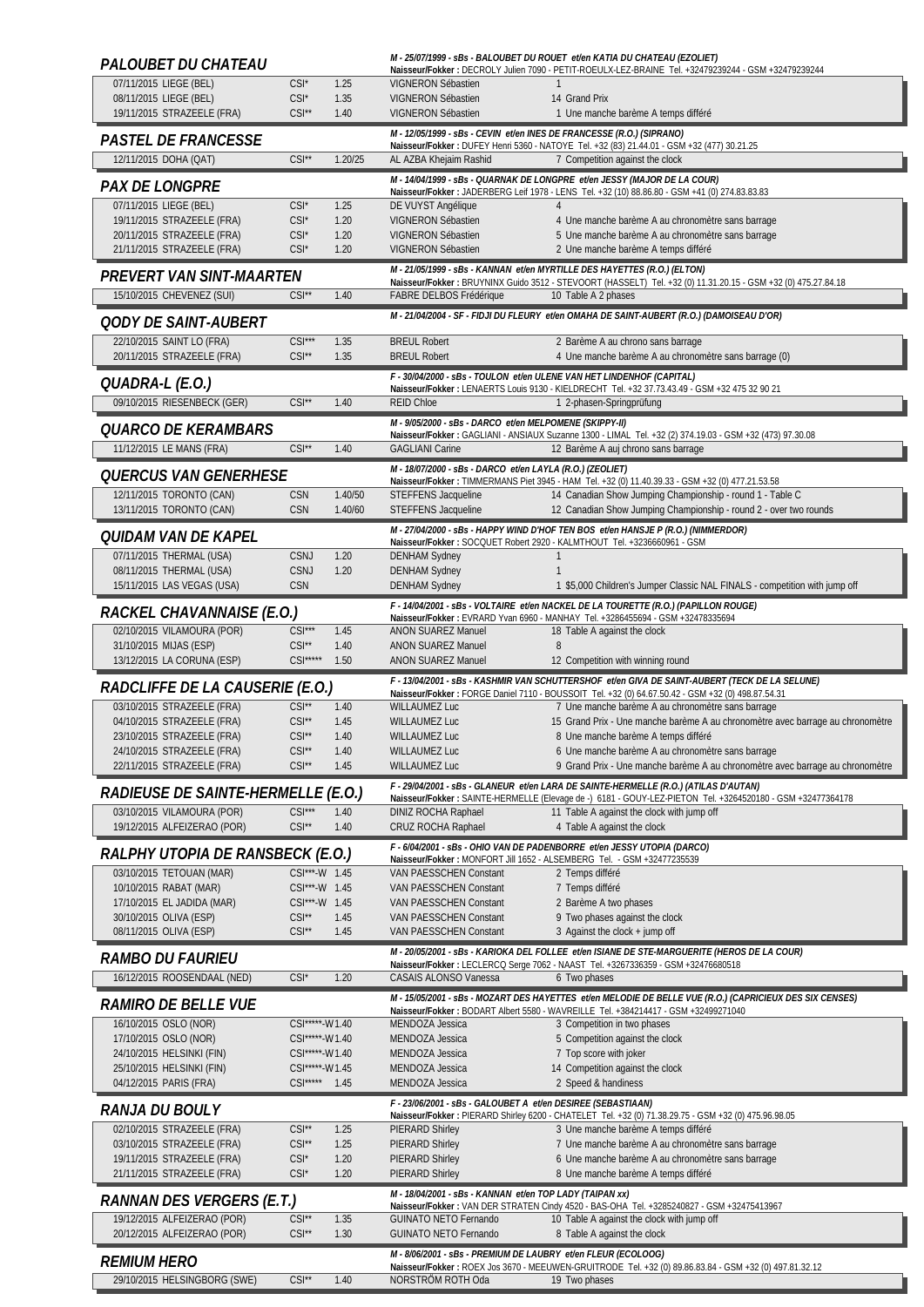| PALOUBET DU CHATEAU                                           |                                  |                    |                                                                                               | M - 25/07/1999 - sBs - BALOUBET DU ROUET et/en KATIA DU CHATEAU (EZOLIET)<br>Naisseur/Fokker: DECROLY Julien 7090 - PETIT-ROEULX-LEZ-BRAINE Tel. +32479239244 - GSM +32479239244                    |
|---------------------------------------------------------------|----------------------------------|--------------------|-----------------------------------------------------------------------------------------------|-----------------------------------------------------------------------------------------------------------------------------------------------------------------------------------------------------|
| 07/11/2015 LIEGE (BEL)                                        | $CSI^*$                          | 1.25               | VIGNERON Sébastien                                                                            |                                                                                                                                                                                                     |
| 08/11/2015 LIEGE (BEL)<br>19/11/2015 STRAZEELE (FRA)          | $CSI^*$<br>$CSI^{\star\star}$    | 1.35<br>1.40       | VIGNERON Sébastien<br>VIGNERON Sébastien                                                      | 14 Grand Prix<br>1 Une manche barème A temps différé                                                                                                                                                |
|                                                               |                                  |                    |                                                                                               | M - 12/05/1999 - sBs - CEVIN et/en INES DE FRANCESSE (R.O.) (SIPRANO)                                                                                                                               |
| <b>PASTEL DE FRANCESSE</b><br>12/11/2015 DOHA (QAT)           | $CSI**$                          | 1.20/25            | AL AZBA Khejaim Rashid                                                                        | Naisseur/Fokker: DUFEY Henri 5360 - NATOYE Tel. +32 (83) 21.44.01 - GSM +32 (477) 30.21.25<br>7 Competition against the clock                                                                       |
|                                                               |                                  |                    |                                                                                               | M - 14/04/1999 - sBs - QUARNAK DE LONGPRE et/en JESSY (MAJOR DE LA COUR)                                                                                                                            |
| <i>PAX DE LONGPRE</i><br>07/11/2015 LIEGE (BEL)               | $CSI^*$                          |                    |                                                                                               | Naisseur/Fokker: JADERBERG Leif 1978 - LENS Tel. +32 (10) 88.86.80 - GSM +41 (0) 274.83.83.83                                                                                                       |
| 19/11/2015 STRAZEELE (FRA)                                    | $CSI^*$                          | 1.25<br>1.20       | DE VUYST Angélique<br>VIGNERON Sébastien                                                      | 4 Une manche barème A au chronomètre sans barrage                                                                                                                                                   |
| 20/11/2015 STRAZEELE (FRA)                                    | $CSI^*$                          | 1.20               | VIGNERON Sébastien                                                                            | 5 Une manche barème A au chronomètre sans barrage                                                                                                                                                   |
| 21/11/2015 STRAZEELE (FRA)                                    | $CSI^*$                          | 1.20               | VIGNERON Sébastien                                                                            | 2 Une manche barème A temps différé<br>M - 21/05/1999 - sBs - KANNAN et/en MYRTILLE DES HAYETTES (R.O.) (ELTON)                                                                                     |
| PREVERT VAN SINT-MAARTEN                                      |                                  |                    |                                                                                               | Naisseur/Fokker: BRUYNINX Guido 3512 - STEVOORT (HASSELT) Tel. +32 (0) 11.31.20.15 - GSM +32 (0) 475.27.84.18                                                                                       |
| 15/10/2015 CHEVENEZ (SUI)                                     | $CSI^*$                          | 1.40               | <b>FABRE DELBOS Frédérique</b>                                                                | 10 Table A 2 phases                                                                                                                                                                                 |
| <i>OODY DE SAINT-AUBERT</i>                                   |                                  |                    |                                                                                               | M - 21/04/2004 - SF - FIDJI DU FLEURY et/en OMAHA DE SAINT-AUBERT (R.O.) (DAMOISEAU D'OR)                                                                                                           |
| 22/10/2015 SAINT LO (FRA)<br>20/11/2015 STRAZEELE (FRA)       | $CSI***$<br>$CSI**$              | 1.35<br>1.35       | <b>BREUL Robert</b><br><b>BREUL Robert</b>                                                    | 2 Barème A au chrono sans barrage<br>4 Une manche barème A au chronomètre sans barrage (0)                                                                                                          |
|                                                               |                                  |                    |                                                                                               | F - 30/04/2000 - sBs - TOULON et/en ULENE VAN HET LINDENHOF (CAPITAL)                                                                                                                               |
| QUADRA-L (E.O.)<br>09/10/2015 RIESENBECK (GER)                | $CSI**$                          | 1.40               | <b>REID Chloe</b>                                                                             | Naisseur/Fokker: LENAERTS Louis 9130 - KIELDRECHT Tel. +32 37.73.43.49 - GSM +32 475 32 90 21<br>1 2-phasen-Springprüfung                                                                           |
|                                                               |                                  |                    | M - 9/05/2000 - sBs - DARCO et/en MELPOMENE (SKIPPY-II)                                       |                                                                                                                                                                                                     |
| <i><b>QUARCO DE KERAMBARS</b></i><br>11/12/2015 LE MANS (FRA) | $CSI**$                          | 1.40               | <b>GAGLIANI Carine</b>                                                                        | Naisseur/Fokker: GAGLIANI - ANSIAUX Suzanne 1300 - LIMAL Tel. +32 (2) 374.19.03 - GSM +32 (473) 97.30.08<br>12 Barème A auj chrono sans barrage                                                     |
|                                                               |                                  |                    | M - 18/07/2000 - sBs - DARCO et/en LAYLA (R.O.) (ZEOLIET)                                     |                                                                                                                                                                                                     |
| <i>QUERCUS VAN GENERHESE</i>                                  |                                  |                    |                                                                                               | Naisseur/Fokker: TIMMERMANS Piet 3945 - HAM Tel. +32 (0) 11.40.39.33 - GSM +32 (0) 477.21.53.58                                                                                                     |
| 12/11/2015 TORONTO (CAN)<br>13/11/2015 TORONTO (CAN)          | <b>CSN</b><br><b>CSN</b>         | 1.40/50<br>1.40/60 | STEFFENS Jacqueline<br>STEFFENS Jacqueline                                                    | 14 Canadian Show Jumping Championship - round 1 - Table C<br>12 Canadian Show Jumping Championship - round 2 - over two rounds                                                                      |
| <i><b>QUIDAM VAN DE KAPEL</b></i>                             |                                  |                    |                                                                                               | M - 27/04/2000 - sBs - HAPPY WIND D'HOF TEN BOS et/en HANSJE P (R.O.) (NIMMERDOR)                                                                                                                   |
| 07/11/2015 THERMAL (USA)                                      | CSNJ                             | 1.20               | <b>DENHAM Sydney</b>                                                                          | Naisseur/Fokker: SOCQUET Robert 2920 - KALMTHOUT Tel. +3236660961 - GSM                                                                                                                             |
| 08/11/2015 THERMAL (USA)                                      | CSNJ                             | 1.20               | <b>DENHAM Sydney</b>                                                                          |                                                                                                                                                                                                     |
| 15/11/2015 LAS VEGAS (USA)                                    | <b>CSN</b>                       |                    | <b>DENHAM Sydney</b>                                                                          | 1 \$5,000 Children's Jumper Classic NAL FINALS - competition with jump off                                                                                                                          |
| RACKEL CHAVANNAISE (E.O.)                                     |                                  |                    |                                                                                               | F - 14/04/2001 - sBs - VOLTAIRE et/en NACKEL DE LA TOURETTE (R.O.) (PAPILLON ROUGE)<br>Naisseur/Fokker: EVRARD Yvan 6960 - MANHAY Tel. +3286455694 - GSM +32478335694                               |
| 02/10/2015 VILAMOURA (POR)<br>31/10/2015 MIJAS (ESP)          | $CSI***$<br>$CSI^{\star\star}$   | 1.45<br>1.40       | <b>ANON SUAREZ Manuel</b><br>ANON SUAREZ Manuel                                               | 18 Table A against the clock<br>8                                                                                                                                                                   |
| 13/12/2015 LA CORUNA (ESP)                                    | $CSI***$                         | 1.50               | <b>ANON SUAREZ Manuel</b>                                                                     | 12 Competition with winning round                                                                                                                                                                   |
|                                                               |                                  |                    |                                                                                               |                                                                                                                                                                                                     |
| RADCLIFFE DE LA CAUSERIE (E.O.)                               |                                  |                    |                                                                                               | F - 13/04/2001 - sBs - KASHMIR VAN SCHUTTERSHOF et/en GIVA DE SAINT-AUBERT (TECK DE LA SELUNE)<br>Naisseur/Fokker: FORGE Daniel 7110 - BOUSSOIT Tel. +32 (0) 64.67.50.42 - GSM +32 (0) 498.87.54.31 |
| 03/10/2015 STRAZEELE (FRA)                                    | $CSI**$                          | 1.40               | <b>WILLAUMEZ Luc</b>                                                                          | 7 Une manche barème A au chronomètre sans barrage                                                                                                                                                   |
| 04/10/2015 STRAZEELE (FRA)<br>23/10/2015 STRAZEELE (FRA)      | $CSI**$<br>$CSI**$               | 1.45<br>1.40       | <b>WILLAUMEZ Luc</b><br><b>WILLAUMEZ Luc</b>                                                  | 15 Grand Prix - Une manche barème A au chronomètre avec barrage au chronomètre<br>8 Une manche barème A temps différé                                                                               |
| 24/10/2015 STRAZEELE (FRA)                                    | $CSI**$                          | 1.40               | <b>WILLAUMEZ Luc</b>                                                                          | 6 Une manche barème A au chronomètre sans barrage                                                                                                                                                   |
| 22/11/2015 STRAZEELE (FRA)                                    | $CSI^{\star\star}$               | 1.45               | <b>WILLAUMEZ Luc</b>                                                                          | 9 Grand Prix - Une manche barème A au chronomètre avec barrage au chronomètre                                                                                                                       |
| RADIEUSE DE SAINTE-HERMELLE (E.O.)                            |                                  |                    |                                                                                               | F - 29/04/2001 - sBs - GLANEUR et/en LARA DE SAINTE-HERMELLE (R.O.) (ATILAS D'AUTAN)<br>Naisseur/Fokker: SAINTE-HERMELLE (Elevage de -) 6181 - GOUY-LEZ-PIETON Tel. +3264520180 - GSM +32477364178  |
| 03/10/2015 VILAMOURA (POR)<br>19/12/2015 ALFEIZERAO (POR)     | $CSI***$<br>$CSI**$              | 1.40<br>1.40       | DINIZ ROCHA Raphael<br>CRUZ ROCHA Raphael                                                     | 11 Table A against the clock with jump off<br>4 Table A against the clock                                                                                                                           |
|                                                               |                                  |                    |                                                                                               | F - 6/04/2001 - sBs - OHIO VAN DE PADENBORRE et/en JESSY UTOPIA (DARCO)                                                                                                                             |
| RALPHY UTOPIA DE RANSBECK (E.O.)<br>03/10/2015 TETOUAN (MAR)  | CSI***-W 1.45                    |                    | VAN PAESSCHEN Constant                                                                        | Naisseur/Fokker: MONFORT Jill 1652 - ALSEMBERG Tel. - GSM +32477235539<br>2 Temps différé                                                                                                           |
| 10/10/2015 RABAT (MAR)                                        | CSI***-W 1.45                    |                    | VAN PAESSCHEN Constant                                                                        | 7 Temps différé                                                                                                                                                                                     |
| 17/10/2015 EL JADIDA (MAR)                                    | CSI***-W 1.45                    |                    | VAN PAESSCHEN Constant                                                                        | 2 Barème A two phases                                                                                                                                                                               |
| 30/10/2015 OLIVA (ESP)<br>08/11/2015 OLIVA (ESP)              | $CSI**$<br>$CSI^{\star\star}$    | 1.45<br>1.45       | VAN PAESSCHEN Constant<br>VAN PAESSCHEN Constant                                              | 9 Two phases against the clock<br>3 Against the clock + jump off                                                                                                                                    |
| <i>RAMBO DU FAURIEU</i>                                       |                                  |                    |                                                                                               | M - 20/05/2001 - sBs - KARIOKA DEL FOLLEE et/en ISIANE DE STE-MARGUERITE (HEROS DE LA COUR)                                                                                                         |
| 16/12/2015 ROOSENDAAL (NED)                                   | $CSI^*$                          | 1.20               | CASAIS ALONSO Vanessa                                                                         | Naisseur/Fokker: LECLERCQ Serge 7062 - NAAST Tel. +3267336359 - GSM +32476680518<br>6 Two phases                                                                                                    |
| <i>RAMIRO DE BELLE VUE</i>                                    |                                  |                    |                                                                                               | M - 15/05/2001 - sBs - MOZART DES HAYETTES et/en MELODIE DE BELLE VUE (R.O.) (CAPRICIEUX DES SIX CENSES)                                                                                            |
| 16/10/2015 OSLO (NOR)                                         | CSI*****-W1.40                   |                    | MENDOZA Jessica                                                                               | Naisseur/Fokker: BODART Albert 5580 - WAVREILLE Tel. +384214417 - GSM +32499271040<br>3 Competition in two phases                                                                                   |
| 17/10/2015 OSLO (NOR)                                         | CSI*****-W1.40                   |                    | MENDOZA Jessica<br>MENDOZA Jessica                                                            | 5 Competition against the clock                                                                                                                                                                     |
| 24/10/2015 HELSINKI (FIN)<br>25/10/2015 HELSINKI (FIN)        | CSI*****-W1.40<br>CSI*****-W1.45 |                    | MENDOZA Jessica                                                                               | 7 Top score with joker<br>14 Competition against the clock                                                                                                                                          |
| 04/12/2015 PARIS (FRA)                                        | CSI***** 1.45                    |                    | MENDOZA Jessica                                                                               | 2 Speed & handiness                                                                                                                                                                                 |
| RANJA DU BOULY                                                |                                  |                    | F - 23/06/2001 - sBs - GALOUBET A et/en DESIREE (SEBASTIAAN)                                  | Naisseur/Fokker: PIERARD Shirley 6200 - CHATELET Tel. +32 (0) 71.38.29.75 - GSM +32 (0) 475.96.98.05                                                                                                |
| 02/10/2015 STRAZEELE (FRA)                                    | $CSI^{\star\star}$               | 1.25               | <b>PIERARD Shirley</b>                                                                        | 3 Une manche barème A temps différé                                                                                                                                                                 |
| 03/10/2015 STRAZEELE (FRA)<br>19/11/2015 STRAZEELE (FRA)      | $CSI^{\star\star}$<br>$CSI^*$    | 1.25<br>1.20       | <b>PIERARD Shirley</b><br><b>PIERARD Shirley</b>                                              | 7 Une manche barème A au chronomètre sans barrage<br>6 Une manche barème A au chronomètre sans barrage                                                                                              |
| 21/11/2015 STRAZEELE (FRA)                                    | $CSI^*$                          | 1.20               | <b>PIERARD Shirley</b>                                                                        | 8 Une manche barème A temps différé                                                                                                                                                                 |
| RANNAN DES VERGERS (E.T.)                                     |                                  |                    | M - 18/04/2001 - sBs - KANNAN et/en TOP LADY (TAIPAN xx)                                      | Naisseur/Fokker: VAN DER STRATEN Cindy 4520 - BAS-OHA Tel. +3285240827 - GSM +32475413967                                                                                                           |
| 19/12/2015 ALFEIZERAO (POR)                                   | $CSI**$                          | 1.35               | <b>GUINATO NETO Fernando</b>                                                                  | 10 Table A against the clock with jump off                                                                                                                                                          |
| 20/12/2015 ALFEIZERAO (POR)                                   | $CSI^{\star\star}$               | 1.30               | <b>GUINATO NETO Fernando</b><br>M - 8/06/2001 - sBs - PREMIUM DE LAUBRY et/en FLEUR (ECOLOOG) | 8 Table A against the clock                                                                                                                                                                         |
| <b>REMIUM HERO</b><br>29/10/2015 HELSINGBORG (SWE)            | $CSI**$                          | 1.40               | NORSTRÖM ROTH Oda                                                                             | Naisseur/Fokker: ROEX Jos 3670 - MEEUWEN-GRUITRODE Tel. +32 (0) 89.86.83.84 - GSM +32 (0) 497.81.32.12<br>19 Two phases                                                                             |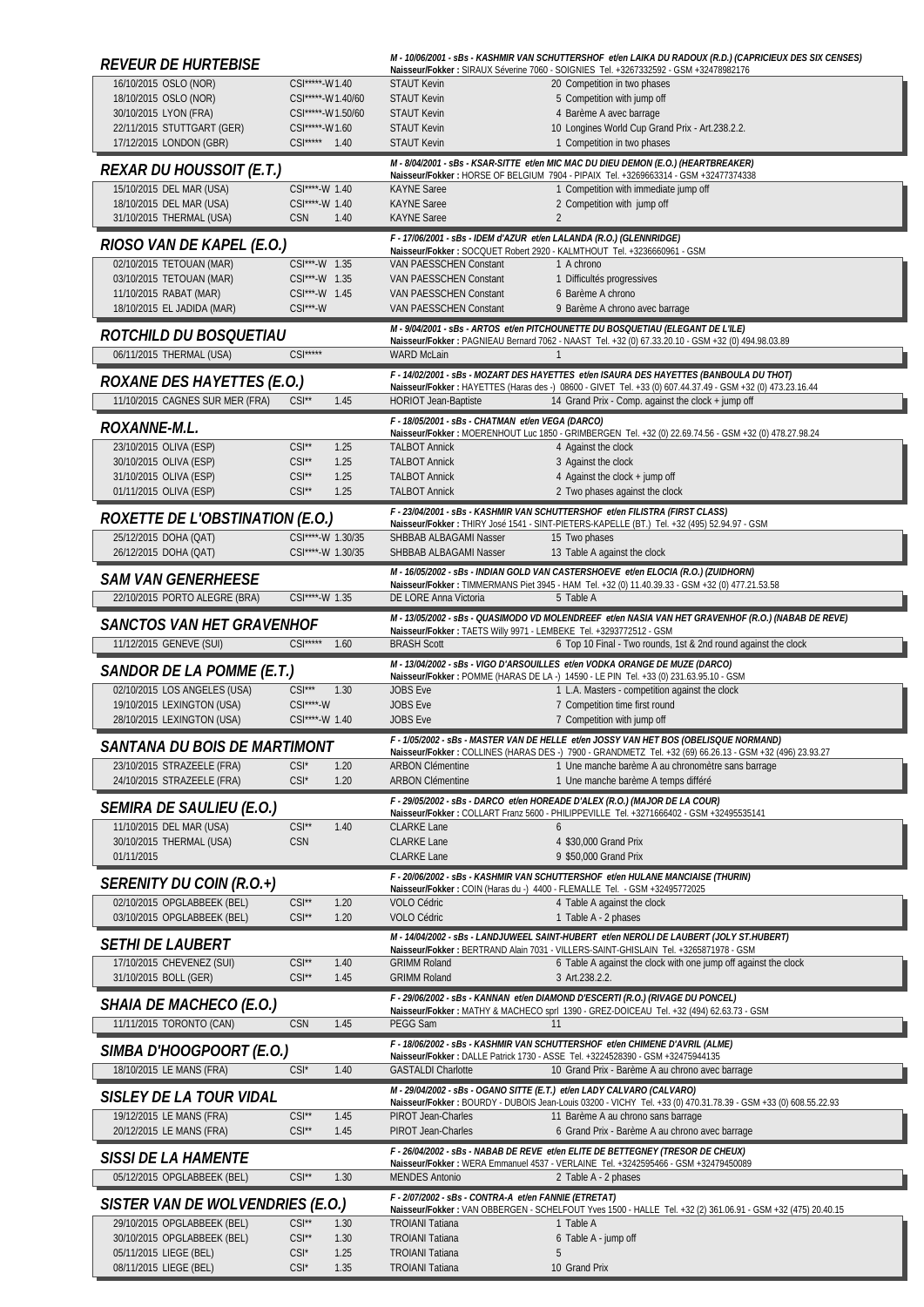| <i>REVEUR DE HURTEBISE</i>                               |                                               |                                                       | M - 10/06/2001 - sBs - KASHMIR VAN SCHUTTERSHOF et/en LAIKA DU RADOUX (R.D.) (CAPRICIEUX DES SIX CENSES)<br>Naisseur/Fokker: SIRAUX Séverine 7060 - SOIGNIES Tel. +3267332592 - GSM +32478982176      |
|----------------------------------------------------------|-----------------------------------------------|-------------------------------------------------------|-------------------------------------------------------------------------------------------------------------------------------------------------------------------------------------------------------|
| 16/10/2015 OSLO (NOR)                                    | CSI*****-W1.40                                | <b>STAUT Kevin</b>                                    | 20 Competition in two phases                                                                                                                                                                          |
| 18/10/2015 OSLO (NOR)                                    | CSI*****-W1.40/60                             | <b>STAUT Kevin</b>                                    | 5 Competition with jump off                                                                                                                                                                           |
| 30/10/2015 LYON (FRA)<br>22/11/2015 STUTTGART (GER)      | CSI*****-W1.50/60<br>CSI*****-W1.60           | <b>STAUT Kevin</b><br><b>STAUT Kevin</b>              | 4 Barème A avec barrage<br>10 Longines World Cup Grand Prix - Art.238.2.2.                                                                                                                            |
| 17/12/2015 LONDON (GBR)                                  | CSI***** 1.40                                 | <b>STAUT Kevin</b>                                    | 1 Competition in two phases                                                                                                                                                                           |
| REXAR DU HOUSSOIT (E.T.)                                 |                                               |                                                       | M - 8/04/2001 - sBs - KSAR-SITTE et/en MIC MAC DU DIEU DEMON (E.O.) (HEARTBREAKER)                                                                                                                    |
| 15/10/2015 DEL MAR (USA)                                 | CSI****-W 1.40                                | <b>KAYNE</b> Saree                                    | Naisseur/Fokker: HORSE OF BELGIUM 7904 - PIPAIX Tel. +3269663314 - GSM +32477374338<br>1 Competition with immediate jump off                                                                          |
| 18/10/2015 DEL MAR (USA)                                 | CSI****-W 1.40                                | <b>KAYNE</b> Saree                                    | 2 Competition with jump off                                                                                                                                                                           |
| 31/10/2015 THERMAL (USA)                                 | <b>CSN</b><br>1.40                            | <b>KAYNE</b> Saree                                    | $\overline{2}$                                                                                                                                                                                        |
| RIOSO VAN DE KAPEL (E.O.)                                |                                               |                                                       | F - 17/06/2001 - sBs - IDEM d'AZUR et/en LALANDA (R.O.) (GLENNRIDGE)<br>Naisseur/Fokker: SOCQUET Robert 2920 - KALMTHOUT Tel. +3236660961 - GSM                                                       |
| 02/10/2015 TETOUAN (MAR)                                 | CSI***-W 1.35                                 | VAN PAESSCHEN Constant                                | 1 A chrono                                                                                                                                                                                            |
| 03/10/2015 TETOUAN (MAR)                                 | CSI***-W 1.35                                 | VAN PAESSCHEN Constant                                | 1 Difficultés progressives                                                                                                                                                                            |
| 11/10/2015 RABAT (MAR)<br>18/10/2015 EL JADIDA (MAR)     | CSI***-W 1.45<br>$CSI***$ -W                  | VAN PAESSCHEN Constant<br>VAN PAESSCHEN Constant      | 6 Barème A chrono<br>9 Barème A chrono avec barrage                                                                                                                                                   |
|                                                          |                                               |                                                       | M - 9/04/2001 - sBs - ARTOS et/en PITCHOUNETTE DU BOSQUETIAU (ELEGANT DE L'ILE)                                                                                                                       |
| <i>ROTCHILD DU BOSOUETIAU</i>                            |                                               |                                                       | Naisseur/Fokker: PAGNIEAU Bernard 7062 - NAAST Tel. +32 (0) 67.33.20.10 - GSM +32 (0) 494.98.03.89                                                                                                    |
| 06/11/2015 THERMAL (USA)                                 | $CSI***$                                      | <b>WARD McLain</b>                                    | $\mathbf{1}$                                                                                                                                                                                          |
| <b>ROXANE DES HAYETTES (E.O.)</b>                        |                                               |                                                       | F - 14/02/2001 - sBs - MOZART DES HAYETTES et/en ISAURA DES HAYETTES (BANBOULA DU THOT)<br>Naisseur/Fokker: HAYETTES (Haras des -) 08600 - GIVET Tel. +33 (0) 607.44.37.49 - GSM +32 (0) 473.23.16.44 |
| 11/10/2015 CAGNES SUR MER (FRA)                          | $CSI^*$<br>1.45                               | <b>HORIOT Jean-Baptiste</b>                           | 14 Grand Prix - Comp. against the clock + jump off                                                                                                                                                    |
| <i>ROXANNE-M.L.</i>                                      |                                               | F - 18/05/2001 - sBs - CHATMAN et/en VEGA (DARCO)     | Naisseur/Fokker: MOERENHOUT Luc 1850 - GRIMBERGEN Tel. +32 (0) 22.69.74.56 - GSM +32 (0) 478.27.98.24                                                                                                 |
| 23/10/2015 OLIVA (ESP)                                   | $CSI**$<br>1.25                               | <b>TALBOT Annick</b>                                  | 4 Against the clock                                                                                                                                                                                   |
| 30/10/2015 OLIVA (ESP)                                   | $CSI**$<br>1.25                               | <b>TALBOT Annick</b>                                  | 3 Against the clock                                                                                                                                                                                   |
| 31/10/2015 OLIVA (ESP)<br>01/11/2015 OLIVA (ESP)         | $CSI**$<br>1.25<br>$CSI**$<br>1.25            | <b>TALBOT Annick</b><br><b>TALBOT Annick</b>          | 4 Against the clock + jump off<br>2 Two phases against the clock                                                                                                                                      |
|                                                          |                                               |                                                       | F - 23/04/2001 - sBs - KASHMIR VAN SCHUTTERSHOF et/en FILISTRA (FIRST CLASS)                                                                                                                          |
| ROXETTE DE L'OBSTINATION (E.O.)                          |                                               |                                                       | Naisseur/Fokker: THIRY José 1541 - SINT-PIETERS-KAPELLE (BT.) Tel. +32 (495) 52.94.97 - GSM                                                                                                           |
| 25/12/2015 DOHA (QAT)<br>26/12/2015 DOHA (QAT)           | CSI****-W 1.30/35<br>CSI****-W 1.30/35        | SHBBAB ALBAGAMI Nasser<br>SHBBAB ALBAGAMI Nasser      | 15 Two phases<br>13 Table A against the clock                                                                                                                                                         |
|                                                          |                                               |                                                       | M - 16/05/2002 - sBs - INDIAN GOLD VAN CASTERSHOEVE et/en ELOCIA (R.O.) (ZUIDHORN)                                                                                                                    |
| <i>SAM VAN GENERHEESE</i>                                |                                               |                                                       | Naisseur/Fokker: TIMMERMANS Piet 3945 - HAM Tel. +32 (0) 11.40.39.33 - GSM +32 (0) 477.21.53.58                                                                                                       |
| 22/10/2015 PORTO ALEGRE (BRA)                            | CSI****-W 1.35                                | DE LORE Anna Victoria                                 | 5 Table A                                                                                                                                                                                             |
| SANCTOS VAN HET GRAVENHOF                                |                                               |                                                       | M - 13/05/2002 - sBs - QUASIMODO VD MOLENDREEF et/en NASIA VAN HET GRAVENHOF (R.O.) (NABAB DE REVE)<br>Naisseur/Fokker: TAETS Willy 9971 - LEMBEKE Tel. +3293772512 - GSM                             |
| 11/12/2015 GENEVE (SUI)                                  | $CSI***$<br>1.60                              | <b>BRASH Scott</b>                                    | 6 Top 10 Final - Two rounds, 1st & 2nd round against the clock                                                                                                                                        |
| SANDOR DE LA POMME (E.T.)                                |                                               |                                                       | M - 13/04/2002 - sBs - VIGO D'ARSOUILLES et/en VODKA ORANGE DE MUZE (DARCO)<br>Naisseur/Fokker: POMME (HARAS DE LA -) 14590 - LE PIN Tel. +33 (0) 231.63.95.10 - GSM                                  |
| 02/10/2015 LOS ANGELES (USA)                             | $CSI***$<br>1.30                              | <b>JOBS Eve</b>                                       | 1 L.A. Masters - competition against the clock                                                                                                                                                        |
| 19/10/2015 LEXINGTON (USA)<br>28/10/2015 LEXINGTON (USA) | CSI****-W<br>CSI****-W 1.40                   | <b>JOBS Eve</b><br><b>JOBS Eve</b>                    | 7 Competition time first round<br>7 Competition with jump off                                                                                                                                         |
|                                                          |                                               |                                                       | F - 1/05/2002 - sBs - MASTER VAN DE HELLE et/en JOSSY VAN HET BOS (OBELISQUE NORMAND)                                                                                                                 |
| SANTANA DU BOIS DE MARTIMONT                             |                                               |                                                       | /23.93.27 Naisseur/Fokker : COLLINES (HARAS DES -) 7900 - GRANDMETZ Tel. +32 (69) 66.26.13 - GSM +32                                                                                                  |
| 23/10/2015 STRAZEELE (FRA)<br>24/10/2015 STRAZEELE (FRA) | $CSI^*$<br>1.20<br>$CSI^*$<br>1.20            | <b>ARBON Clémentine</b><br><b>ARBON Clémentine</b>    | 1 Une manche barème A au chronomètre sans barrage<br>1 Une manche barème A temps différé                                                                                                              |
|                                                          |                                               |                                                       | F - 29/05/2002 - sBs - DARCO et/en HOREADE D'ALEX (R.O.) (MAJOR DE LA COUR)                                                                                                                           |
| SEMIRA DE SAULIEU (E.O.)                                 |                                               |                                                       | Naisseur/Fokker: COLLART Franz 5600 - PHILIPPEVILLE Tel. +3271666402 - GSM +32495535141                                                                                                               |
| 11/10/2015 DEL MAR (USA)<br>30/10/2015 THERMAL (USA)     | $CSI**$<br>1.40<br>CSN                        | <b>CLARKE Lane</b><br><b>CLARKE Lane</b>              | 6<br>4 \$30,000 Grand Prix                                                                                                                                                                            |
| 01/11/2015                                               |                                               | <b>CLARKE Lane</b>                                    | 9 \$50,000 Grand Prix                                                                                                                                                                                 |
| <i>SERENITY DU COIN (R.O.+)</i>                          |                                               |                                                       | F - 20/06/2002 - sBs - KASHMIR VAN SCHUTTERSHOF et/en HULANE MANCIAISE (THURIN)                                                                                                                       |
| 02/10/2015 OPGLABBEEK (BEL)                              | $CSI**$<br>1.20                               | <b>VOLO Cédric</b>                                    | Naisseur/Fokker: COIN (Haras du -) 4400 - FLEMALLE Tel. - GSM +32495772025<br>4 Table A against the clock                                                                                             |
| 03/10/2015 OPGLABBEEK (BEL)                              | $CSI**$<br>1.20                               | VOLO Cédric                                           | 1 Table A - 2 phases                                                                                                                                                                                  |
| <b>SETHI DE LAUBERT</b>                                  |                                               |                                                       | M - 14/04/2002 - sBs - LANDJUWEEL SAINT-HUBERT et/en NEROLI DE LAUBERT (JOLY ST.HUBERT)                                                                                                               |
| 17/10/2015 CHEVENEZ (SUI)                                | $CSI**$<br>1.40                               | <b>GRIMM Roland</b>                                   | Naisseur/Fokker: BERTRAND Alain 7031 - VILLERS-SAINT-GHISLAIN Tel. +3265871978 - GSM<br>6 Table A against the clock with one jump off against the clock                                               |
| 31/10/2015 BOLL (GER)                                    | $CSI**$<br>1.45                               | <b>GRIMM Roland</b>                                   | 3 Art.238.2.2.                                                                                                                                                                                        |
| SHAIA DE MACHECO (E.O.)                                  |                                               |                                                       | F - 29/06/2002 - sBs - KANNAN et/en DIAMOND D'ESCERTI (R.O.) (RIVAGE DU PONCEL)                                                                                                                       |
| 11/11/2015 TORONTO (CAN)                                 | <b>CSN</b><br>1.45                            | <b>PEGG Sam</b>                                       | Naisseur/Fokker: MATHY & MACHECO sprl 1390 - GREZ-DOICEAU Tel. +32 (494) 62.63.73 - GSM<br>11                                                                                                         |
|                                                          |                                               |                                                       | F - 18/06/2002 - sBs - KASHMIR VAN SCHUTTERSHOF et/en CHIMENE D'AVRIL (ALME)                                                                                                                          |
| SIMBA D'HOOGPOORT (E.O.)<br>18/10/2015 LE MANS (FRA)     | $CSI^*$<br>1.40                               | <b>GASTALDI Charlotte</b>                             | Naisseur/Fokker: DALLE Patrick 1730 - ASSE Tel. +3224528390 - GSM +32475944135<br>10 Grand Prix - Barème A au chrono avec barrage                                                                     |
|                                                          |                                               |                                                       | M - 29/04/2002 - sBs - OGANO SITTE (E.T.) et/en LADY CALVARO (CALVARO)                                                                                                                                |
| SISLEY DE LA TOUR VIDAL                                  |                                               |                                                       | Naisseur/Fokker: BOURDY - DUBOIS Jean-Louis 03200 - VICHY Tel. +33 (0) 470.31.78.39 - GSM +33 (0) 608.55.22.93                                                                                        |
| 19/12/2015 LE MANS (FRA)<br>20/12/2015 LE MANS (FRA)     | $CSI^{\star\star}$<br>1.45<br>$CSI^*$<br>1.45 | PIROT Jean-Charles<br>PIROT Jean-Charles              | 11 Barème A au chrono sans barrage<br>6 Grand Prix - Barème A au chrono avec barrage                                                                                                                  |
|                                                          |                                               |                                                       | F - 26/04/2002 - sBs - NABAB DE REVE et/en ELITE DE BETTEGNEY (TRESOR DE CHEUX)                                                                                                                       |
| <b>SISSI DE LA HAMENTE</b>                               |                                               |                                                       |                                                                                                                                                                                                       |
|                                                          |                                               |                                                       | Naisseur/Fokker: WERA Emmanuel 4537 - VERLAINE Tel. +3242595466 - GSM +32479450089                                                                                                                    |
| 05/12/2015 OPGLABBEEK (BEL)                              | $CSI**$<br>1.30                               | <b>MENDES Antonio</b>                                 | 2 Table A - 2 phases                                                                                                                                                                                  |
| SISTER VAN DE WOLVENDRIES (E.O.)                         |                                               | F - 2/07/2002 - sBs - CONTRA-A et/en FANNIE (ETRETAT) | Naisseur/Fokker: VAN OBBERGEN - SCHELFOUT Yves 1500 - HALLE Tel. +32 (2) 361.06.91 - GSM +32 (475) 20.40.15                                                                                           |
| 29/10/2015 OPGLABBEEK (BEL)                              | $CSI**$<br>1.30                               | <b>TROIANI Tatiana</b>                                | 1 Table A                                                                                                                                                                                             |
| 30/10/2015 OPGLABBEEK (BEL)<br>05/11/2015 LIEGE (BEL)    | $CSI**$<br>1.30<br>$CSI^*$<br>1.25            | <b>TROIANI Tatiana</b><br><b>TROIANI Tatiana</b>      | 6 Table A - jump off<br>5                                                                                                                                                                             |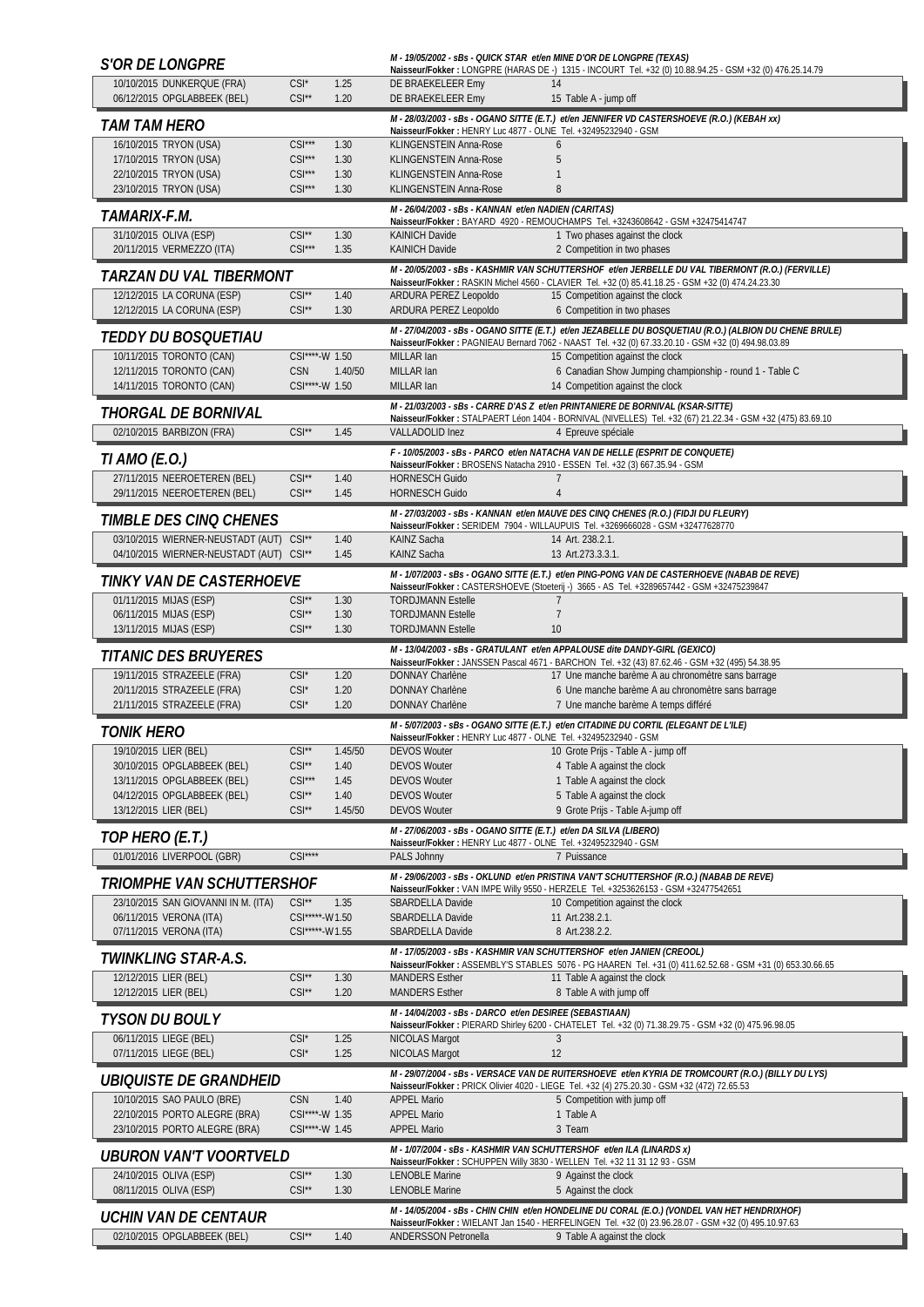| <i><b>S'OR DE LONGPRE</b></i>                              |                      |              |                                                                                                                                     | M - 19/05/2002 - sBs - QUICK STAR et/en MINE D'OR DE LONGPRE (TEXAS)<br>Naisseur/Fokker: LONGPRE (HARAS DE -) 1315 - INCOURT Tel. +32 (0) 10.88.94.25 - GSM +32 (0) 476.25.14.79                             |
|------------------------------------------------------------|----------------------|--------------|-------------------------------------------------------------------------------------------------------------------------------------|--------------------------------------------------------------------------------------------------------------------------------------------------------------------------------------------------------------|
| 10/10/2015 DUNKERQUE (FRA)<br>06/12/2015 OPGLABBEEK (BEL)  | $CSI^*$<br>$CSI**$   | 1.25<br>1.20 | DE BRAEKELEER Emy<br>DE BRAEKELEER Emy                                                                                              | 14<br>15 Table A - jump off                                                                                                                                                                                  |
| TAM TAM HERO                                               |                      |              | Naisseur/Fokker: HENRY Luc 4877 - OLNE Tel. +32495232940 - GSM                                                                      | M - 28/03/2003 - sBs - OGANO SITTE (E.T.) et/en JENNIFER VD CASTERSHOEVE (R.O.) (KEBAH xx)                                                                                                                   |
| 16/10/2015 TRYON (USA)                                     | $CSI***$             | 1.30         | KLINGENSTEIN Anna-Rose                                                                                                              | $\mathfrak b$                                                                                                                                                                                                |
| 17/10/2015 TRYON (USA)                                     | $CSI***$             | 1.30         | KLINGENSTEIN Anna-Rose                                                                                                              | 5                                                                                                                                                                                                            |
| 22/10/2015 TRYON (USA)<br>23/10/2015 TRYON (USA)           | $CSI***$<br>$CSI***$ | 1.30<br>1.30 | KLINGENSTEIN Anna-Rose<br>KLINGENSTEIN Anna-Rose                                                                                    | $\mathbf{1}$<br>8                                                                                                                                                                                            |
| <i>TAMARIX-F.M.</i>                                        |                      |              | M - 26/04/2003 - sBs - KANNAN et/en NADIEN (CARITAS)                                                                                |                                                                                                                                                                                                              |
| 31/10/2015 OLIVA (ESP)                                     | $CSI^{\star\star}$   | 1.30         | <b>KAINICH Davide</b>                                                                                                               | Naisseur/Fokker: BAYARD 4920 - REMOUCHAMPS Tel. +3243608642 - GSM +32475414747<br>1 Two phases against the clock                                                                                             |
| 20/11/2015 VERMEZZO (ITA)                                  | $CSI***$             | 1.35         | <b>KAINICH Davide</b>                                                                                                               | 2 Competition in two phases                                                                                                                                                                                  |
| TARZAN DU VAL TIBERMONT                                    |                      |              |                                                                                                                                     | M - 20/05/2003 - sBs - KASHMIR VAN SCHUTTERSHOF et/en JERBELLE DU VAL TIBERMONT (R.O.) (FERVILLE)<br>Naisseur/Fokker: RASKIN Michel 4560 - CLAVIER Tel. +32 (0) 85.41.18.25 - GSM +32 (0) 474.24.23.30       |
| 12/12/2015 LA CORUNA (ESP)<br>12/12/2015 LA CORUNA (ESP)   | $CSI**$<br>$CSI**$   | 1.40<br>1.30 | ARDURA PEREZ Leopoldo<br>ARDURA PEREZ Leopoldo                                                                                      | 15 Competition against the clock<br>6 Competition in two phases                                                                                                                                              |
| TEDDY DU BOSQUETIAU                                        |                      |              |                                                                                                                                     | M - 27/04/2003 - sBs - OGANO SITTE (E.T.) et/en JEZABELLE DU BOSQUETIAU (R.O.) (ALBION DU CHENE BRULE)<br>Naisseur/Fokker: PAGNIEAU Bernard 7062 - NAAST Tel. +32 (0) 67.33.20.10 - GSM +32 (0) 494.98.03.89 |
| 10/11/2015 TORONTO (CAN)                                   | CSI****-W 1.50       |              | MILLAR Ian                                                                                                                          | 15 Competition against the clock                                                                                                                                                                             |
| 12/11/2015 TORONTO (CAN)                                   | <b>CSN</b>           | 1.40/50      | MILLAR lan                                                                                                                          | 6 Canadian Show Jumping championship - round 1 - Table C                                                                                                                                                     |
| 14/11/2015 TORONTO (CAN)                                   | CSI****-W 1.50       |              | MILLAR Ian                                                                                                                          | 14 Competition against the clock                                                                                                                                                                             |
| THORGAL DE BORNIVAL                                        |                      |              |                                                                                                                                     | M - 21/03/2003 - sBs - CARRE D'AS Z et/en PRINTANIERE DE BORNIVAL (KSAR-SITTE)<br>Naisseur/Fokker: STALPAERT Léon 1404 - BORNIVAL (NIVELLES) Tel. +32 (67) 21.22.34 - GSM +32 (475) 83.69.10                 |
| 02/10/2015 BARBIZON (FRA)                                  | $CSI**$              | 1.45         | VALLADOLID Inez                                                                                                                     | 4 Epreuve spéciale                                                                                                                                                                                           |
| TI AMO (E.O.)                                              |                      |              |                                                                                                                                     | F - 10/05/2003 - sBs - PARCO et/en NATACHA VAN DE HELLE (ESPRIT DE CONQUETE)                                                                                                                                 |
| 27/11/2015 NEEROETEREN (BEL)                               | $CSI**$              | 1.40         | <b>HORNESCH Guido</b>                                                                                                               | Naisseur/Fokker: BROSENS Natacha 2910 - ESSEN Tel. +32 (3) 667.35.94 - GSM                                                                                                                                   |
| 29/11/2015 NEEROETEREN (BEL)                               | $CSI^{\star\star}$   | 1.45         | <b>HORNESCH Guido</b>                                                                                                               | $\overline{4}$                                                                                                                                                                                               |
| <b>TIMBLE DES CINQ CHENES</b>                              |                      |              |                                                                                                                                     | M - 27/03/2003 - sBs - KANNAN et/en MAUVE DES CINQ CHENES (R.O.) (FIDJI DU FLEURY)<br>Naisseur/Fokker: SERIDEM 7904 - WILLAUPUIS Tel. +3269666028 - GSM +32477628770                                         |
| 03/10/2015 WIERNER-NEUSTADT (AUT) CSI**                    |                      | 1.40         | KAINZ Sacha                                                                                                                         | 14 Art. 238.2.1.                                                                                                                                                                                             |
| 04/10/2015 WIERNER-NEUSTADT (AUT) CSI**                    |                      | 1.45         | <b>KAINZ Sacha</b>                                                                                                                  | 13 Art.273.3.3.1.                                                                                                                                                                                            |
| TINKY VAN DE CASTERHOEVE                                   |                      |              |                                                                                                                                     | M - 1/07/2003 - sBs - OGANO SITTE (E.T.) et/en PING-PONG VAN DE CASTERHOEVE (NABAB DE REVE)<br>Naisseur/Fokker: CASTERSHOEVE (Stoeterij -) 3665 - AS Tel. +3289657442 - GSM +32475239847                     |
| 01/11/2015 MIJAS (ESP)                                     | $CSI**$              | 1.30         | <b>TORDJMANN Estelle</b>                                                                                                            | $\overline{7}$                                                                                                                                                                                               |
| 06/11/2015 MIJAS (ESP)                                     | $CSI**$              | 1.30         | <b>TORDJMANN Estelle</b>                                                                                                            | $\overline{7}$                                                                                                                                                                                               |
| 13/11/2015 MIJAS (ESP)                                     | $CSI**$              | 1.30         | <b>TORDJMANN Estelle</b>                                                                                                            | 10                                                                                                                                                                                                           |
| <i><b>TITANIC DES BRUYERES</b></i>                         |                      |              |                                                                                                                                     | M - 13/04/2003 - sBs - GRATULANT et/en APPALOUSE dite DANDY-GIRL (GEXICO)<br>Naisseur/Fokker: JANSSEN Pascal 4671 - BARCHON Tel. +32 (43) 87.62.46 - GSM +32 (495) 54.38.95                                  |
| 19/11/2015 STRAZEELE (FRA)                                 | $CSI^*$              | 1.20         | DONNAY Charlène                                                                                                                     | 17 Une manche barème A au chronomètre sans barrage                                                                                                                                                           |
| 20/11/2015 STRAZEELE (FRA)<br>21/11/2015 STRAZEELE (FRA)   | $CSI^*$<br>$CSI^*$   | 1.20<br>1.20 | DONNAY Charlène<br><b>DONNAY Charlène</b>                                                                                           | 6 Une manche barème A au chronomètre sans barrage<br>7 Une manche barème A temps différé                                                                                                                     |
|                                                            |                      |              |                                                                                                                                     | M - 5/07/2003 - sBs - OGANO SITTE (E.T.) et/en CITADINE DU CORTIL (ELEGANT DE L'ILE)                                                                                                                         |
| <b>TONIK HERO</b>                                          |                      |              | Naisseur/Fokker: HENRY Luc 4877 - OLNE Tel. +32495232940 - GSM                                                                      |                                                                                                                                                                                                              |
| 19/10/2015 LIER (BEL)                                      | $CSI**$              | 1.45/50      | <b>DEVOS Wouter</b>                                                                                                                 | 10 Grote Prijs - Table A - jump off                                                                                                                                                                          |
| 30/10/2015 OPGLABBEEK (BEL)<br>13/11/2015 OPGLABBEEK (BEL) | $CSI**$<br>$CSI***$  | 1.40<br>1.45 | <b>DEVOS Wouter</b><br><b>DEVOS Wouter</b>                                                                                          | 4 Table A against the clock<br>1 Table A against the clock                                                                                                                                                   |
| 04/12/2015 OPGLABBEEK (BEL)                                | $CSI**$              | 1.40         | <b>DEVOS Wouter</b>                                                                                                                 | 5 Table A against the clock                                                                                                                                                                                  |
| 13/12/2015 LIER (BEL)                                      | $CSI^{\star\star}$   | 1.45/50      | <b>DEVOS Wouter</b>                                                                                                                 | 9 Grote Prijs - Table A-jump off                                                                                                                                                                             |
| TOP HERO (E.T.)                                            |                      |              | M - 27/06/2003 - sBs - OGANO SITTE (E.T.) et/en DA SILVA (LIBERO)<br>Naisseur/Fokker: HENRY Luc 4877 - OLNE Tel. +32495232940 - GSM |                                                                                                                                                                                                              |
| 01/01/2016 LIVERPOOL (GBR)                                 | $CSI***$             |              | PALS Johnny                                                                                                                         | 7 Puissance                                                                                                                                                                                                  |
| Triomphe van Schuttershof                                  |                      |              |                                                                                                                                     | M-29/06/2003-sBs-OKLUND et/en PRISTINA VAN'T SCHUTTERSHOF (R.O.) (NABAB DE REVE)                                                                                                                             |
| 23/10/2015 SAN GIOVANNI IN M. (ITA)                        | $CSI**$              | 1.35         | SBARDELLA Davide                                                                                                                    | Naisseur/Fokker: VAN IMPE Willy 9550 - HERZELE Tel. +3253626153 - GSM +32477542651<br>10 Competition against the clock                                                                                       |
| 06/11/2015 VERONA (ITA)                                    | CSI*****-W1.50       |              | SBARDELLA Davide                                                                                                                    | 11 Art.238.2.1.                                                                                                                                                                                              |
| 07/11/2015 VERONA (ITA)                                    | CSI*****-W1.55       |              | SBARDELLA Davide                                                                                                                    | 8 Art.238.2.2.                                                                                                                                                                                               |
| TWINKLING STAR-A.S.                                        |                      |              |                                                                                                                                     | M - 17/05/2003 - sBs - KASHMIR VAN SCHUTTERSHOF et/en JANIEN (CREOOL)<br>Naisseur/Fokker: ASSEMBLY'S STABLES 5076 - PG HAAREN Tel. +31 (0) 411.62.52.68 - GSM +31 (0) 653.30.66.65                           |
| 12/12/2015 LIER (BEL)<br>12/12/2015 LIER (BEL)             | $CSI**$<br>$CSI**$   | 1.30<br>1.20 | <b>MANDERS Esther</b><br><b>MANDERS Esther</b>                                                                                      | 11 Table A against the clock<br>8 Table A with jump off                                                                                                                                                      |
| TYSON DU BOULY                                             |                      |              | M - 14/04/2003 - sBs - DARCO et/en DESIREE (SEBASTIAAN)                                                                             |                                                                                                                                                                                                              |
| 06/11/2015 LIEGE (BEL)                                     | $CSI^*$              | 1.25         | NICOLAS Margot                                                                                                                      | Naisseur/Fokker: PIERARD Shirley 6200 - CHATELET Tel. +32 (0) 71.38.29.75 - GSM +32 (0) 475.96.98.05<br>3                                                                                                    |
| 07/11/2015 LIEGE (BEL)                                     | $CSI^*$              | 1.25         | <b>NICOLAS Margot</b>                                                                                                               | 12                                                                                                                                                                                                           |
| <i>UBIOUISTE DE GRANDHEID</i>                              |                      |              |                                                                                                                                     | M-29/07/2004-sBs-VERSACE VAN DE RUITERSHOEVE et/en KYRIA DE TROMCOURT (R.O.) (BILLY DU LYS)                                                                                                                  |
| 10/10/2015 SAO PAULO (BRE)                                 | <b>CSN</b>           | 1.40         | <b>APPEL Mario</b>                                                                                                                  | Naisseur/Fokker: PRICK Olivier 4020 - LIEGE Tel. +32 (4) 275.20.30 - GSM +32 (472) 72.65.53<br>5 Competition with jump off                                                                                   |
| 22/10/2015 PORTO ALEGRE (BRA)                              | CSI****-W 1.35       |              | <b>APPEL Mario</b>                                                                                                                  | 1 Table A                                                                                                                                                                                                    |
| 23/10/2015 PORTO ALEGRE (BRA)                              | CSI****-W 1.45       |              | <b>APPEL Mario</b>                                                                                                                  | 3 Team                                                                                                                                                                                                       |
| UBURON VAN'T VOORTVELD                                     |                      |              |                                                                                                                                     | M - 1/07/2004 - sBs - KASHMIR VAN SCHUTTERSHOF et/en ILA (LINARDS x)<br>Naisseur/Fokker: SCHUPPEN Willy 3830 - WELLEN Tel. +32 11 31 12 93 - GSM                                                             |
| 24/10/2015 OLIVA (ESP)<br>08/11/2015 OLIVA (ESP)           | $CSI**$<br>$CSI**$   | 1.30<br>1.30 | <b>LENOBLE Marine</b><br><b>LENOBLE Marine</b>                                                                                      | 9 Against the clock<br>5 Against the clock                                                                                                                                                                   |
| <i>UCHIN VAN DE CENTAUR</i>                                |                      |              |                                                                                                                                     | M - 14/05/2004 - sBs - CHIN CHIN et/en HONDELINE DU CORAL (E.O.) (VONDEL VAN HET HENDRIXHOF)                                                                                                                 |
| 02/10/2015 OPGLABBEEK (BEL)                                | $CSI**$              | 1.40         | <b>ANDERSSON Petronella</b>                                                                                                         | Naisseur/Fokker: WIELANT Jan 1540 - HERFELINGEN Tel. +32 (0) 23.96.28.07 - GSM +32 (0) 495.10.97.63<br>9 Table A against the clock                                                                           |
|                                                            |                      |              |                                                                                                                                     |                                                                                                                                                                                                              |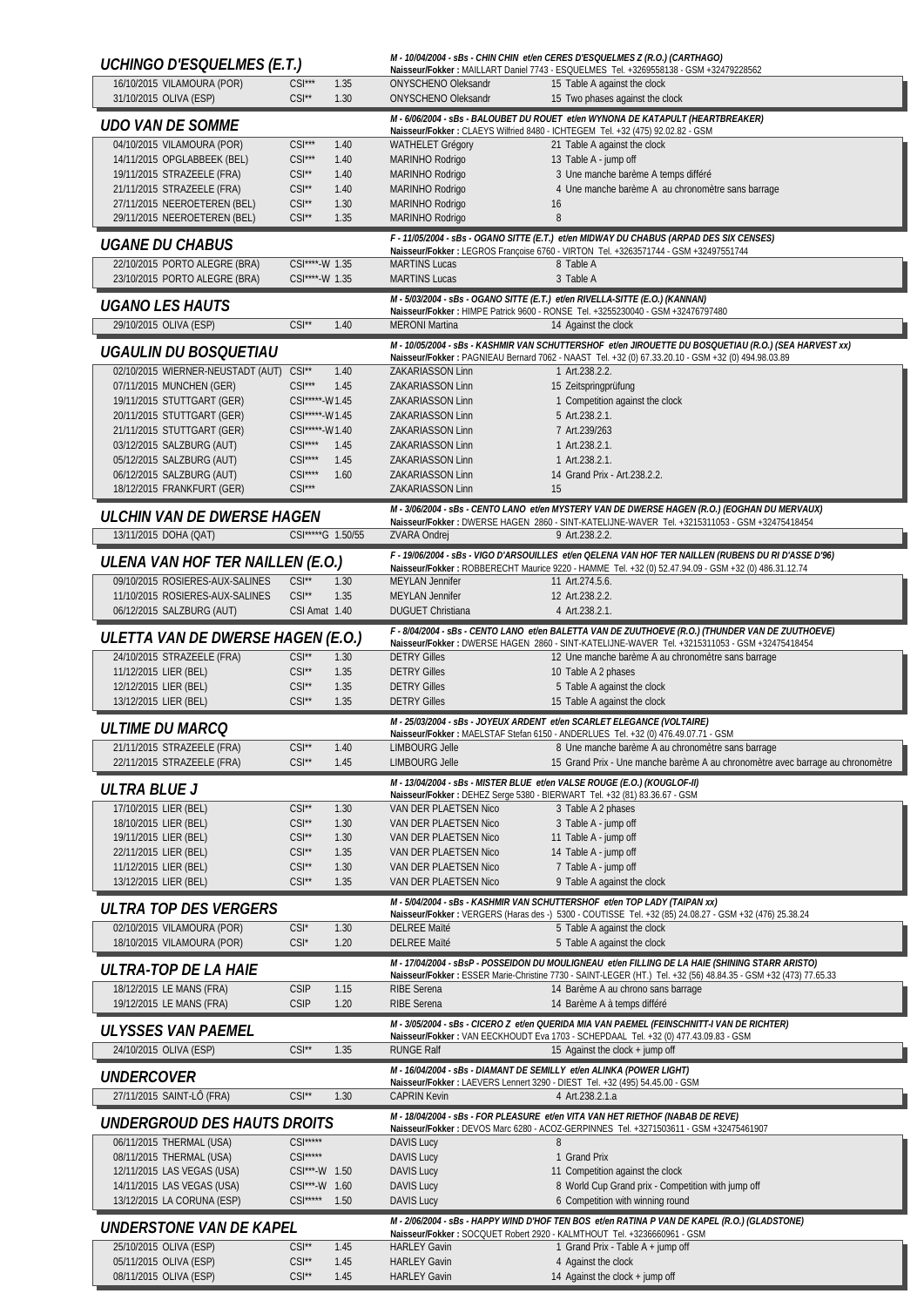| UCHINGO D'ESQUELMES (E.T.)                                     |                                  |              |                                                                           | M - 10/04/2004 - sBs - CHIN CHIN et/en CERES D'ESQUELMES Z (R.O.) (CARTHAGO)<br>Naisseur/Fokker: MAILLART Daniel 7743 - ESQUELMES Tel. +3269558138 - GSM +32479228562                                       |
|----------------------------------------------------------------|----------------------------------|--------------|---------------------------------------------------------------------------|-------------------------------------------------------------------------------------------------------------------------------------------------------------------------------------------------------------|
| 16/10/2015 VILAMOURA (POR)<br>31/10/2015 OLIVA (ESP)           | $CSI***$<br>$CSI^{\star\star}$   | 1.35<br>1.30 | ONYSCHENO Oleksandr<br>ONYSCHENO Oleksandr                                | 15 Table A against the clock<br>15 Two phases against the clock                                                                                                                                             |
| <b>UDO VAN DE SOMME</b>                                        |                                  |              |                                                                           | M - 6/06/2004 - sBs - BALOUBET DU ROUET et/en WYNONA DE KATAPULT (HEARTBREAKER)<br>Naisseur/Fokker: CLAEYS Wilfried 8480 - ICHTEGEM Tel. +32 (475) 92.02.82 - GSM                                           |
| 04/10/2015 VILAMOURA (POR)                                     | $CSI***$                         | 1.40         | <b>WATHELET Grégory</b>                                                   | 21 Table A against the clock                                                                                                                                                                                |
| 14/11/2015 OPGLABBEEK (BEL)                                    | $CSI***$                         | 1.40         | MARINHO Rodrigo                                                           | 13 Table A - jump off                                                                                                                                                                                       |
| 19/11/2015 STRAZEELE (FRA)                                     | $CSI^*$                          | 1.40         | MARINHO Rodrigo                                                           | 3 Une manche barème A temps différé                                                                                                                                                                         |
| 21/11/2015 STRAZEELE (FRA)<br>27/11/2015 NEEROETEREN (BEL)     | $CSI**$<br>$CSI**$               | 1.40<br>1.30 | MARINHO Rodrigo<br>MARINHO Rodrigo                                        | 4 Une manche barème A au chronomètre sans barrage<br>16                                                                                                                                                     |
| 29/11/2015 NEEROETEREN (BEL)                                   | $CSI^*$                          | 1.35         | MARINHO Rodrigo                                                           | 8                                                                                                                                                                                                           |
| <b>UGANE DU CHABUS</b>                                         |                                  |              |                                                                           | F - 11/05/2004 - sBs - OGANO SITTE (E.T.) et/en MIDWAY DU CHABUS (ARPAD DES SIX CENSES)<br>Naisseur/Fokker: LEGROS Françoise 6760 - VIRTON Tel. +3263571744 - GSM +32497551744                              |
| 22/10/2015 PORTO ALEGRE (BRA)<br>23/10/2015 PORTO ALEGRE (BRA) | CSI****-W 1.35<br>CSI****-W 1.35 |              | <b>MARTINS Lucas</b><br><b>MARTINS Lucas</b>                              | 8 Table A<br>3 Table A                                                                                                                                                                                      |
|                                                                |                                  |              |                                                                           | M - 5/03/2004 - sBs - OGANO SITTE (E.T.) et/en RIVELLA-SITTE (E.O.) (KANNAN)                                                                                                                                |
| <b>UGANO LES HAUTS</b>                                         |                                  |              |                                                                           | Naisseur/Fokker: HIMPE Patrick 9600 - RONSE Tel. +3255230040 - GSM +32476797480                                                                                                                             |
| 29/10/2015 OLIVA (ESP)                                         | $CSI^{\star\star}$               | 1.40         | <b>MERONI Martina</b>                                                     | 14 Against the clock                                                                                                                                                                                        |
| UGAULIN DU BOSQUETIAU                                          |                                  |              |                                                                           | M - 10/05/2004 - sBs - KASHMIR VAN SCHUTTERSHOF et/en JIROUETTE DU BOSQUETIAU (R.O.) (SEA HARVEST xx)<br>Naisseur/Fokker: PAGNIEAU Bernard 7062 - NAAST Tel. +32 (0) 67.33.20.10 - GSM +32 (0) 494.98.03.89 |
| 02/10/2015 WIERNER-NEUSTADT (AUT) CSI**                        |                                  | 1.40         | ZAKARIASSON Linn                                                          | 1 Art.238.2.2.                                                                                                                                                                                              |
| 07/11/2015 MUNCHEN (GER)<br>19/11/2015 STUTTGART (GER)         | $CSI***$<br>CSI*****-W1.45       | 1.45         | ZAKARIASSON Linn<br><b>ZAKARIASSON Linn</b>                               | 15 Zeitspringprüfung<br>1 Competition against the clock                                                                                                                                                     |
| 20/11/2015 STUTTGART (GER)                                     | CSI*****-W1.45                   |              | <b>ZAKARIASSON Linn</b>                                                   | 5 Art.238.2.1.                                                                                                                                                                                              |
| 21/11/2015 STUTTGART (GER)                                     | CSI*****-W1.40                   |              | <b>ZAKARIASSON Linn</b>                                                   | 7 Art.239/263                                                                                                                                                                                               |
| 03/12/2015 SALZBURG (AUT)                                      | $CSI***$                         | 1.45         | <b>ZAKARIASSON Linn</b>                                                   | 1 Art.238.2.1.                                                                                                                                                                                              |
| 05/12/2015 SALZBURG (AUT)<br>06/12/2015 SALZBURG (AUT)         | $CSI***$<br>$CSI***$             | 1.45<br>1.60 | ZAKARIASSON Linn<br><b>ZAKARIASSON Linn</b>                               | 1 Art.238.2.1.<br>14 Grand Prix - Art.238.2.2.                                                                                                                                                              |
| 18/12/2015 FRANKFURT (GER)                                     | $CSI***$                         |              | ZAKARIASSON Linn                                                          | 15                                                                                                                                                                                                          |
| ULCHIN VAN DE DWERSE HAGEN                                     |                                  |              |                                                                           | M - 3/06/2004 - sBs - CENTO LANO et/en MYSTERY VAN DE DWERSE HAGEN (R.O.) (EOGHAN DU MERVAUX)                                                                                                               |
| 13/11/2015 DOHA (QAT)                                          | CSI*****G 1.50/55                |              | <b>ZVARA Ondrej</b>                                                       | Naisseur/Fokker: DWERSE HAGEN 2860 - SINT-KATELIJNE-WAVER Tel. +3215311053 - GSM +32475418454<br>9 Art.238.2.2.                                                                                             |
|                                                                |                                  |              |                                                                           | F - 19/06/2004 - sBs - VIGO D'ARSOUILLES et/en QELENA VAN HOF TER NAILLEN (RUBENS DU RI D'ASSE D'96)                                                                                                        |
| ULENA VAN HOF TER NAILLEN (E.O.)                               |                                  |              |                                                                           | Naisseur/Fokker: ROBBERECHT Maurice 9220 - HAMME Tel. +32 (0) 52.47.94.09 - GSM +32 (0) 486.31.12.74                                                                                                        |
| 09/10/2015 ROSIERES-AUX-SALINES                                | $CSI**$                          | 1.30         | <b>MEYLAN Jennifer</b>                                                    | 11 Art.274.5.6.                                                                                                                                                                                             |
| 11/10/2015 ROSIERES-AUX-SALINES<br>06/12/2015 SALZBURG (AUT)   | $CSI**$<br>CSI Amat 1.40         | 1.35         | <b>MEYLAN Jennifer</b><br><b>DUGUET Christiana</b>                        | 12 Art.238.2.2.<br>4 Art.238.2.1.                                                                                                                                                                           |
|                                                                |                                  |              |                                                                           | F - 8/04/2004 - sBs - CENTO LANO et/en BALETTA VAN DE ZUUTHOEVE (R.O.) (THUNDER VAN DE ZUUTHOEVE)                                                                                                           |
| ULETTA VAN DE DWERSE HAGEN (E.O.)                              |                                  |              |                                                                           | Naisseur/Fokker: DWERSE HAGEN 2860 - SINT-KATELIJNE-WAVER Tel. +3215311053 - GSM +32475418454                                                                                                               |
| 24/10/2015 STRAZEELE (FRA)<br>11/12/2015 LIER (BEL)            | $CSI**$<br>$CSI**$               | 1.30<br>1.35 | <b>DETRY Gilles</b><br><b>DETRY Gilles</b>                                | 12 Une manche barème A au chronomètre sans barrage<br>10 Table A 2 phases                                                                                                                                   |
| 12/12/2015 LIER (BEL)                                          | $CSI**$                          | 1.35         | <b>DETRY Gilles</b>                                                       | 5 Table A against the clock                                                                                                                                                                                 |
| 13/12/2015 LIER (BEL)                                          | $CSI**$                          | 1.35         | <b>DETRY Gilles</b>                                                       | 15 Table A against the clock                                                                                                                                                                                |
| <b>ULTIME DU MARCO</b>                                         |                                  |              |                                                                           | M - 25/03/2004 - sBs - JOYEUX ARDENT et/en SCARLET ELEGANCE (VOLTAIRE)<br>Naisseur/Fokker: MAELSTAF Stefan 6150 - ANDERLUES Tel. +32 (0) 476.49.07.71 - GSM                                                 |
| 21/11/2015 STRAZEELE (FRA)                                     | $CSI^*$                          | 1.40         | <b>LIMBOURG Jelle</b>                                                     | 8 Une manche barème A au chronomètre sans barrage                                                                                                                                                           |
| 22/11/2015 STRAZEELE (FRA)                                     | $CSI**$                          | 1.45         | <b>LIMBOURG Jelle</b>                                                     | 15 Grand Prix - Une manche barème A au chronomètre avec barrage au chronomètre                                                                                                                              |
| ULTRA BLUE J                                                   |                                  |              | Naisseur/Fokker: DEHEZ Serge 5380 - BIERWART Tel. +32 (81) 83.36.67 - GSM | M - 13/04/2004 - sBs - MISTER BLUE et/en VALSE ROUGE (E.O.) (KOUGLOF-II)                                                                                                                                    |
| 17/10/2015 LIER (BEL)                                          | $CSI**$                          | 1.30         | VAN DER PLAETSEN Nico                                                     | 3 Table A 2 phases                                                                                                                                                                                          |
| 18/10/2015 LIER (BEL)                                          | $CSI**$                          | 1.30         | VAN DER PLAETSEN Nico                                                     | 3 Table A - jump off                                                                                                                                                                                        |
| 19/11/2015 LIER (BEL)                                          | $CSI^*$                          | 1.30         | VAN DER PLAETSEN Nico                                                     | 11 Table A - jump off                                                                                                                                                                                       |
| 22/11/2015 LIER (BEL)<br>11/12/2015 LIER (BEL)                 | $CSI**$<br>$CSI**$               | 1.35<br>1.30 | VAN DER PLAETSEN Nico<br>VAN DER PLAETSEN Nico                            | 14 Table A - jump off<br>7 Table A - jump off                                                                                                                                                               |
| 13/12/2015 LIER (BEL)                                          | $CSI^*$                          | 1.35         | VAN DER PLAETSEN Nico                                                     | 9 Table A against the clock                                                                                                                                                                                 |
| ULTRA TOP DES VERGERS                                          |                                  |              |                                                                           | M - 5/04/2004 - sBs - KASHMIR VAN SCHUTTERSHOF et/en TOP LADY (TAIPAN xx)                                                                                                                                   |
| 02/10/2015 VILAMOURA (POR)                                     | $CSI^*$                          | 1.30         | <b>DELREE Maïté</b>                                                       | Naisseur/Fokker: VERGERS (Haras des -) 5300 - COUTISSE Tel. +32 (85) 24.08.27 - GSM +32 (476) 25.38.24                                                                                                      |
| 18/10/2015 VILAMOURA (POR)                                     | $CSI^*$                          | 1.20         | <b>DELREE Maïté</b>                                                       | 5 Table A against the clock<br>5 Table A against the clock                                                                                                                                                  |
|                                                                |                                  |              |                                                                           | M - 17/04/2004 - sBsP - POSSEIDON DU MOULIGNEAU et/en FILLING DE LA HAIE (SHINING STARR ARISTO)                                                                                                             |
| ULTRA-TOP DE LA HAIE                                           |                                  |              |                                                                           | Naisseur/Fokker: ESSER Marie-Christine 7730 - SAINT-LEGER (HT.) Tel. +32 (56) 48.84.35 - GSM +32 (473) 77.65.33                                                                                             |
| 18/12/2015 LE MANS (FRA)<br>19/12/2015 LE MANS (FRA)           | <b>CSIP</b><br><b>CSIP</b>       | 1.15<br>1.20 | RIBE Serena<br><b>RIBE Serena</b>                                         | 14 Barème A au chrono sans barrage<br>14 Barème A à temps différé                                                                                                                                           |
|                                                                |                                  |              |                                                                           | M - 3/05/2004 - sBs - CICERO Z et/en QUERIDA MIA VAN PAEMEL (FEINSCHNITT-I VAN DE RICHTER)                                                                                                                  |
| ULYSSES VAN PAEMEL                                             |                                  |              |                                                                           | Naisseur/Fokker: VAN EECKHOUDT Eva 1703 - SCHEPDAAL Tel. +32 (0) 477.43.09.83 - GSM                                                                                                                         |
| 24/10/2015 OLIVA (ESP)                                         | $CSI**$                          | 1.35         | <b>RUNGE Ralf</b>                                                         | 15 Against the clock + jump off                                                                                                                                                                             |
| <i>UNDERCOVER</i>                                              |                                  |              | M - 16/04/2004 - sBs - DIAMANT DE SEMILLY et/en ALINKA (POWER LIGHT)      | Naisseur/Fokker: LAEVERS Lennert 3290 - DIEST Tel. +32 (495) 54.45.00 - GSM                                                                                                                                 |
| 27/11/2015 SAINT-LÔ (FRA)                                      | $CSI**$                          | 1.30         | <b>CAPRIN Kevin</b>                                                       | 4 Art.238.2.1.a                                                                                                                                                                                             |
| <i>UNDERGROUD DES HAUTS DROITS</i>                             |                                  |              |                                                                           | M - 18/04/2004 - sBs - FOR PLEASURE et/en VITA VAN HET RIETHOF (NABAB DE REVE)                                                                                                                              |
| 06/11/2015 THERMAL (USA)                                       | $CSI***$                         |              | <b>DAVIS Lucy</b>                                                         | Naisseur/Fokker: DEVOS Marc 6280 - ACOZ-GERPINNES Tel. +3271503611 - GSM +32475461907<br>8                                                                                                                  |
| 08/11/2015 THERMAL (USA)                                       | $CSI***$                         |              | <b>DAVIS Lucy</b>                                                         | 1 Grand Prix                                                                                                                                                                                                |
| 12/11/2015 LAS VEGAS (USA)                                     | CSI***-W 1.50                    |              | <b>DAVIS Lucy</b>                                                         | 11 Competition against the clock                                                                                                                                                                            |
| 14/11/2015 LAS VEGAS (USA)                                     | CSI***-W 1.60                    |              | <b>DAVIS Lucy</b>                                                         | 8 World Cup Grand prix - Competition with jump off                                                                                                                                                          |
| 13/12/2015 LA CORUNA (ESP)                                     | $CSI***$                         | 1.50         | <b>DAVIS Lucy</b>                                                         | 6 Competition with winning round                                                                                                                                                                            |
| UNDERSTONE VAN DE KAPEL                                        |                                  |              |                                                                           | M - 2/06/2004 - sBs - HAPPY WIND D'HOF TEN BOS et/en RATINA P VAN DE KAPEL (R.O.) (GLADSTONE)<br>Naisseur/Fokker: SOCQUET Robert 2920 - KALMTHOUT Tel. +3236660961 - GSM                                    |
| 25/10/2015 OLIVA (ESP)                                         | $CSI^*$                          | 1.45         | <b>HARLEY Gavin</b>                                                       | 1 Grand Prix - Table A + jump off                                                                                                                                                                           |
| 05/11/2015 OLIVA (ESP)<br>08/11/2015 OLIVA (ESP)               | $CSI**$                          | 1.45         | <b>HARLEY Gavin</b>                                                       | 4 Against the clock                                                                                                                                                                                         |
|                                                                | $CSI**$                          | 1.45         | <b>HARLEY Gavin</b>                                                       | 14 Against the clock + jump off                                                                                                                                                                             |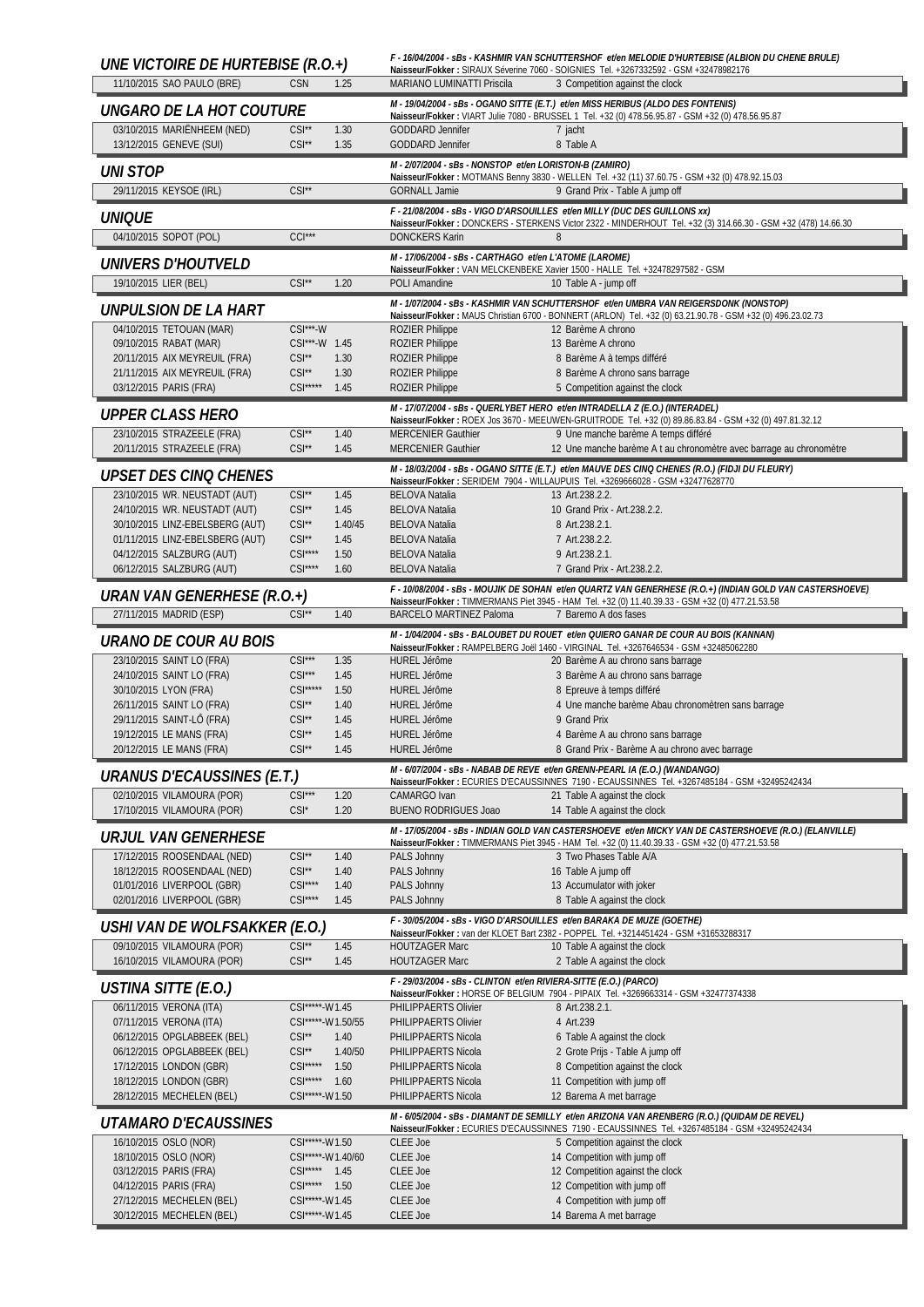| UNE VICTOIRE DE HURTEBISE (R.O.+)                      |                                  |                 |                                                                   | F - 16/04/2004 - sBs - KASHMIR VAN SCHUTTERSHOF et/en MELODIE D'HURTEBISE (ALBION DU CHENE BRULE)<br>Naisseur/Fokker: SIRAUX Séverine 7060 - SOIGNIES Tel. +3267332592 - GSM +32478982176 |
|--------------------------------------------------------|----------------------------------|-----------------|-------------------------------------------------------------------|-------------------------------------------------------------------------------------------------------------------------------------------------------------------------------------------|
| 11/10/2015 SAO PAULO (BRE)                             | <b>CSN</b>                       | 1.25            | MARIANO LUMINATTI Priscila                                        | 3 Competition against the clock                                                                                                                                                           |
| UNGARO DE LA HOT COUTURE                               |                                  |                 |                                                                   | M - 19/04/2004 - sBs - OGANO SITTE (E.T.) et/en MISS HERIBUS (ALDO DES FONTENIS)                                                                                                          |
| 03/10/2015 MARIËNHEEM (NED)                            | $CSI^{\star\star}$               | 1.30            | <b>GODDARD Jennifer</b>                                           | Naisseur/Fokker: VIART Julie 7080 - BRUSSEL 1 Tel. +32 (0) 478.56.95.87 - GSM +32 (0) 478.56.95.87<br>7 jacht                                                                             |
| 13/12/2015 GENEVE (SUI)                                | $CSI^{\star\star}$               | 1.35            | <b>GODDARD Jennifer</b>                                           | 8 Table A                                                                                                                                                                                 |
|                                                        |                                  |                 | M - 2/07/2004 - sBs - NONSTOP et/en LORISTON-B (ZAMIRO)           |                                                                                                                                                                                           |
| <b>UNI STOP</b><br>29/11/2015 KEYSOE (IRL)             | $CSI^*$                          |                 | <b>GORNALL Jamie</b>                                              | Naisseur/Fokker: MOTMANS Benny 3830 - WELLEN Tel. +32 (11) 37.60.75 - GSM +32 (0) 478.92.15.03<br>9 Grand Prix - Table A jump off                                                         |
|                                                        |                                  |                 |                                                                   | F - 21/08/2004 - sBs - VIGO D'ARSOUILLES et/en MILLY (DUC DES GUILLONS xx)                                                                                                                |
| UNIQUE                                                 |                                  |                 |                                                                   | Naisseur/Fokker: DONCKERS - STERKENS Victor 2322 - MINDERHOUT Tel. +32 (3) 314.66.30 - GSM +32 (478) 14.66.30                                                                             |
| 04/10/2015 SOPOT (POL)                                 | $CCI***$                         |                 | <b>DONCKERS Karin</b>                                             | 8                                                                                                                                                                                         |
| <i>UNIVERS D'HOUTVELD</i>                              |                                  |                 | M - 17/06/2004 - sBs - CARTHAGO et/en L'ATOME (LAROME)            | Naisseur/Fokker: VAN MELCKENBEKE Xavier 1500 - HALLE Tel. +32478297582 - GSM                                                                                                              |
| 19/10/2015 LIER (BEL)                                  | $CSI^*$                          | 1.20            | POLI Amandine                                                     | 10 Table A - jump off                                                                                                                                                                     |
| UNPULSION DE LA HART                                   |                                  |                 |                                                                   | M - 1/07/2004 - sBs - KASHMIR VAN SCHUTTERSHOF et/en UMBRA VAN REIGERSDONK (NONSTOP)                                                                                                      |
| 04/10/2015 TETOUAN (MAR)                               | $CSI***-W$                       |                 | <b>ROZIER Philippe</b>                                            | Naisseur/Fokker: MAUS Christian 6700 - BONNERT (ARLON) Tel. +32 (0) 63.21.90.78 - GSM +32 (0) 496.23.02.73<br>12 Barème A chrono                                                          |
| 09/10/2015 RABAT (MAR)                                 | CSI***-W 1.45                    |                 | <b>ROZIER Philippe</b>                                            | 13 Barème A chrono                                                                                                                                                                        |
| 20/11/2015 AIX MEYREUIL (FRA)                          | $CSI^{\star\star}$               | 1.30            | <b>ROZIER Philippe</b>                                            | 8 Barème A à temps différé                                                                                                                                                                |
| 21/11/2015 AIX MEYREUIL (FRA)                          | $CSI^*$                          | 1.30            | <b>ROZIER Philippe</b>                                            | 8 Barème A chrono sans barrage                                                                                                                                                            |
| 03/12/2015 PARIS (FRA)                                 | $CSI***$                         | 1.45            | <b>ROZIER Philippe</b>                                            | 5 Competition against the clock                                                                                                                                                           |
| <b>UPPER CLASS HERO</b>                                |                                  |                 |                                                                   | M - 17/07/2004 - sBs - QUERLYBET HERO et/en INTRADELLA Z (E.O.) (INTERADEL)<br>Naisseur/Fokker: ROEX Jos 3670 - MEEUWEN-GRUITRODE Tel. +32 (0) 89.86.83.84 - GSM +32 (0) 497.81.32.12     |
| 23/10/2015 STRAZEELE (FRA)                             | $CSI**$                          | 1.40            | <b>MERCENIER Gauthier</b>                                         | 9 Une manche barème A temps différé                                                                                                                                                       |
| 20/11/2015 STRAZEELE (FRA)                             | $CSI^{\star\star}$               | 1.45            | <b>MERCENIER Gauthier</b>                                         | 12 Une manche barème A t au chronomètre avec barrage au chronomètre                                                                                                                       |
| UPSET DES CINQ CHENES                                  |                                  |                 |                                                                   | M - 18/03/2004 - sBs - OGANO SITTE (E.T.) et/en MAUVE DES CINQ CHENES (R.O.) (FIDJI DU FLEURY)                                                                                            |
| 23/10/2015 WR. NEUSTADT (AUT)                          | $CSI**$                          | 1.45            | <b>BELOVA Natalia</b>                                             | Naisseur/Fokker: SERIDEM 7904 - WILLAUPUIS Tel. +3269666028 - GSM +32477628770<br>13 Art.238.2.2.                                                                                         |
| 24/10/2015 WR. NEUSTADT (AUT)                          | $CSI**$                          | 1.45            | <b>BELOVA Natalia</b>                                             | 10 Grand Prix - Art.238.2.2.                                                                                                                                                              |
| 30/10/2015 LINZ-EBELSBERG (AUT)                        | $CSI^{\star\star}$               | 1.40/45         | <b>BELOVA Natalia</b>                                             | 8 Art.238.2.1.                                                                                                                                                                            |
| 01/11/2015 LINZ-EBELSBERG (AUT)                        | $CSI^*$                          | 1.45            | <b>BELOVA Natalia</b>                                             | 7 Art.238.2.2.                                                                                                                                                                            |
| 04/12/2015 SALZBURG (AUT)<br>06/12/2015 SALZBURG (AUT) | $CSI***$<br>$CSI***$             | 1.50<br>1.60    | <b>BELOVA Natalia</b><br><b>BELOVA Natalia</b>                    | 9 Art.238.2.1.<br>7 Grand Prix - Art.238.2.2.                                                                                                                                             |
|                                                        |                                  |                 |                                                                   | F - 10/08/2004 - sBs - MOUJIK DE SOHAN et/en QUARTZ VAN GENERHESE (R.O.+) (INDIAN GOLD VAN CASTERSHOEVE)                                                                                  |
| URAN VAN GENERHESE (R.O.+)                             |                                  |                 |                                                                   | Naisseur/Fokker: TIMMERMANS Piet 3945 - HAM Tel. +32 (0) 11.40.39.33 - GSM +32 (0) 477.21.53.58                                                                                           |
| 27/11/2015 MADRID (ESP)                                | $CSI^{\star\star}$               | 1.40            | <b>BARCELO MARTINEZ Paloma</b>                                    | 7 Baremo A dos fases                                                                                                                                                                      |
| URANO DE COUR AU BOIS                                  |                                  |                 |                                                                   | M - 1/04/2004 - sBs - BALOUBET DU ROUET et/en QUIERO GANAR DE COUR AU BOIS (KANNAN)<br>Naisseur/Fokker: RAMPELBERG Joël 1460 - VIRGINAL Tel. +3267646534 - GSM +32485062280               |
| 23/10/2015 SAINT LO (FRA)                              | $CSI***$                         | 1.35            | <b>HUREL Jérôme</b>                                               | 20 Barème A au chrono sans barrage                                                                                                                                                        |
| 24/10/2015 SAINT LO (FRA)                              | $CSI***$                         | 1.45            | <b>HUREL Jérôme</b>                                               | 3 Barème A au chrono sans barrage                                                                                                                                                         |
| 30/10/2015 LYON (FRA)<br>26/11/2015 SAINT LO (FRA)     | $CSI***$<br>$CSI^{\star\star}$   | 1.50<br>1.40    | <b>HUREL Jérôme</b><br><b>HUREL Jérôme</b>                        | 8 Epreuve à temps différé<br>4 Une manche barème Abau chronomètren sans barrage                                                                                                           |
| 29/11/2015 SAINT-LÔ (FRA)                              | $CSI**$                          | 1.45            | <b>HUREL Jérôme</b>                                               | 9 Grand Prix                                                                                                                                                                              |
| 19/12/2015 LE MANS (FRA)                               | $CSI**$                          | 1.45            | <b>HUREL Jérôme</b>                                               | 4 Barème A au chrono sans barrage                                                                                                                                                         |
| 20/12/2015 LE MANS (FRA)                               | $CSI^{\star\star}$               | 1.45            | HURFL lérôme                                                      | 8 Grand Prix - Barème A au chrono avec barrage                                                                                                                                            |
| URANUS D'ECAUSSINES (E.T.)                             |                                  |                 |                                                                   | M - 6/07/2004 - sBs - NABAB DE REVE et/en GRENN-PEARL IA (E.O.) (WANDANGO)<br>Naisseur/Fokker: ECURIES D'ECAUSSINNES 7190 - ECAUSSINNES Tel. +3267485184 - GSM +32495242434               |
| 02/10/2015 VILAMOURA (POR)                             | $CSI***$                         | 1.20            | CAMARGO Ivan                                                      | 21 Table A against the clock                                                                                                                                                              |
| 17/10/2015 VILAMOURA (POR)                             | $CSI^*$                          | 1.20            | <b>BUENO RODRIGUES Joao</b>                                       | 14 Table A against the clock                                                                                                                                                              |
| <b>URJUL VAN GENERHESE</b>                             |                                  |                 |                                                                   | M - 17/05/2004 - sBs - INDIAN GOLD VAN CASTERSHOEVE et/en MICKY VAN DE CASTERSHOEVE (R.O.) (ELANVILLE)                                                                                    |
| 17/12/2015 ROOSENDAAL (NED)                            | $CSI**$                          | 1.40            | PALS Johnny                                                       | Naisseur/Fokker: TIMMERMANS Piet 3945 - HAM Tel. +32 (0) 11.40.39.33 - GSM +32 (0) 477.21.53.58<br>3 Two Phases Table A/A                                                                 |
| 18/12/2015 ROOSENDAAL (NED)                            | $CSI**$                          | 1.40            | PALS Johnny                                                       | 16 Table A jump off                                                                                                                                                                       |
| 01/01/2016 LIVERPOOL (GBR)                             | $CSI***$                         | 1.40            | PALS Johnny                                                       | 13 Accumulator with joker                                                                                                                                                                 |
| 02/01/2016 LIVERPOOL (GBR)                             | $CSI***$                         | 1.45            | PALS Johnny                                                       | 8 Table A against the clock                                                                                                                                                               |
| USHI VAN DE WOLFSAKKER (E.O.)                          |                                  |                 |                                                                   | F - 30/05/2004 - sBs - VIGO D'ARSOUILLES et/en BARAKA DE MUZE (GOETHE)<br>Naisseur/Fokker: van der KLOET Bart 2382 - POPPEL Tel. +3214451424 - GSM +31653288317                           |
| 09/10/2015 VILAMOURA (POR)                             | $CSI**$                          | 1.45            | <b>HOUTZAGER Marc</b>                                             | 10 Table A against the clock                                                                                                                                                              |
| 16/10/2015 VILAMOURA (POR)                             | $CSI**$                          | 1.45            | <b>HOUTZAGER Marc</b>                                             | 2 Table A against the clock                                                                                                                                                               |
| USTINA SITTE (E.O.)                                    |                                  |                 | F - 29/03/2004 - sBs - CLINTON et/en RIVIERA-SITTE (E.O.) (PARCO) | Naisseur/Fokker: HORSE OF BELGIUM 7904 - PIPAIX Tel. +3269663314 - GSM +32477374338                                                                                                       |
| 06/11/2015 VERONA (ITA)                                | CSI*****-W1.45                   |                 | PHILIPPAERTS Olivier                                              | 8 Art.238.2.1.                                                                                                                                                                            |
| 07/11/2015 VERONA (ITA)                                | CSI*****-W1.50/55                |                 | PHILIPPAERTS Olivier                                              | 4 Art.239                                                                                                                                                                                 |
| 06/12/2015 OPGLABBEEK (BEL)                            | $CSI^*$                          | 1.40            | PHILIPPAERTS Nicola                                               | 6 Table A against the clock                                                                                                                                                               |
| 06/12/2015 OPGLABBEEK (BEL)<br>17/12/2015 LONDON (GBR) | $CSI**$<br>$CSI***$              | 1.40/50<br>1.50 | PHILIPPAERTS Nicola<br>PHILIPPAERTS Nicola                        | 2 Grote Prijs - Table A jump off                                                                                                                                                          |
| 18/12/2015 LONDON (GBR)                                | $CSI***$                         | 1.60            | PHILIPPAERTS Nicola                                               | 8 Competition against the clock<br>11 Competition with jump off                                                                                                                           |
| 28/12/2015 MECHELEN (BEL)                              | CSI*****-W1.50                   |                 | PHILIPPAERTS Nicola                                               | 12 Barema A met barrage                                                                                                                                                                   |
| <i><b>UTAMARO D'ECAUSSINES</b></i>                     |                                  |                 |                                                                   | M - 6/05/2004 - sBs - DIAMANT DE SEMILLY et/en ARIZONA VAN ARENBERG (R.O.) (QUIDAM DE REVEL)                                                                                              |
| 16/10/2015 OSLO (NOR)                                  | CSI*****-W1.50                   |                 | CLEE Joe                                                          | Naisseur/Fokker: ECURIES D'ECAUSSINNES 7190 - ECAUSSINNES Tel. +3267485184 - GSM +32495242434<br>5 Competition against the clock                                                          |
| 18/10/2015 OSLO (NOR)                                  | CSI*****-W1.40/60                |                 | CLEE Joe                                                          | 14 Competition with jump off                                                                                                                                                              |
| 03/12/2015 PARIS (FRA)                                 | CSI***** 1.45                    |                 | CLEE Joe                                                          | 12 Competition against the clock                                                                                                                                                          |
| 04/12/2015 PARIS (FRA)                                 | CSI***** 1.50                    |                 | CLEE Joe                                                          | 12 Competition with jump off                                                                                                                                                              |
| 27/12/2015 MECHELEN (BEL)<br>30/12/2015 MECHELEN (BEL) | CSI*****-W1.45<br>CSI*****-W1.45 |                 | CLEE Joe<br>CLEE Joe                                              | 4 Competition with jump off<br>14 Barema A met barrage                                                                                                                                    |
|                                                        |                                  |                 |                                                                   |                                                                                                                                                                                           |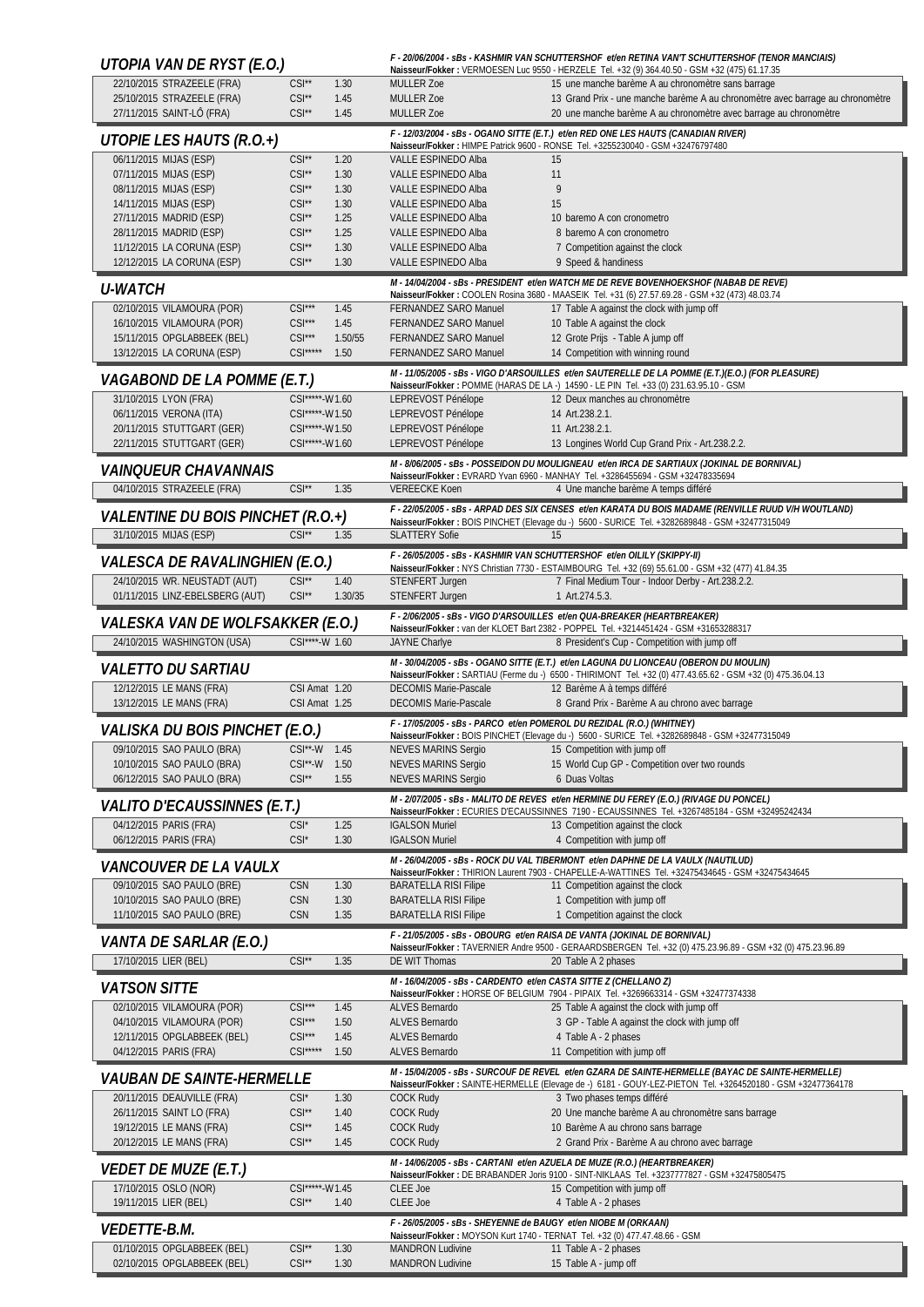| Naisseur/Fokker: VERMOESEN Luc 9550 - HERZELE Tel. +32 (9) 364.40.50 - GSM +32 (475) 61.17.35<br>22/10/2015 STRAZEELE (FRA)<br>$CSI**$<br>1.30<br>15 une manche barème A au chronomètre sans barrage<br>MULLER Zoe<br>25/10/2015 STRAZEELE (FRA)<br>$CSI**$<br>MULLER Zoe<br>13 Grand Prix - une manche barème A au chronomètre avec barrage au chronomètre<br>1.45<br>27/11/2015 SAINT-LÔ (FRA)<br>$CSI^{\star\star}$<br>1.45<br><b>MULLER Zoe</b><br>20 une manche barème A au chronomètre avec barrage au chronomètre<br>F - 12/03/2004 - sBs - OGANO SITTE (E.T.) et/en RED ONE LES HAUTS (CANADIAN RIVER)<br>UTOPIE LES HAUTS (R.O.+)<br>Naisseur/Fokker: HIMPE Patrick 9600 - RONSE Tel. +3255230040 - GSM +32476797480<br>06/11/2015 MIJAS (ESP)<br>$CSI**$<br>1.20<br>VALLE ESPINEDO Alba<br>15<br>$CSI**$<br>07/11/2015 MIJAS (ESP)<br>1.30<br>VALLE ESPINEDO Alba<br>11<br>9<br>$CSI**$<br>08/11/2015 MIJAS (ESP)<br>1.30<br>VALLE ESPINEDO Alba<br>14/11/2015 MIJAS (ESP)<br>$CSI**$<br>15<br>1.30<br><b>VALLE ESPINEDO Alba</b><br>$CSI**$<br>1.25<br>27/11/2015 MADRID (ESP)<br>VALLE ESPINEDO Alba<br>10 baremo A con cronometro<br>$CSI**$<br>1.25<br>28/11/2015 MADRID (ESP)<br>VALLE ESPINEDO Alba<br>8 baremo A con cronometro<br>$CSI**$<br>11/12/2015 LA CORUNA (ESP)<br>1.30<br><b>VALLE ESPINEDO Alba</b><br>7 Competition against the clock<br>12/12/2015 LA CORUNA (ESP)<br>$CSI**$<br>1.30<br>VALLE ESPINEDO Alba<br>9 Speed & handiness<br>M - 14/04/2004 - sBs - PRESIDENT et/en WATCH ME DE REVE BOVENHOEKSHOF (NABAB DE REVE)<br><i><b>U-WATCH</b></i><br>Naisseur/Fokker: COOLEN Rosina 3680 - MAASEIK Tel. +31 (6) 27.57.69.28 - GSM +32 (473) 48.03.74<br>$CSI***$<br>02/10/2015 VILAMOURA (POR)<br>1.45<br>FERNANDEZ SARO Manuel<br>17 Table A against the clock with jump off<br>$CSI***$<br>16/10/2015 VILAMOURA (POR)<br>1.45<br>10 Table A against the clock<br><b>FERNANDEZ SARO Manuel</b><br>15/11/2015 OPGLABBEEK (BEL)<br>$CSI***$<br>12 Grote Prijs - Table A jump off<br>1.50/55<br><b>FERNANDEZ SARO Manuel</b><br>$CSI***$<br>13/12/2015 LA CORUNA (ESP)<br>1.50<br>14 Competition with winning round<br><b>FERNANDEZ SARO Manuel</b><br>M - 11/05/2005 - sBs - VIGO D'ARSOUILLES et/en SAUTERELLE DE LA POMME (E.T.)(E.O.) (FOR PLEASURE)<br>VAGABOND DE LA POMME (E.T.)<br>Naisseur/Fokker: POMME (HARAS DE LA -) 14590 - LE PIN Tel. +33 (0) 231.63.95.10 - GSM<br>31/10/2015 LYON (FRA)<br>12 Deux manches au chronomètre<br>CSI*****-W1.60<br>LEPREVOST Pénélope<br>06/11/2015 VERONA (ITA)<br>CSI*****-W1.50<br>LEPREVOST Pénélope<br>14 Art.238.2.1.<br>20/11/2015 STUTTGART (GER)<br>LEPREVOST Pénélope<br>CSI*****-W1.50<br>11 Art.238.2.1.<br>22/11/2015 STUTTGART (GER)<br>LEPREVOST Pénélope<br>CSI*****-W1.60<br>13 Longines World Cup Grand Prix - Art.238.2.2.<br>M - 8/06/2005 - sBs - POSSEIDON DU MOULIGNEAU et/en IRCA DE SARTIAUX (JOKINAL DE BORNIVAL)<br><i>VAINQUEUR CHAVANNAIS</i><br>Naisseur/Fokker: EVRARD Yvan 6960 - MANHAY Tel. +3286455694 - GSM +32478335694<br>04/10/2015 STRAZEELE (FRA)<br>$CSI**$<br>1.35<br><b>VEREECKE Koen</b><br>4 Une manche barème A temps différé<br>F - 22/05/2005 - sBs - ARPAD DES SIX CENSES et/en KARATA DU BOIS MADAME (RENVILLE RUUD V/H WOUTLAND)<br>VALENTINE DU BOIS PINCHET (R.O.+)<br>Naisseur/Fokker: BOIS PINCHET (Elevage du -) 5600 - SURICE Tel. +3282689848 - GSM +32477315049<br>31/10/2015 MIJAS (ESP)<br>$CSI**$<br><b>SLATTERY Sofie</b><br>1.35<br>15<br>F - 26/05/2005 - sBs - KASHMIR VAN SCHUTTERSHOF et/en OILILY (SKIPPY-II)<br>VALESCA DE RAVALINGHIEN (E.O.)<br>Naisseur/Fokker: NYS Christian 7730 - ESTAIMBOURG Tel. +32 (69) 55.61.00 - GSM +32 (477) 41.84.35<br>24/10/2015 WR. NEUSTADT (AUT)<br>$CSI^{\star\star}$<br>1.40<br>7 Final Medium Tour - Indoor Derby - Art.238.2.2.<br>STENFERT Jurgen<br>01/11/2015 LINZ-EBELSBERG (AUT)<br>$CSI**$<br>1.30/35<br>STENFERT Jurgen<br>1 Art.274.5.3.<br>F - 2/06/2005 - sBs - VIGO D'ARSOUILLES et/en QUA-BREAKER (HEARTBREAKER)<br>VALESKA VAN DE WOLFSAKKER (E.O.)<br>Naisseur/Fokker: van der KLOET Bart 2382 - POPPEL Tel. +3214451424 - GSM +31653288317<br>24/10/2015 WASHINGTON (USA)<br>CSI****-W 1.60<br>JAYNE Charlye<br>8 President's Cup - Competition with jump off<br>M - 30/04/2005 - sBs - OGANO SITTE (E.T.) et/en LAGUNA DU LIONCEAU (OBERON DU MOULIN)<br><i>VALETTO DU SARTIAU</i><br>Naisseur/Fokker: SARTIAU (Ferme du -) 6500 - THIRIMONT Tel. +32 (0) 477.43.65.62 - GSM +32 (0) 475.36.04.13<br>12/12/2015 LE MANS (FRA)<br>CSI Amat 1.20<br><b>DECOMIS Marie-Pascale</b><br>12 Barème A à temps différé<br>8 Grand Prix - Barème A au chrono avec barrage<br>13/12/2015 LE MANS (FRA)<br>CSI Amat 1.25<br><b>DECOMIS Marie-Pascale</b><br>F - 17/05/2005 - sBs - PARCO et/en POMEROL DU REZIDAL (R.O.) (WHITNEY)<br>VALISKA DU BOIS PINCHET (E.O.)<br>Naisseur/Fokker: BOIS PINCHET (Elevage du -) 5600 - SURICE Tel. +3282689848 - GSM +32477315049<br>09/10/2015 SAO PAULO (BRA)<br>CSI**-W 1.45<br><b>NEVES MARINS Sergio</b><br>15 Competition with jump off<br>10/10/2015 SAO PAULO (BRA)<br>15 World Cup GP - Competition over two rounds<br>CSI**-W 1.50<br><b>NEVES MARINS Sergio</b><br>06/12/2015 SAO PAULO (BRA)<br>$CSI**$<br><b>NEVES MARINS Sergio</b><br>6 Duas Voltas<br>1.55<br>M - 2/07/2005 - sBs - MALITO DE REVES et/en HERMINE DU FEREY (E.O.) (RIVAGE DU PONCEL)<br><i>VALITO D'ECAUSSINNES (E.T.)</i><br>Naisseur/Fokker: ECURIES D'ECAUSSINNES 7190 - ECAUSSINNES Tel. +3267485184 - GSM +32495242434<br>04/12/2015 PARIS (FRA)<br>1.25<br><b>IGALSON Muriel</b><br>$CSI^*$<br>13 Competition against the clock<br>06/12/2015 PARIS (FRA)<br>$CSI^*$<br><b>IGALSON Muriel</b><br>4 Competition with jump off<br>1.30<br>M - 26/04/2005 - sBs - ROCK DU VAL TIBERMONT et/en DAPHNE DE LA VAULX (NAUTILUD)<br><i>VANCOUVER DE LA VAULX</i><br>Naisseur/Fokker: THIRION Laurent 7903 - CHAPELLE-A-WATTINES Tel. +32475434645 - GSM +32475434645<br>09/10/2015 SAO PAULO (BRE)<br><b>CSN</b><br>1.30<br><b>BARATELLA RISI Filipe</b><br>11 Competition against the clock<br>10/10/2015 SAO PAULO (BRE)<br>CSN<br>1.30<br><b>BARATELLA RISI Filipe</b><br>1 Competition with jump off<br>11/10/2015 SAO PAULO (BRE)<br><b>CSN</b><br><b>BARATELLA RISI Filipe</b><br>1 Competition against the clock<br>1.35<br>F - 21/05/2005 - sBs - OBOURG et/en RAISA DE VANTA (JOKINAL DE BORNIVAL)<br><i>VANTA DE SARLAR (E.O.)</i><br>Naisseur/Fokker: TAVERNIER Andre 9500 - GERAARDSBERGEN Tel. +32 (0) 475.23.96.89 - GSM +32 (0) 475.23.96.89<br>17/10/2015 LIER (BEL)<br>$CSI**$<br>DE WIT Thomas<br>1.35<br>20 Table A 2 phases<br>M - 16/04/2005 - sBs - CARDENTO et/en CASTA SITTE Z (CHELLANO Z)<br><i><b>VATSON SITTE</b></i><br>Naisseur/Fokker: HORSE OF BELGIUM 7904 - PIPAIX Tel. +3269663314 - GSM +32477374338<br>02/10/2015 VILAMOURA (POR)<br>$CSI***$<br>1.45<br>ALVES Bernardo<br>25 Table A against the clock with jump off<br>04/10/2015 VILAMOURA (POR)<br>$CSI***$<br>1.50<br>3 GP - Table A against the clock with jump off<br>ALVES Bernardo<br>$CSI***$<br>12/11/2015 OPGLABBEEK (BEL)<br>ALVES Bernardo<br>4 Table A - 2 phases<br>1.45<br>$CSI***$<br>1.50<br>ALVES Bernardo<br>04/12/2015 PARIS (FRA)<br>11 Competition with jump off<br>M - 15/04/2005 - sBs - SURCOUF DE REVEL et/en GZARA DE SAINTE-HERMELLE (BAYAC DE SAINTE-HERMELLE)<br><i>VAUBAN DE SAINTE-HERMELLE</i><br>Naisseur/Fokker: SAINTE-HERMELLE (Elevage de -) 6181 - GOUY-LEZ-PIETON Tel. +3264520180 - GSM +32477364178<br>20/11/2015 DEAUVILLE (FRA)<br>$CSI^*$<br>1.30<br><b>COCK Rudy</b><br>3 Two phases temps différé<br>$CSI**$<br>26/11/2015 SAINT LO (FRA)<br>1.40<br><b>COCK Rudy</b><br>20 Une manche barème A au chronomètre sans barrage<br>$CSI**$<br><b>COCK Rudy</b><br>19/12/2015 LE MANS (FRA)<br>1.45<br>10 Barème A au chrono sans barrage<br>$CSI^{\star\star}$<br>20/12/2015 LE MANS (FRA)<br>1.45<br><b>COCK Rudy</b><br>2 Grand Prix - Barème A au chrono avec barrage<br>M - 14/06/2005 - sBs - CARTANI et/en AZUELA DE MUZE (R.O.) (HEARTBREAKER)<br><i>VEDET DE MUZE (E.T.)</i><br>Naisseur/Fokker: DE BRABANDER Joris 9100 - SINT-NIKLAAS Tel. +3237777827 - GSM +32475805475<br>17/10/2015 OSLO (NOR)<br>CSI*****-W1.45<br>15 Competition with jump off<br>CLEE Joe<br>19/11/2015 LIER (BEL)<br>CLEE Joe<br>$CSI**$<br>1.40<br>4 Table A - 2 phases<br>F - 26/05/2005 - sBs - SHEYENNE de BAUGY et/en NIOBE M (ORKAAN)<br><i>VEDETTE-B.M.</i><br>Naisseur/Fokker: MOYSON Kurt 1740 - TERNAT Tel. +32 (0) 477.47.48.66 - GSM<br>01/10/2015 OPGLABBEEK (BEL)<br>$CSI**$<br>1.30<br><b>MANDRON Ludivine</b><br>11 Table A - 2 phases<br>02/10/2015 OPGLABBEEK (BEL)<br>$CSI**$<br>1.30<br><b>MANDRON Ludivine</b><br>15 Table A - jump off | UTOPIA VAN DE RYST (E.O.) |  | F - 20/06/2004 - sBs - KASHMIR VAN SCHUTTERSHOF et/en RETINA VAN'T SCHUTTERSHOF (TENOR MANCIAIS) |
|------------------------------------------------------------------------------------------------------------------------------------------------------------------------------------------------------------------------------------------------------------------------------------------------------------------------------------------------------------------------------------------------------------------------------------------------------------------------------------------------------------------------------------------------------------------------------------------------------------------------------------------------------------------------------------------------------------------------------------------------------------------------------------------------------------------------------------------------------------------------------------------------------------------------------------------------------------------------------------------------------------------------------------------------------------------------------------------------------------------------------------------------------------------------------------------------------------------------------------------------------------------------------------------------------------------------------------------------------------------------------------------------------------------------------------------------------------------------------------------------------------------------------------------------------------------------------------------------------------------------------------------------------------------------------------------------------------------------------------------------------------------------------------------------------------------------------------------------------------------------------------------------------------------------------------------------------------------------------------------------------------------------------------------------------------------------------------------------------------------------------------------------------------------------------------------------------------------------------------------------------------------------------------------------------------------------------------------------------------------------------------------------------------------------------------------------------------------------------------------------------------------------------------------------------------------------------------------------------------------------------------------------------------------------------------------------------------------------------------------------------------------------------------------------------------------------------------------------------------------------------------------------------------------------------------------------------------------------------------------------------------------------------------------------------------------------------------------------------------------------------------------------------------------------------------------------------------------------------------------------------------------------------------------------------------------------------------------------------------------------------------------------------------------------------------------------------------------------------------------------------------------------------------------------------------------------------------------------------------------------------------------------------------------------------------------------------------------------------------------------------------------------------------------------------------------------------------------------------------------------------------------------------------------------------------------------------------------------------------------------------------------------------------------------------------------------------------------------------------------------------------------------------------------------------------------------------------------------------------------------------------------------------------------------------------------------------------------------------------------------------------------------------------------------------------------------------------------------------------------------------------------------------------------------------------------------------------------------------------------------------------------------------------------------------------------------------------------------------------------------------------------------------------------------------------------------------------------------------------------------------------------------------------------------------------------------------------------------------------------------------------------------------------------------------------------------------------------------------------------------------------------------------------------------------------------------------------------------------------------------------------------------------------------------------------------------------------------------------------------------------------------------------------------------------------------------------------------------------------------------------------------------------------------------------------------------------------------------------------------------------------------------------------------------------------------------------------------------------------------------------------------------------------------------------------------------------------------------------------------------------------------------------------------------------------------------------------------------------------------------------------------------------------------------------------------------------------------------------------------------------------------------------------------------------------------------------------------------------------------------------------------------------------------------------------------------------------------------------------------------------------------------------------------------------------------------------------------------------------------------------------------------------------------------------------------------------------------------------------------------------------------------------------------------------------------------------------------------------------------------------------------------------------------------------------------------------------------------------------------------------------------------------------------------------------------------------------------------------------------------------------------------------------------------------------------------------------------------------------------------------------------------------------------------------------------------------------------------------------------------------------------------------------------------------------------------------------------------------------------------------------------------------------------------------------------------------------------------------------------------------------------------------------------------------------------------------------------------------------------------------------------------------------------------------------------------------------------------------------------------------------------------------------------------------------------------------------------------------------------------------------------------------------------------------------------------------------------------------------------------------------------------------------------------------------------------------------------------------------------------------------------------------------------------------------------------------------------------------------------------------------------------------------------------------------------------------------------------------------------------------------------------------------------------------------------------------------------------------------------------------------------------------------------------------------------------------------------------------------------------------------------------------------------------------------------------------------------------------------------------------------------------------------------------------|---------------------------|--|--------------------------------------------------------------------------------------------------|
|                                                                                                                                                                                                                                                                                                                                                                                                                                                                                                                                                                                                                                                                                                                                                                                                                                                                                                                                                                                                                                                                                                                                                                                                                                                                                                                                                                                                                                                                                                                                                                                                                                                                                                                                                                                                                                                                                                                                                                                                                                                                                                                                                                                                                                                                                                                                                                                                                                                                                                                                                                                                                                                                                                                                                                                                                                                                                                                                                                                                                                                                                                                                                                                                                                                                                                                                                                                                                                                                                                                                                                                                                                                                                                                                                                                                                                                                                                                                                                                                                                                                                                                                                                                                                                                                                                                                                                                                                                                                                                                                                                                                                                                                                                                                                                                                                                                                                                                                                                                                                                                                                                                                                                                                                                                                                                                                                                                                                                                                                                                                                                                                                                                                                                                                                                                                                                                                                                                                                                                                                                                                                                                                                                                                                                                                                                                                                                                                                                                                                                                                                                                                                                                                                                                                                                                                                                                                                                                                                                                                                                                                                                                                                                                                                                                                                                                                                                                                                                                                                                                                                                                                                                                                                                                                                                                                                                                                                                                                                                                                                                                                                                                                                                                                                                                                                                                                                                                                                                                                                                                                                                                                                                                                                                                                                                                                      |                           |  |                                                                                                  |
|                                                                                                                                                                                                                                                                                                                                                                                                                                                                                                                                                                                                                                                                                                                                                                                                                                                                                                                                                                                                                                                                                                                                                                                                                                                                                                                                                                                                                                                                                                                                                                                                                                                                                                                                                                                                                                                                                                                                                                                                                                                                                                                                                                                                                                                                                                                                                                                                                                                                                                                                                                                                                                                                                                                                                                                                                                                                                                                                                                                                                                                                                                                                                                                                                                                                                                                                                                                                                                                                                                                                                                                                                                                                                                                                                                                                                                                                                                                                                                                                                                                                                                                                                                                                                                                                                                                                                                                                                                                                                                                                                                                                                                                                                                                                                                                                                                                                                                                                                                                                                                                                                                                                                                                                                                                                                                                                                                                                                                                                                                                                                                                                                                                                                                                                                                                                                                                                                                                                                                                                                                                                                                                                                                                                                                                                                                                                                                                                                                                                                                                                                                                                                                                                                                                                                                                                                                                                                                                                                                                                                                                                                                                                                                                                                                                                                                                                                                                                                                                                                                                                                                                                                                                                                                                                                                                                                                                                                                                                                                                                                                                                                                                                                                                                                                                                                                                                                                                                                                                                                                                                                                                                                                                                                                                                                                                                      |                           |  |                                                                                                  |
|                                                                                                                                                                                                                                                                                                                                                                                                                                                                                                                                                                                                                                                                                                                                                                                                                                                                                                                                                                                                                                                                                                                                                                                                                                                                                                                                                                                                                                                                                                                                                                                                                                                                                                                                                                                                                                                                                                                                                                                                                                                                                                                                                                                                                                                                                                                                                                                                                                                                                                                                                                                                                                                                                                                                                                                                                                                                                                                                                                                                                                                                                                                                                                                                                                                                                                                                                                                                                                                                                                                                                                                                                                                                                                                                                                                                                                                                                                                                                                                                                                                                                                                                                                                                                                                                                                                                                                                                                                                                                                                                                                                                                                                                                                                                                                                                                                                                                                                                                                                                                                                                                                                                                                                                                                                                                                                                                                                                                                                                                                                                                                                                                                                                                                                                                                                                                                                                                                                                                                                                                                                                                                                                                                                                                                                                                                                                                                                                                                                                                                                                                                                                                                                                                                                                                                                                                                                                                                                                                                                                                                                                                                                                                                                                                                                                                                                                                                                                                                                                                                                                                                                                                                                                                                                                                                                                                                                                                                                                                                                                                                                                                                                                                                                                                                                                                                                                                                                                                                                                                                                                                                                                                                                                                                                                                                                                      |                           |  |                                                                                                  |
|                                                                                                                                                                                                                                                                                                                                                                                                                                                                                                                                                                                                                                                                                                                                                                                                                                                                                                                                                                                                                                                                                                                                                                                                                                                                                                                                                                                                                                                                                                                                                                                                                                                                                                                                                                                                                                                                                                                                                                                                                                                                                                                                                                                                                                                                                                                                                                                                                                                                                                                                                                                                                                                                                                                                                                                                                                                                                                                                                                                                                                                                                                                                                                                                                                                                                                                                                                                                                                                                                                                                                                                                                                                                                                                                                                                                                                                                                                                                                                                                                                                                                                                                                                                                                                                                                                                                                                                                                                                                                                                                                                                                                                                                                                                                                                                                                                                                                                                                                                                                                                                                                                                                                                                                                                                                                                                                                                                                                                                                                                                                                                                                                                                                                                                                                                                                                                                                                                                                                                                                                                                                                                                                                                                                                                                                                                                                                                                                                                                                                                                                                                                                                                                                                                                                                                                                                                                                                                                                                                                                                                                                                                                                                                                                                                                                                                                                                                                                                                                                                                                                                                                                                                                                                                                                                                                                                                                                                                                                                                                                                                                                                                                                                                                                                                                                                                                                                                                                                                                                                                                                                                                                                                                                                                                                                                                                      |                           |  |                                                                                                  |
|                                                                                                                                                                                                                                                                                                                                                                                                                                                                                                                                                                                                                                                                                                                                                                                                                                                                                                                                                                                                                                                                                                                                                                                                                                                                                                                                                                                                                                                                                                                                                                                                                                                                                                                                                                                                                                                                                                                                                                                                                                                                                                                                                                                                                                                                                                                                                                                                                                                                                                                                                                                                                                                                                                                                                                                                                                                                                                                                                                                                                                                                                                                                                                                                                                                                                                                                                                                                                                                                                                                                                                                                                                                                                                                                                                                                                                                                                                                                                                                                                                                                                                                                                                                                                                                                                                                                                                                                                                                                                                                                                                                                                                                                                                                                                                                                                                                                                                                                                                                                                                                                                                                                                                                                                                                                                                                                                                                                                                                                                                                                                                                                                                                                                                                                                                                                                                                                                                                                                                                                                                                                                                                                                                                                                                                                                                                                                                                                                                                                                                                                                                                                                                                                                                                                                                                                                                                                                                                                                                                                                                                                                                                                                                                                                                                                                                                                                                                                                                                                                                                                                                                                                                                                                                                                                                                                                                                                                                                                                                                                                                                                                                                                                                                                                                                                                                                                                                                                                                                                                                                                                                                                                                                                                                                                                                                                      |                           |  |                                                                                                  |
|                                                                                                                                                                                                                                                                                                                                                                                                                                                                                                                                                                                                                                                                                                                                                                                                                                                                                                                                                                                                                                                                                                                                                                                                                                                                                                                                                                                                                                                                                                                                                                                                                                                                                                                                                                                                                                                                                                                                                                                                                                                                                                                                                                                                                                                                                                                                                                                                                                                                                                                                                                                                                                                                                                                                                                                                                                                                                                                                                                                                                                                                                                                                                                                                                                                                                                                                                                                                                                                                                                                                                                                                                                                                                                                                                                                                                                                                                                                                                                                                                                                                                                                                                                                                                                                                                                                                                                                                                                                                                                                                                                                                                                                                                                                                                                                                                                                                                                                                                                                                                                                                                                                                                                                                                                                                                                                                                                                                                                                                                                                                                                                                                                                                                                                                                                                                                                                                                                                                                                                                                                                                                                                                                                                                                                                                                                                                                                                                                                                                                                                                                                                                                                                                                                                                                                                                                                                                                                                                                                                                                                                                                                                                                                                                                                                                                                                                                                                                                                                                                                                                                                                                                                                                                                                                                                                                                                                                                                                                                                                                                                                                                                                                                                                                                                                                                                                                                                                                                                                                                                                                                                                                                                                                                                                                                                                                      |                           |  |                                                                                                  |
|                                                                                                                                                                                                                                                                                                                                                                                                                                                                                                                                                                                                                                                                                                                                                                                                                                                                                                                                                                                                                                                                                                                                                                                                                                                                                                                                                                                                                                                                                                                                                                                                                                                                                                                                                                                                                                                                                                                                                                                                                                                                                                                                                                                                                                                                                                                                                                                                                                                                                                                                                                                                                                                                                                                                                                                                                                                                                                                                                                                                                                                                                                                                                                                                                                                                                                                                                                                                                                                                                                                                                                                                                                                                                                                                                                                                                                                                                                                                                                                                                                                                                                                                                                                                                                                                                                                                                                                                                                                                                                                                                                                                                                                                                                                                                                                                                                                                                                                                                                                                                                                                                                                                                                                                                                                                                                                                                                                                                                                                                                                                                                                                                                                                                                                                                                                                                                                                                                                                                                                                                                                                                                                                                                                                                                                                                                                                                                                                                                                                                                                                                                                                                                                                                                                                                                                                                                                                                                                                                                                                                                                                                                                                                                                                                                                                                                                                                                                                                                                                                                                                                                                                                                                                                                                                                                                                                                                                                                                                                                                                                                                                                                                                                                                                                                                                                                                                                                                                                                                                                                                                                                                                                                                                                                                                                                                                      |                           |  |                                                                                                  |
|                                                                                                                                                                                                                                                                                                                                                                                                                                                                                                                                                                                                                                                                                                                                                                                                                                                                                                                                                                                                                                                                                                                                                                                                                                                                                                                                                                                                                                                                                                                                                                                                                                                                                                                                                                                                                                                                                                                                                                                                                                                                                                                                                                                                                                                                                                                                                                                                                                                                                                                                                                                                                                                                                                                                                                                                                                                                                                                                                                                                                                                                                                                                                                                                                                                                                                                                                                                                                                                                                                                                                                                                                                                                                                                                                                                                                                                                                                                                                                                                                                                                                                                                                                                                                                                                                                                                                                                                                                                                                                                                                                                                                                                                                                                                                                                                                                                                                                                                                                                                                                                                                                                                                                                                                                                                                                                                                                                                                                                                                                                                                                                                                                                                                                                                                                                                                                                                                                                                                                                                                                                                                                                                                                                                                                                                                                                                                                                                                                                                                                                                                                                                                                                                                                                                                                                                                                                                                                                                                                                                                                                                                                                                                                                                                                                                                                                                                                                                                                                                                                                                                                                                                                                                                                                                                                                                                                                                                                                                                                                                                                                                                                                                                                                                                                                                                                                                                                                                                                                                                                                                                                                                                                                                                                                                                                                                      |                           |  |                                                                                                  |
|                                                                                                                                                                                                                                                                                                                                                                                                                                                                                                                                                                                                                                                                                                                                                                                                                                                                                                                                                                                                                                                                                                                                                                                                                                                                                                                                                                                                                                                                                                                                                                                                                                                                                                                                                                                                                                                                                                                                                                                                                                                                                                                                                                                                                                                                                                                                                                                                                                                                                                                                                                                                                                                                                                                                                                                                                                                                                                                                                                                                                                                                                                                                                                                                                                                                                                                                                                                                                                                                                                                                                                                                                                                                                                                                                                                                                                                                                                                                                                                                                                                                                                                                                                                                                                                                                                                                                                                                                                                                                                                                                                                                                                                                                                                                                                                                                                                                                                                                                                                                                                                                                                                                                                                                                                                                                                                                                                                                                                                                                                                                                                                                                                                                                                                                                                                                                                                                                                                                                                                                                                                                                                                                                                                                                                                                                                                                                                                                                                                                                                                                                                                                                                                                                                                                                                                                                                                                                                                                                                                                                                                                                                                                                                                                                                                                                                                                                                                                                                                                                                                                                                                                                                                                                                                                                                                                                                                                                                                                                                                                                                                                                                                                                                                                                                                                                                                                                                                                                                                                                                                                                                                                                                                                                                                                                                                                      |                           |  |                                                                                                  |
|                                                                                                                                                                                                                                                                                                                                                                                                                                                                                                                                                                                                                                                                                                                                                                                                                                                                                                                                                                                                                                                                                                                                                                                                                                                                                                                                                                                                                                                                                                                                                                                                                                                                                                                                                                                                                                                                                                                                                                                                                                                                                                                                                                                                                                                                                                                                                                                                                                                                                                                                                                                                                                                                                                                                                                                                                                                                                                                                                                                                                                                                                                                                                                                                                                                                                                                                                                                                                                                                                                                                                                                                                                                                                                                                                                                                                                                                                                                                                                                                                                                                                                                                                                                                                                                                                                                                                                                                                                                                                                                                                                                                                                                                                                                                                                                                                                                                                                                                                                                                                                                                                                                                                                                                                                                                                                                                                                                                                                                                                                                                                                                                                                                                                                                                                                                                                                                                                                                                                                                                                                                                                                                                                                                                                                                                                                                                                                                                                                                                                                                                                                                                                                                                                                                                                                                                                                                                                                                                                                                                                                                                                                                                                                                                                                                                                                                                                                                                                                                                                                                                                                                                                                                                                                                                                                                                                                                                                                                                                                                                                                                                                                                                                                                                                                                                                                                                                                                                                                                                                                                                                                                                                                                                                                                                                                                                      |                           |  |                                                                                                  |
|                                                                                                                                                                                                                                                                                                                                                                                                                                                                                                                                                                                                                                                                                                                                                                                                                                                                                                                                                                                                                                                                                                                                                                                                                                                                                                                                                                                                                                                                                                                                                                                                                                                                                                                                                                                                                                                                                                                                                                                                                                                                                                                                                                                                                                                                                                                                                                                                                                                                                                                                                                                                                                                                                                                                                                                                                                                                                                                                                                                                                                                                                                                                                                                                                                                                                                                                                                                                                                                                                                                                                                                                                                                                                                                                                                                                                                                                                                                                                                                                                                                                                                                                                                                                                                                                                                                                                                                                                                                                                                                                                                                                                                                                                                                                                                                                                                                                                                                                                                                                                                                                                                                                                                                                                                                                                                                                                                                                                                                                                                                                                                                                                                                                                                                                                                                                                                                                                                                                                                                                                                                                                                                                                                                                                                                                                                                                                                                                                                                                                                                                                                                                                                                                                                                                                                                                                                                                                                                                                                                                                                                                                                                                                                                                                                                                                                                                                                                                                                                                                                                                                                                                                                                                                                                                                                                                                                                                                                                                                                                                                                                                                                                                                                                                                                                                                                                                                                                                                                                                                                                                                                                                                                                                                                                                                                                                      |                           |  |                                                                                                  |
|                                                                                                                                                                                                                                                                                                                                                                                                                                                                                                                                                                                                                                                                                                                                                                                                                                                                                                                                                                                                                                                                                                                                                                                                                                                                                                                                                                                                                                                                                                                                                                                                                                                                                                                                                                                                                                                                                                                                                                                                                                                                                                                                                                                                                                                                                                                                                                                                                                                                                                                                                                                                                                                                                                                                                                                                                                                                                                                                                                                                                                                                                                                                                                                                                                                                                                                                                                                                                                                                                                                                                                                                                                                                                                                                                                                                                                                                                                                                                                                                                                                                                                                                                                                                                                                                                                                                                                                                                                                                                                                                                                                                                                                                                                                                                                                                                                                                                                                                                                                                                                                                                                                                                                                                                                                                                                                                                                                                                                                                                                                                                                                                                                                                                                                                                                                                                                                                                                                                                                                                                                                                                                                                                                                                                                                                                                                                                                                                                                                                                                                                                                                                                                                                                                                                                                                                                                                                                                                                                                                                                                                                                                                                                                                                                                                                                                                                                                                                                                                                                                                                                                                                                                                                                                                                                                                                                                                                                                                                                                                                                                                                                                                                                                                                                                                                                                                                                                                                                                                                                                                                                                                                                                                                                                                                                                                                      |                           |  |                                                                                                  |
|                                                                                                                                                                                                                                                                                                                                                                                                                                                                                                                                                                                                                                                                                                                                                                                                                                                                                                                                                                                                                                                                                                                                                                                                                                                                                                                                                                                                                                                                                                                                                                                                                                                                                                                                                                                                                                                                                                                                                                                                                                                                                                                                                                                                                                                                                                                                                                                                                                                                                                                                                                                                                                                                                                                                                                                                                                                                                                                                                                                                                                                                                                                                                                                                                                                                                                                                                                                                                                                                                                                                                                                                                                                                                                                                                                                                                                                                                                                                                                                                                                                                                                                                                                                                                                                                                                                                                                                                                                                                                                                                                                                                                                                                                                                                                                                                                                                                                                                                                                                                                                                                                                                                                                                                                                                                                                                                                                                                                                                                                                                                                                                                                                                                                                                                                                                                                                                                                                                                                                                                                                                                                                                                                                                                                                                                                                                                                                                                                                                                                                                                                                                                                                                                                                                                                                                                                                                                                                                                                                                                                                                                                                                                                                                                                                                                                                                                                                                                                                                                                                                                                                                                                                                                                                                                                                                                                                                                                                                                                                                                                                                                                                                                                                                                                                                                                                                                                                                                                                                                                                                                                                                                                                                                                                                                                                                                      |                           |  |                                                                                                  |
|                                                                                                                                                                                                                                                                                                                                                                                                                                                                                                                                                                                                                                                                                                                                                                                                                                                                                                                                                                                                                                                                                                                                                                                                                                                                                                                                                                                                                                                                                                                                                                                                                                                                                                                                                                                                                                                                                                                                                                                                                                                                                                                                                                                                                                                                                                                                                                                                                                                                                                                                                                                                                                                                                                                                                                                                                                                                                                                                                                                                                                                                                                                                                                                                                                                                                                                                                                                                                                                                                                                                                                                                                                                                                                                                                                                                                                                                                                                                                                                                                                                                                                                                                                                                                                                                                                                                                                                                                                                                                                                                                                                                                                                                                                                                                                                                                                                                                                                                                                                                                                                                                                                                                                                                                                                                                                                                                                                                                                                                                                                                                                                                                                                                                                                                                                                                                                                                                                                                                                                                                                                                                                                                                                                                                                                                                                                                                                                                                                                                                                                                                                                                                                                                                                                                                                                                                                                                                                                                                                                                                                                                                                                                                                                                                                                                                                                                                                                                                                                                                                                                                                                                                                                                                                                                                                                                                                                                                                                                                                                                                                                                                                                                                                                                                                                                                                                                                                                                                                                                                                                                                                                                                                                                                                                                                                                                      |                           |  |                                                                                                  |
|                                                                                                                                                                                                                                                                                                                                                                                                                                                                                                                                                                                                                                                                                                                                                                                                                                                                                                                                                                                                                                                                                                                                                                                                                                                                                                                                                                                                                                                                                                                                                                                                                                                                                                                                                                                                                                                                                                                                                                                                                                                                                                                                                                                                                                                                                                                                                                                                                                                                                                                                                                                                                                                                                                                                                                                                                                                                                                                                                                                                                                                                                                                                                                                                                                                                                                                                                                                                                                                                                                                                                                                                                                                                                                                                                                                                                                                                                                                                                                                                                                                                                                                                                                                                                                                                                                                                                                                                                                                                                                                                                                                                                                                                                                                                                                                                                                                                                                                                                                                                                                                                                                                                                                                                                                                                                                                                                                                                                                                                                                                                                                                                                                                                                                                                                                                                                                                                                                                                                                                                                                                                                                                                                                                                                                                                                                                                                                                                                                                                                                                                                                                                                                                                                                                                                                                                                                                                                                                                                                                                                                                                                                                                                                                                                                                                                                                                                                                                                                                                                                                                                                                                                                                                                                                                                                                                                                                                                                                                                                                                                                                                                                                                                                                                                                                                                                                                                                                                                                                                                                                                                                                                                                                                                                                                                                                                      |                           |  |                                                                                                  |
|                                                                                                                                                                                                                                                                                                                                                                                                                                                                                                                                                                                                                                                                                                                                                                                                                                                                                                                                                                                                                                                                                                                                                                                                                                                                                                                                                                                                                                                                                                                                                                                                                                                                                                                                                                                                                                                                                                                                                                                                                                                                                                                                                                                                                                                                                                                                                                                                                                                                                                                                                                                                                                                                                                                                                                                                                                                                                                                                                                                                                                                                                                                                                                                                                                                                                                                                                                                                                                                                                                                                                                                                                                                                                                                                                                                                                                                                                                                                                                                                                                                                                                                                                                                                                                                                                                                                                                                                                                                                                                                                                                                                                                                                                                                                                                                                                                                                                                                                                                                                                                                                                                                                                                                                                                                                                                                                                                                                                                                                                                                                                                                                                                                                                                                                                                                                                                                                                                                                                                                                                                                                                                                                                                                                                                                                                                                                                                                                                                                                                                                                                                                                                                                                                                                                                                                                                                                                                                                                                                                                                                                                                                                                                                                                                                                                                                                                                                                                                                                                                                                                                                                                                                                                                                                                                                                                                                                                                                                                                                                                                                                                                                                                                                                                                                                                                                                                                                                                                                                                                                                                                                                                                                                                                                                                                                                                      |                           |  |                                                                                                  |
|                                                                                                                                                                                                                                                                                                                                                                                                                                                                                                                                                                                                                                                                                                                                                                                                                                                                                                                                                                                                                                                                                                                                                                                                                                                                                                                                                                                                                                                                                                                                                                                                                                                                                                                                                                                                                                                                                                                                                                                                                                                                                                                                                                                                                                                                                                                                                                                                                                                                                                                                                                                                                                                                                                                                                                                                                                                                                                                                                                                                                                                                                                                                                                                                                                                                                                                                                                                                                                                                                                                                                                                                                                                                                                                                                                                                                                                                                                                                                                                                                                                                                                                                                                                                                                                                                                                                                                                                                                                                                                                                                                                                                                                                                                                                                                                                                                                                                                                                                                                                                                                                                                                                                                                                                                                                                                                                                                                                                                                                                                                                                                                                                                                                                                                                                                                                                                                                                                                                                                                                                                                                                                                                                                                                                                                                                                                                                                                                                                                                                                                                                                                                                                                                                                                                                                                                                                                                                                                                                                                                                                                                                                                                                                                                                                                                                                                                                                                                                                                                                                                                                                                                                                                                                                                                                                                                                                                                                                                                                                                                                                                                                                                                                                                                                                                                                                                                                                                                                                                                                                                                                                                                                                                                                                                                                                                                      |                           |  |                                                                                                  |
|                                                                                                                                                                                                                                                                                                                                                                                                                                                                                                                                                                                                                                                                                                                                                                                                                                                                                                                                                                                                                                                                                                                                                                                                                                                                                                                                                                                                                                                                                                                                                                                                                                                                                                                                                                                                                                                                                                                                                                                                                                                                                                                                                                                                                                                                                                                                                                                                                                                                                                                                                                                                                                                                                                                                                                                                                                                                                                                                                                                                                                                                                                                                                                                                                                                                                                                                                                                                                                                                                                                                                                                                                                                                                                                                                                                                                                                                                                                                                                                                                                                                                                                                                                                                                                                                                                                                                                                                                                                                                                                                                                                                                                                                                                                                                                                                                                                                                                                                                                                                                                                                                                                                                                                                                                                                                                                                                                                                                                                                                                                                                                                                                                                                                                                                                                                                                                                                                                                                                                                                                                                                                                                                                                                                                                                                                                                                                                                                                                                                                                                                                                                                                                                                                                                                                                                                                                                                                                                                                                                                                                                                                                                                                                                                                                                                                                                                                                                                                                                                                                                                                                                                                                                                                                                                                                                                                                                                                                                                                                                                                                                                                                                                                                                                                                                                                                                                                                                                                                                                                                                                                                                                                                                                                                                                                                                                      |                           |  |                                                                                                  |
|                                                                                                                                                                                                                                                                                                                                                                                                                                                                                                                                                                                                                                                                                                                                                                                                                                                                                                                                                                                                                                                                                                                                                                                                                                                                                                                                                                                                                                                                                                                                                                                                                                                                                                                                                                                                                                                                                                                                                                                                                                                                                                                                                                                                                                                                                                                                                                                                                                                                                                                                                                                                                                                                                                                                                                                                                                                                                                                                                                                                                                                                                                                                                                                                                                                                                                                                                                                                                                                                                                                                                                                                                                                                                                                                                                                                                                                                                                                                                                                                                                                                                                                                                                                                                                                                                                                                                                                                                                                                                                                                                                                                                                                                                                                                                                                                                                                                                                                                                                                                                                                                                                                                                                                                                                                                                                                                                                                                                                                                                                                                                                                                                                                                                                                                                                                                                                                                                                                                                                                                                                                                                                                                                                                                                                                                                                                                                                                                                                                                                                                                                                                                                                                                                                                                                                                                                                                                                                                                                                                                                                                                                                                                                                                                                                                                                                                                                                                                                                                                                                                                                                                                                                                                                                                                                                                                                                                                                                                                                                                                                                                                                                                                                                                                                                                                                                                                                                                                                                                                                                                                                                                                                                                                                                                                                                                                      |                           |  |                                                                                                  |
|                                                                                                                                                                                                                                                                                                                                                                                                                                                                                                                                                                                                                                                                                                                                                                                                                                                                                                                                                                                                                                                                                                                                                                                                                                                                                                                                                                                                                                                                                                                                                                                                                                                                                                                                                                                                                                                                                                                                                                                                                                                                                                                                                                                                                                                                                                                                                                                                                                                                                                                                                                                                                                                                                                                                                                                                                                                                                                                                                                                                                                                                                                                                                                                                                                                                                                                                                                                                                                                                                                                                                                                                                                                                                                                                                                                                                                                                                                                                                                                                                                                                                                                                                                                                                                                                                                                                                                                                                                                                                                                                                                                                                                                                                                                                                                                                                                                                                                                                                                                                                                                                                                                                                                                                                                                                                                                                                                                                                                                                                                                                                                                                                                                                                                                                                                                                                                                                                                                                                                                                                                                                                                                                                                                                                                                                                                                                                                                                                                                                                                                                                                                                                                                                                                                                                                                                                                                                                                                                                                                                                                                                                                                                                                                                                                                                                                                                                                                                                                                                                                                                                                                                                                                                                                                                                                                                                                                                                                                                                                                                                                                                                                                                                                                                                                                                                                                                                                                                                                                                                                                                                                                                                                                                                                                                                                                                      |                           |  |                                                                                                  |
|                                                                                                                                                                                                                                                                                                                                                                                                                                                                                                                                                                                                                                                                                                                                                                                                                                                                                                                                                                                                                                                                                                                                                                                                                                                                                                                                                                                                                                                                                                                                                                                                                                                                                                                                                                                                                                                                                                                                                                                                                                                                                                                                                                                                                                                                                                                                                                                                                                                                                                                                                                                                                                                                                                                                                                                                                                                                                                                                                                                                                                                                                                                                                                                                                                                                                                                                                                                                                                                                                                                                                                                                                                                                                                                                                                                                                                                                                                                                                                                                                                                                                                                                                                                                                                                                                                                                                                                                                                                                                                                                                                                                                                                                                                                                                                                                                                                                                                                                                                                                                                                                                                                                                                                                                                                                                                                                                                                                                                                                                                                                                                                                                                                                                                                                                                                                                                                                                                                                                                                                                                                                                                                                                                                                                                                                                                                                                                                                                                                                                                                                                                                                                                                                                                                                                                                                                                                                                                                                                                                                                                                                                                                                                                                                                                                                                                                                                                                                                                                                                                                                                                                                                                                                                                                                                                                                                                                                                                                                                                                                                                                                                                                                                                                                                                                                                                                                                                                                                                                                                                                                                                                                                                                                                                                                                                                                      |                           |  |                                                                                                  |
|                                                                                                                                                                                                                                                                                                                                                                                                                                                                                                                                                                                                                                                                                                                                                                                                                                                                                                                                                                                                                                                                                                                                                                                                                                                                                                                                                                                                                                                                                                                                                                                                                                                                                                                                                                                                                                                                                                                                                                                                                                                                                                                                                                                                                                                                                                                                                                                                                                                                                                                                                                                                                                                                                                                                                                                                                                                                                                                                                                                                                                                                                                                                                                                                                                                                                                                                                                                                                                                                                                                                                                                                                                                                                                                                                                                                                                                                                                                                                                                                                                                                                                                                                                                                                                                                                                                                                                                                                                                                                                                                                                                                                                                                                                                                                                                                                                                                                                                                                                                                                                                                                                                                                                                                                                                                                                                                                                                                                                                                                                                                                                                                                                                                                                                                                                                                                                                                                                                                                                                                                                                                                                                                                                                                                                                                                                                                                                                                                                                                                                                                                                                                                                                                                                                                                                                                                                                                                                                                                                                                                                                                                                                                                                                                                                                                                                                                                                                                                                                                                                                                                                                                                                                                                                                                                                                                                                                                                                                                                                                                                                                                                                                                                                                                                                                                                                                                                                                                                                                                                                                                                                                                                                                                                                                                                                                                      |                           |  |                                                                                                  |
|                                                                                                                                                                                                                                                                                                                                                                                                                                                                                                                                                                                                                                                                                                                                                                                                                                                                                                                                                                                                                                                                                                                                                                                                                                                                                                                                                                                                                                                                                                                                                                                                                                                                                                                                                                                                                                                                                                                                                                                                                                                                                                                                                                                                                                                                                                                                                                                                                                                                                                                                                                                                                                                                                                                                                                                                                                                                                                                                                                                                                                                                                                                                                                                                                                                                                                                                                                                                                                                                                                                                                                                                                                                                                                                                                                                                                                                                                                                                                                                                                                                                                                                                                                                                                                                                                                                                                                                                                                                                                                                                                                                                                                                                                                                                                                                                                                                                                                                                                                                                                                                                                                                                                                                                                                                                                                                                                                                                                                                                                                                                                                                                                                                                                                                                                                                                                                                                                                                                                                                                                                                                                                                                                                                                                                                                                                                                                                                                                                                                                                                                                                                                                                                                                                                                                                                                                                                                                                                                                                                                                                                                                                                                                                                                                                                                                                                                                                                                                                                                                                                                                                                                                                                                                                                                                                                                                                                                                                                                                                                                                                                                                                                                                                                                                                                                                                                                                                                                                                                                                                                                                                                                                                                                                                                                                                                                      |                           |  |                                                                                                  |
|                                                                                                                                                                                                                                                                                                                                                                                                                                                                                                                                                                                                                                                                                                                                                                                                                                                                                                                                                                                                                                                                                                                                                                                                                                                                                                                                                                                                                                                                                                                                                                                                                                                                                                                                                                                                                                                                                                                                                                                                                                                                                                                                                                                                                                                                                                                                                                                                                                                                                                                                                                                                                                                                                                                                                                                                                                                                                                                                                                                                                                                                                                                                                                                                                                                                                                                                                                                                                                                                                                                                                                                                                                                                                                                                                                                                                                                                                                                                                                                                                                                                                                                                                                                                                                                                                                                                                                                                                                                                                                                                                                                                                                                                                                                                                                                                                                                                                                                                                                                                                                                                                                                                                                                                                                                                                                                                                                                                                                                                                                                                                                                                                                                                                                                                                                                                                                                                                                                                                                                                                                                                                                                                                                                                                                                                                                                                                                                                                                                                                                                                                                                                                                                                                                                                                                                                                                                                                                                                                                                                                                                                                                                                                                                                                                                                                                                                                                                                                                                                                                                                                                                                                                                                                                                                                                                                                                                                                                                                                                                                                                                                                                                                                                                                                                                                                                                                                                                                                                                                                                                                                                                                                                                                                                                                                                                                      |                           |  |                                                                                                  |
|                                                                                                                                                                                                                                                                                                                                                                                                                                                                                                                                                                                                                                                                                                                                                                                                                                                                                                                                                                                                                                                                                                                                                                                                                                                                                                                                                                                                                                                                                                                                                                                                                                                                                                                                                                                                                                                                                                                                                                                                                                                                                                                                                                                                                                                                                                                                                                                                                                                                                                                                                                                                                                                                                                                                                                                                                                                                                                                                                                                                                                                                                                                                                                                                                                                                                                                                                                                                                                                                                                                                                                                                                                                                                                                                                                                                                                                                                                                                                                                                                                                                                                                                                                                                                                                                                                                                                                                                                                                                                                                                                                                                                                                                                                                                                                                                                                                                                                                                                                                                                                                                                                                                                                                                                                                                                                                                                                                                                                                                                                                                                                                                                                                                                                                                                                                                                                                                                                                                                                                                                                                                                                                                                                                                                                                                                                                                                                                                                                                                                                                                                                                                                                                                                                                                                                                                                                                                                                                                                                                                                                                                                                                                                                                                                                                                                                                                                                                                                                                                                                                                                                                                                                                                                                                                                                                                                                                                                                                                                                                                                                                                                                                                                                                                                                                                                                                                                                                                                                                                                                                                                                                                                                                                                                                                                                                                      |                           |  |                                                                                                  |
|                                                                                                                                                                                                                                                                                                                                                                                                                                                                                                                                                                                                                                                                                                                                                                                                                                                                                                                                                                                                                                                                                                                                                                                                                                                                                                                                                                                                                                                                                                                                                                                                                                                                                                                                                                                                                                                                                                                                                                                                                                                                                                                                                                                                                                                                                                                                                                                                                                                                                                                                                                                                                                                                                                                                                                                                                                                                                                                                                                                                                                                                                                                                                                                                                                                                                                                                                                                                                                                                                                                                                                                                                                                                                                                                                                                                                                                                                                                                                                                                                                                                                                                                                                                                                                                                                                                                                                                                                                                                                                                                                                                                                                                                                                                                                                                                                                                                                                                                                                                                                                                                                                                                                                                                                                                                                                                                                                                                                                                                                                                                                                                                                                                                                                                                                                                                                                                                                                                                                                                                                                                                                                                                                                                                                                                                                                                                                                                                                                                                                                                                                                                                                                                                                                                                                                                                                                                                                                                                                                                                                                                                                                                                                                                                                                                                                                                                                                                                                                                                                                                                                                                                                                                                                                                                                                                                                                                                                                                                                                                                                                                                                                                                                                                                                                                                                                                                                                                                                                                                                                                                                                                                                                                                                                                                                                                                      |                           |  |                                                                                                  |
|                                                                                                                                                                                                                                                                                                                                                                                                                                                                                                                                                                                                                                                                                                                                                                                                                                                                                                                                                                                                                                                                                                                                                                                                                                                                                                                                                                                                                                                                                                                                                                                                                                                                                                                                                                                                                                                                                                                                                                                                                                                                                                                                                                                                                                                                                                                                                                                                                                                                                                                                                                                                                                                                                                                                                                                                                                                                                                                                                                                                                                                                                                                                                                                                                                                                                                                                                                                                                                                                                                                                                                                                                                                                                                                                                                                                                                                                                                                                                                                                                                                                                                                                                                                                                                                                                                                                                                                                                                                                                                                                                                                                                                                                                                                                                                                                                                                                                                                                                                                                                                                                                                                                                                                                                                                                                                                                                                                                                                                                                                                                                                                                                                                                                                                                                                                                                                                                                                                                                                                                                                                                                                                                                                                                                                                                                                                                                                                                                                                                                                                                                                                                                                                                                                                                                                                                                                                                                                                                                                                                                                                                                                                                                                                                                                                                                                                                                                                                                                                                                                                                                                                                                                                                                                                                                                                                                                                                                                                                                                                                                                                                                                                                                                                                                                                                                                                                                                                                                                                                                                                                                                                                                                                                                                                                                                                                      |                           |  |                                                                                                  |
|                                                                                                                                                                                                                                                                                                                                                                                                                                                                                                                                                                                                                                                                                                                                                                                                                                                                                                                                                                                                                                                                                                                                                                                                                                                                                                                                                                                                                                                                                                                                                                                                                                                                                                                                                                                                                                                                                                                                                                                                                                                                                                                                                                                                                                                                                                                                                                                                                                                                                                                                                                                                                                                                                                                                                                                                                                                                                                                                                                                                                                                                                                                                                                                                                                                                                                                                                                                                                                                                                                                                                                                                                                                                                                                                                                                                                                                                                                                                                                                                                                                                                                                                                                                                                                                                                                                                                                                                                                                                                                                                                                                                                                                                                                                                                                                                                                                                                                                                                                                                                                                                                                                                                                                                                                                                                                                                                                                                                                                                                                                                                                                                                                                                                                                                                                                                                                                                                                                                                                                                                                                                                                                                                                                                                                                                                                                                                                                                                                                                                                                                                                                                                                                                                                                                                                                                                                                                                                                                                                                                                                                                                                                                                                                                                                                                                                                                                                                                                                                                                                                                                                                                                                                                                                                                                                                                                                                                                                                                                                                                                                                                                                                                                                                                                                                                                                                                                                                                                                                                                                                                                                                                                                                                                                                                                                                                      |                           |  |                                                                                                  |
|                                                                                                                                                                                                                                                                                                                                                                                                                                                                                                                                                                                                                                                                                                                                                                                                                                                                                                                                                                                                                                                                                                                                                                                                                                                                                                                                                                                                                                                                                                                                                                                                                                                                                                                                                                                                                                                                                                                                                                                                                                                                                                                                                                                                                                                                                                                                                                                                                                                                                                                                                                                                                                                                                                                                                                                                                                                                                                                                                                                                                                                                                                                                                                                                                                                                                                                                                                                                                                                                                                                                                                                                                                                                                                                                                                                                                                                                                                                                                                                                                                                                                                                                                                                                                                                                                                                                                                                                                                                                                                                                                                                                                                                                                                                                                                                                                                                                                                                                                                                                                                                                                                                                                                                                                                                                                                                                                                                                                                                                                                                                                                                                                                                                                                                                                                                                                                                                                                                                                                                                                                                                                                                                                                                                                                                                                                                                                                                                                                                                                                                                                                                                                                                                                                                                                                                                                                                                                                                                                                                                                                                                                                                                                                                                                                                                                                                                                                                                                                                                                                                                                                                                                                                                                                                                                                                                                                                                                                                                                                                                                                                                                                                                                                                                                                                                                                                                                                                                                                                                                                                                                                                                                                                                                                                                                                                                      |                           |  |                                                                                                  |
|                                                                                                                                                                                                                                                                                                                                                                                                                                                                                                                                                                                                                                                                                                                                                                                                                                                                                                                                                                                                                                                                                                                                                                                                                                                                                                                                                                                                                                                                                                                                                                                                                                                                                                                                                                                                                                                                                                                                                                                                                                                                                                                                                                                                                                                                                                                                                                                                                                                                                                                                                                                                                                                                                                                                                                                                                                                                                                                                                                                                                                                                                                                                                                                                                                                                                                                                                                                                                                                                                                                                                                                                                                                                                                                                                                                                                                                                                                                                                                                                                                                                                                                                                                                                                                                                                                                                                                                                                                                                                                                                                                                                                                                                                                                                                                                                                                                                                                                                                                                                                                                                                                                                                                                                                                                                                                                                                                                                                                                                                                                                                                                                                                                                                                                                                                                                                                                                                                                                                                                                                                                                                                                                                                                                                                                                                                                                                                                                                                                                                                                                                                                                                                                                                                                                                                                                                                                                                                                                                                                                                                                                                                                                                                                                                                                                                                                                                                                                                                                                                                                                                                                                                                                                                                                                                                                                                                                                                                                                                                                                                                                                                                                                                                                                                                                                                                                                                                                                                                                                                                                                                                                                                                                                                                                                                                                                      |                           |  |                                                                                                  |
|                                                                                                                                                                                                                                                                                                                                                                                                                                                                                                                                                                                                                                                                                                                                                                                                                                                                                                                                                                                                                                                                                                                                                                                                                                                                                                                                                                                                                                                                                                                                                                                                                                                                                                                                                                                                                                                                                                                                                                                                                                                                                                                                                                                                                                                                                                                                                                                                                                                                                                                                                                                                                                                                                                                                                                                                                                                                                                                                                                                                                                                                                                                                                                                                                                                                                                                                                                                                                                                                                                                                                                                                                                                                                                                                                                                                                                                                                                                                                                                                                                                                                                                                                                                                                                                                                                                                                                                                                                                                                                                                                                                                                                                                                                                                                                                                                                                                                                                                                                                                                                                                                                                                                                                                                                                                                                                                                                                                                                                                                                                                                                                                                                                                                                                                                                                                                                                                                                                                                                                                                                                                                                                                                                                                                                                                                                                                                                                                                                                                                                                                                                                                                                                                                                                                                                                                                                                                                                                                                                                                                                                                                                                                                                                                                                                                                                                                                                                                                                                                                                                                                                                                                                                                                                                                                                                                                                                                                                                                                                                                                                                                                                                                                                                                                                                                                                                                                                                                                                                                                                                                                                                                                                                                                                                                                                                                      |                           |  |                                                                                                  |
|                                                                                                                                                                                                                                                                                                                                                                                                                                                                                                                                                                                                                                                                                                                                                                                                                                                                                                                                                                                                                                                                                                                                                                                                                                                                                                                                                                                                                                                                                                                                                                                                                                                                                                                                                                                                                                                                                                                                                                                                                                                                                                                                                                                                                                                                                                                                                                                                                                                                                                                                                                                                                                                                                                                                                                                                                                                                                                                                                                                                                                                                                                                                                                                                                                                                                                                                                                                                                                                                                                                                                                                                                                                                                                                                                                                                                                                                                                                                                                                                                                                                                                                                                                                                                                                                                                                                                                                                                                                                                                                                                                                                                                                                                                                                                                                                                                                                                                                                                                                                                                                                                                                                                                                                                                                                                                                                                                                                                                                                                                                                                                                                                                                                                                                                                                                                                                                                                                                                                                                                                                                                                                                                                                                                                                                                                                                                                                                                                                                                                                                                                                                                                                                                                                                                                                                                                                                                                                                                                                                                                                                                                                                                                                                                                                                                                                                                                                                                                                                                                                                                                                                                                                                                                                                                                                                                                                                                                                                                                                                                                                                                                                                                                                                                                                                                                                                                                                                                                                                                                                                                                                                                                                                                                                                                                                                                      |                           |  |                                                                                                  |
|                                                                                                                                                                                                                                                                                                                                                                                                                                                                                                                                                                                                                                                                                                                                                                                                                                                                                                                                                                                                                                                                                                                                                                                                                                                                                                                                                                                                                                                                                                                                                                                                                                                                                                                                                                                                                                                                                                                                                                                                                                                                                                                                                                                                                                                                                                                                                                                                                                                                                                                                                                                                                                                                                                                                                                                                                                                                                                                                                                                                                                                                                                                                                                                                                                                                                                                                                                                                                                                                                                                                                                                                                                                                                                                                                                                                                                                                                                                                                                                                                                                                                                                                                                                                                                                                                                                                                                                                                                                                                                                                                                                                                                                                                                                                                                                                                                                                                                                                                                                                                                                                                                                                                                                                                                                                                                                                                                                                                                                                                                                                                                                                                                                                                                                                                                                                                                                                                                                                                                                                                                                                                                                                                                                                                                                                                                                                                                                                                                                                                                                                                                                                                                                                                                                                                                                                                                                                                                                                                                                                                                                                                                                                                                                                                                                                                                                                                                                                                                                                                                                                                                                                                                                                                                                                                                                                                                                                                                                                                                                                                                                                                                                                                                                                                                                                                                                                                                                                                                                                                                                                                                                                                                                                                                                                                                                                      |                           |  |                                                                                                  |
|                                                                                                                                                                                                                                                                                                                                                                                                                                                                                                                                                                                                                                                                                                                                                                                                                                                                                                                                                                                                                                                                                                                                                                                                                                                                                                                                                                                                                                                                                                                                                                                                                                                                                                                                                                                                                                                                                                                                                                                                                                                                                                                                                                                                                                                                                                                                                                                                                                                                                                                                                                                                                                                                                                                                                                                                                                                                                                                                                                                                                                                                                                                                                                                                                                                                                                                                                                                                                                                                                                                                                                                                                                                                                                                                                                                                                                                                                                                                                                                                                                                                                                                                                                                                                                                                                                                                                                                                                                                                                                                                                                                                                                                                                                                                                                                                                                                                                                                                                                                                                                                                                                                                                                                                                                                                                                                                                                                                                                                                                                                                                                                                                                                                                                                                                                                                                                                                                                                                                                                                                                                                                                                                                                                                                                                                                                                                                                                                                                                                                                                                                                                                                                                                                                                                                                                                                                                                                                                                                                                                                                                                                                                                                                                                                                                                                                                                                                                                                                                                                                                                                                                                                                                                                                                                                                                                                                                                                                                                                                                                                                                                                                                                                                                                                                                                                                                                                                                                                                                                                                                                                                                                                                                                                                                                                                                                      |                           |  |                                                                                                  |
|                                                                                                                                                                                                                                                                                                                                                                                                                                                                                                                                                                                                                                                                                                                                                                                                                                                                                                                                                                                                                                                                                                                                                                                                                                                                                                                                                                                                                                                                                                                                                                                                                                                                                                                                                                                                                                                                                                                                                                                                                                                                                                                                                                                                                                                                                                                                                                                                                                                                                                                                                                                                                                                                                                                                                                                                                                                                                                                                                                                                                                                                                                                                                                                                                                                                                                                                                                                                                                                                                                                                                                                                                                                                                                                                                                                                                                                                                                                                                                                                                                                                                                                                                                                                                                                                                                                                                                                                                                                                                                                                                                                                                                                                                                                                                                                                                                                                                                                                                                                                                                                                                                                                                                                                                                                                                                                                                                                                                                                                                                                                                                                                                                                                                                                                                                                                                                                                                                                                                                                                                                                                                                                                                                                                                                                                                                                                                                                                                                                                                                                                                                                                                                                                                                                                                                                                                                                                                                                                                                                                                                                                                                                                                                                                                                                                                                                                                                                                                                                                                                                                                                                                                                                                                                                                                                                                                                                                                                                                                                                                                                                                                                                                                                                                                                                                                                                                                                                                                                                                                                                                                                                                                                                                                                                                                                                                      |                           |  |                                                                                                  |
|                                                                                                                                                                                                                                                                                                                                                                                                                                                                                                                                                                                                                                                                                                                                                                                                                                                                                                                                                                                                                                                                                                                                                                                                                                                                                                                                                                                                                                                                                                                                                                                                                                                                                                                                                                                                                                                                                                                                                                                                                                                                                                                                                                                                                                                                                                                                                                                                                                                                                                                                                                                                                                                                                                                                                                                                                                                                                                                                                                                                                                                                                                                                                                                                                                                                                                                                                                                                                                                                                                                                                                                                                                                                                                                                                                                                                                                                                                                                                                                                                                                                                                                                                                                                                                                                                                                                                                                                                                                                                                                                                                                                                                                                                                                                                                                                                                                                                                                                                                                                                                                                                                                                                                                                                                                                                                                                                                                                                                                                                                                                                                                                                                                                                                                                                                                                                                                                                                                                                                                                                                                                                                                                                                                                                                                                                                                                                                                                                                                                                                                                                                                                                                                                                                                                                                                                                                                                                                                                                                                                                                                                                                                                                                                                                                                                                                                                                                                                                                                                                                                                                                                                                                                                                                                                                                                                                                                                                                                                                                                                                                                                                                                                                                                                                                                                                                                                                                                                                                                                                                                                                                                                                                                                                                                                                                                                      |                           |  |                                                                                                  |
|                                                                                                                                                                                                                                                                                                                                                                                                                                                                                                                                                                                                                                                                                                                                                                                                                                                                                                                                                                                                                                                                                                                                                                                                                                                                                                                                                                                                                                                                                                                                                                                                                                                                                                                                                                                                                                                                                                                                                                                                                                                                                                                                                                                                                                                                                                                                                                                                                                                                                                                                                                                                                                                                                                                                                                                                                                                                                                                                                                                                                                                                                                                                                                                                                                                                                                                                                                                                                                                                                                                                                                                                                                                                                                                                                                                                                                                                                                                                                                                                                                                                                                                                                                                                                                                                                                                                                                                                                                                                                                                                                                                                                                                                                                                                                                                                                                                                                                                                                                                                                                                                                                                                                                                                                                                                                                                                                                                                                                                                                                                                                                                                                                                                                                                                                                                                                                                                                                                                                                                                                                                                                                                                                                                                                                                                                                                                                                                                                                                                                                                                                                                                                                                                                                                                                                                                                                                                                                                                                                                                                                                                                                                                                                                                                                                                                                                                                                                                                                                                                                                                                                                                                                                                                                                                                                                                                                                                                                                                                                                                                                                                                                                                                                                                                                                                                                                                                                                                                                                                                                                                                                                                                                                                                                                                                                                                      |                           |  |                                                                                                  |
|                                                                                                                                                                                                                                                                                                                                                                                                                                                                                                                                                                                                                                                                                                                                                                                                                                                                                                                                                                                                                                                                                                                                                                                                                                                                                                                                                                                                                                                                                                                                                                                                                                                                                                                                                                                                                                                                                                                                                                                                                                                                                                                                                                                                                                                                                                                                                                                                                                                                                                                                                                                                                                                                                                                                                                                                                                                                                                                                                                                                                                                                                                                                                                                                                                                                                                                                                                                                                                                                                                                                                                                                                                                                                                                                                                                                                                                                                                                                                                                                                                                                                                                                                                                                                                                                                                                                                                                                                                                                                                                                                                                                                                                                                                                                                                                                                                                                                                                                                                                                                                                                                                                                                                                                                                                                                                                                                                                                                                                                                                                                                                                                                                                                                                                                                                                                                                                                                                                                                                                                                                                                                                                                                                                                                                                                                                                                                                                                                                                                                                                                                                                                                                                                                                                                                                                                                                                                                                                                                                                                                                                                                                                                                                                                                                                                                                                                                                                                                                                                                                                                                                                                                                                                                                                                                                                                                                                                                                                                                                                                                                                                                                                                                                                                                                                                                                                                                                                                                                                                                                                                                                                                                                                                                                                                                                                                      |                           |  |                                                                                                  |
|                                                                                                                                                                                                                                                                                                                                                                                                                                                                                                                                                                                                                                                                                                                                                                                                                                                                                                                                                                                                                                                                                                                                                                                                                                                                                                                                                                                                                                                                                                                                                                                                                                                                                                                                                                                                                                                                                                                                                                                                                                                                                                                                                                                                                                                                                                                                                                                                                                                                                                                                                                                                                                                                                                                                                                                                                                                                                                                                                                                                                                                                                                                                                                                                                                                                                                                                                                                                                                                                                                                                                                                                                                                                                                                                                                                                                                                                                                                                                                                                                                                                                                                                                                                                                                                                                                                                                                                                                                                                                                                                                                                                                                                                                                                                                                                                                                                                                                                                                                                                                                                                                                                                                                                                                                                                                                                                                                                                                                                                                                                                                                                                                                                                                                                                                                                                                                                                                                                                                                                                                                                                                                                                                                                                                                                                                                                                                                                                                                                                                                                                                                                                                                                                                                                                                                                                                                                                                                                                                                                                                                                                                                                                                                                                                                                                                                                                                                                                                                                                                                                                                                                                                                                                                                                                                                                                                                                                                                                                                                                                                                                                                                                                                                                                                                                                                                                                                                                                                                                                                                                                                                                                                                                                                                                                                                                                      |                           |  |                                                                                                  |
|                                                                                                                                                                                                                                                                                                                                                                                                                                                                                                                                                                                                                                                                                                                                                                                                                                                                                                                                                                                                                                                                                                                                                                                                                                                                                                                                                                                                                                                                                                                                                                                                                                                                                                                                                                                                                                                                                                                                                                                                                                                                                                                                                                                                                                                                                                                                                                                                                                                                                                                                                                                                                                                                                                                                                                                                                                                                                                                                                                                                                                                                                                                                                                                                                                                                                                                                                                                                                                                                                                                                                                                                                                                                                                                                                                                                                                                                                                                                                                                                                                                                                                                                                                                                                                                                                                                                                                                                                                                                                                                                                                                                                                                                                                                                                                                                                                                                                                                                                                                                                                                                                                                                                                                                                                                                                                                                                                                                                                                                                                                                                                                                                                                                                                                                                                                                                                                                                                                                                                                                                                                                                                                                                                                                                                                                                                                                                                                                                                                                                                                                                                                                                                                                                                                                                                                                                                                                                                                                                                                                                                                                                                                                                                                                                                                                                                                                                                                                                                                                                                                                                                                                                                                                                                                                                                                                                                                                                                                                                                                                                                                                                                                                                                                                                                                                                                                                                                                                                                                                                                                                                                                                                                                                                                                                                                                                      |                           |  |                                                                                                  |
|                                                                                                                                                                                                                                                                                                                                                                                                                                                                                                                                                                                                                                                                                                                                                                                                                                                                                                                                                                                                                                                                                                                                                                                                                                                                                                                                                                                                                                                                                                                                                                                                                                                                                                                                                                                                                                                                                                                                                                                                                                                                                                                                                                                                                                                                                                                                                                                                                                                                                                                                                                                                                                                                                                                                                                                                                                                                                                                                                                                                                                                                                                                                                                                                                                                                                                                                                                                                                                                                                                                                                                                                                                                                                                                                                                                                                                                                                                                                                                                                                                                                                                                                                                                                                                                                                                                                                                                                                                                                                                                                                                                                                                                                                                                                                                                                                                                                                                                                                                                                                                                                                                                                                                                                                                                                                                                                                                                                                                                                                                                                                                                                                                                                                                                                                                                                                                                                                                                                                                                                                                                                                                                                                                                                                                                                                                                                                                                                                                                                                                                                                                                                                                                                                                                                                                                                                                                                                                                                                                                                                                                                                                                                                                                                                                                                                                                                                                                                                                                                                                                                                                                                                                                                                                                                                                                                                                                                                                                                                                                                                                                                                                                                                                                                                                                                                                                                                                                                                                                                                                                                                                                                                                                                                                                                                                                                      |                           |  |                                                                                                  |
|                                                                                                                                                                                                                                                                                                                                                                                                                                                                                                                                                                                                                                                                                                                                                                                                                                                                                                                                                                                                                                                                                                                                                                                                                                                                                                                                                                                                                                                                                                                                                                                                                                                                                                                                                                                                                                                                                                                                                                                                                                                                                                                                                                                                                                                                                                                                                                                                                                                                                                                                                                                                                                                                                                                                                                                                                                                                                                                                                                                                                                                                                                                                                                                                                                                                                                                                                                                                                                                                                                                                                                                                                                                                                                                                                                                                                                                                                                                                                                                                                                                                                                                                                                                                                                                                                                                                                                                                                                                                                                                                                                                                                                                                                                                                                                                                                                                                                                                                                                                                                                                                                                                                                                                                                                                                                                                                                                                                                                                                                                                                                                                                                                                                                                                                                                                                                                                                                                                                                                                                                                                                                                                                                                                                                                                                                                                                                                                                                                                                                                                                                                                                                                                                                                                                                                                                                                                                                                                                                                                                                                                                                                                                                                                                                                                                                                                                                                                                                                                                                                                                                                                                                                                                                                                                                                                                                                                                                                                                                                                                                                                                                                                                                                                                                                                                                                                                                                                                                                                                                                                                                                                                                                                                                                                                                                                                      |                           |  |                                                                                                  |
|                                                                                                                                                                                                                                                                                                                                                                                                                                                                                                                                                                                                                                                                                                                                                                                                                                                                                                                                                                                                                                                                                                                                                                                                                                                                                                                                                                                                                                                                                                                                                                                                                                                                                                                                                                                                                                                                                                                                                                                                                                                                                                                                                                                                                                                                                                                                                                                                                                                                                                                                                                                                                                                                                                                                                                                                                                                                                                                                                                                                                                                                                                                                                                                                                                                                                                                                                                                                                                                                                                                                                                                                                                                                                                                                                                                                                                                                                                                                                                                                                                                                                                                                                                                                                                                                                                                                                                                                                                                                                                                                                                                                                                                                                                                                                                                                                                                                                                                                                                                                                                                                                                                                                                                                                                                                                                                                                                                                                                                                                                                                                                                                                                                                                                                                                                                                                                                                                                                                                                                                                                                                                                                                                                                                                                                                                                                                                                                                                                                                                                                                                                                                                                                                                                                                                                                                                                                                                                                                                                                                                                                                                                                                                                                                                                                                                                                                                                                                                                                                                                                                                                                                                                                                                                                                                                                                                                                                                                                                                                                                                                                                                                                                                                                                                                                                                                                                                                                                                                                                                                                                                                                                                                                                                                                                                                                                      |                           |  |                                                                                                  |
|                                                                                                                                                                                                                                                                                                                                                                                                                                                                                                                                                                                                                                                                                                                                                                                                                                                                                                                                                                                                                                                                                                                                                                                                                                                                                                                                                                                                                                                                                                                                                                                                                                                                                                                                                                                                                                                                                                                                                                                                                                                                                                                                                                                                                                                                                                                                                                                                                                                                                                                                                                                                                                                                                                                                                                                                                                                                                                                                                                                                                                                                                                                                                                                                                                                                                                                                                                                                                                                                                                                                                                                                                                                                                                                                                                                                                                                                                                                                                                                                                                                                                                                                                                                                                                                                                                                                                                                                                                                                                                                                                                                                                                                                                                                                                                                                                                                                                                                                                                                                                                                                                                                                                                                                                                                                                                                                                                                                                                                                                                                                                                                                                                                                                                                                                                                                                                                                                                                                                                                                                                                                                                                                                                                                                                                                                                                                                                                                                                                                                                                                                                                                                                                                                                                                                                                                                                                                                                                                                                                                                                                                                                                                                                                                                                                                                                                                                                                                                                                                                                                                                                                                                                                                                                                                                                                                                                                                                                                                                                                                                                                                                                                                                                                                                                                                                                                                                                                                                                                                                                                                                                                                                                                                                                                                                                                                      |                           |  |                                                                                                  |
|                                                                                                                                                                                                                                                                                                                                                                                                                                                                                                                                                                                                                                                                                                                                                                                                                                                                                                                                                                                                                                                                                                                                                                                                                                                                                                                                                                                                                                                                                                                                                                                                                                                                                                                                                                                                                                                                                                                                                                                                                                                                                                                                                                                                                                                                                                                                                                                                                                                                                                                                                                                                                                                                                                                                                                                                                                                                                                                                                                                                                                                                                                                                                                                                                                                                                                                                                                                                                                                                                                                                                                                                                                                                                                                                                                                                                                                                                                                                                                                                                                                                                                                                                                                                                                                                                                                                                                                                                                                                                                                                                                                                                                                                                                                                                                                                                                                                                                                                                                                                                                                                                                                                                                                                                                                                                                                                                                                                                                                                                                                                                                                                                                                                                                                                                                                                                                                                                                                                                                                                                                                                                                                                                                                                                                                                                                                                                                                                                                                                                                                                                                                                                                                                                                                                                                                                                                                                                                                                                                                                                                                                                                                                                                                                                                                                                                                                                                                                                                                                                                                                                                                                                                                                                                                                                                                                                                                                                                                                                                                                                                                                                                                                                                                                                                                                                                                                                                                                                                                                                                                                                                                                                                                                                                                                                                                                      |                           |  |                                                                                                  |
|                                                                                                                                                                                                                                                                                                                                                                                                                                                                                                                                                                                                                                                                                                                                                                                                                                                                                                                                                                                                                                                                                                                                                                                                                                                                                                                                                                                                                                                                                                                                                                                                                                                                                                                                                                                                                                                                                                                                                                                                                                                                                                                                                                                                                                                                                                                                                                                                                                                                                                                                                                                                                                                                                                                                                                                                                                                                                                                                                                                                                                                                                                                                                                                                                                                                                                                                                                                                                                                                                                                                                                                                                                                                                                                                                                                                                                                                                                                                                                                                                                                                                                                                                                                                                                                                                                                                                                                                                                                                                                                                                                                                                                                                                                                                                                                                                                                                                                                                                                                                                                                                                                                                                                                                                                                                                                                                                                                                                                                                                                                                                                                                                                                                                                                                                                                                                                                                                                                                                                                                                                                                                                                                                                                                                                                                                                                                                                                                                                                                                                                                                                                                                                                                                                                                                                                                                                                                                                                                                                                                                                                                                                                                                                                                                                                                                                                                                                                                                                                                                                                                                                                                                                                                                                                                                                                                                                                                                                                                                                                                                                                                                                                                                                                                                                                                                                                                                                                                                                                                                                                                                                                                                                                                                                                                                                                                      |                           |  |                                                                                                  |
|                                                                                                                                                                                                                                                                                                                                                                                                                                                                                                                                                                                                                                                                                                                                                                                                                                                                                                                                                                                                                                                                                                                                                                                                                                                                                                                                                                                                                                                                                                                                                                                                                                                                                                                                                                                                                                                                                                                                                                                                                                                                                                                                                                                                                                                                                                                                                                                                                                                                                                                                                                                                                                                                                                                                                                                                                                                                                                                                                                                                                                                                                                                                                                                                                                                                                                                                                                                                                                                                                                                                                                                                                                                                                                                                                                                                                                                                                                                                                                                                                                                                                                                                                                                                                                                                                                                                                                                                                                                                                                                                                                                                                                                                                                                                                                                                                                                                                                                                                                                                                                                                                                                                                                                                                                                                                                                                                                                                                                                                                                                                                                                                                                                                                                                                                                                                                                                                                                                                                                                                                                                                                                                                                                                                                                                                                                                                                                                                                                                                                                                                                                                                                                                                                                                                                                                                                                                                                                                                                                                                                                                                                                                                                                                                                                                                                                                                                                                                                                                                                                                                                                                                                                                                                                                                                                                                                                                                                                                                                                                                                                                                                                                                                                                                                                                                                                                                                                                                                                                                                                                                                                                                                                                                                                                                                                                                      |                           |  |                                                                                                  |
|                                                                                                                                                                                                                                                                                                                                                                                                                                                                                                                                                                                                                                                                                                                                                                                                                                                                                                                                                                                                                                                                                                                                                                                                                                                                                                                                                                                                                                                                                                                                                                                                                                                                                                                                                                                                                                                                                                                                                                                                                                                                                                                                                                                                                                                                                                                                                                                                                                                                                                                                                                                                                                                                                                                                                                                                                                                                                                                                                                                                                                                                                                                                                                                                                                                                                                                                                                                                                                                                                                                                                                                                                                                                                                                                                                                                                                                                                                                                                                                                                                                                                                                                                                                                                                                                                                                                                                                                                                                                                                                                                                                                                                                                                                                                                                                                                                                                                                                                                                                                                                                                                                                                                                                                                                                                                                                                                                                                                                                                                                                                                                                                                                                                                                                                                                                                                                                                                                                                                                                                                                                                                                                                                                                                                                                                                                                                                                                                                                                                                                                                                                                                                                                                                                                                                                                                                                                                                                                                                                                                                                                                                                                                                                                                                                                                                                                                                                                                                                                                                                                                                                                                                                                                                                                                                                                                                                                                                                                                                                                                                                                                                                                                                                                                                                                                                                                                                                                                                                                                                                                                                                                                                                                                                                                                                                                                      |                           |  |                                                                                                  |
|                                                                                                                                                                                                                                                                                                                                                                                                                                                                                                                                                                                                                                                                                                                                                                                                                                                                                                                                                                                                                                                                                                                                                                                                                                                                                                                                                                                                                                                                                                                                                                                                                                                                                                                                                                                                                                                                                                                                                                                                                                                                                                                                                                                                                                                                                                                                                                                                                                                                                                                                                                                                                                                                                                                                                                                                                                                                                                                                                                                                                                                                                                                                                                                                                                                                                                                                                                                                                                                                                                                                                                                                                                                                                                                                                                                                                                                                                                                                                                                                                                                                                                                                                                                                                                                                                                                                                                                                                                                                                                                                                                                                                                                                                                                                                                                                                                                                                                                                                                                                                                                                                                                                                                                                                                                                                                                                                                                                                                                                                                                                                                                                                                                                                                                                                                                                                                                                                                                                                                                                                                                                                                                                                                                                                                                                                                                                                                                                                                                                                                                                                                                                                                                                                                                                                                                                                                                                                                                                                                                                                                                                                                                                                                                                                                                                                                                                                                                                                                                                                                                                                                                                                                                                                                                                                                                                                                                                                                                                                                                                                                                                                                                                                                                                                                                                                                                                                                                                                                                                                                                                                                                                                                                                                                                                                                                                      |                           |  |                                                                                                  |
|                                                                                                                                                                                                                                                                                                                                                                                                                                                                                                                                                                                                                                                                                                                                                                                                                                                                                                                                                                                                                                                                                                                                                                                                                                                                                                                                                                                                                                                                                                                                                                                                                                                                                                                                                                                                                                                                                                                                                                                                                                                                                                                                                                                                                                                                                                                                                                                                                                                                                                                                                                                                                                                                                                                                                                                                                                                                                                                                                                                                                                                                                                                                                                                                                                                                                                                                                                                                                                                                                                                                                                                                                                                                                                                                                                                                                                                                                                                                                                                                                                                                                                                                                                                                                                                                                                                                                                                                                                                                                                                                                                                                                                                                                                                                                                                                                                                                                                                                                                                                                                                                                                                                                                                                                                                                                                                                                                                                                                                                                                                                                                                                                                                                                                                                                                                                                                                                                                                                                                                                                                                                                                                                                                                                                                                                                                                                                                                                                                                                                                                                                                                                                                                                                                                                                                                                                                                                                                                                                                                                                                                                                                                                                                                                                                                                                                                                                                                                                                                                                                                                                                                                                                                                                                                                                                                                                                                                                                                                                                                                                                                                                                                                                                                                                                                                                                                                                                                                                                                                                                                                                                                                                                                                                                                                                                                                      |                           |  |                                                                                                  |
|                                                                                                                                                                                                                                                                                                                                                                                                                                                                                                                                                                                                                                                                                                                                                                                                                                                                                                                                                                                                                                                                                                                                                                                                                                                                                                                                                                                                                                                                                                                                                                                                                                                                                                                                                                                                                                                                                                                                                                                                                                                                                                                                                                                                                                                                                                                                                                                                                                                                                                                                                                                                                                                                                                                                                                                                                                                                                                                                                                                                                                                                                                                                                                                                                                                                                                                                                                                                                                                                                                                                                                                                                                                                                                                                                                                                                                                                                                                                                                                                                                                                                                                                                                                                                                                                                                                                                                                                                                                                                                                                                                                                                                                                                                                                                                                                                                                                                                                                                                                                                                                                                                                                                                                                                                                                                                                                                                                                                                                                                                                                                                                                                                                                                                                                                                                                                                                                                                                                                                                                                                                                                                                                                                                                                                                                                                                                                                                                                                                                                                                                                                                                                                                                                                                                                                                                                                                                                                                                                                                                                                                                                                                                                                                                                                                                                                                                                                                                                                                                                                                                                                                                                                                                                                                                                                                                                                                                                                                                                                                                                                                                                                                                                                                                                                                                                                                                                                                                                                                                                                                                                                                                                                                                                                                                                                                                      |                           |  |                                                                                                  |
|                                                                                                                                                                                                                                                                                                                                                                                                                                                                                                                                                                                                                                                                                                                                                                                                                                                                                                                                                                                                                                                                                                                                                                                                                                                                                                                                                                                                                                                                                                                                                                                                                                                                                                                                                                                                                                                                                                                                                                                                                                                                                                                                                                                                                                                                                                                                                                                                                                                                                                                                                                                                                                                                                                                                                                                                                                                                                                                                                                                                                                                                                                                                                                                                                                                                                                                                                                                                                                                                                                                                                                                                                                                                                                                                                                                                                                                                                                                                                                                                                                                                                                                                                                                                                                                                                                                                                                                                                                                                                                                                                                                                                                                                                                                                                                                                                                                                                                                                                                                                                                                                                                                                                                                                                                                                                                                                                                                                                                                                                                                                                                                                                                                                                                                                                                                                                                                                                                                                                                                                                                                                                                                                                                                                                                                                                                                                                                                                                                                                                                                                                                                                                                                                                                                                                                                                                                                                                                                                                                                                                                                                                                                                                                                                                                                                                                                                                                                                                                                                                                                                                                                                                                                                                                                                                                                                                                                                                                                                                                                                                                                                                                                                                                                                                                                                                                                                                                                                                                                                                                                                                                                                                                                                                                                                                                                                      |                           |  |                                                                                                  |
|                                                                                                                                                                                                                                                                                                                                                                                                                                                                                                                                                                                                                                                                                                                                                                                                                                                                                                                                                                                                                                                                                                                                                                                                                                                                                                                                                                                                                                                                                                                                                                                                                                                                                                                                                                                                                                                                                                                                                                                                                                                                                                                                                                                                                                                                                                                                                                                                                                                                                                                                                                                                                                                                                                                                                                                                                                                                                                                                                                                                                                                                                                                                                                                                                                                                                                                                                                                                                                                                                                                                                                                                                                                                                                                                                                                                                                                                                                                                                                                                                                                                                                                                                                                                                                                                                                                                                                                                                                                                                                                                                                                                                                                                                                                                                                                                                                                                                                                                                                                                                                                                                                                                                                                                                                                                                                                                                                                                                                                                                                                                                                                                                                                                                                                                                                                                                                                                                                                                                                                                                                                                                                                                                                                                                                                                                                                                                                                                                                                                                                                                                                                                                                                                                                                                                                                                                                                                                                                                                                                                                                                                                                                                                                                                                                                                                                                                                                                                                                                                                                                                                                                                                                                                                                                                                                                                                                                                                                                                                                                                                                                                                                                                                                                                                                                                                                                                                                                                                                                                                                                                                                                                                                                                                                                                                                                                      |                           |  |                                                                                                  |
|                                                                                                                                                                                                                                                                                                                                                                                                                                                                                                                                                                                                                                                                                                                                                                                                                                                                                                                                                                                                                                                                                                                                                                                                                                                                                                                                                                                                                                                                                                                                                                                                                                                                                                                                                                                                                                                                                                                                                                                                                                                                                                                                                                                                                                                                                                                                                                                                                                                                                                                                                                                                                                                                                                                                                                                                                                                                                                                                                                                                                                                                                                                                                                                                                                                                                                                                                                                                                                                                                                                                                                                                                                                                                                                                                                                                                                                                                                                                                                                                                                                                                                                                                                                                                                                                                                                                                                                                                                                                                                                                                                                                                                                                                                                                                                                                                                                                                                                                                                                                                                                                                                                                                                                                                                                                                                                                                                                                                                                                                                                                                                                                                                                                                                                                                                                                                                                                                                                                                                                                                                                                                                                                                                                                                                                                                                                                                                                                                                                                                                                                                                                                                                                                                                                                                                                                                                                                                                                                                                                                                                                                                                                                                                                                                                                                                                                                                                                                                                                                                                                                                                                                                                                                                                                                                                                                                                                                                                                                                                                                                                                                                                                                                                                                                                                                                                                                                                                                                                                                                                                                                                                                                                                                                                                                                                                                      |                           |  |                                                                                                  |
|                                                                                                                                                                                                                                                                                                                                                                                                                                                                                                                                                                                                                                                                                                                                                                                                                                                                                                                                                                                                                                                                                                                                                                                                                                                                                                                                                                                                                                                                                                                                                                                                                                                                                                                                                                                                                                                                                                                                                                                                                                                                                                                                                                                                                                                                                                                                                                                                                                                                                                                                                                                                                                                                                                                                                                                                                                                                                                                                                                                                                                                                                                                                                                                                                                                                                                                                                                                                                                                                                                                                                                                                                                                                                                                                                                                                                                                                                                                                                                                                                                                                                                                                                                                                                                                                                                                                                                                                                                                                                                                                                                                                                                                                                                                                                                                                                                                                                                                                                                                                                                                                                                                                                                                                                                                                                                                                                                                                                                                                                                                                                                                                                                                                                                                                                                                                                                                                                                                                                                                                                                                                                                                                                                                                                                                                                                                                                                                                                                                                                                                                                                                                                                                                                                                                                                                                                                                                                                                                                                                                                                                                                                                                                                                                                                                                                                                                                                                                                                                                                                                                                                                                                                                                                                                                                                                                                                                                                                                                                                                                                                                                                                                                                                                                                                                                                                                                                                                                                                                                                                                                                                                                                                                                                                                                                                                                      |                           |  |                                                                                                  |
|                                                                                                                                                                                                                                                                                                                                                                                                                                                                                                                                                                                                                                                                                                                                                                                                                                                                                                                                                                                                                                                                                                                                                                                                                                                                                                                                                                                                                                                                                                                                                                                                                                                                                                                                                                                                                                                                                                                                                                                                                                                                                                                                                                                                                                                                                                                                                                                                                                                                                                                                                                                                                                                                                                                                                                                                                                                                                                                                                                                                                                                                                                                                                                                                                                                                                                                                                                                                                                                                                                                                                                                                                                                                                                                                                                                                                                                                                                                                                                                                                                                                                                                                                                                                                                                                                                                                                                                                                                                                                                                                                                                                                                                                                                                                                                                                                                                                                                                                                                                                                                                                                                                                                                                                                                                                                                                                                                                                                                                                                                                                                                                                                                                                                                                                                                                                                                                                                                                                                                                                                                                                                                                                                                                                                                                                                                                                                                                                                                                                                                                                                                                                                                                                                                                                                                                                                                                                                                                                                                                                                                                                                                                                                                                                                                                                                                                                                                                                                                                                                                                                                                                                                                                                                                                                                                                                                                                                                                                                                                                                                                                                                                                                                                                                                                                                                                                                                                                                                                                                                                                                                                                                                                                                                                                                                                                                      |                           |  |                                                                                                  |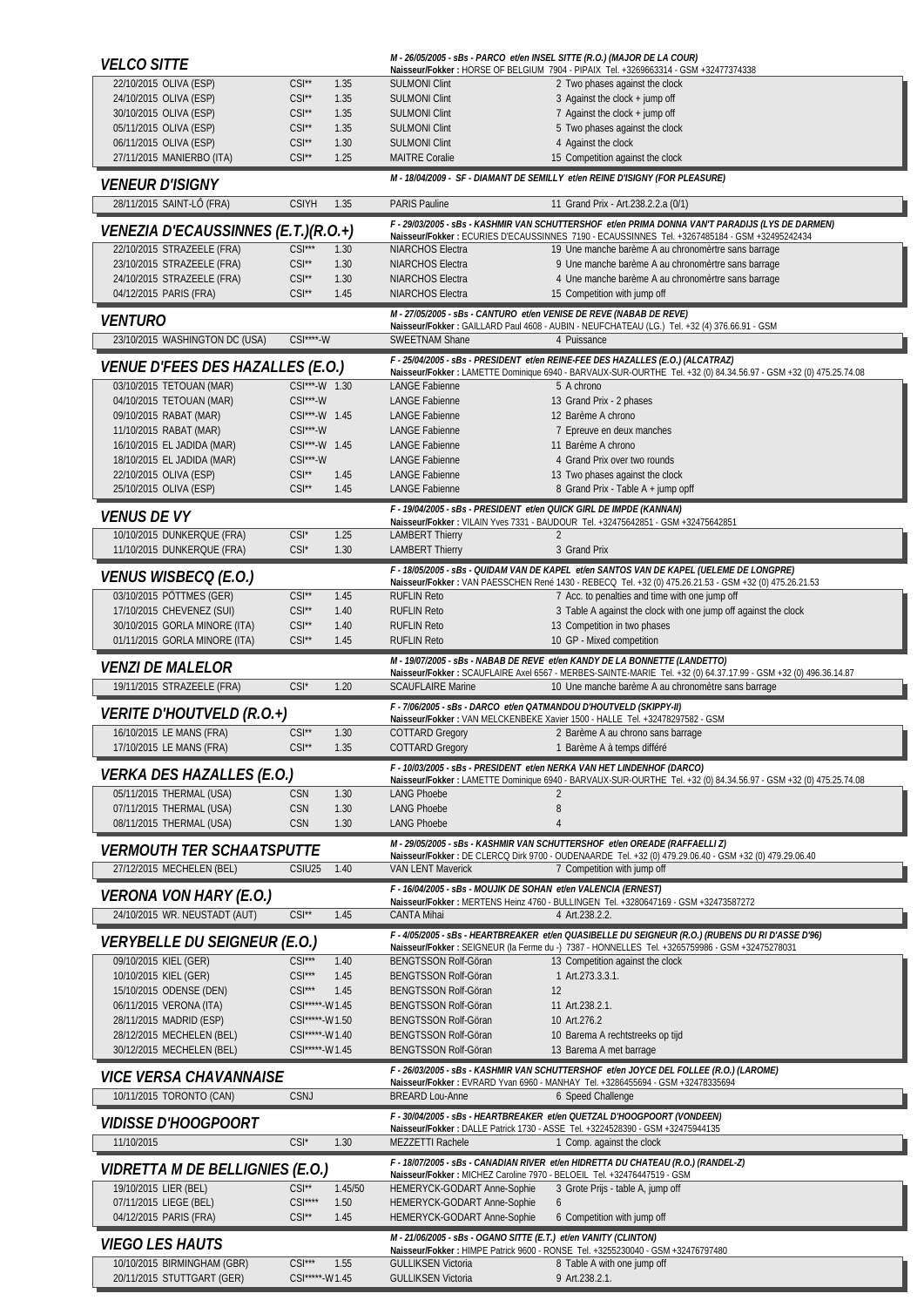| <i><b>VELCO SITTE</b></i>                                       |                                   |              | M - 26/05/2005 - sBs - PARCO et/en INSEL SITTE (R.O.) (MAJOR DE LA COUR) | Naisseur/Fokker: HORSE OF BELGIUM 7904 - PIPAIX Tel. +3269663314 - GSM +32477374338                                                                                                                 |
|-----------------------------------------------------------------|-----------------------------------|--------------|--------------------------------------------------------------------------|-----------------------------------------------------------------------------------------------------------------------------------------------------------------------------------------------------|
| 22/10/2015 OLIVA (ESP)                                          | $CSI**$                           | 1.35         | <b>SULMONI Clint</b>                                                     | 2 Two phases against the clock                                                                                                                                                                      |
| 24/10/2015 OLIVA (ESP)                                          | $CSI^{\star\star}$                | 1.35         | <b>SULMONI Clint</b>                                                     | 3 Against the clock + jump off                                                                                                                                                                      |
| 30/10/2015 OLIVA (ESP)                                          | $CSI^{\star\star}$                | 1.35         | <b>SULMONI Clint</b>                                                     | 7 Against the clock + jump off                                                                                                                                                                      |
| 05/11/2015 OLIVA (ESP)                                          | $CSI^{\star\star}$                | 1.35         | <b>SULMONI Clint</b>                                                     | 5 Two phases against the clock                                                                                                                                                                      |
| 06/11/2015 OLIVA (ESP)                                          | $CSI^{\star\star}$                | 1.30         | <b>SULMONI Clint</b>                                                     | 4 Against the clock                                                                                                                                                                                 |
| 27/11/2015 MANIERBO (ITA)                                       | $CSI^{\star\star}$                | 1.25         | <b>MAITRE Coralie</b>                                                    | 15 Competition against the clock<br>M - 18/04/2009 - SF - DIAMANT DE SEMILLY et/en REINE D'ISIGNY (FOR PLEASURE)                                                                                    |
| <i>VENEUR D'ISIGNY</i><br>28/11/2015 SAINT-LÔ (FRA)             | <b>CSIYH</b>                      | 1.35         | <b>PARIS Pauline</b>                                                     | 11 Grand Prix - Art.238.2.2.a (0/1)                                                                                                                                                                 |
|                                                                 |                                   |              |                                                                          | F - 29/03/2005 - sBs - KASHMIR VAN SCHUTTERSHOF et/en PRIMA DONNA VAN'T PARADIJS (LYS DE DARMEN)                                                                                                    |
| VENEZIA D'ECAUSSINNES (E.T.)(R.O.+)                             |                                   |              |                                                                          | Naisseur/Fokker: ECURIES D'ECAUSSINNES 7190 - ECAUSSINNES Tel. +3267485184 - GSM +32495242434                                                                                                       |
| 22/10/2015 STRAZEELE (FRA)<br>23/10/2015 STRAZEELE (FRA)        | $CSI***$<br>$CSI^{\star\star}$    | 1.30<br>1.30 | <b>NIARCHOS Electra</b><br>NIARCHOS Electra                              | 19 Une manche barème A au chronomèrtre sans barrage<br>9 Une manche barème A au chronomèrtre sans barrage                                                                                           |
| 24/10/2015 STRAZEELE (FRA)                                      | $CSI^{\star\star}$                | 1.30         | <b>NIARCHOS Electra</b>                                                  | 4 Une manche barème A au chronomèrtre sans barrage                                                                                                                                                  |
| 04/12/2015 PARIS (FRA)                                          | $CSI^{\star\star}$                | 1.45         | NIARCHOS Electra                                                         | 15 Competition with jump off                                                                                                                                                                        |
| <i><b>VENTURO</b></i>                                           |                                   |              | M - 27/05/2005 - sBs - CANTURO et/en VENISE DE REVE (NABAB DE REVE)      |                                                                                                                                                                                                     |
| 23/10/2015 WASHINGTON DC (USA)                                  | $CSI***W$                         |              | <b>SWEETNAM Shane</b>                                                    | Naisseur/Fokker: GAILLARD Paul 4608 - AUBIN - NEUFCHATEAU (LG.) Tel. +32 (4) 376.66.91 - GSM<br>4 Puissance                                                                                         |
| <i>VENUE D'FEES DES HAZALLES (E.O.)</i>                         |                                   |              |                                                                          | F - 25/04/2005 - sBs - PRESIDENT et/en REINE-FEE DES HAZALLES (E.O.) (ALCATRAZ)<br>Naisseur/Fokker: LAMETTE Dominique 6940 - BARVAUX-SUR-OURTHE Tel. +32 (0) 84.34.56.97 - GSM +32 (0) 475.25.74.08 |
| 03/10/2015 TETOUAN (MAR)                                        | CSI***-W 1.30                     |              | <b>LANGE Fabienne</b>                                                    | 5 A chrono                                                                                                                                                                                          |
| 04/10/2015 TETOUAN (MAR)                                        | $CSI***$ -W                       |              | <b>LANGE Fabienne</b>                                                    | 13 Grand Prix - 2 phases                                                                                                                                                                            |
| 09/10/2015 RABAT (MAR)                                          | CSI***-W 1.45                     |              | <b>LANGE Fabienne</b>                                                    | 12 Barème A chrono                                                                                                                                                                                  |
| 11/10/2015 RABAT (MAR)                                          | $CSI***$ -W                       |              | <b>LANGE Fabienne</b>                                                    | 7 Epreuve en deux manches                                                                                                                                                                           |
| 16/10/2015 EL JADIDA (MAR)                                      | CSI***-W 1.45                     |              | <b>LANGE Fabienne</b><br><b>LANGF Fabienne</b>                           | 11 Barème A chrono                                                                                                                                                                                  |
| 18/10/2015 EL JADIDA (MAR)<br>22/10/2015 OLIVA (ESP)            | $CSI***$ -W<br>$CSI^{\star\star}$ | 1.45         | <b>LANGE Fabienne</b>                                                    | 4 Grand Prix over two rounds<br>13 Two phases against the clock                                                                                                                                     |
| 25/10/2015 OLIVA (ESP)                                          | $CSI^{\star\star}$                | 1.45         | <b>LANGE Fabienne</b>                                                    | 8 Grand Prix - Table A + jump opff                                                                                                                                                                  |
| <i>VENUS DE VY</i>                                              |                                   |              | F - 19/04/2005 - sBs - PRESIDENT et/en QUICK GIRL DE IMPDE (KANNAN)      |                                                                                                                                                                                                     |
| 10/10/2015 DUNKERQUE (FRA)                                      | $CSI^*$                           | 1.25         | <b>LAMBERT Thierry</b>                                                   | Naisseur/Fokker: VILAIN Yves 7331 - BAUDOUR Tel. +32475642851 - GSM +32475642851<br>$\overline{2}$                                                                                                  |
| 11/10/2015 DUNKERQUE (FRA)                                      | $CSI^*$                           | 1.30         | <b>LAMBERT Thierry</b>                                                   | 3 Grand Prix                                                                                                                                                                                        |
| <i>VENUS WISBECQ (E.O.)</i>                                     |                                   |              |                                                                          | F - 18/05/2005 - sBs - QUIDAM VAN DE KAPEL et/en SANTOS VAN DE KAPEL (UELEME DE LONGPRE)<br>Naisseur/Fokker: VAN PAESSCHEN René 1430 - REBECQ Tel. +32 (0) 475.26.21.53 - GSM +32 (0) 475.26.21.53  |
| 03/10/2015 PÖTTMES (GER)                                        | $CSI^{\star\star}$                | 1.45         | <b>RUFLIN Reto</b>                                                       | 7 Acc. to penalties and time with one jump off                                                                                                                                                      |
| 17/10/2015 CHEVENEZ (SUI)                                       | $CSI^{\star\star}$                | 1.40         | <b>RUFLIN Reto</b>                                                       | 3 Table A against the clock with one jump off against the clock                                                                                                                                     |
| 30/10/2015 GORLA MINORE (ITA)                                   | $CSI^{\star\star}$                | 1.40         | <b>RUFLIN Reto</b>                                                       | 13 Competition in two phases                                                                                                                                                                        |
| 01/11/2015 GORLA MINORE (ITA)                                   | $CSI^{\star\star}$                | 1.45         | <b>RUFLIN Reto</b>                                                       | 10 GP - Mixed competition                                                                                                                                                                           |
|                                                                 |                                   |              |                                                                          | M - 19/07/2005 - sBs - NABAB DE REVE et/en KANDY DE LA BONNETTE (LANDETTO)                                                                                                                          |
| <i>VENZI DE MALELOR</i>                                         |                                   |              |                                                                          | Naisseur/Fokker: SCAUFLAIRE Axel 6567 - MERBES-SAINTE-MARIE Tel. +32 (0) 64.37.17.99 - GSM +32 (0) 496.36.14.87                                                                                     |
| 19/11/2015 STRAZEELE (FRA)                                      | $CSI^*$                           | 1.20         | <b>SCAUFLAIRE Marine</b>                                                 | 10 Une manche barème A au chronomètre sans barrage                                                                                                                                                  |
| <i>VERITE D'HOUTVELD (R.O.+)</i>                                |                                   |              | F - 7/06/2005 - sBs - DARCO et/en QATMANDOU D'HOUTVELD (SKIPPY-II)       | Naisseur/Fokker: VAN MELCKENBEKE Xavier 1500 - HALLE Tel. +32478297582 - GSM                                                                                                                        |
| 16/10/2015 LE MANS (FRA)                                        | $CSI**$                           | 1.30         | <b>COTTARD Gregory</b>                                                   | 2 Barème A au chrono sans barrage                                                                                                                                                                   |
| 17/10/2015 LE MANS (FRA)                                        | $CSI**$                           | 1.35         | <b>COTTARD Gregory</b>                                                   | 1 Barème A à temps différé                                                                                                                                                                          |
| VERKA DES HAZALLES (E.O.)                                       |                                   |              |                                                                          | F - 10/03/2005 - sBs - PRESIDENT et/en NERKA VAN HET LINDENHOF (DARCO)<br>Naisseur/Fokker: LAMETTE Dominique 6940 - BARVAUX-SUR-OURTHE Tel. +32 (0) 84.34.56.97 - GSM +32 (0) 475.25.74.08          |
| 05/11/2015 THERMAL (USA)                                        | <b>CSN</b>                        | 1.30         | <b>LANG Phoebe</b>                                                       | 2                                                                                                                                                                                                   |
| 07/11/2015 THERMAL (USA)                                        | <b>CSN</b>                        | 1.30         | <b>LANG Phoebe</b>                                                       | 8<br>$\overline{4}$                                                                                                                                                                                 |
| 08/11/2015 THERMAL (USA)                                        | <b>CSN</b>                        | 1.30         | <b>LANG Phoebe</b>                                                       | M - 29/05/2005 - sBs - KASHMIR VAN SCHUTTERSHOF et/en OREADE (RAFFAELLI Z)                                                                                                                          |
| VERMOUTH TER SCHAATSPUTTE                                       |                                   |              |                                                                          | Naisseur/Fokker: DE CLERCQ Dirk 9700 - OUDENAARDE Tel. +32 (0) 479.29.06.40 - GSM +32 (0) 479.29.06.40                                                                                              |
| 27/12/2015 MECHELEN (BEL)                                       | CSIU25                            | 1.40         | <b>VAN LENT Maverick</b>                                                 | 7 Competition with jump off                                                                                                                                                                         |
| <i><b>VERONA VON HARY (E.O.)</b></i>                            |                                   |              | F - 16/04/2005 - sBs - MOUJIK DE SOHAN et/en VALENCIA (ERNEST)           | Naisseur/Fokker: MERTENS Heinz 4760 - BULLINGEN Tel. +3280647169 - GSM +32473587272                                                                                                                 |
| 24/10/2015 WR. NEUSTADT (AUT)                                   | $CSI^{\star\star}$                | 1.45         | <b>CANTA Mihai</b>                                                       | 4 Art.238.2.2.                                                                                                                                                                                      |
|                                                                 |                                   |              |                                                                          | F - 4/05/2005 - sBs - HEARTBREAKER et/en QUASIBELLE DU SEIGNEUR (R.O.) (RUBENS DU RI D'ASSE D'96)                                                                                                   |
| <i>VERYBELLE DU SEIGNEUR (E.O.)</i>                             |                                   |              |                                                                          | Naisseur/Fokker: SEIGNEUR (la Ferme du -) 7387 - HONNELLES Tel. +3265759986 - GSM +32475278031                                                                                                      |
| 09/10/2015 KIEL (GER)<br>10/10/2015 KIEL (GER)                  | $CSI***$<br>$CSI***$              | 1.40<br>1.45 | BENGTSSON Rolf-Göran                                                     | 13 Competition against the clock<br>1 Art.273.3.3.1.                                                                                                                                                |
| 15/10/2015 ODENSE (DEN)                                         | $CSI***$                          | 1.45         | BENGTSSON Rolf-Göran<br>BENGTSSON Rolf-Göran                             | 12                                                                                                                                                                                                  |
| 06/11/2015 VERONA (ITA)                                         | CSI*****-W1.45                    |              | <b>BENGTSSON Rolf-Göran</b>                                              | 11 Art.238.2.1.                                                                                                                                                                                     |
| 28/11/2015 MADRID (ESP)                                         | CSI*****-W1.50                    |              | BENGTSSON Rolf-Göran                                                     | 10 Art.276.2                                                                                                                                                                                        |
| 28/12/2015 MECHELEN (BEL)                                       | CSI*****-W1.40                    |              | <b>BENGTSSON Rolf-Göran</b>                                              | 10 Barema A rechtstreeks op tijd                                                                                                                                                                    |
| 30/12/2015 MECHELEN (BEL)                                       | CSI*****-W1.45                    |              | <b>BENGTSSON Rolf-Göran</b>                                              | 13 Barema A met barrage                                                                                                                                                                             |
| <i>VICE VERSA CHAVANNAISE</i>                                   |                                   |              |                                                                          | F - 26/03/2005 - sBs - KASHMIR VAN SCHUTTERSHOF et/en JOYCE DEL FOLLEE (R.O.) (LAROME)<br>Naisseur/Fokker: EVRARD Yvan 6960 - MANHAY Tel. +3286455694 - GSM +32478335694                            |
| 10/11/2015 TORONTO (CAN)                                        | <b>CSNJ</b>                       |              | <b>BREARD Lou-Anne</b>                                                   | 6 Speed Challenge                                                                                                                                                                                   |
| <i>VIDISSE D'HOOGPOORT</i>                                      |                                   |              |                                                                          | F - 30/04/2005 - sBs - HEARTBREAKER et/en QUETZAL D'HOOGPOORT (VONDEEN)                                                                                                                             |
| 11/10/2015                                                      | $CSI^*$                           | 1.30         | MEZZETTI Rachele                                                         | Naisseur/Fokker: DALLE Patrick 1730 - ASSE Tel. +3224528390 - GSM +32475944135<br>1 Comp. against the clock                                                                                         |
|                                                                 |                                   |              |                                                                          | F - 18/07/2005 - sBs - CANADIAN RIVER et/en HIDRETTA DU CHATEAU (R.O.) (RANDEL-Z)                                                                                                                   |
| <b>VIDRETTA M DE BELLIGNIES (E.O.)</b><br>19/10/2015 LIER (BEL) | $CSI**$                           | 1.45/50      | Naisseur/Fokker: MICHEZ Caroline 7970 - BELOEIL Tel. +32476447519 - GSM  |                                                                                                                                                                                                     |
| 07/11/2015 LIEGE (BEL)                                          | $CSI***$                          | 1.50         | HEMERYCK-GODART Anne-Sophie<br>HEMERYCK-GODART Anne-Sophie               | 3 Grote Prijs - table A, jump off<br>6                                                                                                                                                              |
| 04/12/2015 PARIS (FRA)                                          | $CSI**$                           | 1.45         | HEMERYCK-GODART Anne-Sophie                                              | 6 Competition with jump off                                                                                                                                                                         |
|                                                                 |                                   |              | M - 21/06/2005 - sBs - OGANO SITTE (E.T.) et/en VANITY (CLINTON)         |                                                                                                                                                                                                     |
| <i><b>VIEGO LES HAUTS</b></i><br>10/10/2015 BIRMINGHAM (GBR)    | $CSI***$                          | 1.55         | <b>GULLIKSEN Victoria</b>                                                | Naisseur/Fokker: HIMPE Patrick 9600 - RONSE Tel. +3255230040 - GSM +32476797480<br>8 Table A with one jump off                                                                                      |